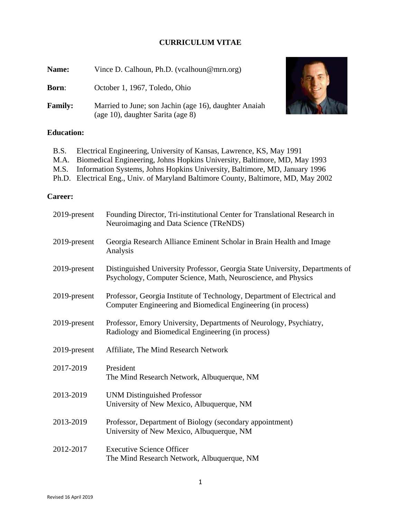## **CURRICULUM VITAE**

| Name:          | Vince D. Calhoun, Ph.D. (vcalhoun@mrn.org)                                                 |  |
|----------------|--------------------------------------------------------------------------------------------|--|
| <b>Born:</b>   | October 1, 1967, Toledo, Ohio                                                              |  |
| <b>Family:</b> | Married to June; son Jachin (age 16), daughter Anaiah<br>(age 10), daughter Sarita (age 8) |  |



# **Education:**

| B.S. Electrical Engineering, University of Kansas, Lawrence, KS, May 1991          |
|------------------------------------------------------------------------------------|
| M.A. Biomedical Engineering, Johns Hopkins University, Baltimore, MD, May 1993     |
| M.S. Information Systems, Johns Hopkins University, Baltimore, MD, January 1996    |
| Ph.D. Electrical Eng., Univ. of Maryland Baltimore County, Baltimore, MD, May 2002 |

## **Career:**

| 2019-present | Founding Director, Tri-institutional Center for Translational Research in<br>Neuroimaging and Data Science (TReNDS)                           |
|--------------|-----------------------------------------------------------------------------------------------------------------------------------------------|
| 2019-present | Georgia Research Alliance Eminent Scholar in Brain Health and Image<br>Analysis                                                               |
| 2019-present | Distinguished University Professor, Georgia State University, Departments of<br>Psychology, Computer Science, Math, Neuroscience, and Physics |
| 2019-present | Professor, Georgia Institute of Technology, Department of Electrical and<br>Computer Engineering and Biomedical Engineering (in process)      |
| 2019-present | Professor, Emory University, Departments of Neurology, Psychiatry,<br>Radiology and Biomedical Engineering (in process)                       |
| 2019-present | Affiliate, The Mind Research Network                                                                                                          |
| 2017-2019    | President<br>The Mind Research Network, Albuquerque, NM                                                                                       |
| 2013-2019    | <b>UNM Distinguished Professor</b><br>University of New Mexico, Albuquerque, NM                                                               |
| 2013-2019    | Professor, Department of Biology (secondary appointment)<br>University of New Mexico, Albuquerque, NM                                         |
| 2012-2017    | <b>Executive Science Officer</b><br>The Mind Research Network, Albuquerque, NM                                                                |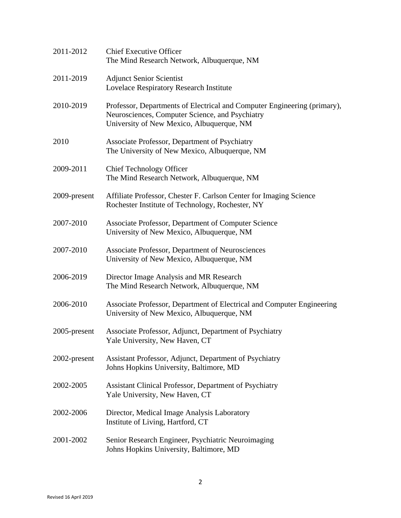| 2011-2012    | <b>Chief Executive Officer</b><br>The Mind Research Network, Albuquerque, NM                                                                                             |
|--------------|--------------------------------------------------------------------------------------------------------------------------------------------------------------------------|
| 2011-2019    | <b>Adjunct Senior Scientist</b><br>Lovelace Respiratory Research Institute                                                                                               |
| 2010-2019    | Professor, Departments of Electrical and Computer Engineering (primary),<br>Neurosciences, Computer Science, and Psychiatry<br>University of New Mexico, Albuquerque, NM |
| 2010         | Associate Professor, Department of Psychiatry<br>The University of New Mexico, Albuquerque, NM                                                                           |
| 2009-2011    | <b>Chief Technology Officer</b><br>The Mind Research Network, Albuquerque, NM                                                                                            |
| 2009-present | Affiliate Professor, Chester F. Carlson Center for Imaging Science<br>Rochester Institute of Technology, Rochester, NY                                                   |
| 2007-2010    | Associate Professor, Department of Computer Science<br>University of New Mexico, Albuquerque, NM                                                                         |
| 2007-2010    | Associate Professor, Department of Neurosciences<br>University of New Mexico, Albuquerque, NM                                                                            |
| 2006-2019    | Director Image Analysis and MR Research<br>The Mind Research Network, Albuquerque, NM                                                                                    |
| 2006-2010    | Associate Professor, Department of Electrical and Computer Engineering<br>University of New Mexico, Albuquerque, NM                                                      |
| 2005-present | Associate Professor, Adjunct, Department of Psychiatry<br>Yale University, New Haven, CT                                                                                 |
| 2002-present | Assistant Professor, Adjunct, Department of Psychiatry<br>Johns Hopkins University, Baltimore, MD                                                                        |
| 2002-2005    | Assistant Clinical Professor, Department of Psychiatry<br>Yale University, New Haven, CT                                                                                 |
| 2002-2006    | Director, Medical Image Analysis Laboratory<br>Institute of Living, Hartford, CT                                                                                         |
| 2001-2002    | Senior Research Engineer, Psychiatric Neuroimaging<br>Johns Hopkins University, Baltimore, MD                                                                            |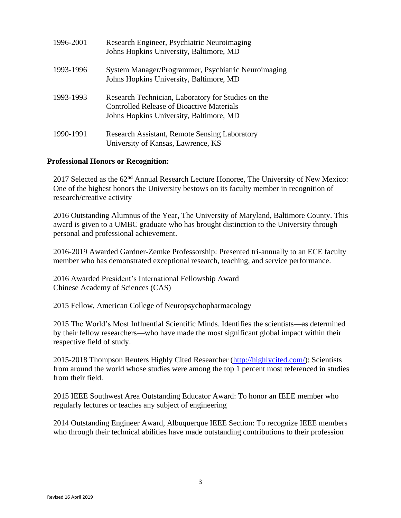| 1996-2001 | Research Engineer, Psychiatric Neuroimaging<br>Johns Hopkins University, Baltimore, MD                                                            |
|-----------|---------------------------------------------------------------------------------------------------------------------------------------------------|
| 1993-1996 | System Manager/Programmer, Psychiatric Neuroimaging<br>Johns Hopkins University, Baltimore, MD                                                    |
| 1993-1993 | Research Technician, Laboratory for Studies on the<br><b>Controlled Release of Bioactive Materials</b><br>Johns Hopkins University, Baltimore, MD |
| 1990-1991 | Research Assistant, Remote Sensing Laboratory<br>University of Kansas, Lawrence, KS                                                               |

## **Professional Honors or Recognition:**

2017 Selected as the 62<sup>nd</sup> Annual Research Lecture Honoree, The University of New Mexico: One of the highest honors the University bestows on its faculty member in recognition of research/creative activity

2016 Outstanding Alumnus of the Year, The University of Maryland, Baltimore County. This award is given to a UMBC graduate who has brought distinction to the University through personal and professional achievement.

2016-2019 Awarded Gardner-Zemke Professorship: Presented tri-annually to an ECE faculty member who has demonstrated exceptional research, teaching, and service performance.

2016 Awarded President's International Fellowship Award Chinese Academy of Sciences (CAS)

2015 Fellow, American College of Neuropsychopharmacology

2015 The World's Most Influential Scientific Minds. Identifies the scientists—as determined by their fellow researchers—who have made the most significant global impact within their respective field of study.

2015-2018 Thompson Reuters Highly Cited Researcher [\(http://highlycited.com/\)](http://highlycited.com/): Scientists from around the world whose studies were among the top 1 percent most referenced in studies from their field.

2015 IEEE Southwest Area Outstanding Educator Award: To honor an IEEE member who regularly lectures or teaches any subject of engineering

2014 Outstanding Engineer Award, Albuquerque IEEE Section: To recognize IEEE members who through their technical abilities have made outstanding contributions to their profession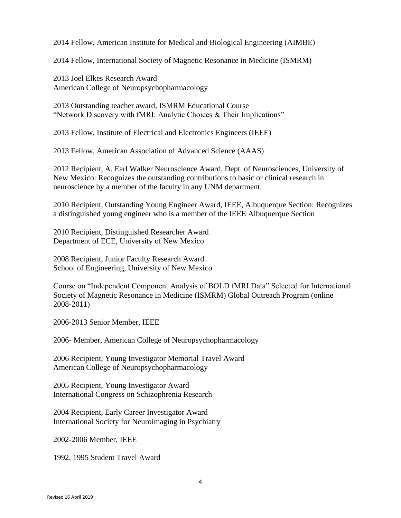2014 Fellow, American Institute for Medical and Biological Engineering (AIMBE)

2014 Fellow, International Society of Magnetic Resonance in Medicine (ISMRM)

2013 Joel Elkes Research Award American College of Neuropsychopharmacology

2013 Outstanding teacher award, ISMRM Educational Course "Network Discovery with fMRI: Analytic Choices & Their Implications"

2013 Fellow, Institute of Electrical and Electronics Engineers (IEEE)

2013 Fellow, American Association of Advanced Science (AAAS)

2012 Recipient, A. Earl Walker Neuroscience Award, Dept. of Neurosciences, University of New Mexico: Recognizes the outstanding contributions to basic or clinical research in neuroscience by a member of the faculty in any UNM department.

2010 Recipient, Outstanding Young Engineer Award, IEEE, Albuquerque Section: Recognizes a distinguished young engineer who is a member of the IEEE Albuquerque Section

2010 Recipient, Distinguished Researcher Award Department of ECE, University of New Mexico

2008 Recipient, Junior Faculty Research Award School of Engineering, University of New Mexico

Course on "Independent Component Analysis of BOLD fMRI Data" Selected for International Society of Magnetic Resonance in Medicine (ISMRM) Global Outreach Program (online 2008-2011)

2006-2013 Senior Member, IEEE

2006- Member, American College of Neuropsychopharmacology

2006 Recipient, Young Investigator Memorial Travel Award American College of Neuropsychopharmacology

2005 Recipient, Young Investigator Award International Congress on Schizophrenia Research

2004 Recipient, Early Career Investigator Award International Society for Neuroimaging in Psychiatry

2002-2006 Member, IEEE

1992, 1995 Student Travel Award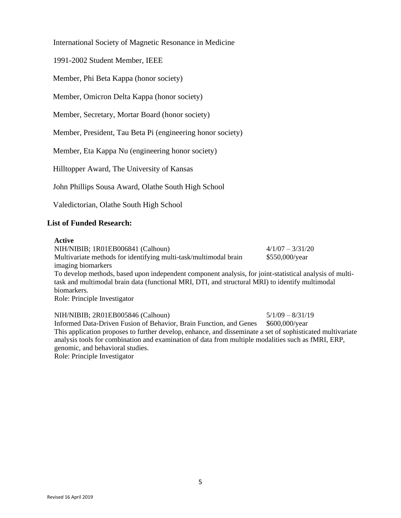International Society of Magnetic Resonance in Medicine

1991-2002 Student Member, IEEE

Member, Phi Beta Kappa (honor society)

Member, Omicron Delta Kappa (honor society)

Member, Secretary, Mortar Board (honor society)

Member, President, Tau Beta Pi (engineering honor society)

Member, Eta Kappa Nu (engineering honor society)

Hilltopper Award, The University of Kansas

John Phillips Sousa Award, Olathe South High School

Valedictorian, Olathe South High School

### **List of Funded Research:**

#### **Active**

NIH/NIBIB; 1R01EB006841 (Calhoun) 4/1/07 – 3/31/20 Multivariate methods for identifying multi-task/multimodal brain imaging biomarkers \$550,000/year To develop methods, based upon independent component analysis, for joint-statistical analysis of multitask and multimodal brain data (functional MRI, DTI, and structural MRI) to identify multimodal biomarkers. Role: Principle Investigator

NIH/NIBIB; 2R01EB005846 (Calhoun) 5/1/09 – 8/31/19 Informed Data-Driven Fusion of Behavior, Brain Function, and Genes \$600,000/year This application proposes to further develop, enhance, and disseminate a set of sophisticated multivariate analysis tools for combination and examination of data from multiple modalities such as fMRI, ERP, genomic, and behavioral studies.

Role: Principle Investigator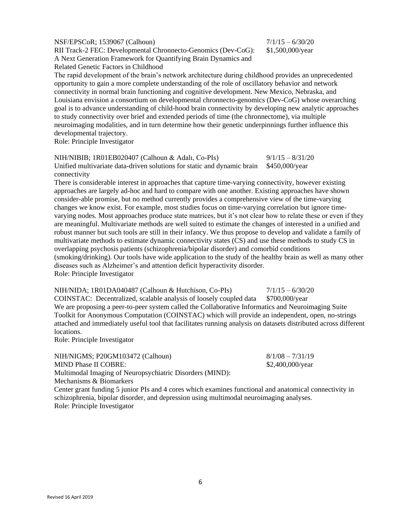NSF/EPSCoR; 1539067 (Calhoun) 7/1/15 – 6/30/20 RII Track-2 FEC: Developmental Chronnecto-Genomics (Dev-CoG): A Next Generation Framework for Quantifying Brain Dynamics and Related Genetic Factors in Childhood

The rapid development of the brain's network architecture during childhood provides an unprecedented opportunity to gain a more complete understanding of the role of oscillatory behavior and network connectivity in normal brain functioning and cognitive development. New Mexico, Nebraska, and Louisiana envision a consortium on developmental chronnecto-genomics (Dev-CoG) whose overarching goal is to advance understanding of child-hood brain connectivity by developing new analytic approaches to study connectivity over brief and extended periods of time (the chronnectome), via multiple neuroimaging modalities, and in turn determine how their genetic underpinnings further influence this developmental trajectory.

Role: Principle Investigator

NIH/NIBIB; 1R01EB020407 (Calhoun & Adalı, Co-PIs) 9/1/15 – 8/31/20 Unified multivariate data-driven solutions for static and dynamic brain connectivity \$450,000/year

There is considerable interest in approaches that capture time-varying connectivity, however existing approaches are largely ad-hoc and hard to compare with one another. Existing approaches have shown consider-able promise, but no method currently provides a comprehensive view of the time-varying changes we know exist. For example, most studies focus on time-varying correlation but ignore timevarying nodes. Most approaches produce state matrices, but it's not clear how to relate these or even if they are meaningful. Multivariate methods are well suited to estimate the changes of interested in a unified and robust manner but such tools are still in their infancy. We thus propose to develop and validate a family of multivariate methods to estimate dynamic connectivity states (CS) and use these methods to study CS in overlapping psychosis patients (schizophrenia/bipolar disorder) and comorbid conditions (smoking/drinking). Our tools have wide application to the study of the healthy brain as well as many other diseases such as Alzheimer's and attention deficit hyperactivity disorder. Role: Principle Investigator

NIH/NIDA; 1R01DA040487 (Calhoun & Hutchison, Co-PIs)  $7/1/15 - 6/30/20$ 

COINSTAC: Decentralized, scalable analysis of loosely coupled data \$700,000/year We are proposing a peer-to-peer system called the Collaborative Informatics and Neuroimaging Suite Toolkit for Anonymous Computation (COINSTAC) which will provide an independent, open, no-strings attached and immediately useful tool that facilitates running analysis on datasets distributed across different locations.

Role: Principle Investigator

NIH/NIGMS; P20GM103472 (Calhoun) 8/1/08 – 7/31/19 MIND Phase II COBRE: Multimodal Imaging of Neuropsychiatric Disorders (MIND): Mechanisms & Biomarkers \$2,400,000/year Center grant funding 5 junior PIs and 4 cores which examines functional and anatomical connectivity in schizophrenia, bipolar disorder, and depression using multimodal neuroimaging analyses. Role: Principle Investigator

\$1,500,000/year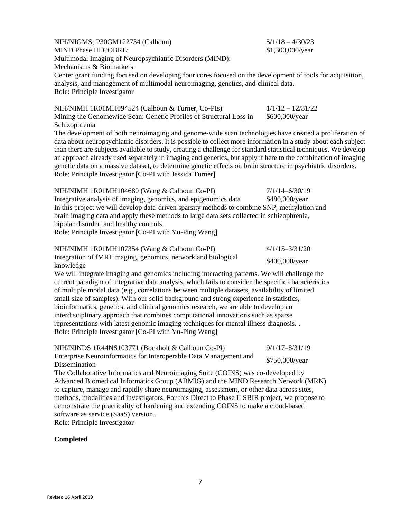| NIH/NIGMS; P30GM122734 (Calhoun)<br><b>MIND Phase III COBRE:</b><br>Multimodal Imaging of Neuropsychiatric Disorders (MIND):<br>Mechanisms & Biomarkers<br>Center grant funding focused on developing four cores focused on the development of tools for acquisition,<br>analysis, and management of multimodal neuroimaging, genetics, and clinical data.<br>Role: Principle Investigator                                                                                                                                                                                                                                                                                                                                                                                                                                                                   | $5/1/18 - 4/30/23$<br>\$1,300,000/year |
|--------------------------------------------------------------------------------------------------------------------------------------------------------------------------------------------------------------------------------------------------------------------------------------------------------------------------------------------------------------------------------------------------------------------------------------------------------------------------------------------------------------------------------------------------------------------------------------------------------------------------------------------------------------------------------------------------------------------------------------------------------------------------------------------------------------------------------------------------------------|----------------------------------------|
| NIH/NIMH 1R01MH094524 (Calhoun & Turner, Co-PIs)<br>Mining the Genomewide Scan: Genetic Profiles of Structural Loss in<br>Schizophrenia<br>The development of both neuroimaging and genome-wide scan technologies have created a proliferation of<br>data about neuropsychiatric disorders. It is possible to collect more information in a study about each subject<br>than there are subjects available to study, creating a challenge for standard statistical techniques. We develop<br>an approach already used separately in imaging and genetics, but apply it here to the combination of imaging<br>genetic data on a massive dataset, to determine genetic effects on brain structure in psychiatric disorders.<br>Role: Principle Investigator [Co-PI with Jessica Turner]                                                                         | $1/1/12 - 12/31/22$<br>\$600,000/year  |
| NIH/NIMH 1R01MH104680 (Wang & Calhoun Co-PI)<br>Integrative analysis of imaging, genomics, and epigenomics data<br>In this project we will develop data-driven sparsity methods to combine SNP, methylation and<br>brain imaging data and apply these methods to large data sets collected in schizophrenia,<br>bipolar disorder, and healthy controls.<br>Role: Principle Investigator [Co-PI with Yu-Ping Wang]                                                                                                                                                                                                                                                                                                                                                                                                                                            | $7/1/14 - 6/30/19$<br>\$480,000/year   |
| NIH/NIMH 1R01MH107354 (Wang & Calhoun Co-PI)<br>Integration of fMRI imaging, genomics, network and biological<br>knowledge<br>We will integrate imaging and genomics including interacting patterns. We will challenge the<br>current paradigm of integrative data analysis, which fails to consider the specific characteristics<br>of multiple modal data (e.g., correlations between multiple datasets, availability of limited<br>small size of samples). With our solid background and strong experience in statistics,<br>bioinformatics, genetics, and clinical genomics research, we are able to develop an<br>interdisciplinary approach that combines computational innovations such as sparse<br>representations with latest genomic imaging techniques for mental illness diagnosis. .<br>Role: Principle Investigator [Co-PI with Yu-Ping Wang] | $4/1/15 - 3/31/20$<br>\$400,000/year   |
| NIH/NINDS 1R44NS103771 (Bockholt & Calhoun Co-PI)<br>Enterprise Neuroinformatics for Interoperable Data Management and<br><b>Dissemination</b><br>The Collaborative Informatics and Neuroimaging Suite (COINS) was co-developed by<br>Advanced Biomedical Informatics Group (ABMIG) and the MIND Research Network (MRN)<br>to capture, manage and rapidly share neuroimaging, assessment, or other data across sites,<br>methods, modalities and investigators. For this Direct to Phase II SBIR project, we propose to<br>demonstrate the practicality of hardening and extending COINS to make a cloud-based<br>software as service (SaaS) version<br>Role: Principle Investigator                                                                                                                                                                         | $9/1/17 - 8/31/19$<br>\$750,000/year   |
|                                                                                                                                                                                                                                                                                                                                                                                                                                                                                                                                                                                                                                                                                                                                                                                                                                                              |                                        |

## **Completed**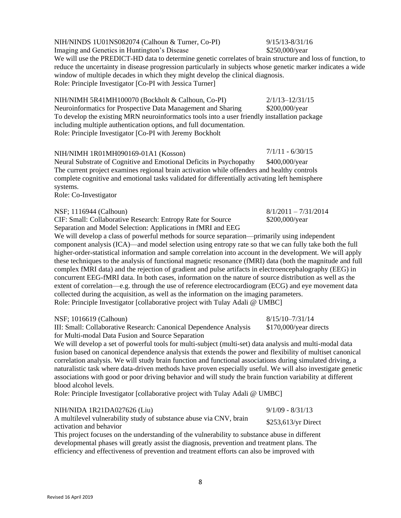NIH/NINDS 1U01NS082074 (Calhoun & Turner, Co-PI) 9/15/13-8/31/16 Imaging and Genetics in Huntington's Disease \$250,000/year

We will use the PREDICT-HD data to determine genetic correlates of brain structure and loss of function, to reduce the uncertainty in disease progression particularly in subjects whose genetic marker indicates a wide window of multiple decades in which they might develop the clinical diagnosis. Role: Principle Investigator [Co-PI with Jessica Turner]

NIH/NIMH 5R41MH100070 (Bockholt & Calhoun, Co-PI) 2/1/13–12/31/15 Neuroinformatics for Prospective Data Management and Sharing \$200,000/year To develop the existing MRN neuroinformatics tools into a user friendly installation package including multiple authentication options, and full documentation. Role: Principle Investigator [Co-PI with Jeremy Bockholt

## NIH/NIMH 1R01MH090169-01A1 (Kosson) 7/1/11 - 6/30/15

Neural Substrate of Cognitive and Emotional Deficits in Psychopathy \$400,000/year The current project examines regional brain activation while offenders and healthy controls complete cognitive and emotional tasks validated for differentially activating left hemisphere systems.

Role: Co-Investigator

#### NSF; 1116944 (Calhoun) 8/1/2011 – 7/31/2014

CIF: Small: Collaborative Research: Entropy Rate for Source Separation and Model Selection: Applications in fMRI and EEG

We will develop a class of powerful methods for source separation—primarily using independent component analysis (ICA)—and model selection using entropy rate so that we can fully take both the full higher-order-statistical information and sample correlation into account in the development. We will apply these techniques to the analysis of functional magnetic resonance (fMRI) data (both the magnitude and full complex fMRI data) and the rejection of gradient and pulse artifacts in electroencephalography (EEG) in concurrent EEG-fMRI data. In both cases, information on the nature of source distribution as well as the extent of correlation—e.g. through the use of reference electrocardiogram (ECG) and eye movement data collected during the acquisition, as well as the information on the imaging parameters. Role: Principle Investigator [collaborative project with Tulay Adali @ UMBC]

#### NSF; 1016619 (Calhoun) 8/15/10–7/31/14

III: Small: Collaborative Research: Canonical Dependence Analysis for Multi-modal Data Fusion and Source Separation

We will develop a set of powerful tools for multi-subject (multi-set) data analysis and multi-modal data fusion based on canonical dependence analysis that extends the power and flexibility of multiset canonical correlation analysis. We will study brain function and functional associations during simulated driving, a naturalistic task where data-driven methods have proven especially useful. We will also investigate genetic associations with good or poor driving behavior and will study the brain function variability at different blood alcohol levels.

Role: Principle Investigator [collaborative project with Tulay Adali @ UMBC]

| NIH/NIDA 1R21DA027626 (Liu)                                        | $9/1/09 - 8/31/13$   |
|--------------------------------------------------------------------|----------------------|
| A multilevel vulnerability study of substance abuse via CNV, brain | $$253,613/yr$ Direct |
| activation and behavior                                            |                      |

This project focuses on the understanding of the vulnerability to substance abuse in different developmental phases will greatly assist the diagnosis, prevention and treatment plans. The efficiency and effectiveness of prevention and treatment efforts can also be improved with

\$200,000/year

\$170,000/year directs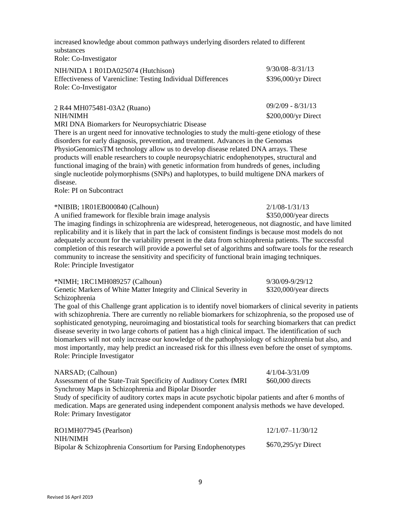increased knowledge about common pathways underlying disorders related to different substances Role: Co-Investigator

| NIH/NIDA 1 R01DA025074 (Hutchison)                           | $9/30/08 - 8/31/13$ |
|--------------------------------------------------------------|---------------------|
| Effectiveness of Varenicline: Testing Individual Differences | \$396,000/yr Direct |
| Role: Co-Investigator                                        |                     |
|                                                              | $09/2/09 - 8/31/13$ |
| 2 R44 MH075481-03A2 (Ruano)                                  |                     |

NIH/NIMH  $$200,000/\text{yr Direct}$ 

MRI DNA Biomarkers for Neuropsychiatric Disease

There is an urgent need for innovative technologies to study the multi-gene etiology of these disorders for early diagnosis, prevention, and treatment. Advances in the Genomas PhysioGenomicsTM technology allow us to develop disease related DNA arrays. These products will enable researchers to couple neuropsychiatric endophenotypes, structural and functional imaging of the brain) with genetic information from hundreds of genes, including single nucleotide polymorphisms (SNPs) and haplotypes, to build multigene DNA markers of disease.

Role: PI on Subcontract

\*NIBIB; 1R01EB000840 (Calhoun) 2/1/08-1/31/13

A unified framework for flexible brain image analysis \$350,000/year directs

The imaging findings in schizophrenia are widespread, heterogeneous, not diagnostic, and have limited replicability and it is likely that in part the lack of consistent findings is because most models do not adequately account for the variability present in the data from schizophrenia patients. The successful completion of this research will provide a powerful set of algorithms and software tools for the research community to increase the sensitivity and specificity of functional brain imaging techniques. Role: Principle Investigator

### \*NIMH; 1RC1MH089257 (Calhoun) 9/30/09-9/29/12

Genetic Markers of White Matter Integrity and Clinical Severity in Schizophrenia

The goal of this Challenge grant application is to identify novel biomarkers of clinical severity in patients with schizophrenia. There are currently no reliable biomarkers for schizophrenia, so the proposed use of sophisticated genotyping, neuroimaging and biostatistical tools for searching biomarkers that can predict disease severity in two large cohorts of patient has a high clinical impact. The identification of such biomarkers will not only increase our knowledge of the pathophysiology of schizophrenia but also, and most importantly, may help predict an increased risk for this illness even before the onset of symptoms. Role: Principle Investigator

\$320,000/year directs

| NARSAD; (Calhoun)                                                                                      | $4/1/04 - 3/31/09$   |
|--------------------------------------------------------------------------------------------------------|----------------------|
| Assessment of the State-Trait Specificity of Auditory Cortex fMRI                                      | \$60,000 directs     |
| Synchrony Maps in Schizophrenia and Bipolar Disorder                                                   |                      |
| Study of specificity of auditory cortex maps in acute psychotic bipolar patients and after 6 months of |                      |
| medication. Maps are generated using independent component analysis methods we have developed.         |                      |
| Role: Primary Investigator                                                                             |                      |
|                                                                                                        |                      |
| RO1MH077945 (Pearlson)                                                                                 | $12/1/07 - 11/30/12$ |

9

| NIH/NIMH                                                      |                     |
|---------------------------------------------------------------|---------------------|
| Bipolar & Schizophrenia Consortium for Parsing Endophenotypes | \$670,295/yr Direct |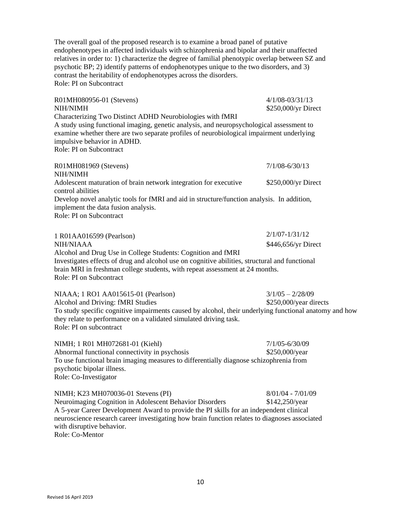The overall goal of the proposed research is to examine a broad panel of putative endophenotypes in affected individuals with schizophrenia and bipolar and their unaffected relatives in order to: 1) characterize the degree of familial phenotypic overlap between SZ and psychotic BP; 2) identify patterns of endophenotypes unique to the two disorders, and 3) contrast the heritability of endophenotypes across the disorders. Role: PI on Subcontract

R01MH080956-01 (Stevens) 4/1/08-03/31/13 NIH/NIMH \$250,000/yr Direct Characterizing Two Distinct ADHD Neurobiologies with fMRI A study using functional imaging, genetic analysis, and neuropsychological assessment to examine whether there are two separate profiles of neurobiological impairment underlying impulsive behavior in ADHD. Role: PI on Subcontract R01MH081969 (Stevens) 7/1/08-6/30/13 NIH/NIMH Adolescent maturation of brain network integration for executive control abilities \$250,000/yr Direct Develop novel analytic tools for fMRI and aid in structure/function analysis. In addition, implement the data fusion analysis. Role: PI on Subcontract 1 R01AA016599 (Pearlson) 2/1/07-1/31/12 NIH/NIAAA \$446,656/yr Direct Alcohol and Drug Use in College Students: Cognition and fMRI Investigates effects of drug and alcohol use on cognitive abilities, structural and functional brain MRI in freshman college students, with repeat assessment at 24 months. Role: PI on Subcontract NIAAA; 1 RO1 AA015615-01 (Pearlson) 3/1/05 – 2/28/09 Alcohol and Driving: fMRI Studies  $$250,000/year$  directs

To study specific cognitive impairments caused by alcohol, their underlying functional anatomy and how they relate to performance on a validated simulated driving task. Role: PI on subcontract

NIMH; 1 R01 MH072681-01 (Kiehl) 7/1/05-6/30/09 Abnormal functional connectivity in psychosis  $$250,000$ /year To use functional brain imaging measures to differentially diagnose schizophrenia from psychotic bipolar illness. Role: Co-Investigator

NIMH; K23 MH070036-01 Stevens (PI) 8/01/04 - 7/01/09 Neuroimaging Cognition in Adolescent Behavior Disorders \$142,250/year A 5-year Career Development Award to provide the PI skills for an independent clinical neuroscience research career investigating how brain function relates to diagnoses associated with disruptive behavior.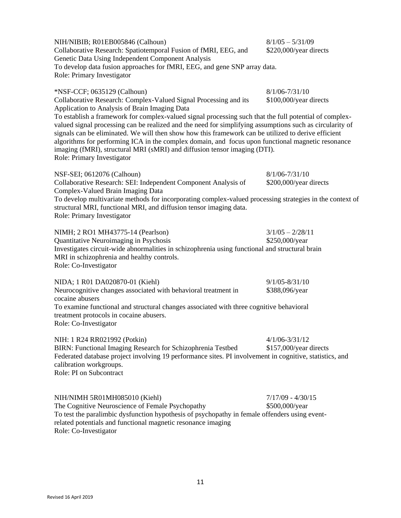| NIH/NIBIB; R01EB005846 (Calhoun)<br>Collaborative Research: Spatiotemporal Fusion of fMRI, EEG, and<br>Genetic Data Using Independent Component Analysis                                                                                                                                                                                                                                                                                                                                                                                  | $8/1/05 - 5/31/09$<br>\$220,000/year directs |
|-------------------------------------------------------------------------------------------------------------------------------------------------------------------------------------------------------------------------------------------------------------------------------------------------------------------------------------------------------------------------------------------------------------------------------------------------------------------------------------------------------------------------------------------|----------------------------------------------|
| To develop data fusion approaches for fMRI, EEG, and gene SNP array data.<br>Role: Primary Investigator                                                                                                                                                                                                                                                                                                                                                                                                                                   |                                              |
| *NSF-CCF; 0635129 (Calhoun)<br>Collaborative Research: Complex-Valued Signal Processing and its<br>Application to Analysis of Brain Imaging Data                                                                                                                                                                                                                                                                                                                                                                                          | $8/1/06 - 7/31/10$<br>\$100,000/year directs |
| To establish a framework for complex-valued signal processing such that the full potential of complex-<br>valued signal processing can be realized and the need for simplifying assumptions such as circularity of<br>signals can be eliminated. We will then show how this framework can be utilized to derive efficient<br>algorithms for performing ICA in the complex domain, and focus upon functional magnetic resonance<br>imaging (fMRI), structural MRI (sMRI) and diffusion tensor imaging (DTI).<br>Role: Primary Investigator |                                              |
| NSF-SEI; 0612076 (Calhoun)                                                                                                                                                                                                                                                                                                                                                                                                                                                                                                                | $8/1/06 - 7/31/10$                           |
| Collaborative Research: SEI: Independent Component Analysis of                                                                                                                                                                                                                                                                                                                                                                                                                                                                            | \$200,000/year directs                       |
| Complex-Valued Brain Imaging Data<br>To develop multivariate methods for incorporating complex-valued processing strategies in the context of<br>structural MRI, functional MRI, and diffusion tensor imaging data.<br>Role: Primary Investigator                                                                                                                                                                                                                                                                                         |                                              |
| NIMH; 2 RO1 MH43775-14 (Pearlson)<br>Quantitative Neuroimaging in Psychosis<br>Investigates circuit-wide abnormalities in schizophrenia using functional and structural brain<br>MRI in schizophrenia and healthy controls.<br>Role: Co-Investigator                                                                                                                                                                                                                                                                                      | $3/1/05 - 2/28/11$<br>\$250,000/year         |
| NIDA; 1 R01 DA020870-01 (Kiehl)                                                                                                                                                                                                                                                                                                                                                                                                                                                                                                           | $9/1/05 - 8/31/10$                           |
| Neurocognitive changes associated with behavioral treatment in                                                                                                                                                                                                                                                                                                                                                                                                                                                                            | \$388,096/year                               |
| cocaine abusers<br>To examine functional and structural changes associated with three cognitive behavioral<br>treatment protocols in cocaine abusers.<br>Role: Co-Investigator                                                                                                                                                                                                                                                                                                                                                            |                                              |
| NIH: 1 R24 RR021992 (Potkin)                                                                                                                                                                                                                                                                                                                                                                                                                                                                                                              | $4/1/06 - 3/31/12$                           |
| BIRN: Functional Imaging Research for Schizophrenia Testbed<br>Federated database project involving 19 performance sites. PI involvement in cognitive, statistics, and<br>calibration workgroups.<br>Role: PI on Subcontract                                                                                                                                                                                                                                                                                                              | \$157,000/year directs                       |
| NIH/NIMH 5R01MH085010 (Kiehl)                                                                                                                                                                                                                                                                                                                                                                                                                                                                                                             | $7/17/09 - 4/30/15$                          |
| The Cognitive Neuroscience of Female Psychopathy                                                                                                                                                                                                                                                                                                                                                                                                                                                                                          | \$500,000/year                               |
| To test the paralimbic dysfunction hypothesis of psychopathy in female offenders using event-<br>related potentials and functional magnetic resonance imaging<br>Role: Co-Investigator                                                                                                                                                                                                                                                                                                                                                    |                                              |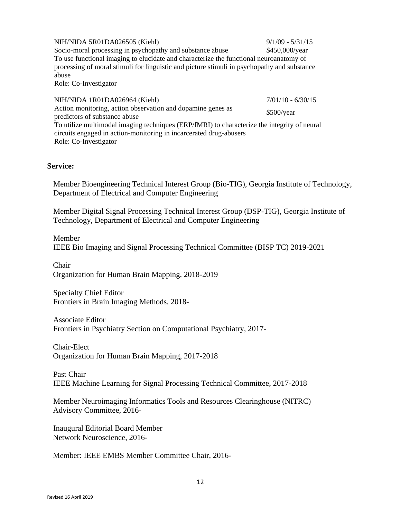NIH/NIDA 5R01DA026505 (Kiehl) 9/1/09 - 5/31/15 Socio-moral processing in psychopathy and substance abuse \$450,000/year To use functional imaging to elucidate and characterize the functional neuroanatomy of processing of moral stimuli for linguistic and picture stimuli in psychopathy and substance abuse Role: Co-Investigator

NIH/NIDA 1R01DA026964 (Kiehl) 7/01/10 - 6/30/15 Action monitoring, action observation and dopamine genes as predictors of substance abuse<br>predictors of substance abuse To utilize multimodal imaging techniques (ERP/fMRI) to characterize the integrity of neural circuits engaged in action-monitoring in incarcerated drug-abusers Role: Co-Investigator

## **Service:**

Member Bioengineering Technical Interest Group (Bio-TIG), Georgia Institute of Technology, Department of Electrical and Computer Engineering

Member Digital Signal Processing Technical Interest Group (DSP-TIG), Georgia Institute of Technology, Department of Electrical and Computer Engineering

Member IEEE Bio Imaging and Signal Processing Technical Committee (BISP TC) 2019-2021

Chair Organization for Human Brain Mapping, 2018-2019

Specialty Chief Editor Frontiers in Brain Imaging Methods, 2018-

Associate Editor Frontiers in Psychiatry Section on Computational Psychiatry, 2017-

Chair-Elect Organization for Human Brain Mapping, 2017-2018

Past Chair IEEE Machine Learning for Signal Processing Technical Committee, 2017-2018

Member Neuroimaging Informatics Tools and Resources Clearinghouse (NITRC) Advisory Committee, 2016-

Inaugural Editorial Board Member Network Neuroscience, 2016-

Member: IEEE EMBS Member Committee Chair, 2016-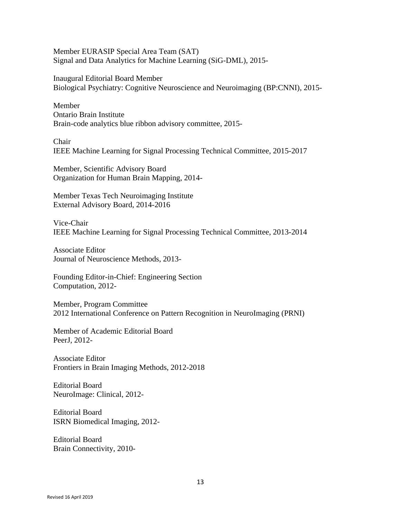Member EURASIP Special Area Team (SAT) Signal and Data Analytics for Machine Learning (SiG-DML), 2015-

Inaugural Editorial Board Member Biological Psychiatry: Cognitive Neuroscience and Neuroimaging (BP:CNNI), 2015-

Member Ontario Brain Institute Brain-code analytics blue ribbon advisory committee, 2015-

Chair IEEE Machine Learning for Signal Processing Technical Committee, 2015-2017

Member, Scientific Advisory Board Organization for Human Brain Mapping, 2014-

Member Texas Tech Neuroimaging Institute External Advisory Board, 2014-2016

Vice-Chair IEEE Machine Learning for Signal Processing Technical Committee, 2013-2014

Associate Editor Journal of Neuroscience Methods, 2013-

Founding Editor-in-Chief: Engineering Section Computation, 2012-

Member, Program Committee 2012 International Conference on Pattern Recognition in NeuroImaging (PRNI)

Member of Academic Editorial Board PeerJ, 2012-

Associate Editor Frontiers in Brain Imaging Methods, 2012-2018

Editorial Board NeuroImage: Clinical, 2012-

Editorial Board ISRN Biomedical Imaging, 2012-

Editorial Board Brain Connectivity, 2010-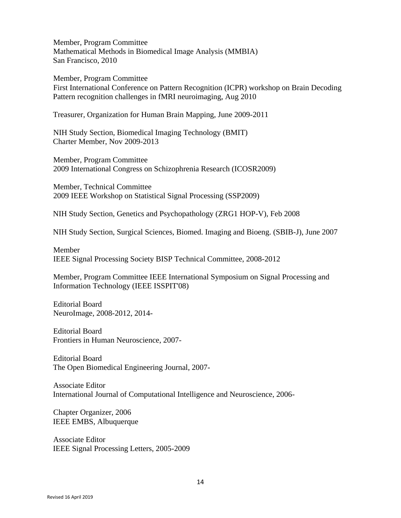Member, Program Committee Mathematical Methods in Biomedical Image Analysis (MMBIA) San Francisco, 2010

Member, Program Committee

First International Conference on Pattern Recognition (ICPR) workshop on Brain Decoding Pattern recognition challenges in fMRI neuroimaging, Aug 2010

Treasurer, Organization for Human Brain Mapping, June 2009-2011

NIH Study Section, Biomedical Imaging Technology (BMIT) Charter Member, Nov 2009-2013

Member, Program Committee 2009 International Congress on Schizophrenia Research (ICOSR2009)

Member, Technical Committee 2009 IEEE Workshop on Statistical Signal Processing (SSP2009)

NIH Study Section, Genetics and Psychopathology (ZRG1 HOP-V), Feb 2008

NIH Study Section, Surgical Sciences, Biomed. Imaging and Bioeng. (SBIB-J), June 2007

Member IEEE Signal Processing Society BISP Technical Committee, 2008-2012

Member, Program Committee IEEE International Symposium on Signal Processing and Information Technology (IEEE ISSPIT'08)

Editorial Board NeuroImage, 2008-2012, 2014-

Editorial Board Frontiers in Human Neuroscience, 2007-

Editorial Board The Open Biomedical Engineering Journal, 2007-

Associate Editor International Journal of Computational Intelligence and Neuroscience, 2006-

Chapter Organizer, 2006 IEEE EMBS, Albuquerque

Associate Editor IEEE Signal Processing Letters, 2005-2009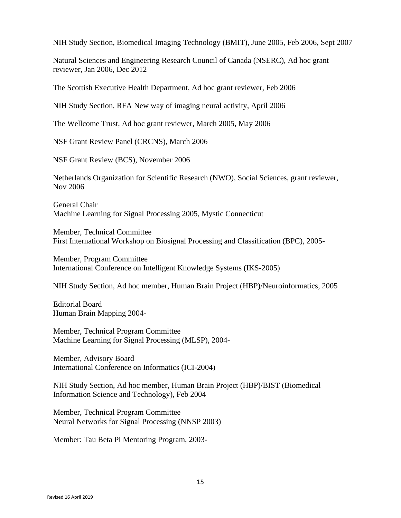NIH Study Section, Biomedical Imaging Technology (BMIT), June 2005, Feb 2006, Sept 2007

Natural Sciences and Engineering Research Council of Canada (NSERC), Ad hoc grant reviewer, Jan 2006, Dec 2012

The Scottish Executive Health Department, Ad hoc grant reviewer, Feb 2006

NIH Study Section, RFA New way of imaging neural activity, April 2006

The Wellcome Trust, Ad hoc grant reviewer, March 2005, May 2006

NSF Grant Review Panel (CRCNS), March 2006

NSF Grant Review (BCS), November 2006

Netherlands Organization for Scientific Research (NWO), Social Sciences, grant reviewer, Nov 2006

General Chair Machine Learning for Signal Processing 2005, Mystic Connecticut

Member, Technical Committee First International Workshop on Biosignal Processing and Classification (BPC), 2005-

Member, Program Committee International Conference on Intelligent Knowledge Systems (IKS-2005)

NIH Study Section, Ad hoc member, Human Brain Project (HBP)/Neuroinformatics, 2005

Editorial Board Human Brain Mapping 2004-

Member, Technical Program Committee Machine Learning for Signal Processing (MLSP), 2004-

Member, Advisory Board International Conference on Informatics (ICI-2004)

NIH Study Section, Ad hoc member, Human Brain Project (HBP)/BIST (Biomedical Information Science and Technology), Feb 2004

Member, Technical Program Committee Neural Networks for Signal Processing (NNSP 2003)

Member: Tau Beta Pi Mentoring Program, 2003-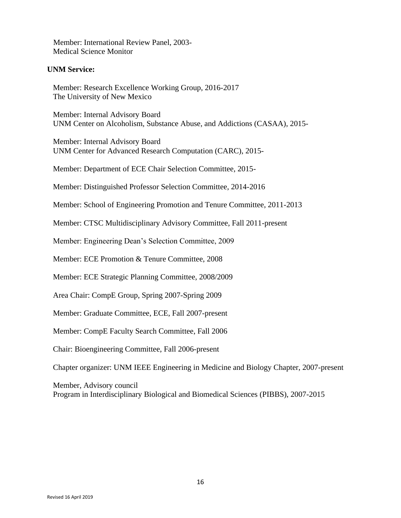Member: International Review Panel, 2003- Medical Science Monitor

## **UNM Service:**

Member: Research Excellence Working Group, 2016-2017 The University of New Mexico

Member: Internal Advisory Board UNM Center on Alcoholism, Substance Abuse, and Addictions (CASAA), 2015-

Member: Internal Advisory Board UNM Center for Advanced Research Computation (CARC), 2015-

Member: Department of ECE Chair Selection Committee, 2015-

Member: Distinguished Professor Selection Committee, 2014-2016

Member: School of Engineering Promotion and Tenure Committee, 2011-2013

Member: CTSC Multidisciplinary Advisory Committee, Fall 2011-present

Member: Engineering Dean's Selection Committee, 2009

Member: ECE Promotion & Tenure Committee, 2008

Member: ECE Strategic Planning Committee, 2008/2009

Area Chair: CompE Group, Spring 2007-Spring 2009

Member: Graduate Committee, ECE, Fall 2007-present

Member: CompE Faculty Search Committee, Fall 2006

Chair: Bioengineering Committee, Fall 2006-present

Chapter organizer: UNM IEEE Engineering in Medicine and Biology Chapter, 2007-present

Member, Advisory council Program in Interdisciplinary Biological and Biomedical Sciences (PIBBS), 2007-2015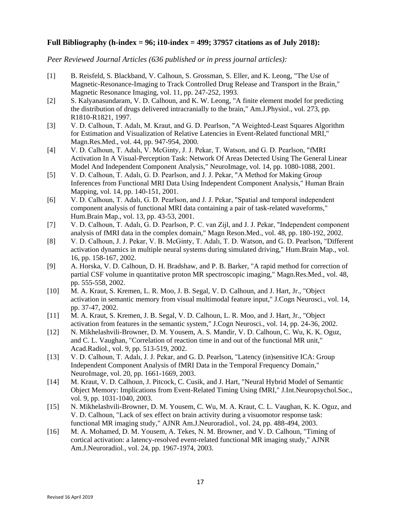## **Full Bibliography (h-index = 96; i10-index = 499; 37957 citations as of July 2018):**

*Peer Reviewed Journal Articles (636 published or in press journal articles):*

- [1] B. Reisfeld, S. Blackband, V. Calhoun, S. Grossman, S. Eller, and K. Leong, "The Use of Magnetic-Resonance-Imaging to Track Controlled Drug Release and Transport in the Brain," Magnetic Resonance Imaging, vol. 11, pp. 247-252, 1993.
- [2] S. Kalyanasundaram, V. D. Calhoun, and K. W. Leong, "A finite element model for predicting the distribution of drugs delivered intracranially to the brain," Am.J.Physiol., vol. 273, pp. R1810-R1821, 1997.
- [3] V. D. Calhoun, T. Adalı, M. Kraut, and G. D. Pearlson, "A Weighted-Least Squares Algorithm for Estimation and Visualization of Relative Latencies in Event-Related functional MRI," Magn.Res.Med., vol. 44, pp. 947-954, 2000.
- [4] V. D. Calhoun, T. Adalı, V. McGinty, J. J. Pekar, T. Watson, and G. D. Pearlson, "fMRI Activation In A Visual-Perception Task: Network Of Areas Detected Using The General Linear Model And Independent Component Analysis," NeuroImage, vol. 14, pp. 1080-1088, 2001.
- [5] V. D. Calhoun, T. Adalı, G. D. Pearlson, and J. J. Pekar, "A Method for Making Group Inferences from Functional MRI Data Using Independent Component Analysis," Human Brain Mapping, vol. 14, pp. 140-151, 2001.
- [6] V. D. Calhoun, T. Adalı, G. D. Pearlson, and J. J. Pekar, "Spatial and temporal independent component analysis of functional MRI data containing a pair of task-related waveforms," Hum.Brain Map., vol. 13, pp. 43-53, 2001.
- [7] V. D. Calhoun, T. Adalı, G. D. Pearlson, P. C. van Zijl, and J. J. Pekar, "Independent component analysis of fMRI data in the complex domain," Magn Reson.Med., vol. 48, pp. 180-192, 2002.
- [8] V. D. Calhoun, J. J. Pekar, V. B. McGinty, T. Adalı, T. D. Watson, and G. D. Pearlson, "Different activation dynamics in multiple neural systems during simulated driving," Hum.Brain Map., vol. 16, pp. 158-167, 2002.
- [9] A. Horska, V. D. Calhoun, D. H. Bradshaw, and P. B. Barker, "A rapid method for correction of partial CSF volume in quantitative proton MR spectroscopic imaging," Magn.Res.Med., vol. 48, pp. 555-558, 2002.
- [10] M. A. Kraut, S. Kremen, L. R. Moo, J. B. Segal, V. D. Calhoun, and J. Hart, Jr., "Object activation in semantic memory from visual multimodal feature input," J.Cogn Neurosci., vol. 14, pp. 37-47, 2002.
- [11] M. A. Kraut, S. Kremen, J. B. Segal, V. D. Calhoun, L. R. Moo, and J. Hart, Jr., "Object activation from features in the semantic system," J.Cogn Neurosci., vol. 14, pp. 24-36, 2002.
- [12] N. Mikhelashvili-Browner, D. M. Yousem, A. S. Mandir, V. D. Calhoun, C. Wu, K. K. Oguz, and C. L. Vaughan, "Correlation of reaction time in and out of the functional MR unit," Acad.Radiol., vol. 9, pp. 513-519, 2002.
- [13] V. D. Calhoun, T. Adalı, J. J. Pekar, and G. D. Pearlson, "Latency (in)sensitive ICA: Group Independent Component Analysis of fMRI Data in the Temporal Frequency Domain," NeuroImage, vol. 20, pp. 1661-1669, 2003.
- [14] M. Kraut, V. D. Calhoun, J. Pitcock, C. Cusik, and J. Hart, "Neural Hybrid Model of Semantic Object Memory: Implications from Event-Related Timing Using fMRI," J.Int.Neuropsychol.Soc., vol. 9, pp. 1031-1040, 2003.
- [15] N. Mikhelashvili-Browner, D. M. Yousem, C. Wu, M. A. Kraut, C. L. Vaughan, K. K. Oguz, and V. D. Calhoun, "Lack of sex effect on brain activity during a visuomotor response task: functional MR imaging study," AJNR Am.J.Neuroradiol., vol. 24, pp. 488-494, 2003.
- [16] M. A. Mohamed, D. M. Yousem, A. Tekes, N. M. Browner, and V. D. Calhoun, "Timing of cortical activation: a latency-resolved event-related functional MR imaging study," AJNR Am.J.Neuroradiol., vol. 24, pp. 1967-1974, 2003.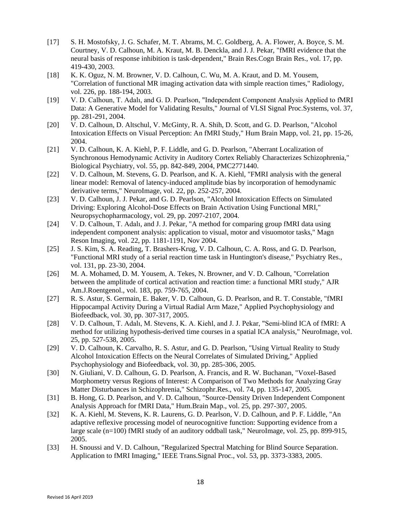- [17] S. H. Mostofsky, J. G. Schafer, M. T. Abrams, M. C. Goldberg, A. A. Flower, A. Boyce, S. M. Courtney, V. D. Calhoun, M. A. Kraut, M. B. Denckla, and J. J. Pekar, "fMRI evidence that the neural basis of response inhibition is task-dependent," Brain Res.Cogn Brain Res., vol. 17, pp. 419-430, 2003.
- [18] K. K. Oguz, N. M. Browner, V. D. Calhoun, C. Wu, M. A. Kraut, and D. M. Yousem, "Correlation of functional MR imaging activation data with simple reaction times," Radiology, vol. 226, pp. 188-194, 2003.
- [19] V. D. Calhoun, T. Adalı, and G. D. Pearlson, "Independent Component Analysis Applied to fMRI Data: A Generative Model for Validating Results," Journal of VLSI Signal Proc.Systems, vol. 37, pp. 281-291, 2004.
- [20] V. D. Calhoun, D. Altschul, V. McGinty, R. A. Shih, D. Scott, and G. D. Pearlson, "Alcohol Intoxication Effects on Visual Perception: An fMRI Study," Hum Brain Mapp, vol. 21, pp. 15-26, 2004.
- [21] V. D. Calhoun, K. A. Kiehl, P. F. Liddle, and G. D. Pearlson, "Aberrant Localization of Synchronous Hemodynamic Activity in Auditory Cortex Reliably Characterizes Schizophrenia," Biological Psychiatry, vol. 55, pp. 842-849, 2004, PMC2771440.
- [22] V. D. Calhoun, M. Stevens, G. D. Pearlson, and K. A. Kiehl, "FMRI analysis with the general linear model: Removal of latency-induced amplitude bias by incorporation of hemodynamic derivative terms," NeuroImage, vol. 22, pp. 252-257, 2004.
- [23] V. D. Calhoun, J. J. Pekar, and G. D. Pearlson, "Alcohol Intoxication Effects on Simulated Driving: Exploring Alcohol-Dose Effects on Brain Activation Using Functional MRI," Neuropsychopharmacology, vol. 29, pp. 2097-2107, 2004.
- [24] V. D. Calhoun, T. Adalı, and J. J. Pekar, "A method for comparing group fMRI data using independent component analysis: application to visual, motor and visuomotor tasks," Magn Reson Imaging, vol. 22, pp. 1181-1191, Nov 2004.
- [25] J. S. Kim, S. A. Reading, T. Brashers-Krug, V. D. Calhoun, C. A. Ross, and G. D. Pearlson, "Functional MRI study of a serial reaction time task in Huntington's disease," Psychiatry Res., vol. 131, pp. 23-30, 2004.
- [26] M. A. Mohamed, D. M. Yousem, A. Tekes, N. Browner, and V. D. Calhoun, "Correlation between the amplitude of cortical activation and reaction time: a functional MRI study," AJR Am.J.Roentgenol., vol. 183, pp. 759-765, 2004.
- [27] R. S. Astur, S. Germain, E. Baker, V. D. Calhoun, G. D. Pearlson, and R. T. Constable, "fMRI Hippocampal Activity During a Virtual Radial Arm Maze," Applied Psychophysiology and Biofeedback, vol. 30, pp. 307-317, 2005.
- [28] V. D. Calhoun, T. Adalı, M. Stevens, K. A. Kiehl, and J. J. Pekar, "Semi-blind ICA of fMRI: A method for utilizing hypothesis-derived time courses in a spatial ICA analysis," NeuroImage, vol. 25, pp. 527-538, 2005.
- [29] V. D. Calhoun, K. Carvalho, R. S. Astur, and G. D. Pearlson, "Using Virtual Reality to Study Alcohol Intoxication Effects on the Neural Correlates of Simulated Driving," Applied Psychophysiology and Biofeedback, vol. 30, pp. 285-306, 2005.
- [30] N. Giuliani, V. D. Calhoun, G. D. Pearlson, A. Francis, and R. W. Buchanan, "Voxel-Based Morphometry versus Regions of Interest: A Comparison of Two Methods for Analyzing Gray Matter Disturbances in Schizophrenia," Schizophr.Res., vol. 74, pp. 135-147, 2005.
- [31] B. Hong, G. D. Pearlson, and V. D. Calhoun, "Source-Density Driven Independent Component Analysis Approach for fMRI Data," Hum.Brain Map., vol. 25, pp. 297-307, 2005.
- [32] K. A. Kiehl, M. Stevens, K. R. Laurens, G. D. Pearlson, V. D. Calhoun, and P. F. Liddle, "An adaptive reflexive processing model of neurocognitive function: Supporting evidence from a large scale (n=100) fMRI study of an auditory oddball task," NeuroImage, vol. 25, pp. 899-915, 2005.
- [33] H. Snoussi and V. D. Calhoun, "Regularized Spectral Matching for Blind Source Separation. Application to fMRI Imaging," IEEE Trans.Signal Proc., vol. 53, pp. 3373-3383, 2005.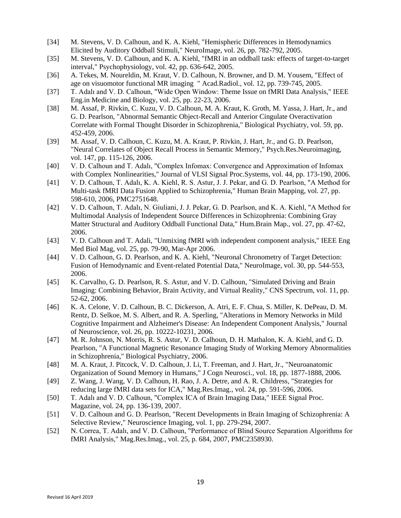- [34] M. Stevens, V. D. Calhoun, and K. A. Kiehl, "Hemispheric Differences in Hemodynamics Elicited by Auditory Oddball Stimuli," NeuroImage, vol. 26, pp. 782-792, 2005.
- [35] M. Stevens, V. D. Calhoun, and K. A. Kiehl, "fMRI in an oddball task: effects of target-to-target interval," Psychophysiology, vol. 42, pp. 636-642, 2005.
- [36] A. Tekes, M. Noureldin, M. Kraut, V. D. Calhoun, N. Browner, and D. M. Yousem, "Effect of age on visuomotor functional MR imaging " Acad.Radiol., vol. 12, pp. 739-745, 2005.
- [37] T. Adalı and V. D. Calhoun, "Wide Open Window: Theme Issue on fMRI Data Analysis," IEEE Eng.in Medicine and Biology, vol. 25, pp. 22-23, 2006.
- [38] M. Assaf, P. Rivkin, C. Kuzu, V. D. Calhoun, M. A. Kraut, K. Groth, M. Yassa, J. Hart, Jr., and G. D. Pearlson, "Abnormal Semantic Object-Recall and Anterior Cingulate Overactivation Correlate with Formal Thought Disorder in Schizophrenia," Biological Psychiatry, vol. 59, pp. 452-459, 2006.
- [39] M. Assaf, V. D. Calhoun, C. Kuzu, M. A. Kraut, P. Rivkin, J. Hart, Jr., and G. D. Pearlson, "Neural Correlates of Object Recall Process in Semantic Memory," Psych.Res.Neuroimaging, vol. 147, pp. 115-126, 2006.
- [40] V. D. Calhoun and T. Adalı, "Complex Infomax: Convergence and Approximation of Infomax with Complex Nonlinearities," Journal of VLSI Signal Proc.Systems, vol. 44, pp. 173-190, 2006.
- [41] V. D. Calhoun, T. Adalı, K. A. Kiehl, R. S. Astur, J. J. Pekar, and G. D. Pearlson, "A Method for Multi-task fMRI Data Fusion Applied to Schizophrenia," Human Brain Mapping, vol. 27, pp. 598-610, 2006, PMC2751648.
- [42] V. D. Calhoun, T. Adalı, N. Giuliani, J. J. Pekar, G. D. Pearlson, and K. A. Kiehl, "A Method for Multimodal Analysis of Independent Source Differences in Schizophrenia: Combining Gray Matter Structural and Auditory Oddball Functional Data," Hum.Brain Map., vol. 27, pp. 47-62, 2006.
- [43] V. D. Calhoun and T. Adali, "Unmixing fMRI with independent component analysis," IEEE Eng Med Biol Mag, vol. 25, pp. 79-90, Mar-Apr 2006.
- [44] V. D. Calhoun, G. D. Pearlson, and K. A. Kiehl, "Neuronal Chronometry of Target Detection: Fusion of Hemodynamic and Event-related Potential Data," NeuroImage, vol. 30, pp. 544-553, 2006.
- [45] K. Carvalho, G. D. Pearlson, R. S. Astur, and V. D. Calhoun, "Simulated Driving and Brain Imaging: Combining Behavior, Brain Activity, and Virtual Reality," CNS Spectrum, vol. 11, pp. 52-62, 2006.
- [46] K. A. Celone, V. D. Calhoun, B. C. Dickerson, A. Atri, E. F. Chua, S. Miller, K. DePeau, D. M. Rentz, D. Selkoe, M. S. Albert, and R. A. Sperling, "Alterations in Memory Networks in Mild Cognitive Impairment and Alzheimer's Disease: An Independent Component Analysis," Journal of Neuroscience, vol. 26, pp. 10222-10231, 2006.
- [47] M. R. Johnson, N. Morris, R. S. Astur, V. D. Calhoun, D. H. Mathalon, K. A. Kiehl, and G. D. Pearlson, "A Functional Magnetic Resonance Imaging Study of Working Memory Abnormalities in Schizophrenia," Biological Psychiatry, 2006.
- [48] M. A. Kraut, J. Pitcock, V. D. Calhoun, J. Li, T. Freeman, and J. Hart, Jr., "Neuroanatomic Organization of Sound Memory in Humans," J Cogn Neurosci., vol. 18, pp. 1877-1888, 2006.
- [49] Z. Wang, J. Wang, V. D. Calhoun, H. Rao, J. A. Detre, and A. R. Childress, "Strategies for reducing large fMRI data sets for ICA," Mag.Res.Imag., vol. 24, pp. 591-596, 2006.
- [50] T. Adalı and V. D. Calhoun, "Complex ICA of Brain Imaging Data," IEEE Signal Proc. Magazine, vol. 24, pp. 136-139, 2007.
- [51] V. D. Calhoun and G. D. Pearlson, "Recent Developments in Brain Imaging of Schizophrenia: A Selective Review," Neuroscience Imaging, vol. 1, pp. 279-294, 2007.
- [52] N. Correa, T. Adalı, and V. D. Calhoun, "Performance of Blind Source Separation Algorithms for fMRI Analysis," Mag.Res.Imag., vol. 25, p. 684, 2007, PMC2358930.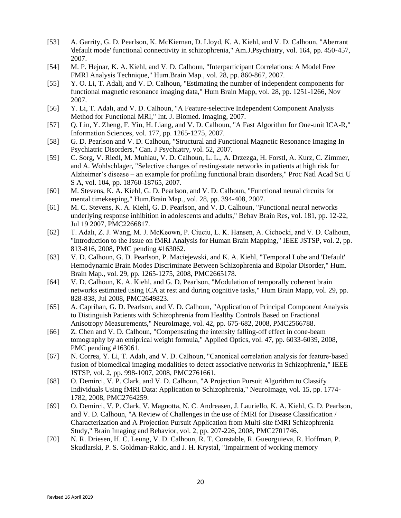- [53] A. Garrity, G. D. Pearlson, K. McKiernan, D. Lloyd, K. A. Kiehl, and V. D. Calhoun, "Aberrant 'default mode' functional connectivity in schizophrenia," Am.J.Psychiatry, vol. 164, pp. 450-457, 2007.
- [54] M. P. Hejnar, K. A. Kiehl, and V. D. Calhoun, "Interparticipant Correlations: A Model Free FMRI Analysis Technique," Hum.Brain Map., vol. 28, pp. 860-867, 2007.
- [55] Y. O. Li, T. Adali, and V. D. Calhoun, "Estimating the number of independent components for functional magnetic resonance imaging data," Hum Brain Mapp, vol. 28, pp. 1251-1266, Nov 2007.
- [56] Y. Li, T. Adalı, and V. D. Calhoun, "A Feature-selective Independent Component Analysis Method for Functional MRI," Int. J. Biomed. Imaging, 2007.
- [57] Q. Lin, Y. Zheng, F. Yin, H. Liang, and V. D. Calhoun, "A Fast Algorithm for One-unit ICA-R," Information Sciences, vol. 177, pp. 1265-1275, 2007.
- [58] G. D. Pearlson and V. D. Calhoun, "Structural and Functional Magnetic Resonance Imaging In Psychiatric Disorders," Can. J Psychiatry, vol. 52, 2007.
- [59] C. Sorg, V. Riedl, M. Muhlau, V. D. Calhoun, L. L., A. Drzezga, H. Forstl, A. Kurz, C. Zimmer, and A. Wohlschlager, "Selective changes of resting-state networks in patients at high risk for Alzheimer's disease – an example for profiling functional brain disorders," Proc Natl Acad Sci U S A, vol. 104, pp. 18760-18765, 2007.
- [60] M. Stevens, K. A. Kiehl, G. D. Pearlson, and V. D. Calhoun, "Functional neural circuits for mental timekeeping," Hum.Brain Map., vol. 28, pp. 394-408, 2007.
- [61] M. C. Stevens, K. A. Kiehl, G. D. Pearlson, and V. D. Calhoun, "Functional neural networks underlying response inhibition in adolescents and adults," Behav Brain Res, vol. 181, pp. 12-22, Jul 19 2007, PMC2266817.
- [62] T. Adalı, Z. J. Wang, M. J. McKeown, P. Ciuciu, L. K. Hansen, A. Cichocki, and V. D. Calhoun, "Introduction to the Issue on fMRI Analysis for Human Brain Mapping," IEEE JSTSP, vol. 2, pp. 813-816, 2008, PMC pending #163062.
- [63] V. D. Calhoun, G. D. Pearlson, P. Maciejewski, and K. A. Kiehl, "Temporal Lobe and 'Default' Hemodynamic Brain Modes Discriminate Between Schizophrenia and Bipolar Disorder," Hum. Brain Map., vol. 29, pp. 1265-1275, 2008, PMC2665178.
- [64] V. D. Calhoun, K. A. Kiehl, and G. D. Pearlson, "Modulation of temporally coherent brain networks estimated using ICA at rest and during cognitive tasks," Hum Brain Mapp, vol. 29, pp. 828-838, Jul 2008, PMC2649823.
- [65] A. Caprihan, G. D. Pearlson, and V. D. Calhoun, "Application of Principal Component Analysis to Distinguish Patients with Schizophrenia from Healthy Controls Based on Fractional Anisotropy Measurements," NeuroImage, vol. 42, pp. 675-682, 2008, PMC2566788.
- [66] Z. Chen and V. D. Calhoun, "Compensating the intensity falling-off effect in cone-beam tomography by an emiprical weight formula," Applied Optics, vol. 47, pp. 6033-6039, 2008, PMC pending #163061.
- [67] N. Correa, Y. Li, T. Adalı, and V. D. Calhoun, "Canonical correlation analysis for feature-based fusion of biomedical imaging modalities to detect associative networks in Schizophrenia," IEEE JSTSP, vol. 2, pp. 998-1007, 2008, PMC2761661.
- [68] O. Demirci, V. P. Clark, and V. D. Calhoun, "A Projection Pursuit Algorithm to Classify Individuals Using fMRI Data: Application to Schizophrenia," NeuroImage, vol. 15, pp. 1774- 1782, 2008, PMC2764259.
- [69] O. Demirci, V. P. Clark, V. Magnotta, N. C. Andreasen, J. Lauriello, K. A. Kiehl, G. D. Pearlson, and V. D. Calhoun, "A Review of Challenges in the use of fMRI for Disease Classification / Characterization and A Projection Pursuit Application from Multi-site fMRI Schizophrenia Study," Brain Imaging and Behavior, vol. 2, pp. 207-226, 2008, PMC2701746.
- [70] N. R. Driesen, H. C. Leung, V. D. Calhoun, R. T. Constable, R. Gueorguieva, R. Hoffman, P. Skudlarski, P. S. Goldman-Rakic, and J. H. Krystal, "Impairment of working memory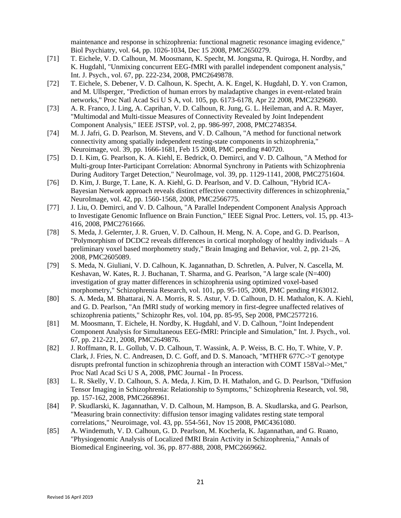maintenance and response in schizophrenia: functional magnetic resonance imaging evidence," Biol Psychiatry, vol. 64, pp. 1026-1034, Dec 15 2008, PMC2650279.

- [71] T. Eichele, V. D. Calhoun, M. Moosmann, K. Specht, M. Jongsma, R. Quiroga, H. Nordby, and K. Hugdahl, "Unmixing concurrent EEG-fMRI with parallel independent component analysis," Int. J. Psych., vol. 67, pp. 222-234, 2008, PMC2649878.
- [72] T. Eichele, S. Debener, V. D. Calhoun, K. Specht, A. K. Engel, K. Hugdahl, D. Y. von Cramon, and M. Ullsperger, "Prediction of human errors by maladaptive changes in event-related brain networks," Proc Natl Acad Sci U S A, vol. 105, pp. 6173-6178, Apr 22 2008, PMC2329680.
- [73] A. R. Franco, J. Ling, A. Caprihan, V. D. Calhoun, R. Jung, G. L. Heileman, and A. R. Mayer, "Multimodal and Multi-tissue Measures of Connectivity Revealed by Joint Independent Component Analysis," IEEE JSTSP, vol. 2, pp. 986-997, 2008, PMC2748354.
- [74] M. J. Jafri, G. D. Pearlson, M. Stevens, and V. D. Calhoun, "A method for functional network connectivity among spatially independent resting-state components in schizophrenia," Neuroimage, vol. 39, pp. 1666-1681, Feb 15 2008, PMC pending #40720.
- [75] D. I. Kim, G. Pearlson, K. A. Kiehl, E. Bedrick, O. Demirci, and V. D. Calhoun, "A Method for Multi-group Inter-Participant Correlation: Abnormal Synchrony in Patients with Schizophrenia During Auditory Target Detection," NeuroImage, vol. 39, pp. 1129-1141, 2008, PMC2751604.
- [76] D. Kim, J. Burge, T. Lane, K. A. Kiehl, G. D. Pearlson, and V. D. Calhoun, "Hybrid ICA-Bayesian Network approach reveals distinct effective connectivity differences in schizophrenia," NeuroImage, vol. 42, pp. 1560-1568, 2008, PMC2566775.
- [77] J. Liu, O. Demirci, and V. D. Calhoun, "A Parallel Independent Component Analysis Approach to Investigate Genomic Influence on Brain Function," IEEE Signal Proc. Letters, vol. 15, pp. 413- 416, 2008, PMC2761666.
- [78] S. Meda, J. Gelernter, J. R. Gruen, V. D. Calhoun, H. Meng, N. A. Cope, and G. D. Pearlson, "Polymorphism of DCDC2 reveals differences in cortical morphology of healthy individuals – A preliminary voxel based morphometry study," Brain Imaging and Behavior, vol. 2, pp. 21-26, 2008, PMC2605089.
- [79] S. Meda, N. Giuliani, V. D. Calhoun, K. Jagannathan, D. Schretlen, A. Pulver, N. Cascella, M. Keshavan, W. Kates, R. J. Buchanan, T. Sharma, and G. Pearlson, "A large scale (N=400) investigation of gray matter differences in schizophrenia using optimized voxel-based morphometry," Schizophrenia Research, vol. 101, pp. 95-105, 2008, PMC pending #163012.
- [80] S. A. Meda, M. Bhattarai, N. A. Morris, R. S. Astur, V. D. Calhoun, D. H. Mathalon, K. A. Kiehl, and G. D. Pearlson, "An fMRI study of working memory in first-degree unaffected relatives of schizophrenia patients," Schizophr Res, vol. 104, pp. 85-95, Sep 2008, PMC2577216.
- [81] M. Moosmann, T. Eichele, H. Nordby, K. Hugdahl, and V. D. Calhoun, "Joint Independent Component Analysis for Simultaneous EEG-fMRI: Principle and Simulation," Int. J. Psych., vol. 67, pp. 212-221, 2008, PMC2649876.
- [82] J. Roffmann, R. L. Gollub, V. D. Calhoun, T. Wassink, A. P. Weiss, B. C. Ho, T. White, V. P. Clark, J. Fries, N. C. Andreasen, D. C. Goff, and D. S. Manoach, "MTHFR 677C->T genotype disrupts prefrontal function in schizophrenia through an interaction with COMT 158Val->Met," Proc Natl Acad Sci U S A, 2008, PMC Journal - In Process.
- [83] L. R. Skelly, V. D. Calhoun, S. A. Meda, J. Kim, D. H. Mathalon, and G. D. Pearlson, "Diffusion Tensor Imaging in Schizophrenia: Relationship to Symptoms," Schizophrenia Research, vol. 98, pp. 157-162, 2008, PMC2668961.
- [84] P. Skudlarski, K. Jagannathan, V. D. Calhoun, M. Hampson, B. A. Skudlarska, and G. Pearlson, "Measuring brain connectivity: diffusion tensor imaging validates resting state temporal correlations," Neuroimage, vol. 43, pp. 554-561, Nov 15 2008, PMC4361080.
- [85] A. Windemuth, V. D. Calhoun, G. D. Pearlson, M. Kocherla, K. Jagannathan, and G. Ruano, "Physiogenomic Analysis of Localized fMRI Brain Activity in Schizophrenia," Annals of Biomedical Engineering, vol. 36, pp. 877-888, 2008, PMC2669662.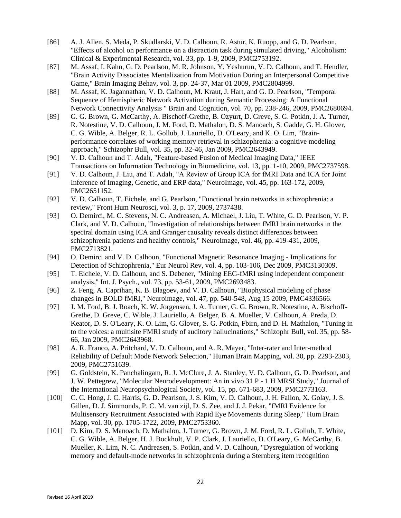- [86] A. J. Allen, S. Meda, P. Skudlarski, V. D. Calhoun, R. Astur, K. Ruopp, and G. D. Pearlson, "Effects of alcohol on performance on a distraction task during simulated driving," Alcoholism: Clinical & Experimental Research, vol. 33, pp. 1-9, 2009, PMC2753192.
- [87] M. Assaf, I. Kahn, G. D. Pearlson, M. R. Johnson, Y. Yeshurun, V. D. Calhoun, and T. Hendler, "Brain Activity Dissociates Mentalization from Motivation During an Interpersonal Competitive Game," Brain Imaging Behav, vol. 3, pp. 24-37, Mar 01 2009, PMC2804999.
- [88] M. Assaf, K. Jagannathan, V. D. Calhoun, M. Kraut, J. Hart, and G. D. Pearlson, "Temporal Sequence of Hemispheric Network Activation during Semantic Processing: A Functional Network Connectivity Analysis " Brain and Cognition, vol. 70, pp. 238-246, 2009, PMC2680694.
- [89] G. G. Brown, G. McCarthy, A. Bischoff-Grethe, B. Ozyurt, D. Greve, S. G. Potkin, J. A. Turner, R. Notestine, V. D. Calhoun, J. M. Ford, D. Mathalon, D. S. Manoach, S. Gadde, G. H. Glover, C. G. Wible, A. Belger, R. L. Gollub, J. Lauriello, D. O'Leary, and K. O. Lim, "Brainperformance correlates of working memory retrieval in schizophrenia: a cognitive modeling approach," Schizophr Bull, vol. 35, pp. 32-46, Jan 2009, PMC2643949.
- [90] V. D. Calhoun and T. Adalı, "Feature-based Fusion of Medical Imaging Data," IEEE Transactions on Information Technology in Biomedicine, vol. 13, pp. 1-10, 2009, PMC2737598.
- [91] V. D. Calhoun, J. Liu, and T. Adalı, "A Review of Group ICA for fMRI Data and ICA for Joint Inference of Imaging, Genetic, and ERP data," NeuroImage, vol. 45, pp. 163-172, 2009, PMC2651152.
- [92] V. D. Calhoun, T. Eichele, and G. Pearlson, "Functional brain networks in schizophrenia: a review," Front Hum Neurosci, vol. 3, p. 17, 2009, 2737438.
- [93] O. Demirci, M. C. Stevens, N. C. Andreasen, A. Michael, J. Liu, T. White, G. D. Pearlson, V. P. Clark, and V. D. Calhoun, "Investigation of relationships between fMRI brain networks in the spectral domain using ICA and Granger causality reveals distinct differences between schizophrenia patients and healthy controls," NeuroImage, vol. 46, pp. 419-431, 2009, PMC2713821.
- [94] O. Demirci and V. D. Calhoun, "Functional Magnetic Resonance Imaging Implications for Detection of Schizophrenia," Eur Neurol Rev, vol. 4, pp. 103-106, Dec 2009, PMC3130309.
- [95] T. Eichele, V. D. Calhoun, and S. Debener, "Mining EEG-fMRI using independent component analysis," Int. J. Psych., vol. 73, pp. 53-61, 2009, PMC2693483.
- [96] Z. Feng, A. Caprihan, K. B. Blagoev, and V. D. Calhoun, "Biophysical modeling of phase changes in BOLD fMRI," Neuroimage, vol. 47, pp. 540-548, Aug 15 2009, PMC4336566.
- [97] J. M. Ford, B. J. Roach, K. W. Jorgensen, J. A. Turner, G. G. Brown, R. Notestine, A. Bischoff-Grethe, D. Greve, C. Wible, J. Lauriello, A. Belger, B. A. Mueller, V. Calhoun, A. Preda, D. Keator, D. S. O'Leary, K. O. Lim, G. Glover, S. G. Potkin, Fbirn, and D. H. Mathalon, "Tuning in to the voices: a multisite FMRI study of auditory hallucinations," Schizophr Bull, vol. 35, pp. 58- 66, Jan 2009, PMC2643968.
- [98] A. R. Franco, A. Pritchard, V. D. Calhoun, and A. R. Mayer, "Inter-rater and Inter-method Reliability of Default Mode Network Selection," Human Brain Mapping, vol. 30, pp. 2293-2303, 2009, PMC2751639.
- [99] G. Goldstein, K. Panchalingam, R. J. McClure, J. A. Stanley, V. D. Calhoun, G. D. Pearlson, and J. W. Pettegrew, "Molecular Neurodevelopment: An in vivo 31 P - 1 H MRSI Study," Journal of the International Neuropsychological Society, vol. 15, pp. 671-683, 2009, PMC2773163.
- [100] C. C. Hong, J. C. Harris, G. D. Pearlson, J. S. Kim, V. D. Calhoun, J. H. Fallon, X. Golay, J. S. Gillen, D. J. Simmonds, P. C. M. van zijl, D. S. Zee, and J. J. Pekar, "fMRI Evidence for Multisensory Recruitment Associated with Rapid Eye Movements during Sleep," Hum Brain Mapp, vol. 30, pp. 1705-1722, 2009, PMC2753360.
- [101] D. Kim, D. S. Manoach, D. Mathalon, J. Turner, G. Brown, J. M. Ford, R. L. Gollub, T. White, C. G. Wible, A. Belger, H. J. Bockholt, V. P. Clark, J. Lauriello, D. O'Leary, G. McCarthy, B. Mueller, K. Lim, N. C. Andreasen, S. Potkin, and V. D. Calhoun, "Dysregulation of working memory and default-mode networks in schizophrenia during a Sternberg item recognition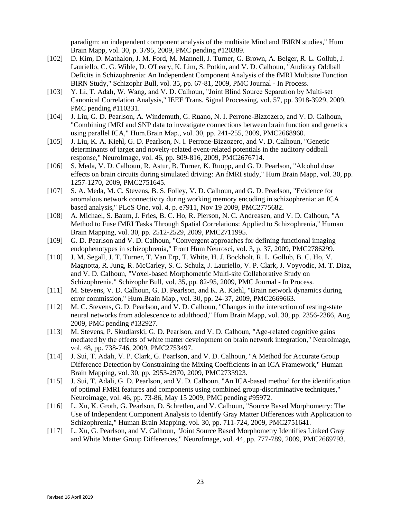paradigm: an independent component analysis of the multisite Mind and fBIRN studies," Hum Brain Mapp, vol. 30, p. 3795, 2009, PMC pending #120389.

- [102] D. Kim, D. Mathalon, J. M. Ford, M. Mannell, J. Turner, G. Brown, A. Belger, R. L. Gollub, J. Lauriello, C. G. Wible, D. O'Leary, K. Lim, S. Potkin, and V. D. Calhoun, "Auditory Oddball Deficits in Schizophrenia: An Independent Component Analysis of the fMRI Multisite Function BIRN Study," Schizophr Bull, vol. 35, pp. 67-81, 2009, PMC Journal - In Process.
- [103] Y. Li, T. Adalı, W. Wang, and V. D. Calhoun, "Joint Blind Source Separation by Multi-set Canonical Correlation Analysis," IEEE Trans. Signal Processing, vol. 57, pp. 3918-3929, 2009, PMC pending #110331.
- [104] J. Liu, G. D. Pearlson, A. Windemuth, G. Ruano, N. I. Perrone-Bizzozero, and V. D. Calhoun, "Combining fMRI and SNP data to investigate connections between brain function and genetics using parallel ICA," Hum.Brain Map., vol. 30, pp. 241-255, 2009, PMC2668960.
- [105] J. Liu, K. A. Kiehl, G. D. Pearlson, N. I. Perrone-Bizzozero, and V. D. Calhoun, "Genetic determinants of target and novelty-related event-related potentials in the auditory oddball response," NeuroImage, vol. 46, pp. 809-816, 2009, PMC2676714.
- [106] S. Meda, V. D. Calhoun, R. Astur, B. Turner, K. Ruopp, and G. D. Pearlson, "Alcohol dose effects on brain circuits during simulated driving: An fMRI study," Hum Brain Mapp, vol. 30, pp. 1257-1270, 2009, PMC2751645.
- [107] S. A. Meda, M. C. Stevens, B. S. Folley, V. D. Calhoun, and G. D. Pearlson, "Evidence for anomalous network connectivity during working memory encoding in schizophrenia: an ICA based analysis," PLoS One, vol. 4, p. e7911, Nov 19 2009, PMC2775682.
- [108] A. Michael, S. Baum, J. Fries, B. C. Ho, R. Pierson, N. C. Andreasen, and V. D. Calhoun, "A Method to Fuse fMRI Tasks Through Spatial Correlations: Applied to Schizophrenia," Human Brain Mapping, vol. 30, pp. 2512-2529, 2009, PMC2711995.
- [109] G. D. Pearlson and V. D. Calhoun, "Convergent approaches for defining functional imaging endophenotypes in schizophrenia," Front Hum Neurosci, vol. 3, p. 37, 2009, PMC2786299.
- [110] J. M. Segall, J. T. Turner, T. Van Erp, T. White, H. J. Bockholt, R. L. Gollub, B. C. Ho, V. Magnotta, R. Jung, R. McCarley, S. C. Schulz, J. Lauriello, V. P. Clark, J. Voyvodic, M. T. Diaz, and V. D. Calhoun, "Voxel-based Morphometric Multi-site Collaborative Study on Schizophrenia," Schizophr Bull, vol. 35, pp. 82-95, 2009, PMC Journal - In Process.
- [111] M. Stevens, V. D. Calhoun, G. D. Pearlson, and K. A. Kiehl, "Brain network dynamics during error commission," Hum.Brain Map., vol. 30, pp. 24-37, 2009, PMC2669663.
- [112] M. C. Stevens, G. D. Pearlson, and V. D. Calhoun, "Changes in the interaction of resting-state neural networks from adolescence to adulthood," Hum Brain Mapp, vol. 30, pp. 2356-2366, Aug 2009, PMC pending #132927.
- [113] M. Stevens, P. Skudlarski, G. D. Pearlson, and V. D. Calhoun, "Age-related cognitive gains mediated by the effects of white matter development on brain network integration," NeuroImage, vol. 48, pp. 738-746, 2009, PMC2753497.
- [114] J. Sui, T. Adalı, V. P. Clark, G. Pearlson, and V. D. Calhoun, "A Method for Accurate Group Difference Detection by Constraining the Mixing Coefficients in an ICA Framework," Human Brain Mapping, vol. 30, pp. 2953-2970, 2009, PMC2733923.
- [115] J. Sui, T. Adali, G. D. Pearlson, and V. D. Calhoun, "An ICA-based method for the identification of optimal FMRI features and components using combined group-discriminative techniques," Neuroimage, vol. 46, pp. 73-86, May 15 2009, PMC pending #95972.
- [116] L. Xu, K. Groth, G. Pearlson, D. Schretlen, and V. Calhoun, "Source Based Morphometry: The Use of Independent Component Analysis to Identify Gray Matter Differences with Application to Schizophrenia," Human Brain Mapping, vol. 30, pp. 711-724, 2009, PMC2751641.
- [117] L. Xu, G. Pearlson, and V. Calhoun, "Joint Source Based Morphometry Identifies Linked Gray and White Matter Group Differences," NeuroImage, vol. 44, pp. 777-789, 2009, PMC2669793.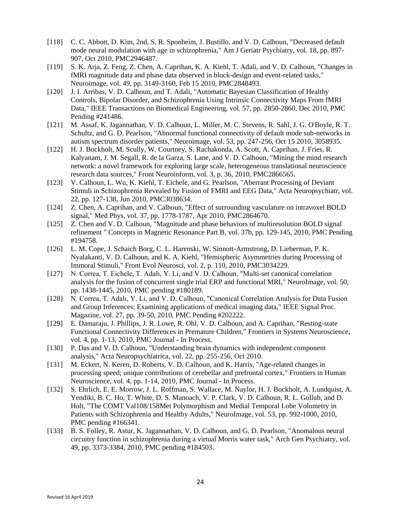- [118] C. C. Abbott, D. Kim, 2nd, S. R. Sponheim, J. Bustillo, and V. D. Calhoun, "Decreased default" mode neural modulation with age in schizophrenia," Am J Geriatr Psychiatry, vol. 18, pp. 897- 907, Oct 2010, PMC2946487.
- [119] S. K. Arja, Z. Feng, Z. Chen, A. Caprihan, K. A. Kiehl, T. Adali, and V. D. Calhoun, "Changes in fMRI magnitude data and phase data observed in block-design and event-related tasks," Neuroimage, vol. 49, pp. 3149-3160, Feb 15 2010, PMC2848493.
- [120] J. I. Arribas, V. D. Calhoun, and T. Adali, "Automatic Bayesian Classification of Healthy Controls, Bipolar Disorder, and Schizophrenia Using Intrinsic Connectivity Maps From fMRI Data," IEEE Transactions on Biomedical Engineering, vol. 57, pp. 2850-2860, Dec 2010, PMC Pending #241486.
- [121] M. Assaf, K. Jagannathan, V. D. Calhoun, L. Miller, M. C. Stevens, R. Sahl, J. G. O'Boyle, R. T. Schultz, and G. D. Pearlson, "Abnormal functional connectivity of default mode sub-networks in autism spectrum disorder patients," Neuroimage, vol. 53, pp. 247-256, Oct 15 2010, 3058935.
- [122] H. J. Bockholt, M. Scully, W. Courtney, S. Rachakonda, A. Scott, A. Caprihan, J. Fries, R. Kalyanam, J. M. Segall, R. de la Garza, S. Lane, and V. D. Calhoun, "Mining the mind research network: a novel framework for exploring large scale, heterogeneous translational neuroscience research data sources," Front Neuroinform, vol. 3, p. 36, 2010, PMC2866565.
- [123] V. Calhoun, L. Wu, K. Kiehl, T. Eichele, and G. Pearlson, "Aberrant Processing of Deviant Stimuli in Schizophrenia Revealed by Fusion of FMRI and EEG Data," Acta Neuropsychiatr, vol. 22, pp. 127-138, Jun 2010, PMC3038634.
- [124] Z. Chen, A. Caprihan, and V. Calhoun, "Effect of surrounding vasculature on intravoxel BOLD signal," Med Phys, vol. 37, pp. 1778-1787, Apr 2010, PMC2864670.
- [125] Z. Chen and V. D. Calhoun, "Magnitude and phase behaviors of multiresolution BOLD signal refinement " Concepts in Magnetic Resonance Part B, vol. 37b, pp. 129-145, 2010, PMC Pending #194758.
- [126] L. M. Cope, J. Schaich Borg, C. L. Harenski, W. Sinnott-Armstrong, D. Lieberman, P. K. Nyalakanti, V. D. Calhoun, and K. A. Kiehl, "Hemispheric Asymmetries during Processing of Immoral Stimuli," Front Evol Neurosci, vol. 2, p. 110, 2010, PMC3034229.
- [127] N. Correa, T. Eichele, T. Adalı, Y. Li, and V. D. Calhoun, "Multi-set canonical correlation analysis for the fusion of concurrent single trial ERP and functional MRI," NeuroImage, vol. 50, pp. 1438-1445, 2010, PMC pending #180189.
- [128] N. Correa, T. Adalı, Y. Li, and V. D. Calhoun, "Canonical Correlation Analysis for Data Fusion and Group Inferences: Examining applications of medical imaging data," IEEE Signal Proc. Magazine, vol. 27, pp. 39-50, 2010, PMC Pending #202222.
- [129] E. Damaraju, J. Phillips, J. R. Lowe, R. Ohl, V. D. Calhoun, and A. Caprihan, "Resting-state Functional Connectivity Differences in Premature Children," Frontiers in Systems Neuroscience, vol. 4, pp. 1-13, 2010, PMC Journal - In Process.
- [130] P. Das and V. D. Calhoun, "Understanding brain dynamics with independent component analysis," Acta Neuropsychiatrica, vol. 22, pp. 255-256, Oct 2010.
- [131] M. Eckert, N. Keren, D. Roberts, V. D. Calhoun, and K. Harris, "Age-related changes in processing speed; unique contributions of cerebellar and prefrontal cortex," Frontiers in Human Neuroscience, vol. 4, pp. 1-14, 2010, PMC Journal - In Process.
- [132] S. Ehrlich, E. E. Morrow, J. L. Roffman, S. Wallace, M. Naylor, H. J. Bockholt, A. Lundquist, A. Yendiki, B. C. Ho, T. White, D. S. Manoach, V. P. Clark, V. D. Calhoun, R. L. Gollub, and D. Holt, "The COMT Val108/158Met Polymorphism and Medial Temporal Lobe Volumetry in Patients with Schizophrenia and Healthy Adults," NeuroImage, vol. 53, pp. 992-1000, 2010, PMC pending #166341.
- [133] B. S. Folley, R. Astur, K. Jagannathan, V. D. Calhoun, and G. D. Pearlson, "Anomalous neural circuitry function in schizophrenia during a virtual Morris water task," Arch Gen Psychiatry, vol. 49, pp. 3373-3384, 2010, PMC pending #184503.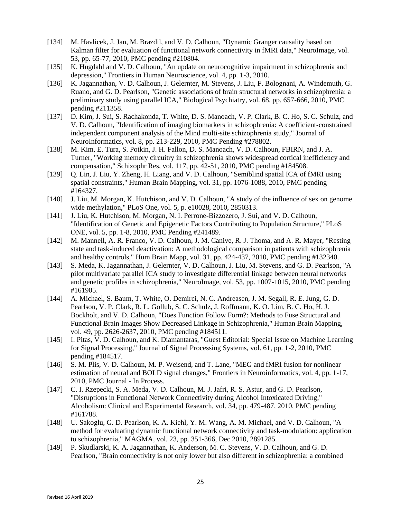- [134] M. Havlicek, J. Jan, M. Brazdil, and V. D. Calhoun, "Dynamic Granger causality based on Kalman filter for evaluation of functional network connectivity in fMRI data," NeuroImage, vol. 53, pp. 65-77, 2010, PMC pending #210804.
- [135] K. Hugdahl and V. D. Calhoun, "An update on neurocognitive impairment in schizophrenia and depression," Frontiers in Human Neuroscience, vol. 4, pp. 1-3, 2010.
- [136] K. Jagannathan, V. D. Calhoun, J. Gelernter, M. Stevens, J. Liu, F. Bolognani, A. Windemuth, G. Ruano, and G. D. Pearlson, "Genetic associations of brain structural networks in schizophrenia: a preliminary study using parallel ICA," Biological Psychiatry, vol. 68, pp. 657-666, 2010, PMC pending #211358.
- [137] D. Kim, J. Sui, S. Rachakonda, T. White, D. S. Manoach, V. P. Clark, B. C. Ho, S. C. Schulz, and V. D. Calhoun, "Identification of imaging biomarkers in schizophrenia: A coefficient-constrained independent component analysis of the Mind multi-site schizophrenia study," Journal of NeuroInformatics, vol. 8, pp. 213-229, 2010, PMC Pending #278802.
- [138] M. Kim, E. Tura, S. Potkin, J. H. Fallon, D. S. Manoach, V. D. Calhoun, FBIRN, and J. A. Turner, "Working memory circuitry in schizophrenia shows widespread cortical inefficiency and compensation," Schizophr Res, vol. 117, pp. 42-51, 2010, PMC pending #184508.
- [139] Q. Lin, J. Liu, Y. Zheng, H. Liang, and V. D. Calhoun, "Semiblind spatial ICA of fMRI using spatial constraints," Human Brain Mapping, vol. 31, pp. 1076-1088, 2010, PMC pending #164327.
- [140] J. Liu, M. Morgan, K. Hutchison, and V. D. Calhoun, "A study of the influence of sex on genome wide methylation," PLoS One, vol. 5, p. e10028, 2010, 2850313.
- [141] J. Liu, K. Hutchison, M. Morgan, N. I. Perrone-Bizzozero, J. Sui, and V. D. Calhoun, "Identification of Genetic and Epigenetic Factors Contributing to Population Structure," PLoS ONE, vol. 5, pp. 1-8, 2010, PMC Pending #241489.
- [142] M. Mannell, A. R. Franco, V. D. Calhoun, J. M. Canive, R. J. Thoma, and A. R. Mayer, "Resting state and task-induced deactivation: A methodological comparison in patients with schizophrenia and healthy controls," Hum Brain Mapp, vol. 31, pp. 424-437, 2010, PMC pending #132340.
- [143] S. Meda, K. Jagannathan, J. Gelernter, V. D. Calhoun, J. Liu, M. Stevens, and G. D. Pearlson, "A pilot multivariate parallel ICA study to investigate differential linkage between neural networks and genetic profiles in schizophrenia," NeuroImage, vol. 53, pp. 1007-1015, 2010, PMC pending #161905.
- [144] A. Michael, S. Baum, T. White, O. Demirci, N. C. Andreasen, J. M. Segall, R. E. Jung, G. D. Pearlson, V. P. Clark, R. L. Gollub, S. C. Schulz, J. Roffmann, K. O. Lim, B. C. Ho, H. J. Bockholt, and V. D. Calhoun, "Does Function Follow Form?: Methods to Fuse Structural and Functional Brain Images Show Decreased Linkage in Schizophrenia," Human Brain Mapping, vol. 49, pp. 2626-2637, 2010, PMC pending #184511.
- [145] I. Pitas, V. D. Calhoun, and K. Diamantaras, "Guest Editorial: Special Issue on Machine Learning for Signal Processing," Journal of Signal Processing Systems, vol. 61, pp. 1-2, 2010, PMC pending #184517.
- [146] S. M. Plis, V. D. Calhoun, M. P. Weisend, and T. Lane, "MEG and fMRI fusion for nonlinear estimation of neural and BOLD signal changes," Frontiers in Neuroinformatics, vol. 4, pp. 1-17, 2010, PMC Journal - In Process.
- [147] C. I. Rzepecki, S. A. Meda, V. D. Calhoun, M. J. Jafri, R. S. Astur, and G. D. Pearlson, "Disruptions in Functional Network Connectivity during Alcohol Intoxicated Driving," Alcoholism: Clinical and Experimental Research, vol. 34, pp. 479-487, 2010, PMC pending #161788.
- [148] U. Sakoglu, G. D. Pearlson, K. A. Kiehl, Y. M. Wang, A. M. Michael, and V. D. Calhoun, "A method for evaluating dynamic functional network connectivity and task-modulation: application to schizophrenia," MAGMA, vol. 23, pp. 351-366, Dec 2010, 2891285.
- [149] P. Skudlarski, K. A. Jagannathan, K. Anderson, M. C. Stevens, V. D. Calhoun, and G. D. Pearlson, "Brain connectivity is not only lower but also different in schizophrenia: a combined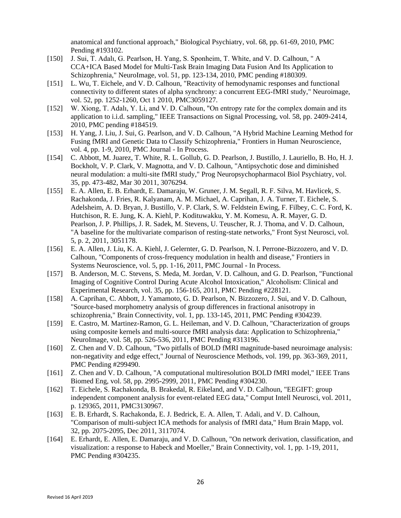anatomical and functional approach," Biological Psychiatry, vol. 68, pp. 61-69, 2010, PMC Pending #193102.

- [150] J. Sui, T. Adalı, G. Pearlson, H. Yang, S. Sponheim, T. White, and V. D. Calhoun, " A CCA+ICA Based Model for Multi-Task Brain Imaging Data Fusion And Its Application to Schizophrenia," NeuroImage, vol. 51, pp. 123-134, 2010, PMC pending #180309.
- [151] L. Wu, T. Eichele, and V. D. Calhoun, "Reactivity of hemodynamic responses and functional connectivity to different states of alpha synchrony: a concurrent EEG-fMRI study," Neuroimage, vol. 52, pp. 1252-1260, Oct 1 2010, PMC3059127.
- [152] W. Xiong, T. Adalı, Y. Li, and V. D. Calhoun, "On entropy rate for the complex domain and its application to i.i.d. sampling," IEEE Transactions on Signal Processing, vol. 58, pp. 2409-2414, 2010, PMC pending #184519.
- [153] H. Yang, J. Liu, J. Sui, G. Pearlson, and V. D. Calhoun, "A Hybrid Machine Learning Method for Fusing fMRI and Genetic Data to Classify Schizophrenia," Frontiers in Human Neuroscience, vol. 4, pp. 1-9, 2010, PMC Journal - In Process.
- [154] C. Abbott, M. Juarez, T. White, R. L. Gollub, G. D. Pearlson, J. Bustillo, J. Lauriello, B. Ho, H. J. Bockholt, V. P. Clark, V. Magnotta, and V. D. Calhoun, "Antipsychotic dose and diminished neural modulation: a multi-site fMRI study," Prog Neuropsychopharmacol Biol Psychiatry, vol. 35, pp. 473-482, Mar 30 2011, 3076294.
- [155] E. A. Allen, E. B. Erhardt, E. Damaraju, W. Gruner, J. M. Segall, R. F. Silva, M. Havlicek, S. Rachakonda, J. Fries, R. Kalyanam, A. M. Michael, A. Caprihan, J. A. Turner, T. Eichele, S. Adelsheim, A. D. Bryan, J. Bustillo, V. P. Clark, S. W. Feldstein Ewing, F. Filbey, C. C. Ford, K. Hutchison, R. E. Jung, K. A. Kiehl, P. Kodituwakku, Y. M. Komesu, A. R. Mayer, G. D. Pearlson, J. P. Phillips, J. R. Sadek, M. Stevens, U. Teuscher, R. J. Thoma, and V. D. Calhoun, "A baseline for the multivariate comparison of resting-state networks," Front Syst Neurosci, vol. 5, p. 2, 2011, 3051178.
- [156] E. A. Allen, J. Liu, K. A. Kiehl, J. Gelernter, G. D. Pearlson, N. I. Perrone-Bizzozero, and V. D. Calhoun, "Components of cross-frequency modulation in health and disease," Frontiers in Systems Neuroscience, vol. 5, pp. 1-16, 2011, PMC Journal - In Process.
- [157] B. Anderson, M. C. Stevens, S. Meda, M. Jordan, V. D. Calhoun, and G. D. Pearlson, "Functional Imaging of Cognitive Control During Acute Alcohol Intoxication," Alcoholism: Clinical and Experimental Research, vol. 35, pp. 156-165, 2011, PMC Pending #228121.
- [158] A. Caprihan, C. Abbott, J. Yamamoto, G. D. Pearlson, N. Bizzozero, J. Sui, and V. D. Calhoun, "Source-based morphometry analysis of group differences in fractional anisotropy in schizophrenia," Brain Connectivity, vol. 1, pp. 133-145, 2011, PMC Pending #304239.
- [159] E. Castro, M. Martinez-Ramon, G. L. Heileman, and V. D. Calhoun, "Characterization of groups using composite kernels and multi-source fMRI analysis data: Application to Schizophrenia," NeuroImage, vol. 58, pp. 526-536, 2011, PMC Pending #313196.
- [160] Z. Chen and V. D. Calhoun, "Two pitfalls of BOLD fMRI magnitude-based neuroimage analysis: non-negativity and edge effect," Journal of Neuroscience Methods, vol. 199, pp. 363-369, 2011, PMC Pending #299490.
- [161] Z. Chen and V. D. Calhoun, "A computational multiresolution BOLD fMRI model," IEEE Trans Biomed Eng, vol. 58, pp. 2995-2999, 2011, PMC Pending #304230.
- [162] T. Eichele, S. Rachakonda, B. Brakedal, R. Eikeland, and V. D. Calhoun, "EEGIFT: group independent component analysis for event-related EEG data," Comput Intell Neurosci, vol. 2011, p. 129365, 2011, PMC3130967.
- [163] E. B. Erhardt, S. Rachakonda, E. J. Bedrick, E. A. Allen, T. Adali, and V. D. Calhoun, "Comparison of multi-subject ICA methods for analysis of fMRI data," Hum Brain Mapp, vol. 32, pp. 2075-2095, Dec 2011, 3117074.
- [164] E. Erhardt, E. Allen, E. Damaraju, and V. D. Calhoun, "On network derivation, classification, and visualization: a response to Habeck and Moeller," Brain Connectivity, vol. 1, pp. 1-19, 2011, PMC Pending #304235.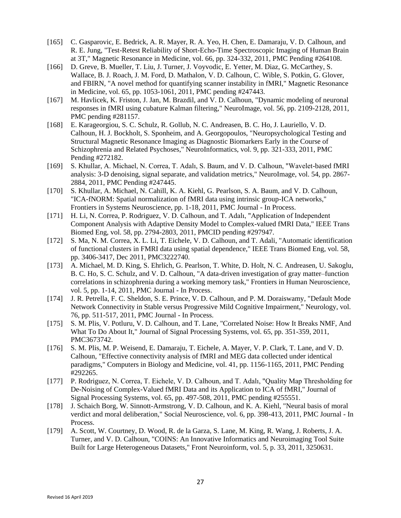- [165] C. Gasparovic, E. Bedrick, A. R. Mayer, R. A. Yeo, H. Chen, E. Damaraju, V. D. Calhoun, and R. E. Jung, "Test-Retest Reliability of Short-Echo-Time Spectroscopic Imaging of Human Brain at 3T," Magnetic Resonance in Medicine, vol. 66, pp. 324-332, 2011, PMC Pending #264108.
- [166] D. Greve, B. Mueller, T. Liu, J. Turner, J. Voyvodic, E. Yetter, M. Diaz, G. McCarthey, S. Wallace, B. J. Roach, J. M. Ford, D. Mathalon, V. D. Calhoun, C. Wible, S. Potkin, G. Glover, and FBIRN, "A novel method for quantifying scanner instability in fMRI," Magnetic Resonance in Medicine, vol. 65, pp. 1053-1061, 2011, PMC pending #247443.
- [167] M. Havlicek, K. Friston, J. Jan, M. Brazdil, and V. D. Calhoun, "Dynamic modeling of neuronal responses in fMRI using cubature Kalman filtering," NeuroImage, vol. 56, pp. 2109-2128, 2011, PMC pending #281157.
- [168] E. Karageorgiou, S. C. Schulz, R. Gollub, N. C. Andreasen, B. C. Ho, J. Lauriello, V. D. Calhoun, H. J. Bockholt, S. Sponheim, and A. Georgopoulos, "Neuropsychological Testing and Structural Magnetic Resonance Imaging as Diagnostic Biomarkers Early in the Course of Schizophrenia and Related Psychoses," NeuroInformatics, vol. 9, pp. 321-333, 2011, PMC Pending #272182.
- [169] S. Khullar, A. Michael, N. Correa, T. Adalı, S. Baum, and V. D. Calhoun, "Wavelet-based fMRI analysis: 3-D denoising, signal separate, and validation metrics," NeuroImage, vol. 54, pp. 2867- 2884, 2011, PMC Pending #247445.
- [170] S. Khullar, A. Michael, N. Cahill, K. A. Kiehl, G. Pearlson, S. A. Baum, and V. D. Calhoun, "ICA-fNORM: Spatial normalization of fMRI data using intrinsic group-ICA networks," Frontiers in Systems Neuroscience, pp. 1-18, 2011, PMC Journal - In Process.
- [171] H. Li, N. Correa, P. Rodriguez, V. D. Calhoun, and T. Adalı, "Application of Independent Component Analysis with Adaptive Density Model to Complex-valued fMRI Data," IEEE Trans Biomed Eng, vol. 58, pp. 2794-2803, 2011, PMCID pending #297947.
- [172] S. Ma, N. M. Correa, X. L. Li, T. Eichele, V. D. Calhoun, and T. Adali, "Automatic identification of functional clusters in FMRI data using spatial dependence," IEEE Trans Biomed Eng, vol. 58, pp. 3406-3417, Dec 2011, PMC3222740.
- [173] A. Michael, M. D. King, S. Ehrlich, G. Pearlson, T. White, D. Holt, N. C. Andreasen, U. Sakoglu, B. C. Ho, S. C. Schulz, and V. D. Calhoun, "A data-driven investigation of gray matter–function correlations in schizophrenia during a working memory task," Frontiers in Human Neuroscience, vol. 5, pp. 1-14, 2011, PMC Journal - In Process.
- [174] J. R. Petrella, F. C. Sheldon, S. E. Prince, V. D. Calhoun, and P. M. Doraiswamy, "Default Mode Network Connectivity in Stable versus Progressive Mild Cognitive Impairment," Neurology, vol. 76, pp. 511-517, 2011, PMC Journal - In Process.
- [175] S. M. Plis, V. Potluru, V. D. Calhoun, and T. Lane, "Correlated Noise: How It Breaks NMF, And What To Do About It," Journal of Signal Processing Systems, vol. 65, pp. 351-359, 2011, PMC3673742.
- [176] S. M. Plis, M. P. Weisend, E. Damaraju, T. Eichele, A. Mayer, V. P. Clark, T. Lane, and V. D. Calhoun, "Effective connectivity analysis of fMRI and MEG data collected under identical paradigms," Computers in Biology and Medicine, vol. 41, pp. 1156-1165, 2011, PMC Pending #292265.
- [177] P. Rodriguez, N. Correa, T. Eichele, V. D. Calhoun, and T. Adalı, "Quality Map Thresholding for De-Noising of Complex-Valued fMRI Data and its Application to ICA of fMRI," Journal of Signal Processing Systems, vol. 65, pp. 497-508, 2011, PMC pending #255551.
- [178] J. Schaich Borg, W. Sinnott-Armstrong, V. D. Calhoun, and K. A. Kiehl, "Neural basis of moral verdict and moral deliberation," Social Neuroscience, vol. 6, pp. 398-413, 2011, PMC Journal - In Process.
- [179] A. Scott, W. Courtney, D. Wood, R. de la Garza, S. Lane, M. King, R. Wang, J. Roberts, J. A. Turner, and V. D. Calhoun, "COINS: An Innovative Informatics and Neuroimaging Tool Suite Built for Large Heterogeneous Datasets," Front Neuroinform, vol. 5, p. 33, 2011, 3250631.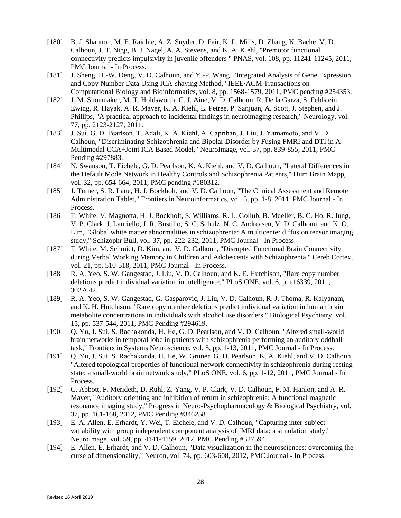- [180] B. J. Shannon, M. E. Raichle, A. Z. Snyder, D. Fair, K. L. Mills, D. Zhang, K. Bache, V. D. Calhoun, J. T. Nigg, B. J. Nagel, A. A. Stevens, and K. A. Kiehl, "Premotor functional connectivity predicts impulsivity in juvenile offenders " PNAS, vol. 108, pp. 11241-11245, 2011, PMC Journal - In Process.
- [181] J. Sheng, H.-W. Deng, V. D. Calhoun, and Y.-P. Wang, "Integrated Analysis of Gene Expression and Copy Number Data Using ICA-shaving Method," IEEE/ACM Transactions on Computational Biology and Bioinformatics, vol. 8, pp. 1568-1579, 2011, PMC pending #254353.
- [182] J. M. Shoemaker, M. T. Holdsworth, C. J. Aine, V. D. Calhoun, R. De la Garza, S. Feldstein Ewing, R. Hayak, A. R. Mayer, K. A. Kiehl, L. Petree, P. Sanjuan, A. Scott, J. Stephen, and J. Phillips, "A practical approach to incidental findings in neuroimaging research," Neurology, vol. 77, pp. 2123-2127, 2011.
- [183] J. Sui, G. D. Pearlson, T. Adalı, K. A. Kiehl, A. Caprihan, J. Liu, J. Yamamoto, and V. D. Calhoun, "Discriminating Schizophrenia and Bipolar Disorder by Fusing FMRI and DTI in A Multimodal CCA+Joint ICA Based Model," NeuroImage, vol. 57, pp. 839-855, 2011, PMC Pending #297883.
- [184] N. Swanson, T. Eichele, G. D. Pearlson, K. A. Kiehl, and V. D. Calhoun, "Lateral Differences in the Default Mode Network in Healthy Controls and Schizophrenia Patients," Hum Brain Mapp, vol. 32, pp. 654-664, 2011, PMC pending #180312.
- [185] J. Turner, S. R. Lane, H. J. Bockholt, and V. D. Calhoun, "The Clinical Assessment and Remote Administration Tablet," Frontiers in Neuroinformatics, vol. 5, pp. 1-8, 2011, PMC Journal - In Process.
- [186] T. White, V. Magnotta, H. J. Bockholt, S. Williams, R. L. Gollub, B. Mueller, B. C. Ho, R. Jung, V. P. Clark, J. Lauriello, J. R. Bustillo, S. C. Schulz, N. C. Andreasen, V. D. Calhoun, and K. O. Lim, "Global white matter abnormalities in schizophrenia: A multicenter diffusion tensor imaging study," Schizophr Bull, vol. 37, pp. 222-232, 2011, PMC Journal - In Process.
- [187] T. White, M. Schmidt, D. Kim, and V. D. Calhoun, "Disrupted Functional Brain Connectivity during Verbal Working Memory in Children and Adolescents with Schizophrenia," Cereb Cortex, vol. 21, pp. 510-518, 2011, PMC Journal - In Process.
- [188] R. A. Yeo, S. W. Gangestad, J. Liu, V. D. Calhoun, and K. E. Hutchison, "Rare copy number deletions predict individual variation in intelligence," PLoS ONE, vol. 6, p. e16339, 2011, 3027642.
- [189] R. A. Yeo, S. W. Gangestad, G. Gasparovic, J. Liu, V. D. Calhoun, R. J. Thoma, R. Kalyanam, and K. H. Hutchison, "Rare copy number deletions predict individual variation in human brain metabolite concentrations in individuals with alcohol use disorders " Biological Psychiatry, vol. 15, pp. 537-544, 2011, PMC Pending #294619.
- [190] Q. Yu, J. Sui, S. Rachakonda, H. He, G. D. Pearlson, and V. D. Calhoun, "Altered small-world brain networks in temporal lobe in patients with schizophrenia performing an auditory oddball task," Frontiers in Systems Neuroscience, vol. 5, pp. 1-13, 2011, PMC Journal - In Process.
- [191] Q. Yu, J. Sui, S. Rachakonda, H. He, W. Gruner, G. D. Pearlson, K. A. Kiehl, and V. D. Calhoun, "Altered topological properties of functional network connectivity in schizophrenia during resting state: a small-world brain network study," PLoS ONE, vol. 6, pp. 1-12, 2011, PMC Journal - In Process.
- [192] C. Abbott, F. Merideth, D. Ruhl, Z. Yang, V. P. Clark, V. D. Calhoun, F. M. Hanlon, and A. R. Mayer, "Auditory orienting and inhibition of return in schizophrenia: A functional magnetic resonance imaging study," Progress in Neuro-Psychopharmacology & Biological Psychiatry, vol. 37, pp. 161-168, 2012, PMC Pending #346258.
- [193] E. A. Allen, E. Erhardt, Y. Wei, T. Eichele, and V. D. Calhoun, "Capturing inter-subject variability with group independent component analysis of fMRI data: a simulation study," NeuroImage, vol. 59, pp. 4141-4159, 2012, PMC Pending #327594.
- [194] E. Allen, E. Erhardt, and V. D. Calhoun, "Data visualization in the neurosciences: overcoming the curse of dimensionality," Neuron, vol. 74, pp. 603-608, 2012, PMC Journal - In Process.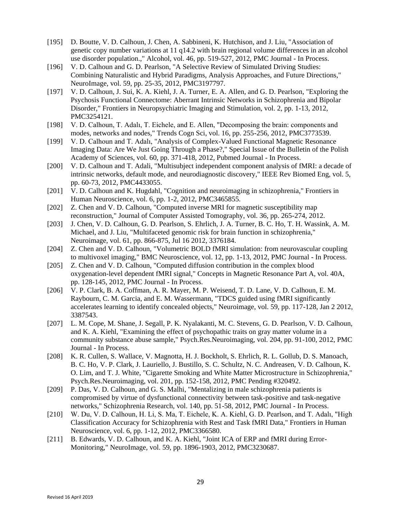- [195] D. Boutte, V. D. Calhoun, J. Chen, A. Sabbineni, K. Hutchison, and J. Liu, "Association of genetic copy number variations at 11 q14.2 with brain regional volume differences in an alcohol use disorder population.," Alcohol, vol. 46, pp. 519-527, 2012, PMC Journal - In Process.
- [196] V. D. Calhoun and G. D. Pearlson, "A Selective Review of Simulated Driving Studies: Combining Naturalistic and Hybrid Paradigms, Analysis Approaches, and Future Directions," NeuroImage, vol. 59, pp. 25-35, 2012, PMC3197797.
- [197] V. D. Calhoun, J. Sui, K. A. Kiehl, J. A. Turner, E. A. Allen, and G. D. Pearlson, "Exploring the Psychosis Functional Connectome: Aberrant Intrinsic Networks in Schizophrenia and Bipolar Disorder," Frontiers in Neuropsychiatric Imaging and Stimulation, vol. 2, pp. 1-13, 2012, PMC3254121.
- [198] V. D. Calhoun, T. Adalı, T. Eichele, and E. Allen, "Decomposing the brain: components and modes, networks and nodes," Trends Cogn Sci, vol. 16, pp. 255-256, 2012, PMC3773539.
- [199] V. D. Calhoun and T. Adalı, "Analysis of Complex-Valued Functional Magnetic Resonance Imaging Data: Are We Just Going Through a Phase?," Special Issue of the Bulletin of the Polish Academy of Sciences, vol. 60, pp. 371-418, 2012, Pubmed Journal - In Process.
- [200] V. D. Calhoun and T. Adali, "Multisubject independent component analysis of fMRI: a decade of intrinsic networks, default mode, and neurodiagnostic discovery," IEEE Rev Biomed Eng, vol. 5, pp. 60-73, 2012, PMC4433055.
- [201] V. D. Calhoun and K. Hugdahl, "Cognition and neuroimaging in schizophrenia," Frontiers in Human Neuroscience, vol. 6, pp. 1-2, 2012, PMC3465855.
- [202] Z. Chen and V. D. Calhoun, "Computed inverse MRI for magnetic susceptibility map reconstruction," Journal of Computer Assisted Tomography, vol. 36, pp. 265-274, 2012.
- [203] J. Chen, V. D. Calhoun, G. D. Pearlson, S. Ehrlich, J. A. Turner, B. C. Ho, T. H. Wassink, A. M. Michael, and J. Liu, "Multifaceted genomic risk for brain function in schizophrenia," Neuroimage, vol. 61, pp. 866-875, Jul 16 2012, 3376184.
- [204] Z. Chen and V. D. Calhoun, "Volumetric BOLD fMRI simulation: from neurovascular coupling to multivoxel imaging," BMC Neuroscience, vol. 12, pp. 1-13, 2012, PMC Journal - In Process.
- [205] Z. Chen and V. D. Calhoun, "Computed diffusion contribution in the complex blood oxygenation-level dependent fMRI signal," Concepts in Magnetic Resonance Part A, vol. 40A, pp. 128-145, 2012, PMC Journal - In Process.
- [206] V. P. Clark, B. A. Coffman, A. R. Mayer, M. P. Weisend, T. D. Lane, V. D. Calhoun, E. M. Raybourn, C. M. Garcia, and E. M. Wassermann, "TDCS guided using fMRI significantly accelerates learning to identify concealed objects," Neuroimage, vol. 59, pp. 117-128, Jan 2 2012, 3387543.
- [207] L. M. Cope, M. Shane, J. Segall, P. K. Nyalakanti, M. C. Stevens, G. D. Pearlson, V. D. Calhoun, and K. A. Kiehl, "Examining the effect of psychopathic traits on gray matter volume in a community substance abuse sample," Psych.Res.Neuroimaging, vol. 204, pp. 91-100, 2012, PMC Journal - In Process.
- [208] K. R. Cullen, S. Wallace, V. Magnotta, H. J. Bockholt, S. Ehrlich, R. L. Gollub, D. S. Manoach, B. C. Ho, V. P. Clark, J. Lauriello, J. Bustillo, S. C. Schultz, N. C. Andreasen, V. D. Calhoun, K. O. Lim, and T. J. White, "Cigarette Smoking and White Matter Microstructure in Schizophrenia," Psych.Res.Neuroimaging, vol. 201, pp. 152-158, 2012, PMC Pending #320492.
- [209] P. Das, V. D. Calhoun, and G. S. Malhi, "Mentalizing in male schizophrenia patients is compromised by virtue of dysfunctional connectivity between task-positive and task-negative networks," Schizophrenia Research, vol. 140, pp. 51-58, 2012, PMC Journal - In Process.
- [210] W. Du, V. D. Calhoun, H. Li, S. Ma, T. Eichele, K. A. Kiehl, G. D. Pearlson, and T. Adalı, "High Classification Accuracy for Schizophrenia with Rest and Task fMRI Data," Frontiers in Human Neuroscience, vol. 6, pp. 1-12, 2012, PMC3366580.
- [211] B. Edwards, V. D. Calhoun, and K. A. Kiehl, "Joint ICA of ERP and fMRI during Error-Monitoring," NeuroImage, vol. 59, pp. 1896-1903, 2012, PMC3230687.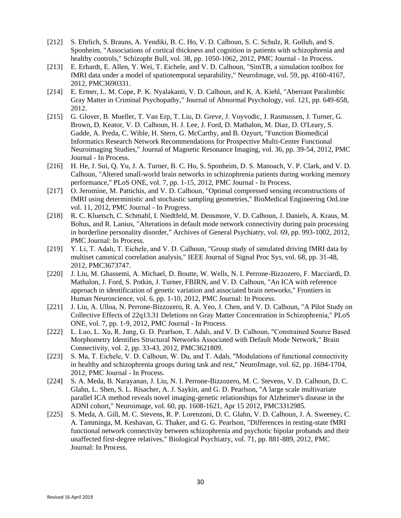- [212] S. Ehrlich, S. Brauns, A. Yendiki, B. C. Ho, V. D. Calhoun, S. C. Schulz, R. Gollub, and S. Sponheim, "Associations of cortical thickness and cognition in patients with schizophrenia and healthy controls," Schizophr Bull, vol. 38, pp. 1050-1062, 2012, PMC Journal - In Process.
- [213] E. Erhardt, E. Allen, Y. Wei, T. Eichele, and V. D. Calhoun, "SimTB, a simulation toolbox for fMRI data under a model of spatiotemporal separability," NeuroImage, vol. 59, pp. 4160-4167, 2012, PMC3690331.
- [214] E. Ermer, L. M. Cope, P. K. Nyalakanti, V. D. Calhoun, and K. A. Kiehl, "Aberrant Paralimbic Gray Matter in Criminal Psychopathy," Journal of Abnormal Psychology, vol. 121, pp. 649-658, 2012.
- [215] G. Glover, B. Mueller, T. Van Erp, T. Liu, D. Greve, J. Voyvodic, J. Rasmussen, J. Turner, G. Brown, D. Keator, V. D. Calhoun, H. J. Lee, J. Ford, D. Mathalon, M. Diaz, D. O'Leary, S. Gadde, A. Preda, C. Wible, H. Stern, G. McCarthy, and B. Ozyurt, "Function Biomedical Informatics Research Network Recommendations for Prospective Multi-Center Functional Neuroimaging Studies," Journal of Magnetic Resonance Imaging, vol. 36, pp. 39-54, 2012, PMC Journal - In Process.
- [216] H. He, J. Sui, O. Yu, J. A. Turner, B. C. Ho, S. Sponheim, D. S. Manoach, V. P. Clark, and V. D. Calhoun, "Altered small-world brain networks in schizophrenia patients during working memory performance," PLoS ONE, vol. 7, pp. 1-15, 2012, PMC Journal - In Process.
- [217] O. Jeromine, M. Pattichis, and V. D. Calhoun, "Optimal compressed sensing reconstructions of fMRI using deterministic and stochastic sampling geometries," BioMedical Engineering OnLine vol. 11, 2012, PMC Journal - In Progress.
- [218] R. C. Kluetsch, C. Schmahl, I. Niedtfeld, M. Densmore, V. D. Calhoun, J. Daniels, A. Kraus, M. Bohus, and R. Lanius, "Alterations in default mode network connectivity during pain processing in borderline personality disorder," Archives of General Psychiatry, vol. 69, pp. 993-1002, 2012, PMC Journal: In Process.
- [219] Y. Li, T. Adalı, T. Eichele, and V. D. Calhoun, "Group study of simulated driving fMRI data by multiset canonical correlation analysis," IEEE Journal of Signal Proc Sys, vol. 68, pp. 31-48, 2012, PMC3673747.
- [220] J. Liu, M. Ghassemi, A. Michael, D. Boutte, W. Wells, N. I. Perrone-Bizzozero, F. Macciardi, D. Mathalon, J. Ford, S. Potkin, J. Turner, FBIRN, and V. D. Calhoun, "An ICA with reference approach in identification of genetic variation and associated brain networks," Frontiers in Human Neuroscience, vol. 6, pp. 1-10, 2012, PMC Journal: In Process.
- [221] J. Liu, A. Ulloa, N. Perrone-Bizzozero, R. A. Yeo, J. Chen, and V. D. Calhoun, "A Pilot Study on Collective Effects of 22q13.31 Deletions on Gray Matter Concentration in Schizophrenia," PLoS ONE, vol. 7, pp. 1-9, 2012, PMC Journal - In Process.
- [222] L. Luo, L. Xu, R. Jung, G. D. Pearlson, T. Adalı, and V. D. Calhoun, "Constrained Source Based Morphometry Identifies Structural Networks Associated with Default Mode Network," Brain Connectivity, vol. 2, pp. 33-43, 2012, PMC3621809.
- [223] S. Ma, T. Eichele, V. D. Calhoun, W. Du, and T. Adalı, "Modulations of functional connectivity in healthy and schizophrenia groups during task and rest," NeuroImage, vol. 62, pp. 1694-1704, 2012, PMC Journal - In Process.
- [224] S. A. Meda, B. Narayanan, J. Liu, N. I. Perrone-Bizzozero, M. C. Stevens, V. D. Calhoun, D. C. Glahn, L. Shen, S. L. Risacher, A. J. Saykin, and G. D. Pearlson, "A large scale multivariate parallel ICA method reveals novel imaging-genetic relationships for Alzheimer's disease in the ADNI cohort," Neuroimage, vol. 60, pp. 1608-1621, Apr 15 2012, PMC3312985.
- [225] S. Meda, A. Gill, M. C. Stevens, R. P. Lorenzoni, D. C. Glahn, V. D. Calhoun, J. A. Sweeney, C. A. Tamminga, M. Keshavan, G. Thaker, and G. G. Pearlson, "Differences in resting-state fMRI functional network connectivity between schizophrenia and psychotic bipolar probands and their unaffected first-degree relatives," Biological Psychiatry, vol. 71, pp. 881-889, 2012, PMC Journal: In Process.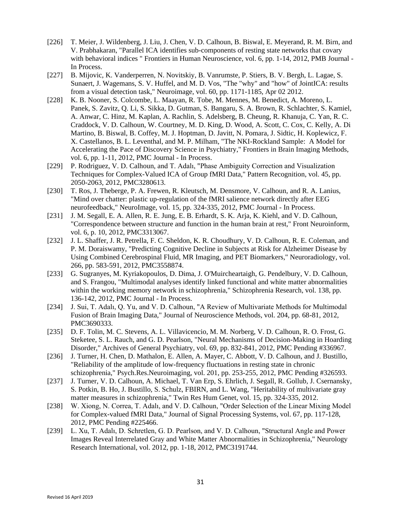- [226] T. Meier, J. Wildenberg, J. Liu, J. Chen, V. D. Calhoun, B. Biswal, E. Meyerand, R. M. Birn, and V. Prabhakaran, "Parallel ICA identifies sub-components of resting state networks that covary with behavioral indices " Frontiers in Human Neuroscience, vol. 6, pp. 1-14, 2012, PMB Journal - In Process.
- [227] B. Mijovic, K. Vanderperren, N. Novitskiy, B. Vanrumste, P. Stiers, B. V. Bergh, L. Lagae, S. Sunaert, J. Wagemans, S. V. Huffel, and M. D. Vos, "The "why" and "how" of JointICA: results from a visual detection task," Neuroimage, vol. 60, pp. 1171-1185, Apr 02 2012.
- [228] K. B. Nooner, S. Colcombe, L. Maayan, R. Tobe, M. Mennes, M. Benedict, A. Moreno, L. Panek, S. Zavitz, Q. Li, S. Sikka, D. Gutman, S. Bangaru, S. A. Brown, R. Schlachter, S. Kamiel, A. Anwar, C. Hinz, M. Kaplan, A. Rachlin, S. Adelsberg, B. Cheung, R. Khanuja, C. Yan, R. C. Craddock, V. D. Calhoun, W. Courtney, M. D. King, D. Wood, A. Scott, C. Cox, C. Kelly, A. Di Martino, B. Biswal, B. Coffey, M. J. Hoptman, D. Javitt, N. Pomara, J. Sidtic, H. Koplewicz, F. X. Castellanos, B. L. Leventhal, and M. P. Milham, "The NKI-Rockland Sample: A Model for Accelerating the Pace of Discovery Science in Psychiatry," Frontiers in Brain Imaging Methods, vol. 6, pp. 1-11, 2012, PMC Journal - In Process.
- [229] P. Rodriguez, V. D. Calhoun, and T. Adalı, "Phase Ambiguity Correction and Visualization Techniques for Complex-Valued ICA of Group fMRI Data," Pattern Recognition, vol. 45, pp. 2050-2063, 2012, PMC3280613.
- [230] T. Ros, J. Theberge, P. A. Frewen, R. Kleutsch, M. Densmore, V. Calhoun, and R. A. Lanius, "Mind over chatter: plastic up-regulation of the fMRI salience network directly after EEG neurofeedback," NeuroImage, vol. 15, pp. 324-335, 2012, PMC Journal - In Process.
- [231] J. M. Segall, E. A. Allen, R. E. Jung, E. B. Erhardt, S. K. Arja, K. Kiehl, and V. D. Calhoun, "Correspondence between structure and function in the human brain at rest," Front Neuroinform, vol. 6, p. 10, 2012, PMC3313067.
- [232] J. L. Shaffer, J. R. Petrella, F. C. Sheldon, K. R. Choudhury, V. D. Calhoun, R. E. Coleman, and P. M. Doraiswamy, "Predicting Cognitive Decline in Subjects at Risk for Alzheimer Disease by Using Combined Cerebrospinal Fluid, MR Imaging, and PET Biomarkers," Neuroradiology, vol. 266, pp. 583-591, 2012, PMC3558874.
- [233] G. Sugranyes, M. Kyriakopoulos, D. Dima, J. O'Muircheartaigh, G. Pendelbury, V. D. Calhoun, and S. Frangou, "Multimodal analyses identify linked functional and white matter abnormalities within the working memory network in schizophrenia," Schizophrenia Research, vol. 138, pp. 136-142, 2012, PMC Journal - In Process.
- [234] J. Sui, T. Adalı, Q. Yu, and V. D. Calhoun, "A Review of Multivariate Methods for Multimodal Fusion of Brain Imaging Data," Journal of Neuroscience Methods, vol. 204, pp. 68-81, 2012, PMC3690333.
- [235] D. F. Tolin, M. C. Stevens, A. L. Villavicencio, M. M. Norberg, V. D. Calhoun, R. O. Frost, G. Steketee, S. L. Rauch, and G. D. Pearlson, "Neural Mechanisms of Decision-Making in Hoarding Disorder," Archives of General Psychiatry, vol. 69, pp. 832-841, 2012, PMC Pending #336967.
- [236] J. Turner, H. Chen, D. Mathalon, E. Allen, A. Mayer, C. Abbott, V. D. Calhoun, and J. Bustillo, "Reliability of the amplitude of low-frequency fluctuations in resting state in chronic schizophrenia," Psych.Res.Neuroimaging, vol. 201, pp. 253-255, 2012, PMC Pending #326593.
- [237] J. Turner, V. D. Calhoun, A. Michael, T. Van Erp, S. Ehrlich, J. Segall, R. Gollub, J. Csernansky, S. Potkin, B. Ho, J. Bustillo, S. Schulz, FBIRN, and L. Wang, "Heritability of multivariate gray matter measures in schizophrenia," Twin Res Hum Genet, vol. 15, pp. 324-335, 2012.
- [238] W. Xiong, N. Correa, T. Adalı, and V. D. Calhoun, "Order Selection of the Linear Mixing Model for Complex-valued fMRI Data," Journal of Signal Processing Systems, vol. 67, pp. 117-128, 2012, PMC Pending #225466.
- [239] L. Xu, T. Adalı, D. Schretlen, G. D. Pearlson, and V. D. Calhoun, "Structural Angle and Power Images Reveal Interrelated Gray and White Matter Abnormalities in Schizophrenia," Neurology Research International, vol. 2012, pp. 1-18, 2012, PMC3191744.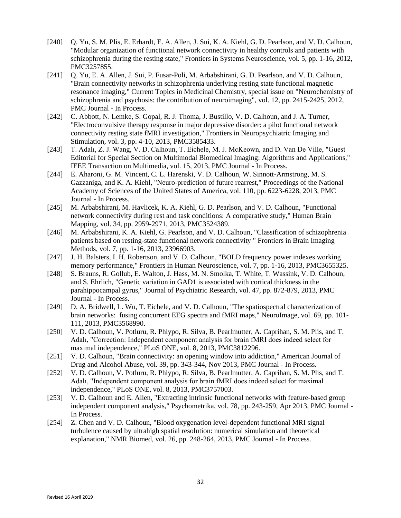- [240] Q. Yu, S. M. Plis, E. Erhardt, E. A. Allen, J. Sui, K. A. Kiehl, G. D. Pearlson, and V. D. Calhoun, "Modular organization of functional network connectivity in healthy controls and patients with schizophrenia during the resting state," Frontiers in Systems Neuroscience, vol. 5, pp. 1-16, 2012, PMC3257855.
- [241] Q. Yu, E. A. Allen, J. Sui, P. Fusar-Poli, M. Arbabshirani, G. D. Pearlson, and V. D. Calhoun, "Brain connectivity networks in schizophrenia underlying resting state functional magnetic resonance imaging," Current Topics in Medicinal Chemistry, special issue on "Neurochemistry of schizophrenia and psychosis: the contribution of neuroimaging", vol. 12, pp. 2415-2425, 2012, PMC Journal - In Process.
- [242] C. Abbott, N. Lemke, S. Gopal, R. J. Thoma, J. Bustillo, V. D. Calhoun, and J. A. Turner, "Electroconvulsive therapy response in major depressive disorder: a pilot functional network connectivity resting state fMRI investigation," Frontiers in Neuropsychiatric Imaging and Stimulation, vol. 3, pp. 4-10, 2013, PMC3585433.
- [243] T. Adalı, Z. J. Wang, V. D. Calhoun, T. Eichele, M. J. McKeown, and D. Van De Ville, "Guest Editorial for Special Section on Multimodal Biomedical Imaging: Algorithms and Applications," IEEE Transaction on Multimedia, vol. 15, 2013, PMC Journal - In Process.
- [244] E. Aharoni, G. M. Vincent, C. L. Harenski, V. D. Calhoun, W. Sinnott-Armstrong, M. S. Gazzaniga, and K. A. Kiehl, "Neuro-prediction of future rearrest," Proceedings of the National Academy of Sciences of the United States of America, vol. 110, pp. 6223-6228, 2013, PMC Journal - In Process.
- [245] M. Arbabshirani, M. Havlicek, K. A. Kiehl, G. D. Pearlson, and V. D. Calhoun, "Functional network connectivity during rest and task conditions: A comparative study," Human Brain Mapping, vol. 34, pp. 2959-2971, 2013, PMC3524389.
- [246] M. Arbabshirani, K. A. Kiehl, G. Pearlson, and V. D. Calhoun, "Classification of schizophrenia patients based on resting-state functional network connectivity " Frontiers in Brain Imaging Methods, vol. 7, pp. 1-16, 2013, 23966903.
- [247] J. H. Balsters, I. H. Robertson, and V. D. Calhoun, "BOLD frequency power indexes working memory performance," Frontiers in Human Neuroscience, vol. 7, pp. 1-16, 2013, PMC3655325.
- [248] S. Brauns, R. Gollub, E. Walton, J. Hass, M. N. Smolka, T. White, T. Wassink, V. D. Calhoun, and S. Ehrlich, "Genetic variation in GAD1 is associated with cortical thickness in the parahippocampal gyrus," Journal of Psychiatric Research, vol. 47, pp. 872-879, 2013, PMC Journal - In Process.
- [249] D. A. Bridwell, L. Wu, T. Eichele, and V. D. Calhoun, "The spatiospectral characterization of brain networks: fusing concurrent EEG spectra and fMRI maps," NeuroImage, vol. 69, pp. 101- 111, 2013, PMC3568990.
- [250] V. D. Calhoun, V. Potluru, R. Phlypo, R. Silva, B. Pearlmutter, A. Caprihan, S. M. Plis, and T. Adalı, "Correction: Independent component analysis for brain fMRI does indeed select for maximal independence," PLoS ONE, vol. 8, 2013, PMC3812296.
- [251] V. D. Calhoun, "Brain connectivity: an opening window into addiction," American Journal of Drug and Alcohol Abuse, vol. 39, pp. 343-344, Nov 2013, PMC Journal - In Process.
- [252] V. D. Calhoun, V. Potluru, R. Phlypo, R. Silva, B. Pearlmutter, A. Caprihan, S. M. Plis, and T. Adalı, "Independent component analysis for brain fMRI does indeed select for maximal independence," PLoS ONE, vol. 8, 2013, PMC3757003.
- [253] V. D. Calhoun and E. Allen, "Extracting intrinsic functional networks with feature-based group independent component analysis," Psychometrika, vol. 78, pp. 243-259, Apr 2013, PMC Journal - In Process.
- [254] Z. Chen and V. D. Calhoun, "Blood oxygenation level-dependent functional MRI signal turbulence caused by ultrahigh spatial resolution: numerical simulation and theoretical explanation," NMR Biomed, vol. 26, pp. 248-264, 2013, PMC Journal - In Process.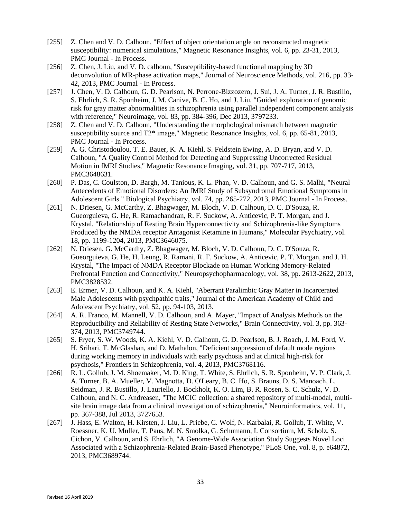- [255] Z. Chen and V. D. Calhoun, "Effect of object orientation angle on reconstructed magnetic susceptibility: numerical simulations," Magnetic Resonance Insights, vol. 6, pp. 23-31, 2013, PMC Journal - In Process.
- [256] Z. Chen, J. Liu, and V. D. calhoun, "Susceptibility-based functional mapping by 3D deconvolution of MR-phase activation maps," Journal of Neuroscience Methods, vol. 216, pp. 33- 42, 2013, PMC Journal - In Process.
- [257] J. Chen, V. D. Calhoun, G. D. Pearlson, N. Perrone-Bizzozero, J. Sui, J. A. Turner, J. R. Bustillo, S. Ehrlich, S. R. Sponheim, J. M. Canive, B. C. Ho, and J. Liu, "Guided exploration of genomic risk for gray matter abnormalities in schizophrenia using parallel independent component analysis with reference," Neuroimage, vol. 83, pp. 384-396, Dec 2013, 3797233.
- [258] Z. Chen and V. D. Calhoun, "Understanding the morphological mismatch between magnetic susceptibility source and T2\* image," Magnetic Resonance Insights, vol. 6, pp. 65-81, 2013, PMC Journal - In Process.
- [259] A. G. Christodoulou, T. E. Bauer, K. A. Kiehl, S. Feldstein Ewing, A. D. Bryan, and V. D. Calhoun, "A Quality Control Method for Detecting and Suppressing Uncorrected Residual Motion in fMRI Studies," Magnetic Resonance Imaging, vol. 31, pp. 707-717, 2013, PMC3648631.
- [260] P. Das, C. Coulston, D. Bargh, M. Tanious, K. L. Phan, V. D. Calhoun, and G. S. Malhi, "Neural Antecedents of Emotional Disorders: An fMRI Study of Subsyndromal Emotional Symptoms in Adolescent Girls " Biological Psychiatry, vol. 74, pp. 265-272, 2013, PMC Journal - In Process.
- [261] N. Driesen, G. McCarthy, Z. Bhagwager, M. Bloch, V. D. Calhoun, D. C. D'Souza, R. Gueorguieva, G. He, R. Ramachandran, R. F. Suckow, A. Anticevic, P. T. Morgan, and J. Krystal, "Relationship of Resting Brain Hyperconnectivity and Schizophrenia-like Symptoms Produced by the NMDA receptor Antagonist Ketamine in Humans," Molecular Psychiatry, vol. 18, pp. 1199-1204, 2013, PMC3646075.
- [262] N. Driesen, G. McCarthy, Z. Bhagwager, M. Bloch, V. D. Calhoun, D. C. D'Souza, R. Gueorguieva, G. He, H. Leung, R. Ramani, R. F. Suckow, A. Anticevic, P. T. Morgan, and J. H. Krystal, "The Impact of NMDA Receptor Blockade on Human Working Memory-Related Prefrontal Function and Connectivity," Neuropsychopharmacology, vol. 38, pp. 2613-2622, 2013, PMC3828532.
- [263] E. Ermer, V. D. Calhoun, and K. A. Kiehl, "Aberrant Paralimbic Gray Matter in Incarcerated Male Adolescents with psychpathic traits," Journal of the American Academy of Child and Adolescent Psychiatry, vol. 52, pp. 94-103, 2013.
- [264] A. R. Franco, M. Mannell, V. D. Calhoun, and A. Mayer, "Impact of Analysis Methods on the Reproducibility and Reliability of Resting State Networks," Brain Connectivity, vol. 3, pp. 363- 374, 2013, PMC3749744.
- [265] S. Fryer, S. W. Woods, K. A. Kiehl, V. D. Calhoun, G. D. Pearlson, B. J. Roach, J. M. Ford, V. H. Srihari, T. McGlashan, and D. Mathalon, "Deficient suppression of default mode regions during working memory in individuals with early psychosis and at clinical high-risk for psychosis," Frontiers in Schizophrenia, vol. 4, 2013, PMC3768116.
- [266] R. L. Gollub, J. M. Shoemaker, M. D. King, T. White, S. Ehrlich, S. R. Sponheim, V. P. Clark, J. A. Turner, B. A. Mueller, V. Magnotta, D. O'Leary, B. C. Ho, S. Brauns, D. S. Manoach, L. Seidman, J. R. Bustillo, J. Lauriello, J. Bockholt, K. O. Lim, B. R. Rosen, S. C. Schulz, V. D. Calhoun, and N. C. Andreasen, "The MCIC collection: a shared repository of multi-modal, multisite brain image data from a clinical investigation of schizophrenia," Neuroinformatics, vol. 11, pp. 367-388, Jul 2013, 3727653.
- [267] J. Hass, E. Walton, H. Kirsten, J. Liu, L. Priebe, C. Wolf, N. Karbalai, R. Gollub, T. White, V. Roessner, K. U. Muller, T. Paus, M. N. Smolka, G. Schumann, I. Consortium, M. Scholz, S. Cichon, V. Calhoun, and S. Ehrlich, "A Genome-Wide Association Study Suggests Novel Loci Associated with a Schizophrenia-Related Brain-Based Phenotype," PLoS One, vol. 8, p. e64872, 2013, PMC3689744.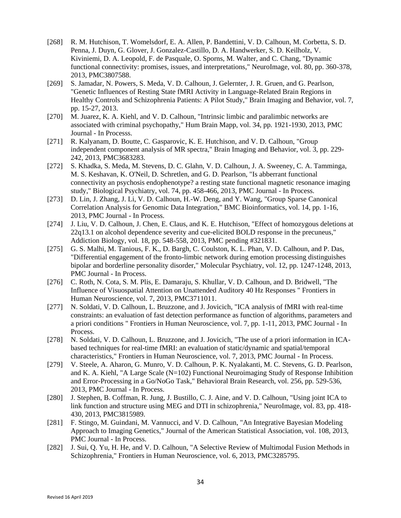- [268] R. M. Hutchison, T. Womelsdorf, E. A. Allen, P. Bandettini, V. D. Calhoun, M. Corbetta, S. D. Penna, J. Duyn, G. Glover, J. Gonzalez-Castillo, D. A. Handwerker, S. D. Keilholz, V. Kiviniemi, D. A. Leopold, F. de Pasquale, O. Sporns, M. Walter, and C. Chang, "Dynamic functional connectivity: promises, issues, and interpretations," NeuroImage, vol. 80, pp. 360-378, 2013, PMC3807588.
- [269] S. Jamadar, N. Powers, S. Meda, V. D. Calhoun, J. Gelernter, J. R. Gruen, and G. Pearlson, "Genetic Influences of Resting State fMRI Activity in Language-Related Brain Regions in Healthy Controls and Schizophrenia Patients: A Pilot Study," Brain Imaging and Behavior, vol. 7, pp. 15-27, 2013.
- [270] M. Juarez, K. A. Kiehl, and V. D. Calhoun, "Intrinsic limbic and paralimbic networks are associated with criminal psychopathy," Hum Brain Mapp, vol. 34, pp. 1921-1930, 2013, PMC Journal - In Processs.
- [271] R. Kalyanam, D. Boutte, C. Gasparovic, K. E. Hutchison, and V. D. Calhoun, "Group independent component analysis of MR spectra," Brain Imaging and Behavior, vol. 3, pp. 229- 242, 2013, PMC3683283.
- [272] S. Khadka, S. Meda, M. Stevens, D. C. Glahn, V. D. Calhoun, J. A. Sweeney, C. A. Tamminga, M. S. Keshavan, K. O'Neil, D. Schretlen, and G. D. Pearlson, "Is abberrant functional connectivity an psychosis endophenotype? a resting state functional magnetic resonance imaging study," Biological Psychiatry, vol. 74, pp. 458-466, 2013, PMC Journal - In Process.
- [273] D. Lin, J. Zhang, J. Li, V. D. Calhoun, H.-W. Deng, and Y. Wang, "Group Sparse Canonical" Correlation Analysis for Genomic Data Integration," BMC Bioinformatics, vol. 14, pp. 1-16, 2013, PMC Journal - In Process.
- [274] J. Liu, V. D. Calhoun, J. Chen, E. Claus, and K. E. Hutchison, "Effect of homozygous deletions at 22q13.1 on alcohol dependence severity and cue-elicited BOLD response in the precuneus," Addiction Biology, vol. 18, pp. 548-558, 2013, PMC pending #321831.
- [275] G. S. Malhi, M. Tanious, F. K., D. Bargh, C. Coulston, K. L. Phan, V. D. Calhoun, and P. Das, "Differential engagement of the fronto-limbic network during emotion processing distinguishes bipolar and borderline personality disorder," Molecular Psychiatry, vol. 12, pp. 1247-1248, 2013, PMC Journal - In Process.
- [276] C. Roth, N. Cota, S. M. Plis, E. Damaraju, S. Khullar, V. D. Calhoun, and D. Bridwell, "The Influence of Visuospatial Attention on Unattended Auditory 40 Hz Responses " Frontiers in Human Neuroscience, vol. 7, 2013, PMC3711011.
- [277] N. Soldati, V. D. Calhoun, L. Bruzzone, and J. Jovicich, "ICA analysis of fMRI with real-time constraints: an evaluation of fast detection performance as function of algorithms, parameters and a priori conditions " Frontiers in Human Neuroscience, vol. 7, pp. 1-11, 2013, PMC Journal - In Process.
- [278] N. Soldati, V. D. Calhoun, L. Bruzzone, and J. Jovicich, "The use of a priori information in ICAbased techniques for real-time fMRI: an evaluation of static/dynamic and spatial/temporal characteristics," Frontiers in Human Neuroscience, vol. 7, 2013, PMC Journal - In Process.
- [279] V. Steele, A. Aharon, G. Munro, V. D. Calhoun, P. K. Nyalakanti, M. C. Stevens, G. D. Pearlson, and K. A. Kiehl, "A Large Scale (N=102) Functional Neuroimaging Study of Response Inhibition and Error-Processing in a Go/NoGo Task," Behavioral Brain Research, vol. 256, pp. 529-536, 2013, PMC Journal - In Process.
- [280] J. Stephen, B. Coffman, R. Jung, J. Bustillo, C. J. Aine, and V. D. Calhoun, "Using joint ICA to link function and structure using MEG and DTI in schizophrenia," NeuroImage, vol. 83, pp. 418- 430, 2013, PMC3815989.
- [281] F. Stingo, M. Guindani, M. Vannucci, and V. D. Calhoun, "An Integrative Bayesian Modeling Approach to Imaging Genetics," Journal of the American Statistical Association, vol. 108, 2013, PMC Journal - In Process.
- [282] J. Sui, Q. Yu, H. He, and V. D. Calhoun, "A Selective Review of Multimodal Fusion Methods in Schizophrenia," Frontiers in Human Neuroscience, vol. 6, 2013, PMC3285795.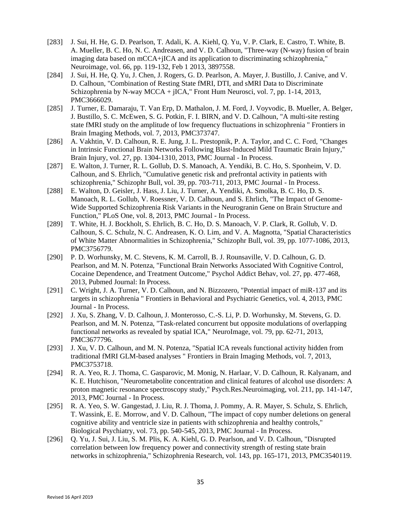- [283] J. Sui, H. He, G. D. Pearlson, T. Adali, K. A. Kiehl, Q. Yu, V. P. Clark, E. Castro, T. White, B. A. Mueller, B. C. Ho, N. C. Andreasen, and V. D. Calhoun, "Three-way (N-way) fusion of brain imaging data based on mCCA+jICA and its application to discriminating schizophrenia," Neuroimage, vol. 66, pp. 119-132, Feb 1 2013, 3897558.
- [284] J. Sui, H. He, Q. Yu, J. Chen, J. Rogers, G. D. Pearlson, A. Mayer, J. Bustillo, J. Canive, and V. D. Calhoun, "Combination of Resting State fMRI, DTI, and sMRI Data to Discriminate Schizophrenia by N-way MCCA + jICA," Front Hum Neurosci, vol. 7, pp. 1-14, 2013, PMC3666029.
- [285] J. Turner, E. Damaraju, T. Van Erp, D. Mathalon, J. M. Ford, J. Voyvodic, B. Mueller, A. Belger, J. Bustillo, S. C. McEwen, S. G. Potkin, F. I. BIRN, and V. D. Calhoun, "A multi-site resting state fMRI study on the amplitude of low frequency fluctuations in schizophrenia " Frontiers in Brain Imaging Methods, vol. 7, 2013, PMC373747.
- [286] A. Vakhtin, V. D. Calhoun, R. E. Jung, J. L. Prestopnik, P. A. Taylor, and C. C. Ford, "Changes" in Intrinsic Functional Brain Networks Following Blast-Induced Mild Traumatic Brain Injury," Brain Injury, vol. 27, pp. 1304-1310, 2013, PMC Journal - In Process.
- [287] E. Walton, J. Turner, R. L. Gollub, D. S. Manoach, A. Yendiki, B. C. Ho, S. Sponheim, V. D. Calhoun, and S. Ehrlich, "Cumulative genetic risk and prefrontal activity in patients with schizophrenia," Schizophr Bull, vol. 39, pp. 703-711, 2013, PMC Journal - In Process.
- [288] E. Walton, D. Geisler, J. Hass, J. Liu, J. Turner, A. Yendiki, A. Smolka, B. C. Ho, D. S. Manoach, R. L. Gollub, V. Roessner, V. D. Calhoun, and S. Ehrlich, "The Impact of Genome-Wide Supported Schizophrenia Risk Variants in the Neurogranin Gene on Brain Structure and Function," PLoS One, vol. 8, 2013, PMC Journal - In Process.
- [289] T. White, H. J. Bockholt, S. Ehrlich, B. C. Ho, D. S. Manoach, V. P. Clark, R. Gollub, V. D. Calhoun, S. C. Schulz, N. C. Andreasen, K. O. Lim, and V. A. Magnotta, "Spatial Characteristics of White Matter Abnormalities in Schizophrenia," Schizophr Bull, vol. 39, pp. 1077-1086, 2013, PMC3756779.
- [290] P. D. Worhunsky, M. C. Stevens, K. M. Carroll, B. J. Rounsaville, V. D. Calhoun, G. D. Pearlson, and M. N. Potenza, "Functional Brain Networks Associated With Cognitive Control, Cocaine Dependence, and Treatment Outcome," Psychol Addict Behav, vol. 27, pp. 477-468, 2013, Pubmed Journal: In Process.
- [291] C. Wright, J. A. Turner, V. D. Calhoun, and N. Bizzozero, "Potential impact of miR-137 and its targets in schizophrenia " Frontiers in Behavioral and Psychiatric Genetics, vol. 4, 2013, PMC Journal - In Process.
- [292] J. Xu, S. Zhang, V. D. Calhoun, J. Monterosso, C.-S. Li, P. D. Worhunsky, M. Stevens, G. D. Pearlson, and M. N. Potenza, "Task-related concurrent but opposite modulations of overlapping functional networks as revealed by spatial ICA," NeuroImage, vol. 79, pp. 62-71, 2013, PMC3677796.
- [293] J. Xu, V. D. Calhoun, and M. N. Potenza, "Spatial ICA reveals functional activity hidden from traditional fMRI GLM-based analyses " Frontiers in Brain Imaging Methods, vol. 7, 2013, PMC3753718.
- [294] R. A. Yeo, R. J. Thoma, C. Gasparovic, M. Monig, N. Harlaar, V. D. Calhoun, R. Kalyanam, and K. E. Hutchison, "Neurometabolite concentration and clinical features of alcohol use disorders: A proton magnetic resonance spectroscopy study," Psych.Res.Neuroimaging, vol. 211, pp. 141-147, 2013, PMC Journal - In Process.
- [295] R. A. Yeo, S. W. Gangestad, J. Liu, R. J. Thoma, J. Pommy, A. R. Mayer, S. Schulz, S. Ehrlich, T. Wassink, E. E. Morrow, and V. D. Calhoun, "The impact of copy number deletions on general cognitive ability and ventricle size in patients with schizophrenia and healthy controls," Biological Psychiatry, vol. 73, pp. 540-545, 2013, PMC Journal - In Process.
- [296] Q. Yu, J. Sui, J. Liu, S. M. Plis, K. A. Kiehl, G. D. Pearlson, and V. D. Calhoun, "Disrupted correlation between low frequency power and connectivity strength of resting state brain networks in schizophrenia," Schizophrenia Research, vol. 143, pp. 165-171, 2013, PMC3540119.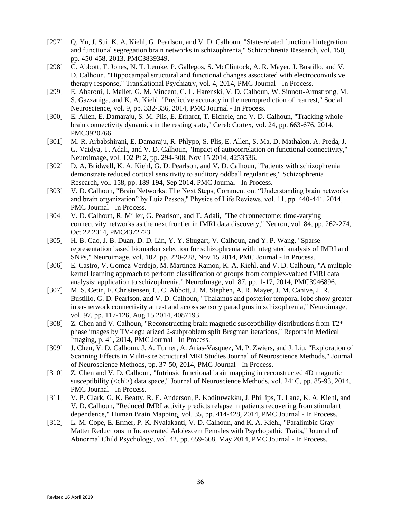- [297] Q. Yu, J. Sui, K. A. Kiehl, G. Pearlson, and V. D. Calhoun, "State-related functional integration and functional segregation brain networks in schizophrenia," Schizophrenia Research, vol. 150, pp. 450-458, 2013, PMC3839349.
- [298] C. Abbott, T. Jones, N. T. Lemke, P. Gallegos, S. McClintock, A. R. Mayer, J. Bustillo, and V. D. Calhoun, "Hippocampal structural and functional changes associated with electroconvulsive therapy response," Translational Psychiatry, vol. 4, 2014, PMC Journal - In Process.
- [299] E. Aharoni, J. Mallet, G. M. Vincent, C. L. Harenski, V. D. Calhoun, W. Sinnott-Armstrong, M. S. Gazzaniga, and K. A. Kiehl, "Predictive accuracy in the neuroprediction of rearrest," Social Neuroscience, vol. 9, pp. 332-336, 2014, PMC Journal - In Process.
- [300] E. Allen, E. Damaraju, S. M. Plis, E. Erhardt, T. Eichele, and V. D. Calhoun, "Tracking wholebrain connectivity dynamics in the resting state," Cereb Cortex, vol. 24, pp. 663-676, 2014, PMC3920766.
- [301] M. R. Arbabshirani, E. Damaraju, R. Phlypo, S. Plis, E. Allen, S. Ma, D. Mathalon, A. Preda, J. G. Vaidya, T. Adali, and V. D. Calhoun, "Impact of autocorrelation on functional connectivity," Neuroimage, vol. 102 Pt 2, pp. 294-308, Nov 15 2014, 4253536.
- [302] D. A. Bridwell, K. A. Kiehl, G. D. Pearlson, and V. D. Calhoun, "Patients with schizophrenia demonstrate reduced cortical sensitivity to auditory oddball regularities," Schizophrenia Research, vol. 158, pp. 189-194, Sep 2014, PMC Journal - In Process.
- [303] V. D. Calhoun, "Brain Networks: The Next Steps, Comment on: "Understanding brain networks and brain organization" by Luiz Pessoa," Physics of Life Reviews, vol. 11, pp. 440-441, 2014, PMC Journal - In Process.
- [304] V. D. Calhoun, R. Miller, G. Pearlson, and T. Adali, "The chronnectome: time-varying connectivity networks as the next frontier in fMRI data discovery," Neuron, vol. 84, pp. 262-274, Oct 22 2014, PMC4372723.
- [305] H. B. Cao, J. B. Duan, D. D. Lin, Y. Y. Shugart, V. Calhoun, and Y. P. Wang, "Sparse representation based biomarker selection for schizophrenia with integrated analysis of fMRI and SNPs," Neuroimage, vol. 102, pp. 220-228, Nov 15 2014, PMC Journal - In Process.
- [306] E. Castro, V. Gomez-Verdejo, M. Martinez-Ramon, K. A. Kiehl, and V. D. Calhoun, "A multiple kernel learning approach to perform classification of groups from complex-valued fMRI data analysis: application to schizophrenia," NeuroImage, vol. 87, pp. 1-17, 2014, PMC3946896.
- [307] M. S. Cetin, F. Christensen, C. C. Abbott, J. M. Stephen, A. R. Mayer, J. M. Canive, J. R. Bustillo, G. D. Pearlson, and V. D. Calhoun, "Thalamus and posterior temporal lobe show greater inter-network connectivity at rest and across sensory paradigms in schizophrenia," Neuroimage, vol. 97, pp. 117-126, Aug 15 2014, 4087193.
- [308] Z. Chen and V. Calhoun, "Reconstructing brain magnetic susceptibility distributions from T2\* phase images by TV-regularized 2-subproblem split Bregman iterations," Reports in Medical Imaging, p. 41, 2014, PMC Journal - In Process.
- [309] J. Chen, V. D. Calhoun, J. A. Turner, A. Arias-Vasquez, M. P. Zwiers, and J. Liu, "Exploration of Scanning Effects in Multi-site Structural MRI Studies Journal of Neuroscience Methods," Journal of Neuroscience Methods, pp. 37-50, 2014, PMC Journal - In Process.
- [310] Z. Chen and V. D. Calhoun, "Intrinsic functional brain mapping in reconstructed 4D magnetic susceptibility (<chi>) data space," Journal of Neuroscience Methods, vol. 241C, pp. 85-93, 2014, PMC Journal - In Process.
- [311] V. P. Clark, G. K. Beatty, R. E. Anderson, P. Kodituwakku, J. Phillips, T. Lane, K. A. Kiehl, and V. D. Calhoun, "Reduced fMRI activity predicts relapse in patients recovering from stimulant dependence," Human Brain Mapping, vol. 35, pp. 414-428, 2014, PMC Journal - In Process.
- [312] L. M. Cope, E. Ermer, P. K. Nyalakanti, V. D. Calhoun, and K. A. Kiehl, "Paralimbic Gray Matter Reductions in Incarcerated Adolescent Females with Psychopathic Traits," Journal of Abnormal Child Psychology, vol. 42, pp. 659-668, May 2014, PMC Journal - In Process.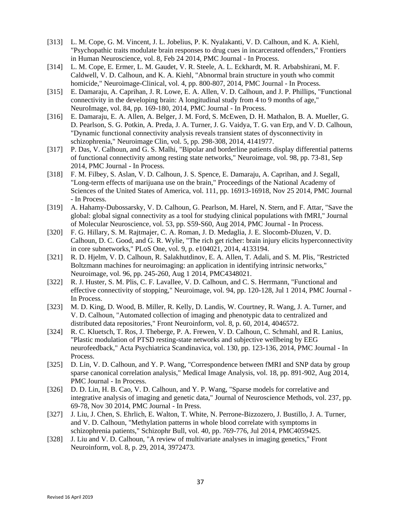- [313] L. M. Cope, G. M. Vincent, J. L. Jobelius, P. K. Nyalakanti, V. D. Calhoun, and K. A. Kiehl, "Psychopathic traits modulate brain responses to drug cues in incarcerated offenders," Frontiers in Human Neuroscience, vol. 8, Feb 24 2014, PMC Journal - In Process.
- [314] L. M. Cope, E. Ermer, L. M. Gaudet, V. R. Steele, A. L. Eckhardt, M. R. Arbabshirani, M. F. Caldwell, V. D. Calhoun, and K. A. Kiehl, "Abnormal brain structure in youth who commit homicide," Neuroimage-Clinical, vol. 4, pp. 800-807, 2014, PMC Journal - In Process.
- [315] E. Damaraju, A. Caprihan, J. R. Lowe, E. A. Allen, V. D. Calhoun, and J. P. Phillips, "Functional connectivity in the developing brain: A longitudinal study from 4 to 9 months of age," NeuroImage, vol. 84, pp. 169-180, 2014, PMC Journal - In Process.
- [316] E. Damaraju, E. A. Allen, A. Belger, J. M. Ford, S. McEwen, D. H. Mathalon, B. A. Mueller, G. D. Pearlson, S. G. Potkin, A. Preda, J. A. Turner, J. G. Vaidya, T. G. van Erp, and V. D. Calhoun, "Dynamic functional connectivity analysis reveals transient states of dysconnectivity in schizophrenia," Neuroimage Clin, vol. 5, pp. 298-308, 2014, 4141977.
- [317] P. Das, V. Calhoun, and G. S. Malhi, "Bipolar and borderline patients display differential patterns of functional connectivity among resting state networks," Neuroimage, vol. 98, pp. 73-81, Sep 2014, PMC Journal - In Process.
- [318] F. M. Filbey, S. Aslan, V. D. Calhoun, J. S. Spence, E. Damaraju, A. Caprihan, and J. Segall, "Long-term effects of marijuana use on the brain," Proceedings of the National Academy of Sciences of the United States of America, vol. 111, pp. 16913-16918, Nov 25 2014, PMC Journal - In Process.
- [319] A. Hahamy-Dubossarsky, V. D. Calhoun, G. Pearlson, M. Harel, N. Stern, and F. Attar, "Save the global: global signal connectivity as a tool for studying clinical populations with fMRI," Journal of Molecular Neuroscience, vol. 53, pp. S59-S60, Aug 2014, PMC Journal - In Process.
- [320] F. G. Hillary, S. M. Rajtmajer, C. A. Roman, J. D. Medaglia, J. E. Slocomb-Dluzen, V. D. Calhoun, D. C. Good, and G. R. Wylie, "The rich get richer: brain injury elicits hyperconnectivity in core subnetworks," PLoS One, vol. 9, p. e104021, 2014, 4133194.
- [321] R. D. Hjelm, V. D. Calhoun, R. Salakhutdinov, E. A. Allen, T. Adali, and S. M. Plis, "Restricted" Boltzmann machines for neuroimaging: an application in identifying intrinsic networks," Neuroimage, vol. 96, pp. 245-260, Aug 1 2014, PMC4348021.
- [322] R. J. Huster, S. M. Plis, C. F. Lavallee, V. D. Calhoun, and C. S. Herrmann, "Functional and effective connectivity of stopping," Neuroimage, vol. 94, pp. 120-128, Jul 1 2014, PMC Journal - In Process.
- [323] M. D. King, D. Wood, B. Miller, R. Kelly, D. Landis, W. Courtney, R. Wang, J. A. Turner, and V. D. Calhoun, "Automated collection of imaging and phenotypic data to centralized and distributed data repositories," Front Neuroinform, vol. 8, p. 60, 2014, 4046572.
- [324] R. C. Kluetsch, T. Ros, J. Theberge, P. A. Frewen, V. D. Calhoun, C. Schmahl, and R. Lanius, "Plastic modulation of PTSD resting-state networks and subjective wellbeing by EEG neurofeedback," Acta Psychiatrica Scandinavica, vol. 130, pp. 123-136, 2014, PMC Journal - In Process.
- [325] D. Lin, V. D. Calhoun, and Y. P. Wang, "Correspondence between fMRI and SNP data by group sparse canonical correlation analysis," Medical Image Analysis, vol. 18, pp. 891-902, Aug 2014, PMC Journal - In Process.
- [326] D. D. Lin, H. B. Cao, V. D. Calhoun, and Y. P. Wang, "Sparse models for correlative and integrative analysis of imaging and genetic data," Journal of Neuroscience Methods, vol. 237, pp. 69-78, Nov 30 2014, PMC Journal - In Press.
- [327] J. Liu, J. Chen, S. Ehrlich, E. Walton, T. White, N. Perrone-Bizzozero, J. Bustillo, J. A. Turner, and V. D. Calhoun, "Methylation patterns in whole blood correlate with symptoms in schizophrenia patients," Schizophr Bull, vol. 40, pp. 769-776, Jul 2014, PMC4059425.
- [328] J. Liu and V. D. Calhoun, "A review of multivariate analyses in imaging genetics," Front Neuroinform, vol. 8, p. 29, 2014, 3972473.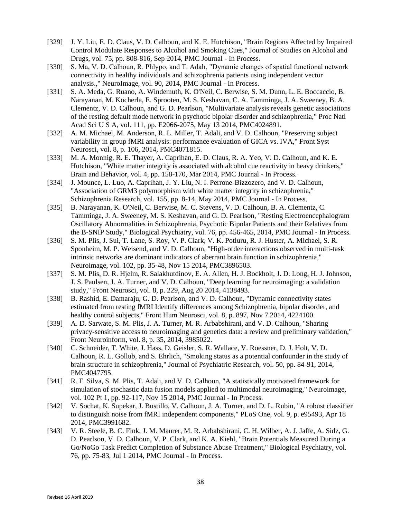- [329] J. Y. Liu, E. D. Claus, V. D. Calhoun, and K. E. Hutchison, "Brain Regions Affected by Impaired Control Modulate Responses to Alcohol and Smoking Cues," Journal of Studies on Alcohol and Drugs, vol. 75, pp. 808-816, Sep 2014, PMC Journal - In Process.
- [330] S. Ma, V. D. Calhoun, R. Phlypo, and T. Adalı, "Dynamic changes of spatial functional network connectivity in healthy individuals and schizophrenia patients using independent vector analysis.," NeuroImage, vol. 90, 2014, PMC Journal - In Process.
- [331] S. A. Meda, G. Ruano, A. Windemuth, K. O'Neil, C. Berwise, S. M. Dunn, L. E. Boccaccio, B. Narayanan, M. Kocherla, E. Sprooten, M. S. Keshavan, C. A. Tamminga, J. A. Sweeney, B. A. Clementz, V. D. Calhoun, and G. D. Pearlson, "Multivariate analysis reveals genetic associations of the resting default mode network in psychotic bipolar disorder and schizophrenia," Proc Natl Acad Sci U S A, vol. 111, pp. E2066-2075, May 13 2014, PMC4024891.
- [332] A. M. Michael, M. Anderson, R. L. Miller, T. Adali, and V. D. Calhoun, "Preserving subject variability in group fMRI analysis: performance evaluation of GICA vs. IVA," Front Syst Neurosci, vol. 8, p. 106, 2014, PMC4071815.
- [333] M. A. Monnig, R. E. Thayer, A. Caprihan, E. D. Claus, R. A. Yeo, V. D. Calhoun, and K. E. Hutchison, "White matter integrity is associated with alcohol cue reactivity in heavy drinkers," Brain and Behavior, vol. 4, pp. 158-170, Mar 2014, PMC Journal - In Process.
- [334] J. Mounce, L. Luo, A. Caprihan, J. Y. Liu, N. I. Perrone-Bizzozero, and V. D. Calhoun, "Association of GRM3 polymorphism with white matter integrity in schizophrenia," Schizophrenia Research, vol. 155, pp. 8-14, May 2014, PMC Journal - In Process.
- [335] B. Narayanan, K. O'Neil, C. Berwise, M. C. Stevens, V. D. Calhoun, B. A. Clementz, C. Tamminga, J. A. Sweeney, M. S. Keshavan, and G. D. Pearlson, "Resting Electroencephalogram Oscillatory Abnormalities in Schizophrenia, Psychotic Bipolar Patients and their Relatives from the B-SNIP Study," Biological Psychiatry, vol. 76, pp. 456-465, 2014, PMC Journal - In Process.
- [336] S. M. Plis, J. Sui, T. Lane, S. Roy, V. P. Clark, V. K. Potluru, R. J. Huster, A. Michael, S. R. Sponheim, M. P. Weisend, and V. D. Calhoun, "High-order interactions observed in multi-task intrinsic networks are dominant indicators of aberrant brain function in schizophrenia," Neuroimage, vol. 102, pp. 35-48, Nov 15 2014, PMC3896503.
- [337] S. M. Plis, D. R. Hjelm, R. Salakhutdinov, E. A. Allen, H. J. Bockholt, J. D. Long, H. J. Johnson, J. S. Paulsen, J. A. Turner, and V. D. Calhoun, "Deep learning for neuroimaging: a validation study," Front Neurosci, vol. 8, p. 229, Aug 20 2014, 4138493.
- [338] B. Rashid, E. Damaraju, G. D. Pearlson, and V. D. Calhoun, "Dynamic connectivity states estimated from resting fMRI Identify differences among Schizophrenia, bipolar disorder, and healthy control subjects," Front Hum Neurosci, vol. 8, p. 897, Nov 7 2014, 4224100.
- [339] A. D. Sarwate, S. M. Plis, J. A. Turner, M. R. Arbabshirani, and V. D. Calhoun, "Sharing privacy-sensitive access to neuroimaging and genetics data: a review and preliminary validation," Front Neuroinform, vol. 8, p. 35, 2014, 3985022.
- [340] C. Schneider, T. White, J. Hass, D. Geisler, S. R. Wallace, V. Roessner, D. J. Holt, V. D. Calhoun, R. L. Gollub, and S. Ehrlich, "Smoking status as a potential confounder in the study of brain structure in schizophrenia," Journal of Psychiatric Research, vol. 50, pp. 84-91, 2014, PMC4047795.
- [341] R. F. Silva, S. M. Plis, T. Adali, and V. D. Calhoun, "A statistically motivated framework for simulation of stochastic data fusion models applied to multimodal neuroimaging," Neuroimage, vol. 102 Pt 1, pp. 92-117, Nov 15 2014, PMC Journal - In Process.
- [342] V. Sochat, K. Supekar, J. Bustillo, V. Calhoun, J. A. Turner, and D. L. Rubin, "A robust classifier to distinguish noise from fMRI independent components," PLoS One, vol. 9, p. e95493, Apr 18 2014, PMC3991682.
- [343] V. R. Steele, B. C. Fink, J. M. Maurer, M. R. Arbabshirani, C. H. Wilber, A. J. Jaffe, A. Sidz, G. D. Pearlson, V. D. Calhoun, V. P. Clark, and K. A. Kiehl, "Brain Potentials Measured During a Go/NoGo Task Predict Completion of Substance Abuse Treatment," Biological Psychiatry, vol. 76, pp. 75-83, Jul 1 2014, PMC Journal - In Process.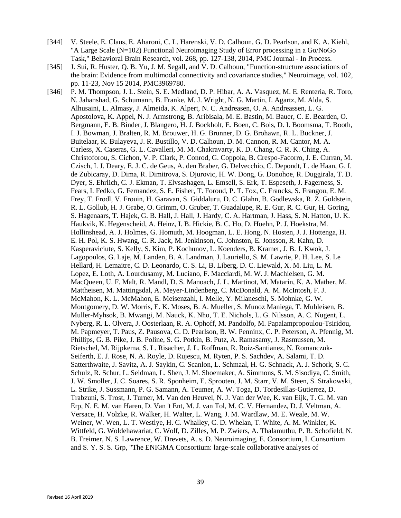- [344] V. Steele, E. Claus, E. Aharoni, C. L. Harenski, V. D. Calhoun, G. D. Pearlson, and K. A. Kiehl, "A Large Scale (N=102) Functional Neuroimaging Study of Error processing in a Go/NoGo Task," Behavioral Brain Research, vol. 268, pp. 127-138, 2014, PMC Journal - In Process.
- [345] J. Sui, R. Huster, Q. B. Yu, J. M. Segall, and V. D. Calhoun, "Function-structure associations of the brain: Evidence from multimodal connectivity and covariance studies," Neuroimage, vol. 102, pp. 11-23, Nov 15 2014, PMC3969780.
- [346] P. M. Thompson, J. L. Stein, S. E. Medland, D. P. Hibar, A. A. Vasquez, M. E. Renteria, R. Toro, N. Jahanshad, G. Schumann, B. Franke, M. J. Wright, N. G. Martin, I. Agartz, M. Alda, S. Alhusaini, L. Almasy, J. Almeida, K. Alpert, N. C. Andreasen, O. A. Andreassen, L. G. Apostolova, K. Appel, N. J. Armstrong, B. Aribisala, M. E. Bastin, M. Bauer, C. E. Bearden, O. Bergmann, E. B. Binder, J. Blangero, H. J. Bockholt, E. Boen, C. Bois, D. I. Boomsma, T. Booth, I. J. Bowman, J. Bralten, R. M. Brouwer, H. G. Brunner, D. G. Brohawn, R. L. Buckner, J. Buitelaar, K. Bulayeva, J. R. Bustillo, V. D. Calhoun, D. M. Cannon, R. M. Cantor, M. A. Carless, X. Caseras, G. L. Cavalleri, M. M. Chakravarty, K. D. Chang, C. R. K. Ching, A. Christoforou, S. Cichon, V. P. Clark, P. Conrod, G. Coppola, B. Crespo-Facorro, J. E. Curran, M. Czisch, I. J. Deary, E. J. C. de Geus, A. den Braber, G. Delvecchio, C. Depondt, L. de Haan, G. I. de Zubicaray, D. Dima, R. Dimitrova, S. Djurovic, H. W. Dong, G. Donohoe, R. Duggirala, T. D. Dyer, S. Ehrlich, C. J. Ekman, T. Elvsashagen, L. Emsell, S. Erk, T. Espeseth, J. Fagerness, S. Fears, I. Fedko, G. Fernandez, S. E. Fisher, T. Foroud, P. T. Fox, C. Francks, S. Frangou, E. M. Frey, T. Frodl, V. Frouin, H. Garavan, S. Giddaluru, D. C. Glahn, B. Godlewska, R. Z. Goldstein, R. L. Gollub, H. J. Grabe, O. Grimm, O. Gruber, T. Guadalupe, R. E. Gur, R. C. Gur, H. Goring, S. Hagenaars, T. Hajek, G. B. Hall, J. Hall, J. Hardy, C. A. Hartman, J. Hass, S. N. Hatton, U. K. Haukvik, K. Hegenscheid, A. Heinz, I. B. Hickie, B. C. Ho, D. Hoehn, P. J. Hoekstra, M. Hollinshead, A. J. Holmes, G. Homuth, M. Hoogman, L. E. Hong, N. Hosten, J. J. Hottenga, H. E. H. Pol, K. S. Hwang, C. R. Jack, M. Jenkinson, C. Johnston, E. Jonsson, R. Kahn, D. Kasperaviciute, S. Kelly, S. Kim, P. Kochunov, L. Koenders, B. Kramer, J. B. J. Kwok, J. Lagopoulos, G. Laje, M. Landen, B. A. Landman, J. Lauriello, S. M. Lawrie, P. H. Lee, S. Le Hellard, H. Lemaitre, C. D. Leonardo, C. S. Li, B. Liberg, D. C. Liewald, X. M. Liu, L. M. Lopez, E. Loth, A. Lourdusamy, M. Luciano, F. Macciardi, M. W. J. Machielsen, G. M. MacQueen, U. F. Malt, R. Mandl, D. S. Manoach, J. L. Martinot, M. Matarin, K. A. Mather, M. Mattheisen, M. Mattingsdal, A. Meyer-Lindenberg, C. McDonald, A. M. McIntosh, F. J. McMahon, K. L. McMahon, E. Meisenzahl, I. Melle, Y. Milaneschi, S. Mohnke, G. W. Montgomery, D. W. Morris, E. K. Moses, B. A. Mueller, S. Munoz Maniega, T. Muhleisen, B. Muller-Myhsok, B. Mwangi, M. Nauck, K. Nho, T. E. Nichols, L. G. Nilsson, A. C. Nugent, L. Nyberg, R. L. Olvera, J. Oosterlaan, R. A. Ophoff, M. Pandolfo, M. Papalampropoulou-Tsiridou, M. Papmeyer, T. Paus, Z. Pausova, G. D. Pearlson, B. W. Penninx, C. P. Peterson, A. Pfennig, M. Phillips, G. B. Pike, J. B. Poline, S. G. Potkin, B. Putz, A. Ramasamy, J. Rasmussen, M. Rietschel, M. Rijpkema, S. L. Risacher, J. L. Roffman, R. Roiz-Santianez, N. Romanczuk-Seiferth, E. J. Rose, N. A. Royle, D. Rujescu, M. Ryten, P. S. Sachdev, A. Salami, T. D. Satterthwaite, J. Savitz, A. J. Saykin, C. Scanlon, L. Schmaal, H. G. Schnack, A. J. Schork, S. C. Schulz, R. Schur, L. Seidman, L. Shen, J. M. Shoemaker, A. Simmons, S. M. Sisodiya, C. Smith, J. W. Smoller, J. C. Soares, S. R. Sponheim, E. Sprooten, J. M. Starr, V. M. Steen, S. Strakowski, L. Strike, J. Sussmann, P. G. Samann, A. Teumer, A. W. Toga, D. Tordesillas-Gutierrez, D. Trabzuni, S. Trost, J. Turner, M. Van den Heuvel, N. J. Van der Wee, K. van Eijk, T. G. M. van Erp, N. E. M. van Haren, D. Van 't Ent, M. J. van Tol, M. C. V. Hernandez, D. J. Veltman, A. Versace, H. Volzke, R. Walker, H. Walter, L. Wang, J. M. Wardlaw, M. E. Weale, M. W. Weiner, W. Wen, L. T. Westlye, H. C. Whalley, C. D. Whelan, T. White, A. M. Winkler, K. Wittfeld, G. Woldehawariat, C. Wolf, D. Zilles, M. P. Zwiers, A. Thalamuthu, P. R. Schofield, N. B. Freimer, N. S. Lawrence, W. Drevets, A. s. D. Neuroimaging, E. Consortium, I. Consortium and S. Y. S. S. Grp, "The ENIGMA Consortium: large-scale collaborative analyses of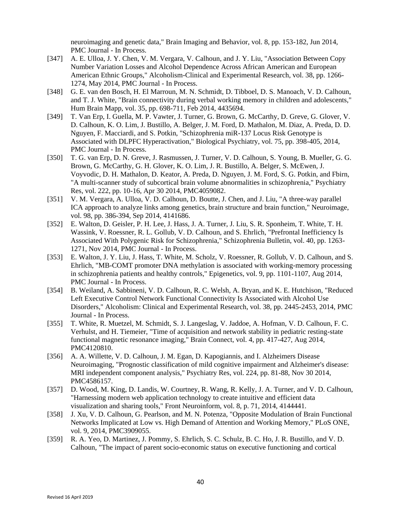neuroimaging and genetic data," Brain Imaging and Behavior, vol. 8, pp. 153-182, Jun 2014, PMC Journal - In Process.

- [347] A. E. Ulloa, J. Y. Chen, V. M. Vergara, V. Calhoun, and J. Y. Liu, "Association Between Copy" Number Variation Losses and Alcohol Dependence Across African American and European American Ethnic Groups," Alcoholism-Clinical and Experimental Research, vol. 38, pp. 1266- 1274, May 2014, PMC Journal - In Process.
- [348] G. E. van den Bosch, H. El Marroun, M. N. Schmidt, D. Tibboel, D. S. Manoach, V. D. Calhoun, and T. J. White, "Brain connectivity during verbal working memory in children and adolescents," Hum Brain Mapp, vol. 35, pp. 698-711, Feb 2014, 4435694.
- [349] T. Van Erp, I. Guella, M. P. Vawter, J. Turner, G. Brown, G. McCarthy, D. Greve, G. Glover, V. D. Calhoun, K. O. Lim, J. Bustillo, A. Belger, J. M. Ford, D. Mathalon, M. Diaz, A. Preda, D. D. Nguyen, F. Macciardi, and S. Potkin, "Schizophrenia miR-137 Locus Risk Genotype is Associated with DLPFC Hyperactivation," Biological Psychiatry, vol. 75, pp. 398-405, 2014, PMC Journal - In Process.
- [350] T. G. van Erp, D. N. Greve, J. Rasmussen, J. Turner, V. D. Calhoun, S. Young, B. Mueller, G. G. Brown, G. McCarthy, G. H. Glover, K. O. Lim, J. R. Bustillo, A. Belger, S. McEwen, J. Voyvodic, D. H. Mathalon, D. Keator, A. Preda, D. Nguyen, J. M. Ford, S. G. Potkin, and Fbirn, "A multi-scanner study of subcortical brain volume abnormalities in schizophrenia," Psychiatry Res, vol. 222, pp. 10-16, Apr 30 2014, PMC4059082.
- [351] V. M. Vergara, A. Ulloa, V. D. Calhoun, D. Boutte, J. Chen, and J. Liu, "A three-way parallel ICA approach to analyze links among genetics, brain structure and brain function," Neuroimage, vol. 98, pp. 386-394, Sep 2014, 4141686.
- [352] E. Walton, D. Geisler, P. H. Lee, J. Hass, J. A. Turner, J. Liu, S. R. Sponheim, T. White, T. H. Wassink, V. Roessner, R. L. Gollub, V. D. Calhoun, and S. Ehrlich, "Prefrontal Inefficiency Is Associated With Polygenic Risk for Schizophrenia," Schizophrenia Bulletin, vol. 40, pp. 1263- 1271, Nov 2014, PMC Journal - In Process.
- [353] E. Walton, J. Y. Liu, J. Hass, T. White, M. Scholz, V. Roessner, R. Gollub, V. D. Calhoun, and S. Ehrlich, "MB-COMT promoter DNA methylation is associated with working-memory processing in schizophrenia patients and healthy controls," Epigenetics, vol. 9, pp. 1101-1107, Aug 2014, PMC Journal - In Process.
- [354] B. Weiland, A. Sabbineni, V. D. Calhoun, R. C. Welsh, A. Bryan, and K. E. Hutchison, "Reduced Left Executive Control Network Functional Connectivity Is Associated with Alcohol Use Disorders," Alcoholism: Clinical and Experimental Research, vol. 38, pp. 2445-2453, 2014, PMC Journal - In Process.
- [355] T. White, R. Muetzel, M. Schmidt, S. J. Langeslag, V. Jaddoe, A. Hofman, V. D. Calhoun, F. C. Verhulst, and H. Tiemeier, "Time of acquisition and network stability in pediatric resting-state functional magnetic resonance imaging," Brain Connect, vol. 4, pp. 417-427, Aug 2014, PMC4120810.
- [356] A. A. Willette, V. D. Calhoun, J. M. Egan, D. Kapogiannis, and I. Alzheimers Disease Neuroimaging, "Prognostic classification of mild cognitive impairment and Alzheimer's disease: MRI independent component analysis," Psychiatry Res, vol. 224, pp. 81-88, Nov 30 2014, PMC4586157.
- [357] D. Wood, M. King, D. Landis, W. Courtney, R. Wang, R. Kelly, J. A. Turner, and V. D. Calhoun, "Harnessing modern web application technology to create intuitive and efficient data visualization and sharing tools," Front Neuroinform, vol. 8, p. 71, 2014, 4144441.
- [358] J. Xu, V. D. Calhoun, G. Pearlson, and M. N. Potenza, "Opposite Modulation of Brain Functional Networks Implicated at Low vs. High Demand of Attention and Working Memory," PLoS ONE, vol. 9, 2014, PMC3909055.
- [359] R. A. Yeo, D. Martinez, J. Pommy, S. Ehrlich, S. C. Schulz, B. C. Ho, J. R. Bustillo, and V. D. Calhoun, "The impact of parent socio-economic status on executive functioning and cortical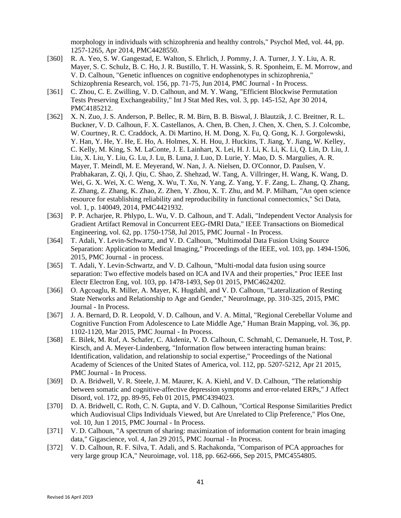morphology in individuals with schizophrenia and healthy controls," Psychol Med, vol. 44, pp. 1257-1265, Apr 2014, PMC4428550.

- [360] R. A. Yeo, S. W. Gangestad, E. Walton, S. Ehrlich, J. Pommy, J. A. Turner, J. Y. Liu, A. R. Mayer, S. C. Schulz, B. C. Ho, J. R. Bustillo, T. H. Wassink, S. R. Sponheim, E. M. Morrow, and V. D. Calhoun, "Genetic influences on cognitive endophenotypes in schizophrenia," Schizophrenia Research, vol. 156, pp. 71-75, Jun 2014, PMC Journal - In Process.
- [361] C. Zhou, C. E. Zwilling, V. D. Calhoun, and M. Y. Wang, "Efficient Blockwise Permutation" Tests Preserving Exchangeability," Int J Stat Med Res, vol. 3, pp. 145-152, Apr 30 2014, PMC4185212.
- [362] X. N. Zuo, J. S. Anderson, P. Bellec, R. M. Birn, B. B. Biswal, J. Blautzik, J. C. Breitner, R. L. Buckner, V. D. Calhoun, F. X. Castellanos, A. Chen, B. Chen, J. Chen, X. Chen, S. J. Colcombe, W. Courtney, R. C. Craddock, A. Di Martino, H. M. Dong, X. Fu, Q. Gong, K. J. Gorgolewski, Y. Han, Y. He, Y. He, E. Ho, A. Holmes, X. H. Hou, J. Huckins, T. Jiang, Y. Jiang, W. Kelley, C. Kelly, M. King, S. M. LaConte, J. E. Lainhart, X. Lei, H. J. Li, K. Li, K. Li, Q. Lin, D. Liu, J. Liu, X. Liu, Y. Liu, G. Lu, J. Lu, B. Luna, J. Luo, D. Lurie, Y. Mao, D. S. Margulies, A. R. Mayer, T. Meindl, M. E. Meyerand, W. Nan, J. A. Nielsen, D. O'Connor, D. Paulsen, V. Prabhakaran, Z. Qi, J. Qiu, C. Shao, Z. Shehzad, W. Tang, A. Villringer, H. Wang, K. Wang, D. Wei, G. X. Wei, X. C. Weng, X. Wu, T. Xu, N. Yang, Z. Yang, Y. F. Zang, L. Zhang, Q. Zhang, Z. Zhang, Z. Zhang, K. Zhao, Z. Zhen, Y. Zhou, X. T. Zhu, and M. P. Milham, "An open science resource for establishing reliability and reproducibility in functional connectomics," Sci Data, vol. 1, p. 140049, 2014, PMC4421932.
- [363] P. P. Acharjee, R. Phlypo, L. Wu, V. D. Calhoun, and T. Adali, "Independent Vector Analysis for Gradient Artifact Removal in Concurrent EEG-fMRI Data," IEEE Transactions on Biomedical Engineering, vol. 62, pp. 1750-1758, Jul 2015, PMC Journal - In Process.
- [364] T. Adali, Y. Levin-Schwartz, and V. D. Calhoun, "Multimodal Data Fusion Using Source Separation: Application to Medical Imaging," Proceedings of the IEEE, vol. 103, pp. 1494-1506, 2015, PMC Journal - in process.
- [365] T. Adali, Y. Levin-Schwartz, and V. D. Calhoun, "Multi-modal data fusion using source separation: Two effective models based on ICA and IVA and their properties," Proc IEEE Inst Electr Electron Eng, vol. 103, pp. 1478-1493, Sep 01 2015, PMC4624202.
- [366] O. Agcoaglu, R. Miller, A. Mayer, K. Hugdahl, and V. D. Calhoun, "Lateralization of Resting State Networks and Relationship to Age and Gender," NeuroImage, pp. 310-325, 2015, PMC Journal - In Process.
- [367] J. A. Bernard, D. R. Leopold, V. D. Calhoun, and V. A. Mittal, "Regional Cerebellar Volume and Cognitive Function From Adolescence to Late Middle Age," Human Brain Mapping, vol. 36, pp. 1102-1120, Mar 2015, PMC Journal - In Process.
- [368] E. Bilek, M. Ruf, A. Schafer, C. Akdeniz, V. D. Calhoun, C. Schmahl, C. Demanuele, H. Tost, P. Kirsch, and A. Meyer-Lindenberg, "Information flow between interacting human brains: Identification, validation, and relationship to social expertise," Proceedings of the National Academy of Sciences of the United States of America, vol. 112, pp. 5207-5212, Apr 21 2015, PMC Journal - In Process.
- [369] D. A. Bridwell, V. R. Steele, J. M. Maurer, K. A. Kiehl, and V. D. Calhoun, "The relationship between somatic and cognitive-affective depression symptoms and error-related ERPs," J Affect Disord, vol. 172, pp. 89-95, Feb 01 2015, PMC4394023.
- [370] D. A. Bridwell, C. Roth, C. N. Gupta, and V. D. Calhoun, "Cortical Response Similarities Predict which Audiovisual Clips Individuals Viewed, but Are Unrelated to Clip Preference," Plos One, vol. 10, Jun 1 2015, PMC Journal - In Process.
- [371] V. D. Calhoun, "A spectrum of sharing: maximization of information content for brain imaging data," Gigascience, vol. 4, Jan 29 2015, PMC Journal - In Process.
- [372] V. D. Calhoun, R. F. Silva, T. Adali, and S. Rachakonda, "Comparison of PCA approaches for very large group ICA," Neuroimage, vol. 118, pp. 662-666, Sep 2015, PMC4554805.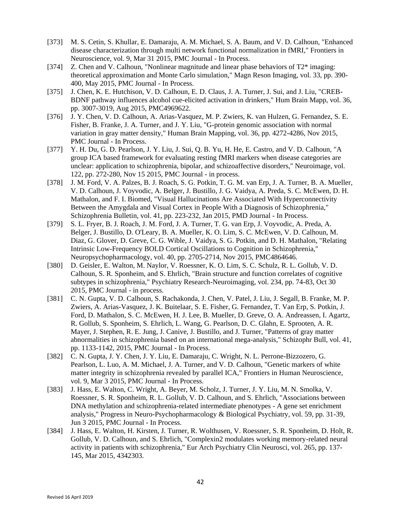- [373] M. S. Cetin, S. Khullar, E. Damaraju, A. M. Michael, S. A. Baum, and V. D. Calhoun, "Enhanced disease characterization through multi network functional normalization in fMRI," Frontiers in Neuroscience, vol. 9, Mar 31 2015, PMC Journal - In Process.
- [374] Z. Chen and V. Calhoun, "Nonlinear magnitude and linear phase behaviors of  $T2^*$  imaging: theoretical approximation and Monte Carlo simulation," Magn Reson Imaging, vol. 33, pp. 390- 400, May 2015, PMC Journal - In Process.
- [375] J. Chen, K. E. Hutchison, V. D. Calhoun, E. D. Claus, J. A. Turner, J. Sui, and J. Liu, "CREB-BDNF pathway influences alcohol cue-elicited activation in drinkers," Hum Brain Mapp, vol. 36, pp. 3007-3019, Aug 2015, PMC4969622.
- [376] J. Y. Chen, V. D. Calhoun, A. Arias-Vasquez, M. P. Zwiers, K. van Hulzen, G. Fernandez, S. E. Fisher, B. Franke, J. A. Turner, and J. Y. Liu, "G-protein genomic association with normal variation in gray matter density," Human Brain Mapping, vol. 36, pp. 4272-4286, Nov 2015, PMC Journal - In Process.
- [377] Y. H. Du, G. D. Pearlson, J. Y. Liu, J. Sui, Q. B. Yu, H. He, E. Castro, and V. D. Calhoun, "A group ICA based framework for evaluating resting fMRI markers when disease categories are unclear: application to schizophrenia, bipolar, and schizoaffective disorders," Neuroimage, vol. 122, pp. 272-280, Nov 15 2015, PMC Journal - in process.
- [378] J. M. Ford, V. A. Palzes, B. J. Roach, S. G. Potkin, T. G. M. van Erp, J. A. Turner, B. A. Mueller, V. D. Calhoun, J. Voyvodic, A. Belger, J. Bustillo, J. G. Vaidya, A. Preda, S. C. McEwen, D. H. Mathalon, and F. I. Biomed, "Visual Hallucinations Are Associated With Hyperconnectivity Between the Amygdala and Visual Cortex in People With a Diagnosis of Schizophrenia," Schizophrenia Bulletin, vol. 41, pp. 223-232, Jan 2015, PMD Journal - In Process.
- [379] S. L. Fryer, B. J. Roach, J. M. Ford, J. A. Turner, T. G. van Erp, J. Voyvodic, A. Preda, A. Belger, J. Bustillo, D. O'Leary, B. A. Mueller, K. O. Lim, S. C. McEwen, V. D. Calhoun, M. Diaz, G. Glover, D. Greve, C. G. Wible, J. Vaidya, S. G. Potkin, and D. H. Mathalon, "Relating Intrinsic Low-Frequency BOLD Cortical Oscillations to Cognition in Schizophrenia," Neuropsychopharmacology, vol. 40, pp. 2705-2714, Nov 2015, PMC4864646.
- [380] D. Geisler, E. Walton, M. Naylor, V. Roessner, K. O. Lim, S. C. Schulz, R. L. Gollub, V. D. Calhoun, S. R. Sponheim, and S. Ehrlich, "Brain structure and function correlates of cognitive subtypes in schizophrenia," Psychiatry Research-Neuroimaging, vol. 234, pp. 74-83, Oct 30 2015, PMC Journal - in process.
- [381] C. N. Gupta, V. D. Calhoun, S. Rachakonda, J. Chen, V. Patel, J. Liu, J. Segall, B. Franke, M. P. Zwiers, A. Arias-Vasquez, J. K. Buitelaar, S. E. Fisher, G. Fernandez, T. Van Erp, S. Potkin, J. Ford, D. Mathalon, S. C. McEwen, H. J. Lee, B. Mueller, D. Greve, O. A. Andreassen, I. Agartz, R. Gollub, S. Sponheim, S. Ehrlich, L. Wang, G. Pearlson, D. C. Glahn, E. Sprooten, A. R. Mayer, J. Stephen, R. E. Jung, J. Canive, J. Bustillo, and J. Turner, "Patterns of gray matter abnormalities in schizophrenia based on an international mega-analysis," Schizophr Bull, vol. 41, pp. 1133-1142, 2015, PMC Journal - In Process.
- [382] C. N. Gupta, J. Y. Chen, J. Y. Liu, E. Damaraju, C. Wright, N. L. Perrone-Bizzozero, G. Pearlson, L. Luo, A. M. Michael, J. A. Turner, and V. D. Calhoun, "Genetic markers of white matter integrity in schizophrenia revealed by parallel ICA," Frontiers in Human Neuroscience, vol. 9, Mar 3 2015, PMC Journal - In Process.
- [383] J. Hass, E. Walton, C. Wright, A. Beyer, M. Scholz, J. Turner, J. Y. Liu, M. N. Smolka, V. Roessner, S. R. Sponheim, R. L. Gollub, V. D. Calhoun, and S. Ehrlich, "Associations between DNA methylation and schizophrenia-related intermediate phenotypes - A gene set enrichment analysis," Progress in Neuro-Psychopharmacology & Biological Psychiatry, vol. 59, pp. 31-39, Jun 3 2015, PMC Journal - In Process.
- [384] J. Hass, E. Walton, H. Kirsten, J. Turner, R. Wolthusen, V. Roessner, S. R. Sponheim, D. Holt, R. Gollub, V. D. Calhoun, and S. Ehrlich, "Complexin2 modulates working memory-related neural activity in patients with schizophrenia," Eur Arch Psychiatry Clin Neurosci, vol. 265, pp. 137- 145, Mar 2015, 4342303.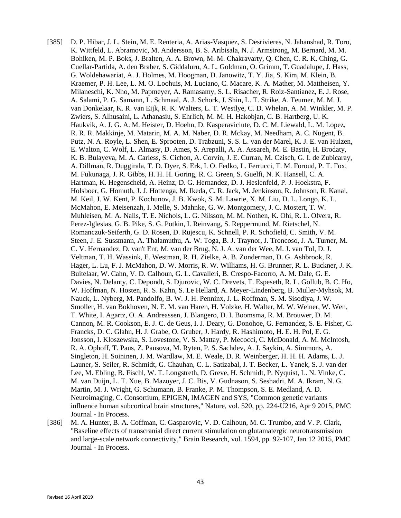- [385] D. P. Hibar, J. L. Stein, M. E. Renteria, A. Arias-Vasquez, S. Desrivieres, N. Jahanshad, R. Toro, K. Wittfeld, L. Abramovic, M. Andersson, B. S. Aribisala, N. J. Armstrong, M. Bernard, M. M. Bohlken, M. P. Boks, J. Bralten, A. A. Brown, M. M. Chakravarty, Q. Chen, C. R. K. Ching, G. Cuellar-Partida, A. den Braber, S. Giddaluru, A. L. Goldman, O. Grimm, T. Guadalupe, J. Hass, G. Woldehawariat, A. J. Holmes, M. Hoogman, D. Janowitz, T. Y. Jia, S. Kim, M. Klein, B. Kraemer, P. H. Lee, L. M. O. Loohuis, M. Luciano, C. Macare, K. A. Mather, M. Mattheisen, Y. Milaneschi, K. Nho, M. Papmeyer, A. Ramasamy, S. L. Risacher, R. Roiz-Santianez, E. J. Rose, A. Salami, P. G. Samann, L. Schmaal, A. J. Schork, J. Shin, L. T. Strike, A. Teumer, M. M. J. van Donkelaar, K. R. van Eijk, R. K. Walters, L. T. Westlye, C. D. Whelan, A. M. Winkler, M. P. Zwiers, S. Alhusaini, L. Athanasiu, S. Ehrlich, M. M. H. Hakobjan, C. B. Hartberg, U. K. Haukvik, A. J. G. A. M. Heister, D. Hoehn, D. Kasperaviciute, D. C. M. Liewald, L. M. Lopez, R. R. R. Makkinje, M. Matarin, M. A. M. Naber, D. R. Mckay, M. Needham, A. C. Nugent, B. Putz, N. A. Royle, L. Shen, E. Sprooten, D. Trabzuni, S. S. L. van der Marel, K. J. E. van Hulzen, E. Walton, C. Wolf, L. Almasy, D. Ames, S. Arepalli, A. A. Assareh, M. E. Bastin, H. Brodaty, K. B. Bulayeva, M. A. Carless, S. Cichon, A. Corvin, J. E. Curran, M. Czisch, G. I. de Zubicaray, A. Dillman, R. Duggirala, T. D. Dyer, S. Erk, I. O. Fedko, L. Ferrucci, T. M. Foroud, P. T. Fox, M. Fukunaga, J. R. Gibbs, H. H. H. Goring, R. C. Green, S. Guelfi, N. K. Hansell, C. A. Hartman, K. Hegenscheid, A. Heinz, D. G. Hernandez, D. J. Heslenfeld, P. J. Hoekstra, F. Holsboer, G. Homuth, J. J. Hottenga, M. Ikeda, C. R. Jack, M. Jenkinson, R. Johnson, R. Kanai, M. Keil, J. W. Kent, P. Kochunov, J. B. Kwok, S. M. Lawrie, X. M. Liu, D. L. Longo, K. L. McMahon, E. Meisenzah, I. Melle, S. Mahnke, G. W. Montgomery, J. C. Mostert, T. W. Muhleisen, M. A. Nalls, T. E. Nichols, L. G. Nilsson, M. M. Nothen, K. Ohi, R. L. Olvera, R. Perez-Iglesias, G. B. Pike, S. G. Potkin, I. Reinvang, S. Reppermund, M. Rietschel, N. Romanczuk-Seiferth, G. D. Rosen, D. Rujescu, K. Schnell, P. R. Schofield, C. Smith, V. M. Steen, J. E. Sussmann, A. Thalamuthu, A. W. Toga, B. J. Traynor, J. Troncoso, J. A. Turner, M. C. V. Hernandez, D. van't Ent, M. van der Brug, N. J. A. van der Wee, M. J. van Tol, D. J. Veltman, T. H. Wassink, E. Westman, R. H. Zielke, A. B. Zonderman, D. G. Ashbrook, R. Hager, L. Lu, F. J. McMahon, D. W. Morris, R. W. Williams, H. G. Brunner, R. L. Buckner, J. K. Buitelaar, W. Cahn, V. D. Calhoun, G. L. Cavalleri, B. Crespo-Facorro, A. M. Dale, G. E. Davies, N. Delanty, C. Depondt, S. Djurovic, W. C. Drevets, T. Espeseth, R. L. Gollub, B. C. Ho, W. Hoffman, N. Hosten, R. S. Kahn, S. Le Hellard, A. Meyer-Lindenberg, B. Muller-Myhsok, M. Nauck, L. Nyberg, M. Pandolfo, B. W. J. H. Penninx, J. L. Roffman, S. M. Sisodiya, J. W. Smoller, H. van Bokhoven, N. E. M. van Haren, H. Volzke, H. Walter, M. W. Weiner, W. Wen, T. White, I. Agartz, O. A. Andreassen, J. Blangero, D. I. Boomsma, R. M. Brouwer, D. M. Cannon, M. R. Cookson, E. J. C. de Geus, I. J. Deary, G. Donohoe, G. Fernandez, S. E. Fisher, C. Francks, D. C. Glahn, H. J. Grabe, O. Gruber, J. Hardy, R. Hashimoto, H. E. H. Pol, E. G. Jonsson, I. Kloszewska, S. Lovestone, V. S. Mattay, P. Mecocci, C. McDonald, A. M. McIntosh, R. A. Ophoff, T. Paus, Z. Pausova, M. Ryten, P. S. Sachdev, A. J. Saykin, A. Simmons, A. Singleton, H. Soininen, J. M. Wardlaw, M. E. Weale, D. R. Weinberger, H. H. H. Adams, L. J. Launer, S. Seiler, R. Schmidt, G. Chauhan, C. L. Satizabal, J. T. Becker, L. Yanek, S. J. van der Lee, M. Ebling, B. Fischl, W. T. Longstreth, D. Greve, H. Schmidt, P. Nyquist, L. N. Vinke, C. M. van Duijn, L. T. Xue, B. Mazoyer, J. C. Bis, V. Gudnason, S. Seshadri, M. A. Ikram, N. G. Martin, M. J. Wright, G. Schumann, B. Franke, P. M. Thompson, S. E. Medland, A. D. Neuroimaging, C. Consortium, EPIGEN, IMAGEN and SYS, "Common genetic variants influence human subcortical brain structures," Nature, vol. 520, pp. 224-U216, Apr 9 2015, PMC Journal - In Process.
- [386] M. A. Hunter, B. A. Coffman, C. Gasparovic, V. D. Calhoun, M. C. Trumbo, and V. P. Clark, "Baseline effects of transcranial direct current stimulation on glutamatergic neurotransmission and large-scale network connectivity," Brain Research, vol. 1594, pp. 92-107, Jan 12 2015, PMC Journal - In Process.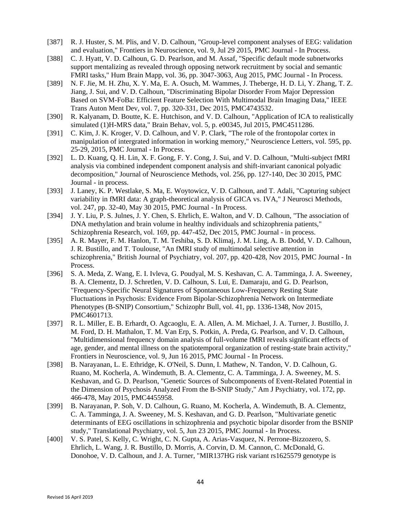- [387] R. J. Huster, S. M. Plis, and V. D. Calhoun, "Group-level component analyses of EEG: validation and evaluation," Frontiers in Neuroscience, vol. 9, Jul 29 2015, PMC Journal - In Process.
- [388] C. J. Hyatt, V. D. Calhoun, G. D. Pearlson, and M. Assaf, "Specific default mode subnetworks" support mentalizing as revealed through opposing network recruitment by social and semantic FMRI tasks," Hum Brain Mapp, vol. 36, pp. 3047-3063, Aug 2015, PMC Journal - In Process.
- [389] N. F. Jie, M. H. Zhu, X. Y. Ma, E. A. Osuch, M. Wammes, J. Theberge, H. D. Li, Y. Zhang, T. Z. Jiang, J. Sui, and V. D. Calhoun, "Discriminating Bipolar Disorder From Major Depression Based on SVM-FoBa: Efficient Feature Selection With Multimodal Brain Imaging Data," IEEE Trans Auton Ment Dev, vol. 7, pp. 320-331, Dec 2015, PMC4743532.
- [390] R. Kalyanam, D. Boutte, K. E. Hutchison, and V. D. Calhoun, "Application of ICA to realistically simulated (1)H-MRS data," Brain Behav, vol. 5, p. e00345, Jul 2015, PMC4511286.
- [391] C. Kim, J. K. Kroger, V. D. Calhoun, and V. P. Clark, "The role of the frontopolar cortex in manipulation of intergrated information in working memory," Neuroscience Letters, vol. 595, pp. 25-29, 2015, PMC Journal - In Process.
- [392] L. D. Kuang, Q. H. Lin, X. F. Gong, F. Y. Cong, J. Sui, and V. D. Calhoun, "Multi-subject fMRI analysis via combined independent component analysis and shift-invariant canonical polyadic decomposition," Journal of Neuroscience Methods, vol. 256, pp. 127-140, Dec 30 2015, PMC Journal - in process.
- [393] J. Laney, K. P. Westlake, S. Ma, E. Woytowicz, V. D. Calhoun, and T. Adali, "Capturing subject variability in fMRI data: A graph-theoretical analysis of GICA vs. IVA," J Neurosci Methods, vol. 247, pp. 32-40, May 30 2015, PMC Journal - In Process.
- [394] J. Y. Liu, P. S. Julnes, J. Y. Chen, S. Ehrlich, E. Walton, and V. D. Calhoun, "The association of DNA methylation and brain volume in healthy individuals and schizophrenia patients," Schizophrenia Research, vol. 169, pp. 447-452, Dec 2015, PMC Journal - in process.
- [395] A. R. Mayer, F. M. Hanlon, T. M. Teshiba, S. D. Klimaj, J. M. Ling, A. B. Dodd, V. D. Calhoun, J. R. Bustillo, and T. Toulouse, "An fMRI study of multimodal selective attention in schizophrenia," British Journal of Psychiatry, vol. 207, pp. 420-428, Nov 2015, PMC Journal - In Process.
- [396] S. A. Meda, Z. Wang, E. I. Ivleva, G. Poudyal, M. S. Keshavan, C. A. Tamminga, J. A. Sweeney, B. A. Clementz, D. J. Schretlen, V. D. Calhoun, S. Lui, E. Damaraju, and G. D. Pearlson, "Frequency-Specific Neural Signatures of Spontaneous Low-Frequency Resting State Fluctuations in Psychosis: Evidence From Bipolar-Schizophrenia Network on Intermediate Phenotypes (B-SNIP) Consortium," Schizophr Bull, vol. 41, pp. 1336-1348, Nov 2015, PMC4601713.
- [397] R. L. Miller, E. B. Erhardt, O. Agcaoglu, E. A. Allen, A. M. Michael, J. A. Turner, J. Bustillo, J. M. Ford, D. H. Mathalon, T. M. Van Erp, S. Potkin, A. Preda, G. Pearlson, and V. D. Calhoun, "Multidimensional frequency domain analysis of full-volume fMRI reveals significant effects of age, gender, and mental illness on the spatiotemporal organization of resting-state brain activity," Frontiers in Neuroscience, vol. 9, Jun 16 2015, PMC Journal - In Process.
- [398] B. Narayanan, L. E. Ethridge, K. O'Neil, S. Dunn, I. Mathew, N. Tandon, V. D. Calhoun, G. Ruano, M. Kocherla, A. Windemuth, B. A. Clementz, C. A. Tamminga, J. A. Sweeney, M. S. Keshavan, and G. D. Pearlson, "Genetic Sources of Subcomponents of Event-Related Potential in the Dimension of Psychosis Analyzed From the B-SNIP Study," Am J Psychiatry, vol. 172, pp. 466-478, May 2015, PMC4455958.
- [399] B. Narayanan, P. Soh, V. D. Calhoun, G. Ruano, M. Kocherla, A. Windemuth, B. A. Clementz, C. A. Tamminga, J. A. Sweeney, M. S. Keshavan, and G. D. Pearlson, "Multivariate genetic determinants of EEG oscillations in schizophrenia and psychotic bipolar disorder from the BSNIP study," Translational Psychiatry, vol. 5, Jun 23 2015, PMC Journal - In Process.
- [400] V. S. Patel, S. Kelly, C. Wright, C. N. Gupta, A. Arias-Vasquez, N. Perrone-Bizzozero, S. Ehrlich, L. Wang, J. R. Bustillo, D. Morris, A. Corvin, D. M. Cannon, C. McDonald, G. Donohoe, V. D. Calhoun, and J. A. Turner, "MIR137HG risk variant rs1625579 genotype is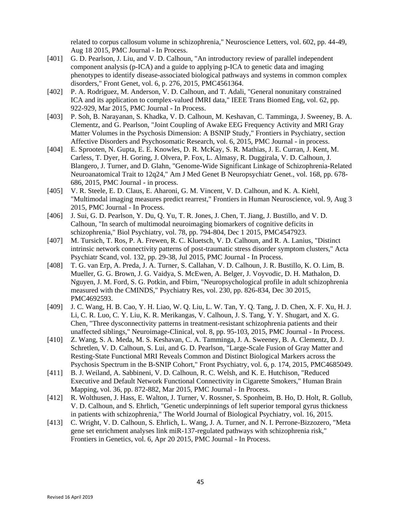related to corpus callosum volume in schizophrenia," Neuroscience Letters, vol. 602, pp. 44-49, Aug 18 2015, PMC Journal - In Process.

- [401] G. D. Pearlson, J. Liu, and V. D. Calhoun, "An introductory review of parallel independent component analysis (p-ICA) and a guide to applying p-ICA to genetic data and imaging phenotypes to identify disease-associated biological pathways and systems in common complex disorders," Front Genet, vol. 6, p. 276, 2015, PMC4561364.
- [402] P. A. Rodriguez, M. Anderson, V. D. Calhoun, and T. Adali, "General nonunitary constrained ICA and its application to complex-valued fMRI data," IEEE Trans Biomed Eng, vol. 62, pp. 922-929, Mar 2015, PMC Journal - In Process.
- [403] P. Soh, B. Narayanan, S. Khadka, V. D. Calhoun, M. Keshavan, C. Tamminga, J. Sweeney, B. A. Clementz, and G. Pearlson, "Joint Coupling of Awake EEG Frequency Activity and MRI Gray Matter Volumes in the Psychosis Dimension: A BSNIP Study," Frontiers in Psychiatry, section Affective Disorders and Psychosomatic Research, vol. 6, 2015, PMC Journal - in process.
- [404] E. Sprooten, N. Gupta, E. E. Knowles, D. R. McKay, S. R. Mathias, J. E. Curran, J. Kent, M. Carless, T. Dyer, H. Goring, J. Olvera, P. Fox, L. Almasy, R. Duggirala, V. D. Calhoun, J. Blangero, J. Turner, and D. Glahn, "Genome-Wide Significant Linkage of Schizophrenia-Related Neuroanatomical Trait to 12q24," Am J Med Genet B Neuropsychiatr Genet., vol. 168, pp. 678- 686, 2015, PMC Journal - in process.
- [405] V. R. Steele, E. D. Claus, E. Aharoni, G. M. Vincent, V. D. Calhoun, and K. A. Kiehl, "Multimodal imaging measures predict rearrest," Frontiers in Human Neuroscience, vol. 9, Aug 3 2015, PMC Journal - In Process.
- [406] J. Sui, G. D. Pearlson, Y. Du, Q. Yu, T. R. Jones, J. Chen, T. Jiang, J. Bustillo, and V. D. Calhoun, "In search of multimodal neuroimaging biomarkers of cognitive deficits in schizophrenia," Biol Psychiatry, vol. 78, pp. 794-804, Dec 1 2015, PMC4547923.
- [407] M. Tursich, T. Ros, P. A. Frewen, R. C. Kluetsch, V. D. Calhoun, and R. A. Lanius, "Distinct intrinsic network connectivity patterns of post-traumatic stress disorder symptom clusters," Acta Psychiatr Scand, vol. 132, pp. 29-38, Jul 2015, PMC Journal - In Process.
- [408] T. G. van Erp, A. Preda, J. A. Turner, S. Callahan, V. D. Calhoun, J. R. Bustillo, K. O. Lim, B. Mueller, G. G. Brown, J. G. Vaidya, S. McEwen, A. Belger, J. Voyvodic, D. H. Mathalon, D. Nguyen, J. M. Ford, S. G. Potkin, and Fbirn, "Neuropsychological profile in adult schizophrenia measured with the CMINDS," Psychiatry Res, vol. 230, pp. 826-834, Dec 30 2015, PMC4692593.
- [409] J. C. Wang, H. B. Cao, Y. H. Liao, W. Q. Liu, L. W. Tan, Y. Q. Tang, J. D. Chen, X. F. Xu, H. J. Li, C. R. Luo, C. Y. Liu, K. R. Merikangas, V. Calhoun, J. S. Tang, Y. Y. Shugart, and X. G. Chen, "Three dysconnectivity patterns in treatment-resistant schizophrenia patients and their unaffected siblings," Neuroimage-Clinical, vol. 8, pp. 95-103, 2015, PMC Journal - In Process.
- [410] Z. Wang, S. A. Meda, M. S. Keshavan, C. A. Tamminga, J. A. Sweeney, B. A. Clementz, D. J. Schretlen, V. D. Calhoun, S. Lui, and G. D. Pearlson, "Large-Scale Fusion of Gray Matter and Resting-State Functional MRI Reveals Common and Distinct Biological Markers across the Psychosis Spectrum in the B-SNIP Cohort," Front Psychiatry, vol. 6, p. 174, 2015, PMC4685049.
- [411] B. J. Weiland, A. Sabbineni, V. D. Calhoun, R. C. Welsh, and K. E. Hutchison, "Reduced Executive and Default Network Functional Connectivity in Cigarette Smokers," Human Brain Mapping, vol. 36, pp. 872-882, Mar 2015, PMC Journal - In Process.
- [412] R. Wolthusen, J. Hass, E. Walton, J. Turner, V. Rossner, S. Sponheim, B. Ho, D. Holt, R. Gollub, V. D. Calhoun, and S. Ehrlich, "Genetic underpinnings of left superior temporal gyrus thickness in patients with schizophrenia," The World Journal of Biological Psychiatry, vol. 16, 2015.
- [413] C. Wright, V. D. Calhoun, S. Ehrlich, L. Wang, J. A. Turner, and N. I. Perrone-Bizzozero, "Meta gene set enrichment analyses link miR-137-regulated pathways with schizophrenia risk," Frontiers in Genetics, vol. 6, Apr 20 2015, PMC Journal - In Process.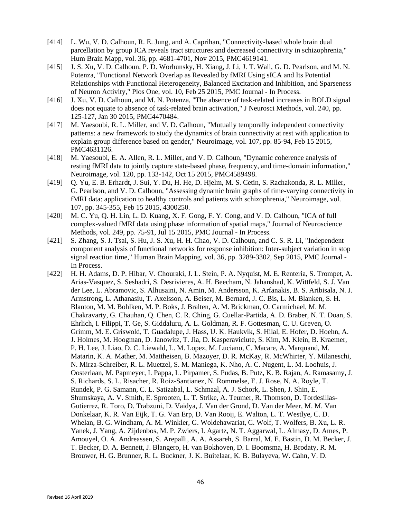- [414] L. Wu, V. D. Calhoun, R. E. Jung, and A. Caprihan, "Connectivity-based whole brain dual parcellation by group ICA reveals tract structures and decreased connectivity in schizophrenia," Hum Brain Mapp, vol. 36, pp. 4681-4701, Nov 2015, PMC4619141.
- [415] J. S. Xu, V. D. Calhoun, P. D. Worhunsky, H. Xiang, J. Li, J. T. Wall, G. D. Pearlson, and M. N. Potenza, "Functional Network Overlap as Revealed by fMRI Using sICA and Its Potential Relationships with Functional Heterogeneity, Balanced Excitation and Inhibition, and Sparseness of Neuron Activity," Plos One, vol. 10, Feb 25 2015, PMC Journal - In Process.
- [416] J. Xu, V. D. Calhoun, and M. N. Potenza, "The absence of task-related increases in BOLD signal does not equate to absence of task-related brain activation," J Neurosci Methods, vol. 240, pp. 125-127, Jan 30 2015, PMC4470484.
- [417] M. Yaesoubi, R. L. Miller, and V. D. Calhoun, "Mutually temporally independent connectivity patterns: a new framework to study the dynamics of brain connectivity at rest with application to explain group difference based on gender," Neuroimage, vol. 107, pp. 85-94, Feb 15 2015, PMC4631126.
- [418] M. Yaesoubi, E. A. Allen, R. L. Miller, and V. D. Calhoun, "Dynamic coherence analysis of resting fMRI data to jointly capture state-based phase, frequency, and time-domain information," Neuroimage, vol. 120, pp. 133-142, Oct 15 2015, PMC4589498.
- [419] Q. Yu, E. B. Erhardt, J. Sui, Y. Du, H. He, D. Hjelm, M. S. Cetin, S. Rachakonda, R. L. Miller, G. Pearlson, and V. D. Calhoun, "Assessing dynamic brain graphs of time-varying connectivity in fMRI data: application to healthy controls and patients with schizophrenia," Neuroimage, vol. 107, pp. 345-355, Feb 15 2015, 4300250.
- [420] M. C. Yu, Q. H. Lin, L. D. Kuang, X. F. Gong, F. Y. Cong, and V. D. Calhoun, "ICA of full complex-valued fMRI data using phase information of spatial maps," Journal of Neuroscience Methods, vol. 249, pp. 75-91, Jul 15 2015, PMC Journal - In Process.
- [421] S. Zhang, S. J. Tsai, S. Hu, J. S. Xu, H. H. Chao, V. D. Calhoun, and C. S. R. Li, "Independent component analysis of functional networks for response inhibition: Inter-subject variation in stop signal reaction time," Human Brain Mapping, vol. 36, pp. 3289-3302, Sep 2015, PMC Journal - In Process.
- [422] H. H. Adams, D. P. Hibar, V. Chouraki, J. L. Stein, P. A. Nyquist, M. E. Renteria, S. Trompet, A. Arias-Vasquez, S. Seshadri, S. Desrivieres, A. H. Beecham, N. Jahanshad, K. Wittfeld, S. J. Van der Lee, L. Abramovic, S. Alhusaini, N. Amin, M. Andersson, K. Arfanakis, B. S. Aribisala, N. J. Armstrong, L. Athanasiu, T. Axelsson, A. Beiser, M. Bernard, J. C. Bis, L. M. Blanken, S. H. Blanton, M. M. Bohlken, M. P. Boks, J. Bralten, A. M. Brickman, O. Carmichael, M. M. Chakravarty, G. Chauhan, Q. Chen, C. R. Ching, G. Cuellar-Partida, A. D. Braber, N. T. Doan, S. Ehrlich, I. Filippi, T. Ge, S. Giddaluru, A. L. Goldman, R. F. Gottesman, C. U. Greven, O. Grimm, M. E. Griswold, T. Guadalupe, J. Hass, U. K. Haukvik, S. Hilal, E. Hofer, D. Hoehn, A. J. Holmes, M. Hoogman, D. Janowitz, T. Jia, D. Kasperaviciute, S. Kim, M. Klein, B. Kraemer, P. H. Lee, J. Liao, D. C. Liewald, L. M. Lopez, M. Luciano, C. Macare, A. Marquand, M. Matarin, K. A. Mather, M. Mattheisen, B. Mazoyer, D. R. McKay, R. McWhirter, Y. Milaneschi, N. Mirza-Schreiber, R. L. Muetzel, S. M. Maniega, K. Nho, A. C. Nugent, L. M. Loohuis, J. Oosterlaan, M. Papmeyer, I. Pappa, L. Pirpamer, S. Pudas, B. Putz, K. B. Rajan, A. Ramasamy, J. S. Richards, S. L. Risacher, R. Roiz-Santianez, N. Rommelse, E. J. Rose, N. A. Royle, T. Rundek, P. G. Samann, C. L. Satizabal, L. Schmaal, A. J. Schork, L. Shen, J. Shin, E. Shumskaya, A. V. Smith, E. Sprooten, L. T. Strike, A. Teumer, R. Thomson, D. Tordesillas-Gutierrez, R. Toro, D. Trabzuni, D. Vaidya, J. Van der Grond, D. Van der Meer, M. M. Van Donkelaar, K. R. Van Eijk, T. G. Van Erp, D. Van Rooij, E. Walton, L. T. Westlye, C. D. Whelan, B. G. Windham, A. M. Winkler, G. Woldehawariat, C. Wolf, T. Wolfers, B. Xu, L. R. Yanek, J. Yang, A. Zijdenbos, M. P. Zwiers, I. Agartz, N. T. Aggarwal, L. Almasy, D. Ames, P. Amouyel, O. A. Andreassen, S. Arepalli, A. A. Assareh, S. Barral, M. E. Bastin, D. M. Becker, J. T. Becker, D. A. Bennett, J. Blangero, H. van Bokhoven, D. I. Boomsma, H. Brodaty, R. M. Brouwer, H. G. Brunner, R. L. Buckner, J. K. Buitelaar, K. B. Bulayeva, W. Cahn, V. D.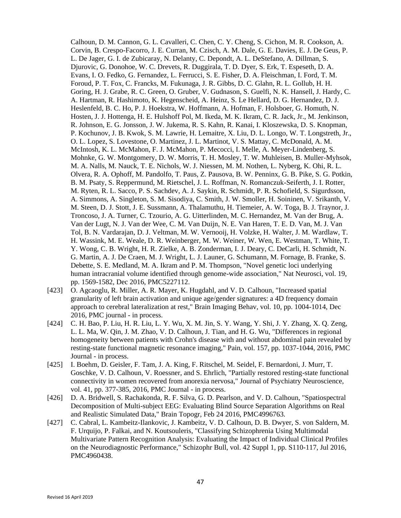Calhoun, D. M. Cannon, G. L. Cavalleri, C. Chen, C. Y. Cheng, S. Cichon, M. R. Cookson, A. Corvin, B. Crespo-Facorro, J. E. Curran, M. Czisch, A. M. Dale, G. E. Davies, E. J. De Geus, P. L. De Jager, G. I. de Zubicaray, N. Delanty, C. Depondt, A. L. DeStefano, A. Dillman, S. Djurovic, G. Donohoe, W. C. Drevets, R. Duggirala, T. D. Dyer, S. Erk, T. Espeseth, D. A. Evans, I. O. Fedko, G. Fernandez, L. Ferrucci, S. E. Fisher, D. A. Fleischman, I. Ford, T. M. Foroud, P. T. Fox, C. Francks, M. Fukunaga, J. R. Gibbs, D. C. Glahn, R. L. Gollub, H. H. Goring, H. J. Grabe, R. C. Green, O. Gruber, V. Gudnason, S. Guelfi, N. K. Hansell, J. Hardy, C. A. Hartman, R. Hashimoto, K. Hegenscheid, A. Heinz, S. Le Hellard, D. G. Hernandez, D. J. Heslenfeld, B. C. Ho, P. J. Hoekstra, W. Hoffmann, A. Hofman, F. Holsboer, G. Homuth, N. Hosten, J. J. Hottenga, H. E. Hulshoff Pol, M. Ikeda, M. K. Ikram, C. R. Jack, Jr., M. Jenkinson, R. Johnson, E. G. Jonsson, J. W. Jukema, R. S. Kahn, R. Kanai, I. Kloszewska, D. S. Knopman, P. Kochunov, J. B. Kwok, S. M. Lawrie, H. Lemaitre, X. Liu, D. L. Longo, W. T. Longstreth, Jr., O. L. Lopez, S. Lovestone, O. Martinez, J. L. Martinot, V. S. Mattay, C. McDonald, A. M. McIntosh, K. L. McMahon, F. J. McMahon, P. Mecocci, I. Melle, A. Meyer-Lindenberg, S. Mohnke, G. W. Montgomery, D. W. Morris, T. H. Mosley, T. W. Muhleisen, B. Muller-Myhsok, M. A. Nalls, M. Nauck, T. E. Nichols, W. J. Niessen, M. M. Nothen, L. Nyberg, K. Ohi, R. L. Olvera, R. A. Ophoff, M. Pandolfo, T. Paus, Z. Pausova, B. W. Penninx, G. B. Pike, S. G. Potkin, B. M. Psaty, S. Reppermund, M. Rietschel, J. L. Roffman, N. Romanczuk-Seiferth, J. I. Rotter, M. Ryten, R. L. Sacco, P. S. Sachdev, A. J. Saykin, R. Schmidt, P. R. Schofield, S. Sigurdsson, A. Simmons, A. Singleton, S. M. Sisodiya, C. Smith, J. W. Smoller, H. Soininen, V. Srikanth, V. M. Steen, D. J. Stott, J. E. Sussmann, A. Thalamuthu, H. Tiemeier, A. W. Toga, B. J. Traynor, J. Troncoso, J. A. Turner, C. Tzourio, A. G. Uitterlinden, M. C. Hernandez, M. Van der Brug, A. Van der Lugt, N. J. Van der Wee, C. M. Van Duijn, N. E. Van Haren, T. E. D. Van, M. J. Van Tol, B. N. Vardarajan, D. J. Veltman, M. W. Vernooij, H. Volzke, H. Walter, J. M. Wardlaw, T. H. Wassink, M. E. Weale, D. R. Weinberger, M. W. Weiner, W. Wen, E. Westman, T. White, T. Y. Wong, C. B. Wright, H. R. Zielke, A. B. Zonderman, I. J. Deary, C. DeCarli, H. Schmidt, N. G. Martin, A. J. De Craen, M. J. Wright, L. J. Launer, G. Schumann, M. Fornage, B. Franke, S. Debette, S. E. Medland, M. A. Ikram and P. M. Thompson, "Novel genetic loci underlying human intracranial volume identified through genome-wide association," Nat Neurosci, vol. 19, pp. 1569-1582, Dec 2016, PMC5227112.

- [423] O. Agcaoglu, R. Miller, A. R. Mayer, K. Hugdahl, and V. D. Calhoun, "Increased spatial granularity of left brain activation and unique age/gender signatures: a 4D frequency domain approach to cerebral lateralization at rest," Brain Imaging Behav, vol. 10, pp. 1004-1014, Dec 2016, PMC journal - in process.
- [424] C. H. Bao, P. Liu, H. R. Liu, L. Y. Wu, X. M. Jin, S. Y. Wang, Y. Shi, J. Y. Zhang, X. Q. Zeng, L. L. Ma, W. Qin, J. M. Zhao, V. D. Calhoun, J. Tian, and H. G. Wu, "Differences in regional homogeneity between patients with Crohn's disease with and without abdominal pain revealed by resting-state functional magnetic resonance imaging," Pain, vol. 157, pp. 1037-1044, 2016, PMC Journal - in process.
- [425] I. Boehm, D. Geisler, F. Tam, J. A. King, F. Ritschel, M. Seidel, F. Bernardoni, J. Murr, T. Goschke, V. D. Calhoun, V. Roessner, and S. Ehrlich, "Partially restored resting-state functional connectivity in women recovered from anorexia nervosa," Journal of Psychiatry Neuroscience, vol. 41, pp. 377-385, 2016, PMC Journal - in process.
- [426] D. A. Bridwell, S. Rachakonda, R. F. Silva, G. D. Pearlson, and V. D. Calhoun, "Spatiospectral Decomposition of Multi-subject EEG: Evaluating Blind Source Separation Algorithms on Real and Realistic Simulated Data," Brain Topogr, Feb 24 2016, PMC4996763.
- [427] C. Cabral, L. Kambeitz-Ilankovic, J. Kambeitz, V. D. Calhoun, D. B. Dwyer, S. von Saldern, M. F. Urquijo, P. Falkai, and N. Koutsouleris, "Classifying Schizophrenia Using Multimodal Multivariate Pattern Recognition Analysis: Evaluating the Impact of Individual Clinical Profiles on the Neurodiagnostic Performance," Schizophr Bull, vol. 42 Suppl 1, pp. S110-117, Jul 2016, PMC4960438.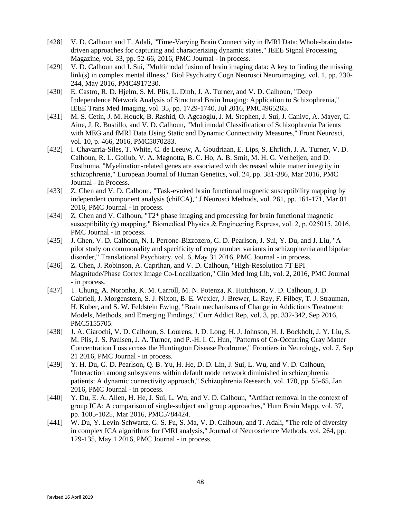- [428] V. D. Calhoun and T. Adali, "Time-Varying Brain Connectivity in fMRI Data: Whole-brain datadriven approaches for capturing and characterizing dynamic states," IEEE Signal Processing Magazine, vol. 33, pp. 52-66, 2016, PMC Journal - in process.
- [429] V. D. Calhoun and J. Sui, "Multimodal fusion of brain imaging data: A key to finding the missing link(s) in complex mental illness," Biol Psychiatry Cogn Neurosci Neuroimaging, vol. 1, pp. 230- 244, May 2016, PMC4917230.
- [430] E. Castro, R. D. Hjelm, S. M. Plis, L. Dinh, J. A. Turner, and V. D. Calhoun, "Deep Independence Network Analysis of Structural Brain Imaging: Application to Schizophrenia," IEEE Trans Med Imaging, vol. 35, pp. 1729-1740, Jul 2016, PMC4965265.
- [431] M. S. Cetin, J. M. Houck, B. Rashid, O. Agcaoglu, J. M. Stephen, J. Sui, J. Canive, A. Mayer, C. Aine, J. R. Bustillo, and V. D. Calhoun, "Multimodal Classification of Schizophrenia Patients with MEG and fMRI Data Using Static and Dynamic Connectivity Measures," Front Neurosci, vol. 10, p. 466, 2016, PMC5070283.
- [432] I. Chavarria-Siles, T. White, C. de Leeuw, A. Goudriaan, E. Lips, S. Ehrlich, J. A. Turner, V. D. Calhoun, R. L. Gollub, V. A. Magnotta, B. C. Ho, A. B. Smit, M. H. G. Verheijen, and D. Posthuma, "Myelination-related genes are associated with decreased white matter integrity in schizophrenia," European Journal of Human Genetics, vol. 24, pp. 381-386, Mar 2016, PMC Journal - In Process.
- [433] Z. Chen and V. D. Calhoun, "Task-evoked brain functional magnetic susceptibility mapping by independent component analysis (chiICA)," J Neurosci Methods, vol. 261, pp. 161-171, Mar 01 2016, PMC Journal - in process.
- [434] Z. Chen and V. Calhoun, "T2\* phase imaging and processing for brain functional magnetic susceptibility ( $\chi$ ) mapping," Biomedical Physics & Engineering Express, vol. 2, p. 025015, 2016, PMC Journal - in process.
- [435] J. Chen, V. D. Calhoun, N. I. Perrone-Bizzozero, G. D. Pearlson, J. Sui, Y. Du, and J. Liu, "A pilot study on commonality and specificity of copy number variants in schizophrenia and bipolar disorder," Translational Psychiatry, vol. 6, May 31 2016, PMC Journal - in process.
- [436] Z. Chen, J. Robinson, A. Caprihan, and V. D. Calhoun, "High-Resolution 7T EPI Magnitude/Phase Cortex Image Co-Localization," Clin Med Img Lib, vol. 2, 2016, PMC Journal - in process.
- [437] T. Chung, A. Noronha, K. M. Carroll, M. N. Potenza, K. Hutchison, V. D. Calhoun, J. D. Gabrieli, J. Morgenstern, S. J. Nixon, B. E. Wexler, J. Brewer, L. Ray, F. Filbey, T. J. Strauman, H. Kober, and S. W. Feldstein Ewing, "Brain mechanisms of Change in Addictions Treatment: Models, Methods, and Emerging Findings," Curr Addict Rep, vol. 3, pp. 332-342, Sep 2016, PMC5155705.
- [438] J. A. Ciarochi, V. D. Calhoun, S. Lourens, J. D. Long, H. J. Johnson, H. J. Bockholt, J. Y. Liu, S. M. Plis, J. S. Paulsen, J. A. Turner, and P.-H. I. C. Hun, "Patterns of Co-Occurring Gray Matter Concentration Loss across the Huntington Disease Prodrome," Frontiers in Neurology, vol. 7, Sep 21 2016, PMC Journal - in process.
- [439] Y. H. Du, G. D. Pearlson, Q. B. Yu, H. He, D. D. Lin, J. Sui, L. Wu, and V. D. Calhoun, "Interaction among subsystems within default mode network diminished in schizophrenia patients: A dynamic connectivity approach," Schizophrenia Research, vol. 170, pp. 55-65, Jan 2016, PMC Journal - in process.
- [440] Y. Du, E. A. Allen, H. He, J. Sui, L. Wu, and V. D. Calhoun, "Artifact removal in the context of group ICA: A comparison of single-subject and group approaches," Hum Brain Mapp, vol. 37, pp. 1005-1025, Mar 2016, PMC5784424.
- [441] W. Du, Y. Levin-Schwartz, G. S. Fu, S. Ma, V. D. Calhoun, and T. Adali, "The role of diversity in complex ICA algorithms for fMRI analysis," Journal of Neuroscience Methods, vol. 264, pp. 129-135, May 1 2016, PMC Journal - in process.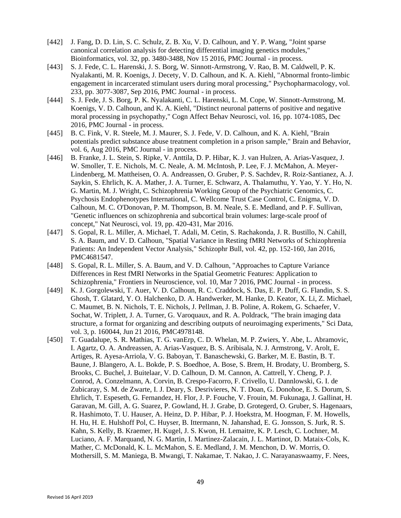- [442] J. Fang, D. D. Lin, S. C. Schulz, Z. B. Xu, V. D. Calhoun, and Y. P. Wang, "Joint sparse canonical correlation analysis for detecting differential imaging genetics modules," Bioinformatics, vol. 32, pp. 3480-3488, Nov 15 2016, PMC Journal - in process.
- [443] S. J. Fede, C. L. Harenski, J. S. Borg, W. Sinnott-Armstrong, V. Rao, B. M. Caldwell, P. K. Nyalakanti, M. R. Koenigs, J. Decety, V. D. Calhoun, and K. A. Kiehl, "Abnormal fronto-limbic engagement in incarcerated stimulant users during moral processing," Psychopharmacology, vol. 233, pp. 3077-3087, Sep 2016, PMC Journal - in process.
- [444] S. J. Fede, J. S. Borg, P. K. Nyalakanti, C. L. Harenski, L. M. Cope, W. Sinnott-Armstrong, M. Koenigs, V. D. Calhoun, and K. A. Kiehl, "Distinct neuronal patterns of positive and negative moral processing in psychopathy," Cogn Affect Behav Neurosci, vol. 16, pp. 1074-1085, Dec 2016, PMC Journal - in process.
- [445] B. C. Fink, V. R. Steele, M. J. Maurer, S. J. Fede, V. D. Calhoun, and K. A. Kiehl, "Brain potentials predict substance abuse treatment completion in a prison sample," Brain and Behavior, vol. 6, Aug 2016, PMC Journal - in process.
- [446] B. Franke, J. L. Stein, S. Ripke, V. Anttila, D. P. Hibar, K. J. van Hulzen, A. Arias-Vasquez, J. W. Smoller, T. E. Nichols, M. C. Neale, A. M. McIntosh, P. Lee, F. J. McMahon, A. Meyer-Lindenberg, M. Mattheisen, O. A. Andreassen, O. Gruber, P. S. Sachdev, R. Roiz-Santianez, A. J. Saykin, S. Ehrlich, K. A. Mather, J. A. Turner, E. Schwarz, A. Thalamuthu, Y. Yao, Y. Y. Ho, N. G. Martin, M. J. Wright, C. Schizophrenia Working Group of the Psychiatric Genomics, C. Psychosis Endophenotypes International, C. Wellcome Trust Case Control, C. Enigma, V. D. Calhoun, M. C. O'Donovan, P. M. Thompson, B. M. Neale, S. E. Medland, and P. F. Sullivan, "Genetic influences on schizophrenia and subcortical brain volumes: large-scale proof of concept," Nat Neurosci, vol. 19, pp. 420-431, Mar 2016.
- [447] S. Gopal, R. L. Miller, A. Michael, T. Adali, M. Cetin, S. Rachakonda, J. R. Bustillo, N. Cahill, S. A. Baum, and V. D. Calhoun, "Spatial Variance in Resting fMRI Networks of Schizophrenia Patients: An Independent Vector Analysis," Schizophr Bull, vol. 42, pp. 152-160, Jan 2016, PMC4681547.
- [448] S. Gopal, R. L. Miller, S. A. Baum, and V. D. Calhoun, "Approaches to Capture Variance Differences in Rest fMRI Networks in the Spatial Geometric Features: Application to Schizophrenia," Frontiers in Neuroscience, vol. 10, Mar 7 2016, PMC Journal - in process.
- [449] K. J. Gorgolewski, T. Auer, V. D. Calhoun, R. C. Craddock, S. Das, E. P. Duff, G. Flandin, S. S. Ghosh, T. Glatard, Y. O. Halchenko, D. A. Handwerker, M. Hanke, D. Keator, X. Li, Z. Michael, C. Maumet, B. N. Nichols, T. E. Nichols, J. Pellman, J. B. Poline, A. Rokem, G. Schaefer, V. Sochat, W. Triplett, J. A. Turner, G. Varoquaux, and R. A. Poldrack, "The brain imaging data structure, a format for organizing and describing outputs of neuroimaging experiments," Sci Data, vol. 3, p. 160044, Jun 21 2016, PMC4978148.
- [450] T. Guadalupe, S. R. Mathias, T. G. vanErp, C. D. Whelan, M. P. Zwiers, Y. Abe, L. Abramovic, I. Agartz, O. A. Andreassen, A. Arias-Vasquez, B. S. Aribisala, N. J. Armstrong, V. Arolt, E. Artiges, R. Ayesa-Arriola, V. G. Baboyan, T. Banaschewski, G. Barker, M. E. Bastin, B. T. Baune, J. Blangero, A. L. Bokde, P. S. Boedhoe, A. Bose, S. Brem, H. Brodaty, U. Bromberg, S. Brooks, C. Buchel, J. Buitelaar, V. D. Calhoun, D. M. Cannon, A. Cattrell, Y. Cheng, P. J. Conrod, A. Conzelmann, A. Corvin, B. Crespo-Facorro, F. Crivello, U. Dannlowski, G. I. de Zubicaray, S. M. de Zwarte, I. J. Deary, S. Desrivieres, N. T. Doan, G. Donohoe, E. S. Dorum, S. Ehrlich, T. Espeseth, G. Fernandez, H. Flor, J. P. Fouche, V. Frouin, M. Fukunaga, J. Gallinat, H. Garavan, M. Gill, A. G. Suarez, P. Gowland, H. J. Grabe, D. Grotegerd, O. Gruber, S. Hagenaars, R. Hashimoto, T. U. Hauser, A. Heinz, D. P. Hibar, P. J. Hoekstra, M. Hoogman, F. M. Howells, H. Hu, H. E. Hulshoff Pol, C. Huyser, B. Ittermann, N. Jahanshad, E. G. Jonsson, S. Jurk, R. S. Kahn, S. Kelly, B. Kraemer, H. Kugel, J. S. Kwon, H. Lemaitre, K. P. Lesch, C. Lochner, M. Luciano, A. F. Marquand, N. G. Martin, I. Martinez-Zalacain, J. L. Martinot, D. Mataix-Cols, K. Mather, C. McDonald, K. L. McMahon, S. E. Medland, J. M. Menchon, D. W. Morris, O. Mothersill, S. M. Maniega, B. Mwangi, T. Nakamae, T. Nakao, J. C. Narayanaswaamy, F. Nees,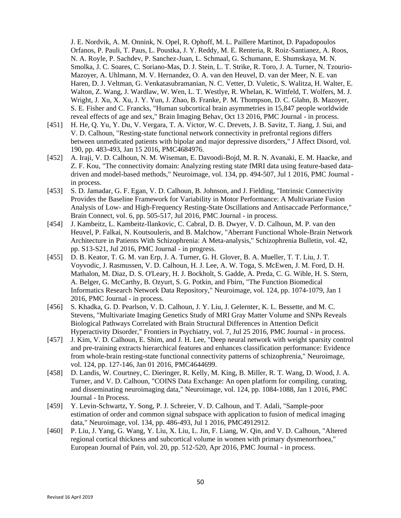J. E. Nordvik, A. M. Onnink, N. Opel, R. Ophoff, M. L. Paillere Martinot, D. Papadopoulos Orfanos, P. Pauli, T. Paus, L. Poustka, J. Y. Reddy, M. E. Renteria, R. Roiz-Santianez, A. Roos, N. A. Royle, P. Sachdev, P. Sanchez-Juan, L. Schmaal, G. Schumann, E. Shumskaya, M. N. Smolka, J. C. Soares, C. Soriano-Mas, D. J. Stein, L. T. Strike, R. Toro, J. A. Turner, N. Tzourio-Mazoyer, A. Uhlmann, M. V. Hernandez, O. A. van den Heuvel, D. van der Meer, N. E. van Haren, D. J. Veltman, G. Venkatasubramanian, N. C. Vetter, D. Vuletic, S. Walitza, H. Walter, E. Walton, Z. Wang, J. Wardlaw, W. Wen, L. T. Westlye, R. Whelan, K. Wittfeld, T. Wolfers, M. J. Wright, J. Xu, X. Xu, J. Y. Yun, J. Zhao, B. Franke, P. M. Thompson, D. C. Glahn, B. Mazoyer, S. E. Fisher and C. Francks, "Human subcortical brain asymmetries in 15,847 people worldwide reveal effects of age and sex," Brain Imaging Behav, Oct 13 2016, PMC Journal - in process.

- [451] H. He, Q. Yu, Y. Du, V. Vergara, T. A. Victor, W. C. Drevets, J. B. Savitz, T. Jiang, J. Sui, and V. D. Calhoun, "Resting-state functional network connectivity in prefrontal regions differs between unmedicated patients with bipolar and major depressive disorders," J Affect Disord, vol. 190, pp. 483-493, Jan 15 2016, PMC4684976.
- [452] A. Iraji, V. D. Calhoun, N. M. Wiseman, E. Davoodi-Bojd, M. R. N. Avanaki, E. M. Haacke, and Z. F. Kou, "The connectivity domain: Analyzing resting state fMRI data using feature-based datadriven and model-based methods," Neuroimage, vol. 134, pp. 494-507, Jul 1 2016, PMC Journal in process.
- [453] S. D. Jamadar, G. F. Egan, V. D. Calhoun, B. Johnson, and J. Fielding, "Intrinsic Connectivity Provides the Baseline Framework for Variability in Motor Performance: A Multivariate Fusion Analysis of Low- and High-Frequency Resting-State Oscillations and Antisaccade Performance," Brain Connect, vol. 6, pp. 505-517, Jul 2016, PMC Journal - in process.
- [454] J. Kambeitz, L. Kambeitz-Ilankovic, C. Cabral, D. B. Dwyer, V. D. Calhoun, M. P. van den Heuvel, P. Falkai, N. Koutsouleris, and B. Malchow, "Aberrant Functional Whole-Brain Network Architecture in Patients With Schizophrenia: A Meta-analysis," Schizophrenia Bulletin, vol. 42, pp. S13-S21, Jul 2016, PMC Journal - in progress.
- [455] D. B. Keator, T. G. M. van Erp, J. A. Turner, G. H. Glover, B. A. Mueller, T. T. Liu, J. T. Voyvodic, J. Rasmussen, V. D. Calhoun, H. J. Lee, A. W. Toga, S. McEwen, J. M. Ford, D. H. Mathalon, M. Diaz, D. S. O'Leary, H. J. Bockholt, S. Gadde, A. Preda, C. G. Wible, H. S. Stern, A. Belger, G. McCarthy, B. Ozyurt, S. G. Potkin, and Fbirn, "The Function Biomedical Informatics Research Network Data Repository," Neuroimage, vol. 124, pp. 1074-1079, Jan 1 2016, PMC Journal - in process.
- [456] S. Khadka, G. D. Pearlson, V. D. Calhoun, J. Y. Liu, J. Gelernter, K. L. Bessette, and M. C. Stevens, "Multivariate Imaging Genetics Study of MRI Gray Matter Volume and SNPs Reveals Biological Pathways Correlated with Brain Structural Differences in Attention Deficit Hyperactivity Disorder," Frontiers in Psychiatry, vol. 7, Jul 25 2016, PMC Journal - in process.
- [457] J. Kim, V. D. Calhoun, E. Shim, and J. H. Lee, "Deep neural network with weight sparsity control and pre-training extracts hierarchical features and enhances classification performance: Evidence from whole-brain resting-state functional connectivity patterns of schizophrenia," Neuroimage, vol. 124, pp. 127-146, Jan 01 2016, PMC4644699.
- [458] D. Landis, W. Courtney, C. Dieringer, R. Kelly, M. King, B. Miller, R. T. Wang, D. Wood, J. A. Turner, and V. D. Calhoun, "COINS Data Exchange: An open platform for compiling, curating, and disseminating neuroimaging data," Neuroimage, vol. 124, pp. 1084-1088, Jan 1 2016, PMC Journal - In Process.
- [459] Y. Levin-Schwartz, Y. Song, P. J. Schreier, V. D. Calhoun, and T. Adali, "Sample-poor estimation of order and common signal subspace with application to fusion of medical imaging data," Neuroimage, vol. 134, pp. 486-493, Jul 1 2016, PMC4912912.
- [460] P. Liu, J. Yang, G. Wang, Y. Liu, X. Liu, L. Jin, F. Liang, W. Qin, and V. D. Calhoun, "Altered regional cortical thickness and subcortical volume in women with primary dysmenorrhoea," European Journal of Pain, vol. 20, pp. 512-520, Apr 2016, PMC Journal - in process.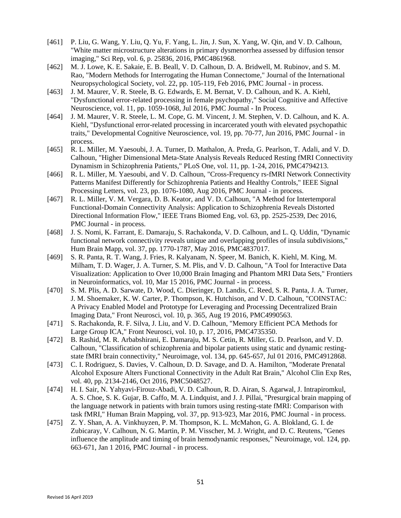- [461] P. Liu, G. Wang, Y. Liu, Q. Yu, F. Yang, L. Jin, J. Sun, X. Yang, W. Qin, and V. D. Calhoun, "White matter microstructure alterations in primary dysmenorrhea assessed by diffusion tensor imaging," Sci Rep, vol. 6, p. 25836, 2016, PMC4861968.
- [462] M. J. Lowe, K. E. Sakaie, E. B. Beall, V. D. Calhoun, D. A. Bridwell, M. Rubinov, and S. M. Rao, "Modern Methods for Interrogating the Human Connectome," Journal of the International Neuropsychological Society, vol. 22, pp. 105-119, Feb 2016, PMC Journal - in process.
- [463] J. M. Maurer, V. R. Steele, B. G. Edwards, E. M. Bernat, V. D. Calhoun, and K. A. Kiehl, "Dysfunctional error-related processing in female psychopathy," Social Cognitive and Affective Neuroscience, vol. 11, pp. 1059-1068, Jul 2016, PMC Journal - In Process.
- [464] J. M. Maurer, V. R. Steele, L. M. Cope, G. M. Vincent, J. M. Stephen, V. D. Calhoun, and K. A. Kiehl, "Dysfunctional error-related processing in incarcerated youth with elevated psychopathic traits," Developmental Cognitive Neuroscience, vol. 19, pp. 70-77, Jun 2016, PMC Journal - in process.
- [465] R. L. Miller, M. Yaesoubi, J. A. Turner, D. Mathalon, A. Preda, G. Pearlson, T. Adali, and V. D. Calhoun, "Higher Dimensional Meta-State Analysis Reveals Reduced Resting fMRI Connectivity Dynamism in Schizophrenia Patients," PLoS One, vol. 11, pp. 1-24, 2016, PMC4794213.
- [466] R. L. Miller, M. Yaesoubi, and V. D. Calhoun, "Cross-Frequency rs-fMRI Network Connectivity Patterns Manifest Differently for Schizophrenia Patients and Healthy Controls," IEEE Signal Processing Letters, vol. 23, pp. 1076-1080, Aug 2016, PMC Journal - in process.
- [467] R. L. Miller, V. M. Vergara, D. B. Keator, and V. D. Calhoun, "A Method for Intertemporal Functional-Domain Connectivity Analysis: Application to Schizophrenia Reveals Distorted Directional Information Flow," IEEE Trans Biomed Eng, vol. 63, pp. 2525-2539, Dec 2016, PMC Journal - in process.
- [468] J. S. Nomi, K. Farrant, E. Damaraju, S. Rachakonda, V. D. Calhoun, and L. Q. Uddin, "Dynamic functional network connectivity reveals unique and overlapping profiles of insula subdivisions," Hum Brain Mapp, vol. 37, pp. 1770-1787, May 2016, PMC4837017.
- [469] S. R. Panta, R. T. Wang, J. Fries, R. Kalyanam, N. Speer, M. Banich, K. Kiehl, M. King, M. Milham, T. D. Wager, J. A. Turner, S. M. Plis, and V. D. Calhoun, "A Tool for Interactive Data Visualization: Application to Over 10,000 Brain Imaging and Phantom MRI Data Sets," Frontiers in Neuroinformatics, vol. 10, Mar 15 2016, PMC Journal - in process.
- [470] S. M. Plis, A. D. Sarwate, D. Wood, C. Dieringer, D. Landis, C. Reed, S. R. Panta, J. A. Turner, J. M. Shoemaker, K. W. Carter, P. Thompson, K. Hutchison, and V. D. Calhoun, "COINSTAC: A Privacy Enabled Model and Prototype for Leveraging and Processing Decentralized Brain Imaging Data," Front Neurosci, vol. 10, p. 365, Aug 19 2016, PMC4990563.
- [471] S. Rachakonda, R. F. Silva, J. Liu, and V. D. Calhoun, "Memory Efficient PCA Methods for Large Group ICA," Front Neurosci, vol. 10, p. 17, 2016, PMC4735350.
- [472] B. Rashid, M. R. Arbabshirani, E. Damaraju, M. S. Cetin, R. Miller, G. D. Pearlson, and V. D. Calhoun, "Classification of schizophrenia and bipolar patients using static and dynamic restingstate fMRI brain connectivity," Neuroimage, vol. 134, pp. 645-657, Jul 01 2016, PMC4912868.
- [473] C. I. Rodriguez, S. Davies, V. Calhoun, D. D. Savage, and D. A. Hamilton, "Moderate Prenatal Alcohol Exposure Alters Functional Connectivity in the Adult Rat Brain," Alcohol Clin Exp Res, vol. 40, pp. 2134-2146, Oct 2016, PMC5048527.
- [474] H. I. Sair, N. Yahyavi-Firouz-Abadi, V. D. Calhoun, R. D. Airan, S. Agarwal, J. Intrapiromkul, A. S. Choe, S. K. Gujar, B. Caffo, M. A. Lindquist, and J. J. Pillai, "Presurgical brain mapping of the language network in patients with brain tumors using resting-state fMRI: Comparison with task fMRI," Human Brain Mapping, vol. 37, pp. 913-923, Mar 2016, PMC Journal - in process.
- [475] Z. Y. Shan, A. A. Vinkhuyzen, P. M. Thompson, K. L. McMahon, G. A. Blokland, G. I. de Zubicaray, V. Calhoun, N. G. Martin, P. M. Visscher, M. J. Wright, and D. C. Reutens, "Genes influence the amplitude and timing of brain hemodynamic responses," Neuroimage, vol. 124, pp. 663-671, Jan 1 2016, PMC Journal - in process.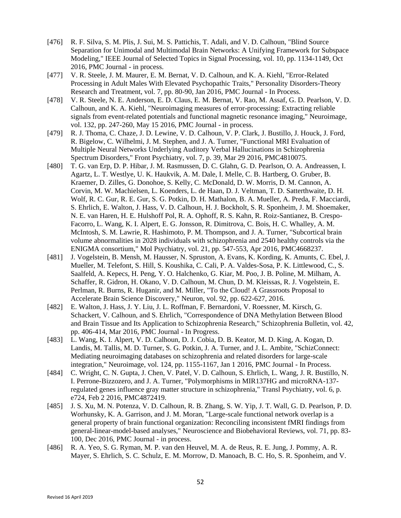- [476] R. F. Silva, S. M. Plis, J. Sui, M. S. Pattichis, T. Adali, and V. D. Calhoun, "Blind Source Separation for Unimodal and Multimodal Brain Networks: A Unifying Framework for Subspace Modeling," IEEE Journal of Selected Topics in Signal Processing, vol. 10, pp. 1134-1149, Oct 2016, PMC Journal - in process.
- [477] V. R. Steele, J. M. Maurer, E. M. Bernat, V. D. Calhoun, and K. A. Kiehl, "Error-Related Processing in Adult Males With Elevated Psychopathic Traits," Personality Disorders-Theory Research and Treatment, vol. 7, pp. 80-90, Jan 2016, PMC Journal - In Process.
- [478] V. R. Steele, N. E. Anderson, E. D. Claus, E. M. Bernat, V. Rao, M. Assaf, G. D. Pearlson, V. D. Calhoun, and K. A. Kiehl, "Neuroimaging measures of error-processing: Extracting reliable signals from event-related potentials and functional magnetic resonance imaging," Neuroimage, vol. 132, pp. 247-260, May 15 2016, PMC Journal - in process.
- [479] R. J. Thoma, C. Chaze, J. D. Lewine, V. D. Calhoun, V. P. Clark, J. Bustillo, J. Houck, J. Ford, R. Bigelow, C. Wilhelmi, J. M. Stephen, and J. A. Turner, "Functional MRI Evaluation of Multiple Neural Networks Underlying Auditory Verbal Hallucinations in Schizophrenia Spectrum Disorders," Front Psychiatry, vol. 7, p. 39, Mar 29 2016, PMC4810075.
- [480] T. G. van Erp, D. P. Hibar, J. M. Rasmussen, D. C. Glahn, G. D. Pearlson, O. A. Andreassen, I. Agartz, L. T. Westlye, U. K. Haukvik, A. M. Dale, I. Melle, C. B. Hartberg, O. Gruber, B. Kraemer, D. Zilles, G. Donohoe, S. Kelly, C. McDonald, D. W. Morris, D. M. Cannon, A. Corvin, M. W. Machielsen, L. Koenders, L. de Haan, D. J. Veltman, T. D. Satterthwaite, D. H. Wolf, R. C. Gur, R. E. Gur, S. G. Potkin, D. H. Mathalon, B. A. Mueller, A. Preda, F. Macciardi, S. Ehrlich, E. Walton, J. Hass, V. D. Calhoun, H. J. Bockholt, S. R. Sponheim, J. M. Shoemaker, N. E. van Haren, H. E. Hulshoff Pol, R. A. Ophoff, R. S. Kahn, R. Roiz-Santianez, B. Crespo-Facorro, L. Wang, K. I. Alpert, E. G. Jonsson, R. Dimitrova, C. Bois, H. C. Whalley, A. M. McIntosh, S. M. Lawrie, R. Hashimoto, P. M. Thompson, and J. A. Turner, "Subcortical brain volume abnormalities in 2028 individuals with schizophrenia and 2540 healthy controls via the ENIGMA consortium," Mol Psychiatry, vol. 21, pp. 547-553, Apr 2016, PMC4668237.
- [481] J. Vogelstein, B. Mensh, M. Hausser, N. Spruston, A. Evans, K. Kording, K. Amunts, C. Ebel, J. Mueller, M. Telefont, S. Hill, S. Koushika, C. Cali, P. A. Valdes-Sosa, P. K. Littlewood, C., S. Saalfeld, A. Kepecs, H. Peng, Y. O. Halchenko, G. Kiar, M. Poo, J. B. Poline, M. Milham, A. Schaffer, R. Gidron, H. Okano, V. D. Calhoun, M. Chun, D. M. Kleissas, R. J. Vogelstein, E. Perlman, R. Burns, R. Huganir, and M. Miller, "To the Cloud! A Grassroots Proposal to Accelerate Brain Science Discovery," Neuron, vol. 92, pp. 622-627, 2016.
- [482] E. Walton, J. Hass, J. Y. Liu, J. L. Roffman, F. Bernardoni, V. Roessner, M. Kirsch, G. Schackert, V. Calhoun, and S. Ehrlich, "Correspondence of DNA Methylation Between Blood and Brain Tissue and Its Application to Schizophrenia Research," Schizophrenia Bulletin, vol. 42, pp. 406-414, Mar 2016, PMC Journal - In Progress.
- [483] L. Wang, K. I. Alpert, V. D. Calhoun, D. J. Cobia, D. B. Keator, M. D. King, A. Kogan, D. Landis, M. Tallis, M. D. Turner, S. G. Potkin, J. A. Turner, and J. L. Ambite, "SchizConnect: Mediating neuroimaging databases on schizophrenia and related disorders for large-scale integration," Neuroimage, vol. 124, pp. 1155-1167, Jan 1 2016, PMC Journal - In Process.
- [484] C. Wright, C. N. Gupta, J. Chen, V. Patel, V. D. Calhoun, S. Ehrlich, L. Wang, J. R. Bustillo, N. I. Perrone-Bizzozero, and J. A. Turner, "Polymorphisms in MIR137HG and microRNA-137 regulated genes influence gray matter structure in schizophrenia," Transl Psychiatry, vol. 6, p. e724, Feb 2 2016, PMC4872419.
- [485] J. S. Xu, M. N. Potenza, V. D. Calhoun, R. B. Zhang, S. W. Yip, J. T. Wall, G. D. Pearlson, P. D. Worhunsky, K. A. Garrison, and J. M. Moran, "Large-scale functional network overlap is a general property of brain functional organization: Reconciling inconsistent fMRI findings from general-linear-model-based analyses," Neuroscience and Biobehavioral Reviews, vol. 71, pp. 83- 100, Dec 2016, PMC Journal - in process.
- [486] R. A. Yeo, S. G. Ryman, M. P. van den Heuvel, M. A. de Reus, R. E. Jung, J. Pommy, A. R. Mayer, S. Ehrlich, S. C. Schulz, E. M. Morrow, D. Manoach, B. C. Ho, S. R. Sponheim, and V.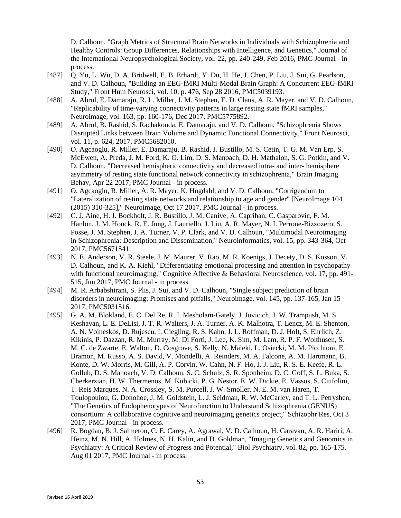D. Calhoun, "Graph Metrics of Structural Brain Networks in Individuals with Schizophrenia and Healthy Controls: Group Differences, Relationships with Intelligence, and Genetics," Journal of the International Neuropsychological Society, vol. 22, pp. 240-249, Feb 2016, PMC Journal - in process.

- [487] Q. Yu, L. Wu, D. A. Bridwell, E. B. Erhardt, Y. Du, H. He, J. Chen, P. Liu, J. Sui, G. Pearlson, and V. D. Calhoun, "Building an EEG-fMRI Multi-Modal Brain Graph: A Concurrent EEG-fMRI Study," Front Hum Neurosci, vol. 10, p. 476, Sep 28 2016, PMC5039193.
- [488] A. Abrol, E. Damaraju, R. L. Miller, J. M. Stephen, E. D. Claus, A. R. Mayer, and V. D. Calhoun, "Replicability of time-varying connectivity patterns in large resting state fMRI samples," Neuroimage, vol. 163, pp. 160-176, Dec 2017, PMC5775892.
- [489] A. Abrol, B. Rashid, S. Rachakonda, E. Damaraju, and V. D. Calhoun, "Schizophrenia Shows Disrupted Links between Brain Volume and Dynamic Functional Connectivity," Front Neurosci, vol. 11, p. 624, 2017, PMC5682010.
- [490] O. Agcaoglu, R. Miller, E. Damaraju, B. Rashid, J. Bustillo, M. S. Cetin, T. G. M. Van Erp, S. McEwen, A. Preda, J. M. Ford, K. O. Lim, D. S. Manoach, D. H. Mathalon, S. G. Potkin, and V. D. Calhoun, "Decreased hemispheric connectivity and decreased intra- and inter- hemisphere asymmetry of resting state functional network connectivity in schizophrenia," Brain Imaging Behav, Apr 22 2017, PMC Journal - in process.
- [491] O. Agcaoglu, R. Miller, A. R. Mayer, K. Hugdahl, and V. D. Calhoun, "Corrigendum to "Lateralization of resting state networks and relationship to age and gender" [NeuroImage 104 (2015) 310-325]," Neuroimage, Oct 17 2017, PMC Journal - in process.
- [492] C. J. Aine, H. J. Bockholt, J. R. Bustillo, J. M. Canive, A. Caprihan, C. Gasparovic, F. M. Hanlon, J. M. Houck, R. E. Jung, J. Lauriello, J. Liu, A. R. Mayer, N. I. Perrone-Bizzozero, S. Posse, J. M. Stephen, J. A. Turner, V. P. Clark, and V. D. Calhoun, "Multimodal Neuroimaging in Schizophrenia: Description and Dissemination," Neuroinformatics, vol. 15, pp. 343-364, Oct 2017, PMC5671541.
- [493] N. E. Anderson, V. R. Steele, J. M. Maurer, V. Rao, M. R. Koenigs, J. Decety, D. S. Kosson, V. D. Calhoun, and K. A. Kiehl, "Differentiating emotional processing and attention in psychopathy with functional neuroimaging," Cognitive Affective & Behavioral Neuroscience, vol. 17, pp. 491-515, Jun 2017, PMC Journal - in process.
- [494] M. R. Arbabshirani, S. Plis, J. Sui, and V. D. Calhoun, "Single subject prediction of brain disorders in neuroimaging: Promises and pitfalls," Neuroimage, vol. 145, pp. 137-165, Jan 15 2017, PMC5031516.
- [495] G. A. M. Blokland, E. C. Del Re, R. I. Mesholam-Gately, J. Jovicich, J. W. Trampush, M. S. Keshavan, L. E. DeLisi, J. T. R. Walters, J. A. Turner, A. K. Malhotra, T. Lencz, M. E. Shenton, A. N. Voineskos, D. Rujescu, I. Giegling, R. S. Kahn, J. L. Roffman, D. J. Holt, S. Ehrlich, Z. Kikinis, P. Dazzan, R. M. Murray, M. Di Forti, J. Lee, K. Sim, M. Lam, R. P. F. Wolthusen, S. M. C. de Zwarte, E. Walton, D. Cosgrove, S. Kelly, N. Maleki, L. Osiecki, M. M. Picchioni, E. Bramon, M. Russo, A. S. David, V. Mondelli, A. Reinders, M. A. Falcone, A. M. Hartmann, B. Konte, D. W. Morris, M. Gill, A. P. Corvin, W. Cahn, N. F. Ho, J. J. Liu, R. S. E. Keefe, R. L. Gollub, D. S. Manoach, V. D. Calhoun, S. C. Schulz, S. R. Sponheim, D. C. Goff, S. L. Buka, S. Cherkerzian, H. W. Thermenos, M. Kubicki, P. G. Nestor, E. W. Dickie, E. Vassos, S. Ciufolini, T. Reis Marques, N. A. Crossley, S. M. Purcell, J. W. Smoller, N. E. M. van Haren, T. Toulopoulou, G. Donohoe, J. M. Goldstein, L. J. Seidman, R. W. McCarley, and T. L. Petryshen, "The Genetics of Endophenotypes of Neurofunction to Understand Schizophrenia (GENUS) consortium: A collaborative cognitive and neuroimaging genetics project," Schizophr Res, Oct 3 2017, PMC Journal - in process.
- [496] R. Bogdan, B. J. Salmeron, C. E. Carey, A. Agrawal, V. D. Calhoun, H. Garavan, A. R. Hariri, A. Heinz, M. N. Hill, A. Holmes, N. H. Kalin, and D. Goldman, "Imaging Genetics and Genomics in Psychiatry: A Critical Review of Progress and Potential," Biol Psychiatry, vol. 82, pp. 165-175, Aug 01 2017, PMC Journal - in process.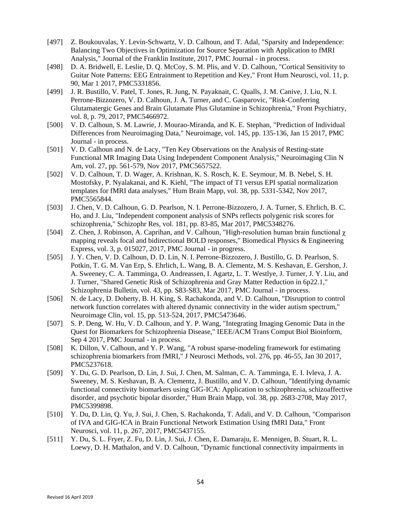- [497] Z. Boukouvalas, Y. Levin-Schwartz, V. D. Calhoun, and T. Adal, "Sparsity and Independence: Balancing Two Objectives in Optimization for Source Separation with Application to fMRI Analysis," Journal of the Franklin Institute, 2017, PMC Journal - in process.
- [498] D. A. Bridwell, E. Leslie, D. Q. McCoy, S. M. Plis, and V. D. Calhoun, "Cortical Sensitivity to Guitar Note Patterns: EEG Entrainment to Repetition and Key," Front Hum Neurosci, vol. 11, p. 90, Mar 1 2017, PMC5331856.
- [499] J. R. Bustillo, V. Patel, T. Jones, R. Jung, N. Payaknait, C. Qualls, J. M. Canive, J. Liu, N. I. Perrone-Bizzozero, V. D. Calhoun, J. A. Turner, and C. Gasparovic, "Risk-Conferring Glutamatergic Genes and Brain Glutamate Plus Glutamine in Schizophrenia," Front Psychiatry, vol. 8, p. 79, 2017, PMC5466972.
- [500] V. D. Calhoun, S. M. Lawrie, J. Mourao-Miranda, and K. E. Stephan, "Prediction of Individual Differences from Neuroimaging Data," Neuroimage, vol. 145, pp. 135-136, Jan 15 2017, PMC Journal - in process.
- [501] V. D. Calhoun and N. de Lacy, "Ten Key Observations on the Analysis of Resting-state Functional MR Imaging Data Using Independent Component Analysis," Neuroimaging Clin N Am, vol. 27, pp. 561-579, Nov 2017, PMC5657522.
- [502] V. D. Calhoun, T. D. Wager, A. Krishnan, K. S. Rosch, K. E. Seymour, M. B. Nebel, S. H. Mostofsky, P. Nyalakanai, and K. Kiehl, "The impact of T1 versus EPI spatial normalization templates for fMRI data analyses," Hum Brain Mapp, vol. 38, pp. 5331-5342, Nov 2017, PMC5565844.
- [503] J. Chen, V. D. Calhoun, G. D. Pearlson, N. I. Perrone-Bizzozero, J. A. Turner, S. Ehrlich, B. C. Ho, and J. Liu, "Independent component analysis of SNPs reflects polygenic risk scores for schizophrenia," Schizophr Res, vol. 181, pp. 83-85, Mar 2017, PMC5348276.
- [504] Z. Chen, J. Robinson, A. Caprihan, and V. Calhoun, "High-resolution human brain functional  $\chi$ mapping reveals focal and bidirectional BOLD responses," Biomedical Physics & Engineering Express, vol. 3, p. 015027, 2017, PMC Journal - in progress.
- [505] J. Y. Chen, V. D. Calhoun, D. D. Lin, N. I. Perrone-Bizzozero, J. Bustillo, G. D. Pearlson, S. Potkin, T. G. M. Van Erp, S. Ehrlich, L. Wang, B. A. Clementz, M. S. Keshavan, E. Gershon, J. A. Sweeney, C. A. Tamminga, O. Andreassen, I. Agartz, L. T. Westlye, J. Turner, J. Y. Liu, and J. Turner, "Shared Genetic Risk of Schizophrenia and Gray Matter Reduction in 6p22.1," Schizophrenia Bulletin, vol. 43, pp. S83-S83, Mar 2017, PMC Journal - in process.
- [506] N. de Lacy, D. Doherty, B. H. King, S. Rachakonda, and V. D. Calhoun, "Disruption to control network function correlates with altered dynamic connectivity in the wider autism spectrum," Neuroimage Clin, vol. 15, pp. 513-524, 2017, PMC5473646.
- [507] S. P. Deng, W. Hu, V. D. Calhoun, and Y. P. Wang, "Integrating Imaging Genomic Data in the Quest for Biomarkers for Schizophrenia Disease," IEEE/ACM Trans Comput Biol Bioinform, Sep 4 2017, PMC Journal - in process.
- [508] K. Dillon, V. Calhoun, and Y. P. Wang, "A robust sparse-modeling framework for estimating schizophrenia biomarkers from fMRI," J Neurosci Methods, vol. 276, pp. 46-55, Jan 30 2017, PMC5237618.
- [509] Y. Du, G. D. Pearlson, D. Lin, J. Sui, J. Chen, M. Salman, C. A. Tamminga, E. I. Ivleva, J. A. Sweeney, M. S. Keshavan, B. A. Clementz, J. Bustillo, and V. D. Calhoun, "Identifying dynamic functional connectivity biomarkers using GIG-ICA: Application to schizophrenia, schizoaffective disorder, and psychotic bipolar disorder," Hum Brain Mapp, vol. 38, pp. 2683-2708, May 2017, PMC5399898.
- [510] Y. Du, D. Lin, Q. Yu, J. Sui, J. Chen, S. Rachakonda, T. Adali, and V. D. Calhoun, "Comparison of IVA and GIG-ICA in Brain Functional Network Estimation Using fMRI Data," Front Neurosci, vol. 11, p. 267, 2017, PMC5437155.
- [511] Y. Du, S. L. Fryer, Z. Fu, D. Lin, J. Sui, J. Chen, E. Damaraju, E. Mennigen, B. Stuart, R. L. Loewy, D. H. Mathalon, and V. D. Calhoun, "Dynamic functional connectivity impairments in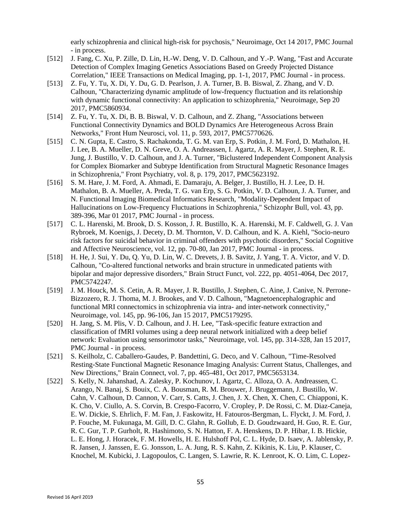early schizophrenia and clinical high-risk for psychosis," Neuroimage, Oct 14 2017, PMC Journal - in process.

- [512] J. Fang, C. Xu, P. Zille, D. Lin, H.-W. Deng, V. D. Calhoun, and Y.-P. Wang, "Fast and Accurate" Detection of Complex Imaging Genetics Associations Based on Greedy Projected Distance Correlation," IEEE Transactions on Medical Imaging, pp. 1-1, 2017, PMC Journal - in process.
- [513] Z. Fu, Y. Tu, X. Di, Y. Du, G. D. Pearlson, J. A. Turner, B. B. Biswal, Z. Zhang, and V. D. Calhoun, "Characterizing dynamic amplitude of low-frequency fluctuation and its relationship with dynamic functional connectivity: An application to schizophrenia," Neuroimage, Sep 20 2017, PMC5860934.
- [514] Z. Fu, Y. Tu, X. Di, B. B. Biswal, V. D. Calhoun, and Z. Zhang, "Associations between Functional Connectivity Dynamics and BOLD Dynamics Are Heterogeneous Across Brain Networks," Front Hum Neurosci, vol. 11, p. 593, 2017, PMC5770626.
- [515] C. N. Gupta, E. Castro, S. Rachakonda, T. G. M. van Erp, S. Potkin, J. M. Ford, D. Mathalon, H. J. Lee, B. A. Mueller, D. N. Greve, O. A. Andreassen, I. Agartz, A. R. Mayer, J. Stephen, R. E. Jung, J. Bustillo, V. D. Calhoun, and J. A. Turner, "Biclustered Independent Component Analysis for Complex Biomarker and Subtype Identification from Structural Magnetic Resonance Images in Schizophrenia," Front Psychiatry, vol. 8, p. 179, 2017, PMC5623192.
- [516] S. M. Hare, J. M. Ford, A. Ahmadi, E. Damaraju, A. Belger, J. Bustillo, H. J. Lee, D. H. Mathalon, B. A. Mueller, A. Preda, T. G. van Erp, S. G. Potkin, V. D. Calhoun, J. A. Turner, and N. Functional Imaging Biomedical Informatics Research, "Modality-Dependent Impact of Hallucinations on Low-Frequency Fluctuations in Schizophrenia," Schizophr Bull, vol. 43, pp. 389-396, Mar 01 2017, PMC Journal - in process.
- [517] C. L. Harenski, M. Brook, D. S. Kosson, J. R. Bustillo, K. A. Harenski, M. F. Caldwell, G. J. Van Rybroek, M. Koenigs, J. Decety, D. M. Thornton, V. D. Calhoun, and K. A. Kiehl, "Socio-neuro risk factors for suicidal behavior in criminal offenders with psychotic disorders," Social Cognitive and Affective Neuroscience, vol. 12, pp. 70-80, Jan 2017, PMC Journal - in process.
- [518] H. He, J. Sui, Y. Du, Q. Yu, D. Lin, W. C. Drevets, J. B. Savitz, J. Yang, T. A. Victor, and V. D. Calhoun, "Co-altered functional networks and brain structure in unmedicated patients with bipolar and major depressive disorders," Brain Struct Funct, vol. 222, pp. 4051-4064, Dec 2017, PMC5742247.
- [519] J. M. Houck, M. S. Cetin, A. R. Mayer, J. R. Bustillo, J. Stephen, C. Aine, J. Canive, N. Perrone-Bizzozero, R. J. Thoma, M. J. Brookes, and V. D. Calhoun, "Magnetoencephalographic and functional MRI connectomics in schizophrenia via intra- and inter-network connectivity," Neuroimage, vol. 145, pp. 96-106, Jan 15 2017, PMC5179295.
- [520] H. Jang, S. M. Plis, V. D. Calhoun, and J. H. Lee, "Task-specific feature extraction and classification of fMRI volumes using a deep neural network initialized with a deep belief network: Evaluation using sensorimotor tasks," Neuroimage, vol. 145, pp. 314-328, Jan 15 2017, PMC Journal - in process.
- [521] S. Keilholz, C. Caballero-Gaudes, P. Bandettini, G. Deco, and V. Calhoun, "Time-Resolved Resting-State Functional Magnetic Resonance Imaging Analysis: Current Status, Challenges, and New Directions," Brain Connect, vol. 7, pp. 465-481, Oct 2017, PMC5653134.
- [522] S. Kelly, N. Jahanshad, A. Zalesky, P. Kochunov, I. Agartz, C. Alloza, O. A. Andreassen, C. Arango, N. Banaj, S. Bouix, C. A. Bousman, R. M. Brouwer, J. Bruggemann, J. Bustillo, W. Cahn, V. Calhoun, D. Cannon, V. Carr, S. Catts, J. Chen, J. X. Chen, X. Chen, C. Chiapponi, K. K. Cho, V. Ciullo, A. S. Corvin, B. Crespo-Facorro, V. Cropley, P. De Rossi, C. M. Diaz-Caneja, E. W. Dickie, S. Ehrlich, F. M. Fan, J. Faskowitz, H. Fatouros-Bergman, L. Flyckt, J. M. Ford, J. P. Fouche, M. Fukunaga, M. Gill, D. C. Glahn, R. Gollub, E. D. Goudzwaard, H. Guo, R. E. Gur, R. C. Gur, T. P. Gurholt, R. Hashimoto, S. N. Hatton, F. A. Henskens, D. P. Hibar, I. B. Hickie, L. E. Hong, J. Horacek, F. M. Howells, H. E. Hulshoff Pol, C. L. Hyde, D. Isaev, A. Jablensky, P. R. Jansen, J. Janssen, E. G. Jonsson, L. A. Jung, R. S. Kahn, Z. Kikinis, K. Liu, P. Klauser, C. Knochel, M. Kubicki, J. Lagopoulos, C. Langen, S. Lawrie, R. K. Lenroot, K. O. Lim, C. Lopez-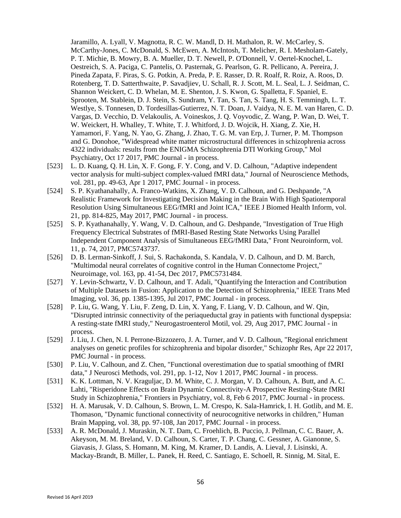Jaramillo, A. Lyall, V. Magnotta, R. C. W. Mandl, D. H. Mathalon, R. W. McCarley, S. McCarthy-Jones, C. McDonald, S. McEwen, A. McIntosh, T. Melicher, R. I. Mesholam-Gately, P. T. Michie, B. Mowry, B. A. Mueller, D. T. Newell, P. O'Donnell, V. Oertel-Knochel, L. Oestreich, S. A. Paciga, C. Pantelis, O. Pasternak, G. Pearlson, G. R. Pellicano, A. Pereira, J. Pineda Zapata, F. Piras, S. G. Potkin, A. Preda, P. E. Rasser, D. R. Roalf, R. Roiz, A. Roos, D. Rotenberg, T. D. Satterthwaite, P. Savadjiev, U. Schall, R. J. Scott, M. L. Seal, L. J. Seidman, C. Shannon Weickert, C. D. Whelan, M. E. Shenton, J. S. Kwon, G. Spalletta, F. Spaniel, E. Sprooten, M. Stablein, D. J. Stein, S. Sundram, Y. Tan, S. Tan, S. Tang, H. S. Temmingh, L. T. Westlye, S. Tonnesen, D. Tordesillas-Gutierrez, N. T. Doan, J. Vaidya, N. E. M. van Haren, C. D. Vargas, D. Vecchio, D. Velakoulis, A. Voineskos, J. Q. Voyvodic, Z. Wang, P. Wan, D. Wei, T. W. Weickert, H. Whalley, T. White, T. J. Whitford, J. D. Wojcik, H. Xiang, Z. Xie, H. Yamamori, F. Yang, N. Yao, G. Zhang, J. Zhao, T. G. M. van Erp, J. Turner, P. M. Thompson and G. Donohoe, "Widespread white matter microstructural differences in schizophrenia across 4322 individuals: results from the ENIGMA Schizophrenia DTI Working Group," Mol Psychiatry, Oct 17 2017, PMC Journal - in process.

- [523] L. D. Kuang, Q. H. Lin, X. F. Gong, F. Y. Cong, and V. D. Calhoun, "Adaptive independent vector analysis for multi-subject complex-valued fMRI data," Journal of Neuroscience Methods, vol. 281, pp. 49-63, Apr 1 2017, PMC Journal - in process.
- [524] S. P. Kyathanahally, A. Franco-Watkins, X. Zhang, V. D. Calhoun, and G. Deshpande, "A Realistic Framework for Investigating Decision Making in the Brain With High Spatiotemporal Resolution Using Simultaneous EEG/fMRI and Joint ICA," IEEE J Biomed Health Inform, vol. 21, pp. 814-825, May 2017, PMC Journal - in process.
- [525] S. P. Kyathanahally, Y. Wang, V. D. Calhoun, and G. Deshpande, "Investigation of True High Frequency Electrical Substrates of fMRI-Based Resting State Networks Using Parallel Independent Component Analysis of Simultaneous EEG/fMRI Data," Front Neuroinform, vol. 11, p. 74, 2017, PMC5743737.
- [526] D. B. Lerman-Sinkoff, J. Sui, S. Rachakonda, S. Kandala, V. D. Calhoun, and D. M. Barch, "Multimodal neural correlates of cognitive control in the Human Connectome Project," Neuroimage, vol. 163, pp. 41-54, Dec 2017, PMC5731484.
- [527] Y. Levin-Schwartz, V. D. Calhoun, and T. Adali, "Quantifying the Interaction and Contribution of Multiple Datasets in Fusion: Application to the Detection of Schizophrenia," IEEE Trans Med Imaging, vol. 36, pp. 1385-1395, Jul 2017, PMC Journal - in process.
- [528] P. Liu, G. Wang, Y. Liu, F. Zeng, D. Lin, X. Yang, F. Liang, V. D. Calhoun, and W. Qin, "Disrupted intrinsic connectivity of the periaqueductal gray in patients with functional dyspepsia: A resting-state fMRI study," Neurogastroenterol Motil, vol. 29, Aug 2017, PMC Journal - in process.
- [529] J. Liu, J. Chen, N. I. Perrone-Bizzozero, J. A. Turner, and V. D. Calhoun, "Regional enrichment" analyses on genetic profiles for schizophrenia and bipolar disorder," Schizophr Res, Apr 22 2017, PMC Journal - in process.
- [530] P. Liu, V. Calhoun, and Z. Chen, "Functional overestimation due to spatial smoothing of fMRI data," J Neurosci Methods, vol. 291, pp. 1-12, Nov 1 2017, PMC Journal - in process.
- [531] K. K. Lottman, N. V. Kraguljac, D. M. White, C. J. Morgan, V. D. Calhoun, A. Butt, and A. C. Lahti, "Risperidone Effects on Brain Dynamic Connectivity-A Prospective Resting-State fMRI Study in Schizophrenia," Frontiers in Psychiatry, vol. 8, Feb 6 2017, PMC Journal - in process.
- [532] H. A. Marusak, V. D. Calhoun, S. Brown, L. M. Crespo, K. Sala-Hamrick, I. H. Gotlib, and M. E. Thomason, "Dynamic functional connectivity of neurocognitive networks in children," Human Brain Mapping, vol. 38, pp. 97-108, Jan 2017, PMC Journal - in process.
- [533] A. R. McDonald, J. Muraskin, N. T. Dam, C. Froehlich, B. Puccio, J. Pellman, C. C. Bauer, A. Akeyson, M. M. Breland, V. D. Calhoun, S. Carter, T. P. Chang, C. Gessner, A. Gianonne, S. Giavasis, J. Glass, S. Homann, M. King, M. Kramer, D. Landis, A. Lieval, J. Lisinski, A. Mackay-Brandt, B. Miller, L. Panek, H. Reed, C. Santiago, E. Schoell, R. Sinnig, M. Sital, E.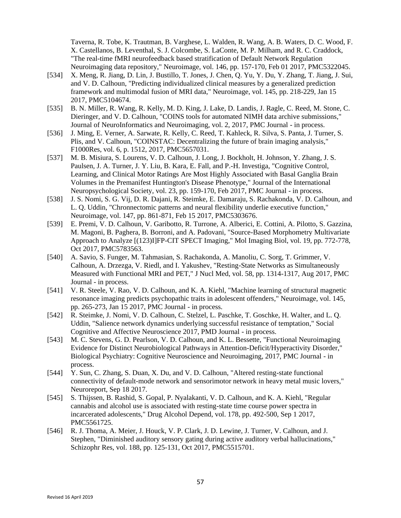Taverna, R. Tobe, K. Trautman, B. Varghese, L. Walden, R. Wang, A. B. Waters, D. C. Wood, F. X. Castellanos, B. Leventhal, S. J. Colcombe, S. LaConte, M. P. Milham, and R. C. Craddock, "The real-time fMRI neurofeedback based stratification of Default Network Regulation Neuroimaging data repository," Neuroimage, vol. 146, pp. 157-170, Feb 01 2017, PMC5322045.

- [534] X. Meng, R. Jiang, D. Lin, J. Bustillo, T. Jones, J. Chen, Q. Yu, Y. Du, Y. Zhang, T. Jiang, J. Sui, and V. D. Calhoun, "Predicting individualized clinical measures by a generalized prediction framework and multimodal fusion of MRI data," Neuroimage, vol. 145, pp. 218-229, Jan 15 2017, PMC5104674.
- [535] B. N. Miller, R. Wang, R. Kelly, M. D. King, J. Lake, D. Landis, J. Ragle, C. Reed, M. Stone, C. Dieringer, and V. D. Calhoun, "COINS tools for automated NIMH data archive submissions," Journal of NeuroInformatics and Neuroimaging, vol. 2, 2017, PMC Journal - in process.
- [536] J. Ming, E. Verner, A. Sarwate, R. Kelly, C. Reed, T. Kahleck, R. Silva, S. Panta, J. Turner, S. Plis, and V. Calhoun, "COINSTAC: Decentralizing the future of brain imaging analysis," F1000Res, vol. 6, p. 1512, 2017, PMC5657031.
- [537] M. B. Misiura, S. Lourens, V. D. Calhoun, J. Long, J. Bockholt, H. Johnson, Y. Zhang, J. S. Paulsen, J. A. Turner, J. Y. Liu, B. Kara, E. Fall, and P.-H. Investiga, "Cognitive Control, Learning, and Clinical Motor Ratings Are Most Highly Associated with Basal Ganglia Brain Volumes in the Premanifest Huntington's Disease Phenotype," Journal of the International Neuropsychological Society, vol. 23, pp. 159-170, Feb 2017, PMC Journal - in process.
- [538] J. S. Nomi, S. G. Vij, D. R. Dajani, R. Steimke, E. Damaraju, S. Rachakonda, V. D. Calhoun, and L. Q. Uddin, "Chronnectomic patterns and neural flexibility underlie executive function," Neuroimage, vol. 147, pp. 861-871, Feb 15 2017, PMC5303676.
- [539] E. Premi, V. D. Calhoun, V. Garibotto, R. Turrone, A. Alberici, E. Cottini, A. Pilotto, S. Gazzina, M. Magoni, B. Paghera, B. Borroni, and A. Padovani, "Source-Based Morphometry Multivariate Approach to Analyze [(123)I]FP-CIT SPECT Imaging," Mol Imaging Biol, vol. 19, pp. 772-778, Oct 2017, PMC5783563.
- [540] A. Savio, S. Funger, M. Tahmasian, S. Rachakonda, A. Manoliu, C. Sorg, T. Grimmer, V. Calhoun, A. Drzezga, V. Riedl, and I. Yakushev, "Resting-State Networks as Simultaneously Measured with Functional MRI and PET," J Nucl Med, vol. 58, pp. 1314-1317, Aug 2017, PMC Journal - in process.
- [541] V. R. Steele, V. Rao, V. D. Calhoun, and K. A. Kiehl, "Machine learning of structural magnetic resonance imaging predicts psychopathic traits in adolescent offenders," Neuroimage, vol. 145, pp. 265-273, Jan 15 2017, PMC Journal - in process.
- [542] R. Steimke, J. Nomi, V. D. Calhoun, C. Stelzel, L. Paschke, T. Goschke, H. Walter, and L. Q. Uddin, "Salience network dynamics underlying successful resistance of temptation," Social Cognitive and Affective Neuroscience 2017, PMD Journal - in process.
- [543] M. C. Stevens, G. D. Pearlson, V. D. Calhoun, and K. L. Bessette, "Functional Neuroimaging" Evidence for Distinct Neurobiological Pathways in Attention-Deficit/Hyperactivity Disorder," Biological Psychiatry: Cognitive Neuroscience and Neuroimaging, 2017, PMC Journal - in process.
- [544] Y. Sun, C. Zhang, S. Duan, X. Du, and V. D. Calhoun, "Altered resting-state functional connectivity of default-mode network and sensorimotor network in heavy metal music lovers," Neuroreport, Sep 18 2017.
- [545] S. Thijssen, B. Rashid, S. Gopal, P. Nyalakanti, V. D. Calhoun, and K. A. Kiehl, "Regular cannabis and alcohol use is associated with resting-state time course power spectra in incarcerated adolescents," Drug Alcohol Depend, vol. 178, pp. 492-500, Sep 1 2017, PMC5561725.
- [546] R. J. Thoma, A. Meier, J. Houck, V. P. Clark, J. D. Lewine, J. Turner, V. Calhoun, and J. Stephen, "Diminished auditory sensory gating during active auditory verbal hallucinations," Schizophr Res, vol. 188, pp. 125-131, Oct 2017, PMC5515701.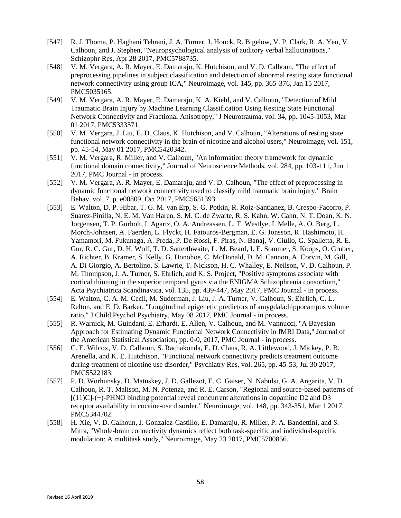- [547] R. J. Thoma, P. Haghani Tehrani, J. A. Turner, J. Houck, R. Bigelow, V. P. Clark, R. A. Yeo, V. Calhoun, and J. Stephen, "Neuropsychological analysis of auditory verbal hallucinations," Schizophr Res, Apr 28 2017, PMC5788735.
- [548] V. M. Vergara, A. R. Mayer, E. Damaraju, K. Hutchison, and V. D. Calhoun, "The effect of preprocessing pipelines in subject classification and detection of abnormal resting state functional network connectivity using group ICA," Neuroimage, vol. 145, pp. 365-376, Jan 15 2017, PMC5035165.
- [549] V. M. Vergara, A. R. Mayer, E. Damaraju, K. A. Kiehl, and V. Calhoun, "Detection of Mild Traumatic Brain Injury by Machine Learning Classification Using Resting State Functional Network Connectivity and Fractional Anisotropy," J Neurotrauma, vol. 34, pp. 1045-1053, Mar 01 2017, PMC5333571.
- [550] V. M. Vergara, J. Liu, E. D. Claus, K. Hutchison, and V. Calhoun, "Alterations of resting state functional network connectivity in the brain of nicotine and alcohol users," Neuroimage, vol. 151, pp. 45-54, May 01 2017, PMC5420342.
- [551] V. M. Vergara, R. Miller, and V. Calhoun, "An information theory framework for dynamic functional domain connectivity," Journal of Neuroscience Methods, vol. 284, pp. 103-111, Jun 1 2017, PMC Journal - in process.
- [552] V. M. Vergara, A. R. Mayer, E. Damaraju, and V. D. Calhoun, "The effect of preprocessing in dynamic functional network connectivity used to classify mild traumatic brain injury," Brain Behav, vol. 7, p. e00809, Oct 2017, PMC5651393.
- [553] E. Walton, D. P. Hibar, T. G. M. van Erp, S. G. Potkin, R. Roiz-Santianez, B. Crespo-Facorro, P. Suarez-Pinilla, N. E. M. Van Haren, S. M. C. de Zwarte, R. S. Kahn, W. Cahn, N. T. Doan, K. N. Jorgensen, T. P. Gurholt, I. Agartz, O. A. Andreassen, L. T. Westlye, I. Melle, A. O. Berg, L. Morch-Johnsen, A. Faerden, L. Flyckt, H. Fatouros-Bergman, E. G. Jonsson, R. Hashimoto, H. Yamamori, M. Fukunaga, A. Preda, P. De Rossi, F. Piras, N. Banaj, V. Ciullo, G. Spalletta, R. E. Gur, R. C. Gur, D. H. Wolf, T. D. Satterthwaite, L. M. Beard, I. E. Sommer, S. Koops, O. Gruber, A. Richter, B. Kramer, S. Kelly, G. Donohoe, C. McDonald, D. M. Cannon, A. Corvin, M. Gill, A. Di Giorgio, A. Bertolino, S. Lawrie, T. Nickson, H. C. Whalley, E. Neilson, V. D. Calhoun, P. M. Thompson, J. A. Turner, S. Ehrlich, and K. S. Project, "Positive symptoms associate with cortical thinning in the superior temporal gyrus via the ENIGMA Schizophrenia consortium," Acta Psychiatrica Scandinavica, vol. 135, pp. 439-447, May 2017, PMC Journal - in process.
- [554] E. Walton, C. A. M. Cecil, M. Suderman, J. Liu, J. A. Turner, V. Calhoun, S. Ehrlich, C. L. Relton, and E. D. Barker, "Longitudinal epigenetic predictors of amygdala:hippocampus volume ratio," J Child Psychol Psychiatry, May 08 2017, PMC Journal - in process.
- [555] R. Warnick, M. Guindani, E. Erhardt, E. Allen, V. Calhoun, and M. Vannucci, "A Bayesian Approach for Estimating Dynamic Functional Network Connectivity in fMRI Data," Journal of the American Statistical Association, pp. 0-0, 2017, PMC Journal - in process.
- [556] C. E. Wilcox, V. D. Calhoun, S. Rachakonda, E. D. Claus, R. A. Littlewood, J. Mickey, P. B. Arenella, and K. E. Hutchison, "Functional network connectivity predicts treatment outcome during treatment of nicotine use disorder," Psychiatry Res, vol. 265, pp. 45-53, Jul 30 2017, PMC5522183.
- [557] P. D. Worhunsky, D. Matuskey, J. D. Gallezot, E. C. Gaiser, N. Nabulsi, G. A. Angarita, V. D. Calhoun, R. T. Malison, M. N. Potenza, and R. E. Carson, "Regional and source-based patterns of  $[(11)C]$ -(+)-PHNO binding potential reveal concurrent alterations in dopamine D2 and D3 receptor availability in cocaine-use disorder," Neuroimage, vol. 148, pp. 343-351, Mar 1 2017, PMC5344702.
- [558] H. Xie, V. D. Calhoun, J. Gonzalez-Castillo, E. Damaraju, R. Miller, P. A. Bandettini, and S. Mitra, "Whole-brain connectivity dynamics reflect both task-specific and individual-specific modulation: A multitask study," Neuroimage, May 23 2017, PMC5700856.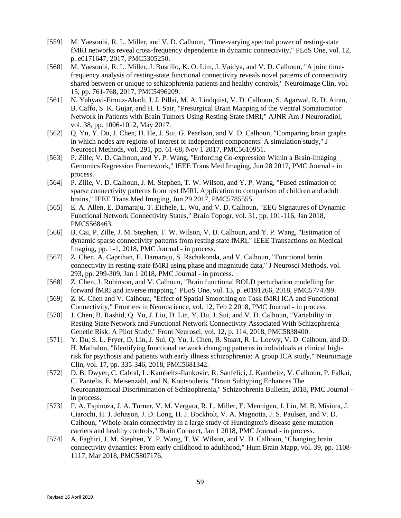- [559] M. Yaesoubi, R. L. Miller, and V. D. Calhoun, "Time-varying spectral power of resting-state fMRI networks reveal cross-frequency dependence in dynamic connectivity," PLoS One, vol. 12, p. e0171647, 2017, PMC5305250.
- [560] M. Yaesoubi, R. L. Miller, J. Bustillo, K. O. Lim, J. Vaidya, and V. D. Calhoun, "A joint timefrequency analysis of resting-state functional connectivity reveals novel patterns of connectivity shared between or unique to schizophrenia patients and healthy controls," Neuroimage Clin, vol. 15, pp. 761-768, 2017, PMC5496209.
- [561] N. Yahyavi-Firouz-Abadi, J. J. Pillai, M. A. Lindquist, V. D. Calhoun, S. Agarwal, R. D. Airan, B. Caffo, S. K. Gujar, and H. I. Sair, "Presurgical Brain Mapping of the Ventral Somatomotor Network in Patients with Brain Tumors Using Resting-State fMRI," AJNR Am J Neuroradiol, vol. 38, pp. 1006-1012, May 2017.
- [562] Q. Yu, Y. Du, J. Chen, H. He, J. Sui, G. Pearlson, and V. D. Calhoun, "Comparing brain graphs in which nodes are regions of interest or independent components: A simulation study," J Neurosci Methods, vol. 291, pp. 61-68, Nov 1 2017, PMC5610951.
- [563] P. Zille, V. D. Calhoun, and Y. P. Wang, "Enforcing Co-expression Within a Brain-Imaging Genomics Regression Framework," IEEE Trans Med Imaging, Jun 28 2017, PMC Journal - in process.
- [564] P. Zille, V. D. Calhoun, J. M. Stephen, T. W. Wilson, and Y. P. Wang, "Fused estimation of sparse connectivity patterns from rest fMRI. Application to comparison of children and adult brains," IEEE Trans Med Imaging, Jun 29 2017, PMC5785555.
- [565] E. A. Allen, E. Damaraju, T. Eichele, L. Wu, and V. D. Calhoun, "EEG Signatures of Dynamic Functional Network Connectivity States," Brain Topogr, vol. 31, pp. 101-116, Jan 2018, PMC5568463.
- [566] B. Cai, P. Zille, J. M. Stephen, T. W. Wilson, V. D. Calhoun, and Y. P. Wang, "Estimation of dynamic sparse connectivity patterns from resting state fMRI," IEEE Transactions on Medical Imaging, pp. 1-1, 2018, PMC Journal - in process.
- [567] Z. Chen, A. Caprihan, E. Damaraju, S. Rachakonda, and V. Calhoun, "Functional brain connectivity in resting-state fMRI using phase and magnitude data," J Neurosci Methods, vol. 293, pp. 299-309, Jan 1 2018, PMC Journal - in process.
- [568] Z. Chen, J. Robinson, and V. Calhoun, "Brain functional BOLD perturbation modelling for forward fMRI and inverse mapping," PLoS One, vol. 13, p. e0191266, 2018, PMC5774799.
- [569] Z. K. Chen and V. Calhoun, "Effect of Spatial Smoothing on Task fMRI ICA and Functional Connectivity," Frontiers in Neuroscience, vol. 12, Feb 2 2018, PMC Journal - in process.
- [570] J. Chen, B. Rashid, Q. Yu, J. Liu, D. Lin, Y. Du, J. Sui, and V. D. Calhoun, "Variability in Resting State Network and Functional Network Connectivity Associated With Schizophrenia Genetic Risk: A Pilot Study," Front Neurosci, vol. 12, p. 114, 2018, PMC5838400.
- [571] Y. Du, S. L. Fryer, D. Lin, J. Sui, Q. Yu, J. Chen, B. Stuart, R. L. Loewy, V. D. Calhoun, and D. H. Mathalon, "Identifying functional network changing patterns in individuals at clinical highrisk for psychosis and patients with early illness schizophrenia: A group ICA study," Neuroimage Clin, vol. 17, pp. 335-346, 2018, PMC5681342.
- [572] D. B. Dwyer, C. Cabral, L. Kambeitz-Ilankovic, R. Sanfelici, J. Kambeitz, V. Calhoun, P. Falkai, C. Pantelis, E. Meisenzahl, and N. Koutsouleris, "Brain Subtyping Enhances The Neuroanatomical Discrimination of Schizophrenia," Schizophrenia Bulletin, 2018, PMC Journal in process.
- [573] F. A. Espinoza, J. A. Turner, V. M. Vergara, R. L. Miller, E. Mennigen, J. Liu, M. B. Misiura, J. Ciarochi, H. J. Johnson, J. D. Long, H. J. Bockholt, V. A. Magnotta, J. S. Paulsen, and V. D. Calhoun, "Whole-brain connectivity in a large study of Huntington's disease gene mutation carriers and healthy controls," Brain Connect, Jan 1 2018, PMC Journal - in process.
- [574] A. Faghiri, J. M. Stephen, Y. P. Wang, T. W. Wilson, and V. D. Calhoun, "Changing brain connectivity dynamics: From early childhood to adulthood," Hum Brain Mapp, vol. 39, pp. 1108- 1117, Mar 2018, PMC5807176.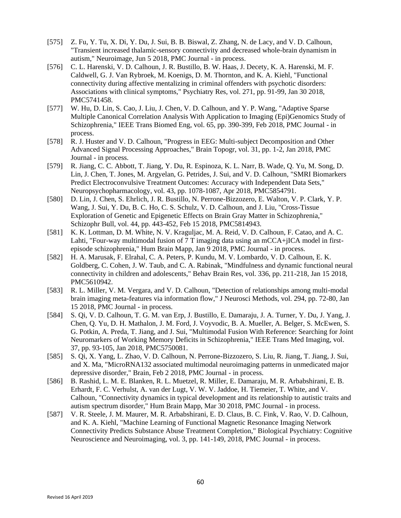- [575] Z. Fu, Y. Tu, X. Di, Y. Du, J. Sui, B. B. Biswal, Z. Zhang, N. de Lacy, and V. D. Calhoun, "Transient increased thalamic-sensory connectivity and decreased whole-brain dynamism in autism," Neuroimage, Jun 5 2018, PMC Journal - in process.
- [576] C. L. Harenski, V. D. Calhoun, J. R. Bustillo, B. W. Haas, J. Decety, K. A. Harenski, M. F. Caldwell, G. J. Van Rybroek, M. Koenigs, D. M. Thornton, and K. A. Kiehl, "Functional connectivity during affective mentalizing in criminal offenders with psychotic disorders: Associations with clinical symptoms," Psychiatry Res, vol. 271, pp. 91-99, Jan 30 2018, PMC5741458.
- [577] W. Hu, D. Lin, S. Cao, J. Liu, J. Chen, V. D. Calhoun, and Y. P. Wang, "Adaptive Sparse" Multiple Canonical Correlation Analysis With Application to Imaging (Epi)Genomics Study of Schizophrenia," IEEE Trans Biomed Eng, vol. 65, pp. 390-399, Feb 2018, PMC Journal - in process.
- [578] R. J. Huster and V. D. Calhoun, "Progress in EEG: Multi-subject Decomposition and Other Advanced Signal Processing Approaches," Brain Topogr, vol. 31, pp. 1-2, Jan 2018, PMC Journal - in process.
- [579] R. Jiang, C. C. Abbott, T. Jiang, Y. Du, R. Espinoza, K. L. Narr, B. Wade, Q. Yu, M. Song, D. Lin, J. Chen, T. Jones, M. Argyelan, G. Petrides, J. Sui, and V. D. Calhoun, "SMRI Biomarkers Predict Electroconvulsive Treatment Outcomes: Accuracy with Independent Data Sets," Neuropsychopharmacology, vol. 43, pp. 1078-1087, Apr 2018, PMC5854791.
- [580] D. Lin, J. Chen, S. Ehrlich, J. R. Bustillo, N. Perrone-Bizzozero, E. Walton, V. P. Clark, Y. P. Wang, J. Sui, Y. Du, B. C. Ho, C. S. Schulz, V. D. Calhoun, and J. Liu, "Cross-Tissue Exploration of Genetic and Epigenetic Effects on Brain Gray Matter in Schizophrenia," Schizophr Bull, vol. 44, pp. 443-452, Feb 15 2018, PMC5814943.
- [581] K. K. Lottman, D. M. White, N. V. Kraguljac, M. A. Reid, V. D. Calhoun, F. Catao, and A. C. Lahti, "Four-way multimodal fusion of 7 T imaging data using an mCCA+jICA model in firstepisode schizophrenia," Hum Brain Mapp, Jan 9 2018, PMC Journal - in process.
- [582] H. A. Marusak, F. Elrahal, C. A. Peters, P. Kundu, M. V. Lombardo, V. D. Calhoun, E. K. Goldberg, C. Cohen, J. W. Taub, and C. A. Rabinak, "Mindfulness and dynamic functional neural connectivity in children and adolescents," Behav Brain Res, vol. 336, pp. 211-218, Jan 15 2018, PMC5610942.
- [583] R. L. Miller, V. M. Vergara, and V. D. Calhoun, "Detection of relationships among multi-modal brain imaging meta-features via information flow," J Neurosci Methods, vol. 294, pp. 72-80, Jan 15 2018, PMC Journal - in process.
- [584] S. Qi, V. D. Calhoun, T. G. M. van Erp, J. Bustillo, E. Damaraju, J. A. Turner, Y. Du, J. Yang, J. Chen, Q. Yu, D. H. Mathalon, J. M. Ford, J. Voyvodic, B. A. Mueller, A. Belger, S. McEwen, S. G. Potkin, A. Preda, T. Jiang, and J. Sui, "Multimodal Fusion With Reference: Searching for Joint Neuromarkers of Working Memory Deficits in Schizophrenia," IEEE Trans Med Imaging, vol. 37, pp. 93-105, Jan 2018, PMC5750081.
- [585] S. Qi, X. Yang, L. Zhao, V. D. Calhoun, N. Perrone-Bizzozero, S. Liu, R. Jiang, T. Jiang, J. Sui, and X. Ma, "MicroRNA132 associated multimodal neuroimaging patterns in unmedicated major depressive disorder," Brain, Feb 2 2018, PMC Journal - in process.
- [586] B. Rashid, L. M. E. Blanken, R. L. Muetzel, R. Miller, E. Damaraju, M. R. Arbabshirani, E. B. Erhardt, F. C. Verhulst, A. van der Lugt, V. W. V. Jaddoe, H. Tiemeier, T. White, and V. Calhoun, "Connectivity dynamics in typical development and its relationship to autistic traits and autism spectrum disorder," Hum Brain Mapp, Mar 30 2018, PMC Journal - in process.
- [587] V. R. Steele, J. M. Maurer, M. R. Arbabshirani, E. D. Claus, B. C. Fink, V. Rao, V. D. Calhoun, and K. A. Kiehl, "Machine Learning of Functional Magnetic Resonance Imaging Network Connectivity Predicts Substance Abuse Treatment Completion," Biological Psychiatry: Cognitive Neuroscience and Neuroimaging, vol. 3, pp. 141-149, 2018, PMC Journal - in process.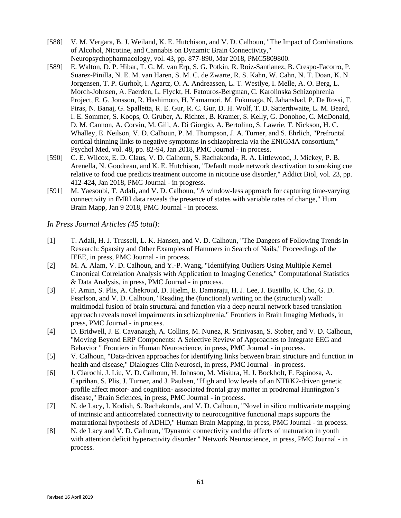- [588] V. M. Vergara, B. J. Weiland, K. E. Hutchison, and V. D. Calhoun, "The Impact of Combinations" of Alcohol, Nicotine, and Cannabis on Dynamic Brain Connectivity," Neuropsychopharmacology, vol. 43, pp. 877-890, Mar 2018, PMC5809800.
- [589] E. Walton, D. P. Hibar, T. G. M. van Erp, S. G. Potkin, R. Roiz-Santianez, B. Crespo-Facorro, P. Suarez-Pinilla, N. E. M. van Haren, S. M. C. de Zwarte, R. S. Kahn, W. Cahn, N. T. Doan, K. N. Jorgensen, T. P. Gurholt, I. Agartz, O. A. Andreassen, L. T. Westlye, I. Melle, A. O. Berg, L. Morch-Johnsen, A. Faerden, L. Flyckt, H. Fatouros-Bergman, C. Karolinska Schizophrenia Project, E. G. Jonsson, R. Hashimoto, H. Yamamori, M. Fukunaga, N. Jahanshad, P. De Rossi, F. Piras, N. Banaj, G. Spalletta, R. E. Gur, R. C. Gur, D. H. Wolf, T. D. Satterthwaite, L. M. Beard, I. E. Sommer, S. Koops, O. Gruber, A. Richter, B. Kramer, S. Kelly, G. Donohoe, C. McDonald, D. M. Cannon, A. Corvin, M. Gill, A. Di Giorgio, A. Bertolino, S. Lawrie, T. Nickson, H. C. Whalley, E. Neilson, V. D. Calhoun, P. M. Thompson, J. A. Turner, and S. Ehrlich, "Prefrontal cortical thinning links to negative symptoms in schizophrenia via the ENIGMA consortium," Psychol Med, vol. 48, pp. 82-94, Jan 2018, PMC Journal - in process.
- [590] C. E. Wilcox, E. D. Claus, V. D. Calhoun, S. Rachakonda, R. A. Littlewood, J. Mickey, P. B. Arenella, N. Goodreau, and K. E. Hutchison, "Default mode network deactivation to smoking cue relative to food cue predicts treatment outcome in nicotine use disorder," Addict Biol, vol. 23, pp. 412-424, Jan 2018, PMC Journal - in progress.
- [591] M. Yaesoubi, T. Adali, and V. D. Calhoun, "A window-less approach for capturing time-varying connectivity in fMRI data reveals the presence of states with variable rates of change," Hum Brain Mapp, Jan 9 2018, PMC Journal - in process.

## *In Press Journal Articles (45 total):*

- [1] T. Adali, H. J. Trussell, L. K. Hansen, and V. D. Calhoun, "The Dangers of Following Trends in Research: Sparsity and Other Examples of Hammers in Search of Nails," Proceedings of the IEEE, in press, PMC Journal - in process.
- [2] M. A. Alam, V. D. Calhoun, and Y.-P. Wang, "Identifying Outliers Using Multiple Kernel Canonical Correlation Analysis with Application to Imaging Genetics," Computational Statistics & Data Analysis, in press, PMC Journal - in process.
- [3] F. Amin, S. Plis, A. Chekroud, D. Hjelm, E. Damaraju, H. J. Lee, J. Bustillo, K. Cho, G. D. Pearlson, and V. D. Calhoun, "Reading the (functional) writing on the (structural) wall: multimodal fusion of brain structural and function via a deep neural network based translation approach reveals novel impairments in schizophrenia," Frontiers in Brain Imaging Methods, in press, PMC Journal - in process.
- [4] D. Bridwell, J. E. Cavanaugh, A. Collins, M. Nunez, R. Srinivasan, S. Stober, and V. D. Calhoun, "Moving Beyond ERP Components: A Selective Review of Approaches to Integrate EEG and Behavior " Frontiers in Human Neuroscience, in press, PMC Journal - in process.
- [5] V. Calhoun, "Data-driven approaches for identifying links between brain structure and function in health and disease," Dialogues Clin Neurosci, in press, PMC Journal - in process.
- [6] J. Ciarochi, J. Liu, V. D. Calhoun, H. Johnson, M. Misiura, H. J. Bockholt, F. Espinosa, A. Caprihan, S. Plis, J. Turner, and J. Paulsen, "High and low levels of an NTRK2-driven genetic profile affect motor- and cognition- associated frontal gray matter in prodromal Huntington's disease," Brain Sciences, in press, PMC Journal - in process.
- [7] N. de Lacy, I. Kodish, S. Rachakonda, and V. D. Calhoun, "Novel in silico multivariate mapping of intrinsic and anticorrelated connectivity to neurocognitive functional maps supports the maturational hypothesis of ADHD," Human Brain Mapping, in press, PMC Journal - in process.
- [8] N. de Lacy and V. D. Calhoun, "Dynamic connectivity and the effects of maturation in youth with attention deficit hyperactivity disorder " Network Neuroscience, in press, PMC Journal - in process.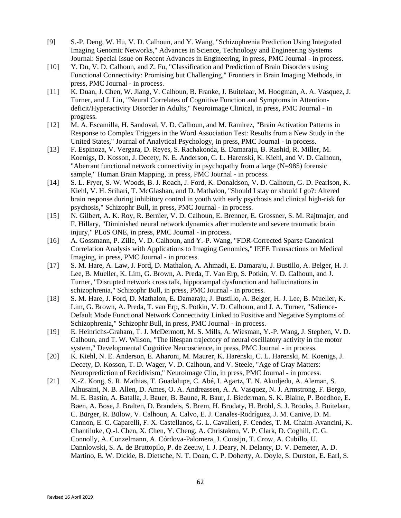- [9] S.-P. Deng, W. Hu, V. D. Calhoun, and Y. Wang, "Schizophrenia Prediction Using Integrated Imaging Genomic Networks," Advances in Science, Technology and Engineering Systems Journal: Special Issue on Recent Advances in Engineering, in press, PMC Journal - in process.
- [10] Y. Du, V. D. Calhoun, and Z. Fu, "Classification and Prediction of Brain Disorders using Functional Connectivity: Promising but Challenging," Frontiers in Brain Imaging Methods, in press, PMC Journal - in process.
- [11] K. Duan, J. Chen, W. Jiang, V. Calhoun, B. Franke, J. Buitelaar, M. Hoogman, A. A. Vasquez, J. Turner, and J. Liu, "Neural Correlates of Cognitive Function and Symptoms in Attentiondeficit/Hyperactivity Disorder in Adults," Neuroimage Clinical, in press, PMC Journal - in progress.
- [12] M. A. Escamilla, H. Sandoval, V. D. Calhoun, and M. Ramirez, "Brain Activation Patterns in Response to Complex Triggers in the Word Association Test: Results from a New Study in the United States," Journal of Analytical Psychology, in press, PMC Journal - in process.
- [13] F. Espinoza, V. Vergara, D. Reyes, S. Rachakonda, E. Damaraju, B. Rashid, R. Miller, M. Koenigs, D. Kosson, J. Decety, N. E. Anderson, C. L. Harenski, K. Kiehl, and V. D. Calhoun, "Aberrant functional network connectivity in psychopathy from a large (N=985) forensic sample," Human Brain Mapping, in press, PMC Journal - in process.
- [14] S. L. Fryer, S. W. Woods, B. J. Roach, J. Ford, K. Donaldson, V. D. Calhoun, G. D. Pearlson, K. Kiehl, V. H. Srihari, T. McGlashan, and D. Mathalon, "Should I stay or should I go?: Altered brain response during inhibitory control in youth with early psychosis and clinical high-risk for psychosis," Schizophr Bull, in press, PMC Journal - in process.
- [15] N. Gilbert, A. K. Roy, R. Bernier, V. D. Calhoun, E. Brenner, E. Grossner, S. M. Rajtmajer, and F. Hillary, "Diminished neural network dynamics after moderate and severe traumatic brain injury," PLoS ONE, in press, PMC Journal - in process.
- [16] A. Gossmann, P. Zille, V. D. Calhoun, and Y.-P. Wang, "FDR-Corrected Sparse Canonical Correlation Analysis with Applications to Imaging Genomics," IEEE Transactions on Medical Imaging, in press, PMC Journal - in process.
- [17] S. M. Hare, A. Law, J. Ford, D. Mathalon, A. Ahmadi, E. Damaraju, J. Bustillo, A. Belger, H. J. Lee, B. Mueller, K. Lim, G. Brown, A. Preda, T. Van Erp, S. Potkin, V. D. Calhoun, and J. Turner, "Disrupted network cross talk, hippocampal dysfunction and hallucinations in schizophrenia," Schizophr Bull, in press, PMC Journal - in process.
- [18] S. M. Hare, J. Ford, D. Mathalon, E. Damaraju, J. Bustillo, A. Belger, H. J. Lee, B. Mueller, K. Lim, G. Brown, A. Preda, T. van Erp, S. Potkin, V. D. Calhoun, and J. A. Turner, "Salience-Default Mode Functional Network Connectivity Linked to Positive and Negative Symptoms of Schizophrenia," Schizophr Bull, in press, PMC Journal - in process.
- [19] E. Heinrichs-Graham, T. J. McDermott, M. S. Mills, A. Wiesman, Y.-P. Wang, J. Stephen, V. D. Calhoun, and T. W. Wilson, "The lifespan trajectory of neural oscillatory activity in the motor system," Developmental Cognitive Neuroscience, in press, PMC Journal - in process.
- [20] K. Kiehl, N. E. Anderson, E. Aharoni, M. Maurer, K. Harenski, C. L. Harenski, M. Koenigs, J. Decety, D. Kosson, T. D. Wager, V. D. Calhoun, and V. Steele, "Age of Gray Matters: Neuroprediction of Recidivism," Neuroimage Clin, in press, PMC Journal - in process.
- [21] X.-Z. Kong, S. R. Mathias, T. Guadalupe, C. Abé, I. Agartz, T. N. Akudjedu, A. Aleman, S. Alhusaini, N. B. Allen, D. Ames, O. A. Andreassen, A. A. Vasquez, N. J. Armstrong, F. Bergo, M. E. Bastin, A. Batalla, J. Bauer, B. Baune, R. Baur, J. Biederman, S. K. Blaine, P. Boedhoe, E. Bøen, A. Bose, J. Bralten, D. Brandeis, S. Brem, H. Brodaty, H. Bröhl, S. J. Brooks, J. Buitelaar, C. Bürger, R. Bülow, V. Calhoun, A. Calvo, E. J. Canales-Rodríguez, J. M. Canive, D. M. Cannon, E. C. Caparelli, F. X. Castellanos, G. L. Cavalleri, F. Cendes, T. M. Chaim-Avancini, K. Chantiluke, Q.-l. Chen, X. Chen, Y. Cheng, A. Christakou, V. P. Clark, D. Coghill, C. G. Connolly, A. Conzelmann, A. Córdova-Palomera, J. Cousijn, T. Crow, A. Cubillo, U. Dannlowski, S. A. de Bruttopilo, P. de Zeeuw, I. J. Deary, N. Delanty, D. V. Demeter, A. D. Martino, E. W. Dickie, B. Dietsche, N. T. Doan, C. P. Doherty, A. Doyle, S. Durston, E. Earl, S.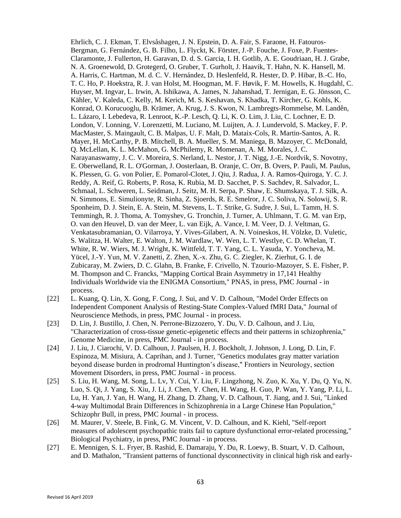Ehrlich, C. J. Ekman, T. Elvsåshagen, J. N. Epstein, D. A. Fair, S. Faraone, H. Fatouros-Bergman, G. Fernández, G. B. Filho, L. Flyckt, K. Förster, J.-P. Fouche, J. Foxe, P. Fuentes-Claramonte, J. Fullerton, H. Garavan, D. d. S. Garcia, I. H. Gotlib, A. E. Goudriaan, H. J. Grabe, N. A. Groenewold, D. Grotegerd, O. Gruber, T. Gurholt, J. Haavik, T. Hahn, N. K. Hansell, M. A. Harris, C. Hartman, M. d. C. V. Hernández, D. Heslenfeld, R. Hester, D. P. Hibar, B.-C. Ho, T. C. Ho, P. Hoekstra, R. J. van Holst, M. Hoogman, M. F. Høvik, F. M. Howells, K. Hugdahl, C. Huyser, M. Ingvar, L. Irwin, A. Ishikawa, A. James, N. Jahanshad, T. Jernigan, E. G. Jönsson, C. Kähler, V. Kaleda, C. Kelly, M. Kerich, M. S. Keshavan, S. Khadka, T. Kircher, G. Kohls, K. Konrad, O. Korucuoglu, B. Krämer, A. Krug, J. S. Kwon, N. Lambregts-Rommelse, M. Landên, L. Lázaro, I. Lebedeva, R. Lenroot, K.-P. Lesch, Q. Li, K. O. Lim, J. Liu, C. Lochner, E. D. London, V. Lonning, V. Lorenzetti, M. Luciano, M. Luijten, A. J. Lundervold, S. Mackey, F. P. MacMaster, S. Maingault, C. B. Malpas, U. F. Malt, D. Mataix-Cols, R. Martin-Santos, A. R. Mayer, H. McCarthy, P. B. Mitchell, B. A. Mueller, S. M. Maniega, B. Mazoyer, C. McDonald, Q. McLellan, K. L. McMahon, G. McPhilemy, R. Momenan, A. M. Morales, J. C. Narayanaswamy, J. C. V. Moreira, S. Nerland, L. Nestor, J. T. Nigg, J.-E. Nordvik, S. Novotny, E. Oberwelland, R. L. O'Gorman, J. Oosterlaan, B. Oranje, C. Orr, B. Overs, P. Pauli, M. Paulus, K. Plessen, G. G. von Polier, E. Pomarol-Clotet, J. Qiu, J. Radua, J. A. Ramos-Quiroga, Y. C. J. Reddy, A. Reif, G. Roberts, P. Rosa, K. Rubia, M. D. Sacchet, P. S. Sachdev, R. Salvador, L. Schmaal, L. Schweren, L. Seidman, J. Seitz, M. H. Serpa, P. Shaw, E. Shumskaya, T. J. Silk, A. N. Simmons, E. Simulionyte, R. Sinha, Z. Sjoerds, R. E. Smelror, J. C. Soliva, N. Solowij, S. R. Sponheim, D. J. Stein, E. A. Stein, M. Stevens, L. T. Strike, G. Sudre, J. Sui, L. Tamm, H. S. Temmingh, R. J. Thoma, A. Tomyshev, G. Tronchin, J. Turner, A. Uhlmann, T. G. M. van Erp, O. van den Heuvel, D. van der Meer, L. van Eijk, A. Vance, I. M. Veer, D. J. Veltman, G. Venkatasubramanian, O. Vilarroya, Y. Vives-Gilabert, A. N. Voineskos, H. Völzke, D. Vuletic, S. Walitza, H. Walter, E. Walton, J. M. Wardlaw, W. Wen, L. T. Westlye, C. D. Whelan, T. White, R. W. Wiers, M. J. Wright, K. Wittfeld, T. T. Yang, C. L. Yasuda, Y. Yoncheva, M. Yücel, J.-Y. Yun, M. V. Zanetti, Z. Zhen, X.-x. Zhu, G. C. Ziegler, K. Zierhut, G. I. de Zubicaray, M. Zwiers, D. C. Glahn, B. Franke, F. Crivello, N. Tzourio-Mazoyer, S. E. Fisher, P. M. Thompson and C. Francks, "Mapping Cortical Brain Asymmetry in 17,141 Healthy Individuals Worldwide via the ENIGMA Consortium," PNAS, in press, PMC Journal - in process.

- [22] L. Kuang, Q. Lin, X. Gong, F. Cong, J. Sui, and V. D. Calhoun, "Model Order Effects on Independent Component Analysis of Resting-State Complex-Valued fMRI Data," Journal of Neuroscience Methods, in press, PMC Journal - in process.
- [23] D. Lin, J. Bustillo, J. Chen, N. Perrone-Bizzozero, Y. Du, V. D. Calhoun, and J. Liu, "Characterization of cross-tissue genetic-epigenetic effects and their patterns in schizophrenia," Genome Medicine, in press, PMC Journal - in process.
- [24] J. Liu, J. Ciarochi, V. D. Calhoun, J. Paulsen, H. J. Bockholt, J. Johnson, J. Long, D. Lin, F. Espinoza, M. Misiura, A. Caprihan, and J. Turner, "Genetics modulates gray matter variation beyond disease burden in prodromal Huntington's disease," Frontiers in Neurology, section Movement Disorders, in press, PMC Journal - in process.
- [25] S. Liu, H. Wang, M. Song, L. Lv, Y. Cui, Y. Liu, F. Lingzhong, N. Zuo, K. Xu, Y. Du, Q. Yu, N. Luo, S. Qi, J. Yang, S. Xiu, J. Li, J. Chen, Y. Chen, H. Wang, H. Guo, P. Wan, Y. Yang, P. Li, L. Lu, H. Yan, J. Yan, H. Wang, H. Zhang, D. Zhang, V. D. Calhoun, T. Jiang, and J. Sui, "Linked 4-way Multimodal Brain Differences in Schizophrenia in a Large Chinese Han Population," Schizophr Bull, in press, PMC Journal - in process.
- [26] M. Maurer, V. Steele, B. Fink, G. M. Vincent, V. D. Calhoun, and K. Kiehl, "Self-report measures of adolescent psychopathic traits fail to capture dysfunctional error-related processing," Biological Psychiatry, in press, PMC Journal - in process.
- [27] E. Mennigen, S. L. Fryer, B. Rashid, E. Damaraju, Y. Du, R. Loewy, B. Stuart, V. D. Calhoun, and D. Mathalon, "Transient patterns of functional dysconnectivity in clinical high risk and early-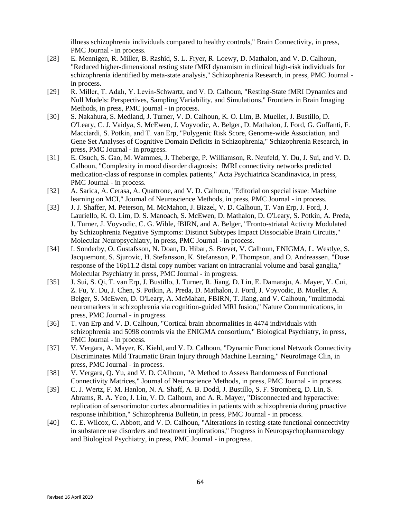illness schizophrenia individuals compared to healthy controls," Brain Connectivity, in press, PMC Journal - in process.

- [28] E. Mennigen, R. Miller, B. Rashid, S. L. Fryer, R. Loewy, D. Mathalon, and V. D. Calhoun, "Reduced higher-dimensional resting state fMRI dynamism in clinical high-risk individuals for schizophrenia identified by meta-state analysis," Schizophrenia Research, in press, PMC Journal in process.
- [29] R. Miller, T. Adalı, Y. Levin-Schwartz, and V. D. Calhoun, "Resting-State fMRI Dynamics and Null Models: Perspectives, Sampling Variability, and Simulations," Frontiers in Brain Imaging Methods, in press, PMC journal - in process.
- [30] S. Nakahura, S. Medland, J. Turner, V. D. Calhoun, K. O. Lim, B. Mueller, J. Bustillo, D. O'Leary, C. J. Vaidya, S. McEwen, J. Voyvodic, A. Belger, D. Mathalon, J. Ford, G. Guffanti, F. Macciardi, S. Potkin, and T. van Erp, "Polygenic Risk Score, Genome-wide Association, and Gene Set Analyses of Cognitive Domain Deficits in Schizophrenia," Schizophrenia Research, in press, PMC Journal - in progress.
- [31] E. Osuch, S. Gao, M. Wammes, J. Theberge, P. Williamson, R. Neufeld, Y. Du, J. Sui, and V. D. Calhoun, "Complexity in mood disorder diagnosis: fMRI connectivity networks predicted medication-class of response in complex patients," Acta Psychiatrica Scandinavica, in press, PMC Journal - in process.
- [32] A. Sarica, A. Cerasa, A. Quattrone, and V. D. Calhoun, "Editorial on special issue: Machine learning on MCI," Journal of Neuroscience Methods, in press, PMC Journal - in process.
- [33] J. J. Shaffer, M. Peterson, M. McMahon, J. Bizzel, V. D. Calhoun, T. Van Erp, J. Ford, J. Lauriello, K. O. Lim, D. S. Manoach, S. McEwen, D. Mathalon, D. O'Leary, S. Potkin, A. Preda, J. Turner, J. Voyvodic, C. G. Wible, fBIRN, and A. Belger, "Fronto-striatal Activity Modulated by Schizophrenia Negative Symptoms: Distinct Subtypes Impact Dissociable Brain Circuits," Molecular Neuropsychiatry, in press, PMC Journal - in process.
- [34] I. Sonderby, O. Gustafsson, N. Doan, D. Hibar, S. Brevet, V. Calhoun, ENIGMA, L. Westlye, S. Jacquemont, S. Sjurovic, H. Stefansson, K. Stefansson, P. Thompson, and O. Andreassen, "Dose response of the 16p11.2 distal copy number variant on intracranial volume and basal ganglia," Molecular Psychiatry in press, PMC Journal - in progress.
- [35] J. Sui, S. Qi, T. van Erp, J. Bustillo, J. Turner, R. Jiang, D. Lin, E. Damaraju, A. Mayer, Y. Cui, Z. Fu, Y. Du, J. Chen, S. Potkin, A. Preda, D. Mathalon, J. Ford, J. Voyvodic, B. Mueller, A. Belger, S. McEwen, D. O'Leary, A. McMahan, FBIRN, T. Jiang, and V. Calhoun, "multimodal neuromarkers in schizophrenia via cognition-guided MRI fusion," Nature Communications, in press, PMC Journal - in progress.
- [36] T. van Erp and V. D. Calhoun, "Cortical brain abnormalities in 4474 individuals with schizophrenia and 5098 controls via the ENIGMA consortium," Biological Psychiatry, in press, PMC Journal - in process.
- [37] V. Vergara, A. Mayer, K. Kiehl, and V. D. Calhoun, "Dynamic Functional Network Connectivity Discriminates Mild Traumatic Brain Injury through Machine Learning," NeuroImage Clin, in press, PMC Journal - in process.
- [38] V. Vergara, Q. Yu, and V. D. CAlhoun, "A Method to Assess Randomness of Functional Connectivity Matrices," Journal of Neuroscience Methods, in press, PMC Journal - in process.
- [39] C. J. Wertz, F. M. Hanlon, N. A. Shaff, A. B. Dodd, J. Bustillo, S. F. Stromberg, D. Lin, S. Abrams, R. A. Yeo, J. Liu, V. D. Calhoun, and A. R. Mayer, "Disconnected and hyperactive: replication of sensorimotor cortex abnormalities in patients with schizophrenia during proactive response inhibition," Schizophrenia Bulletin, in press, PMC Journal - in process.
- [40] C. E. Wilcox, C. Abbott, and V. D. Calhoun, "Alterations in resting-state functional connectivity in substance use disorders and treatment implications," Progress in Neuropsychopharmacology and Biological Psychiatry, in press, PMC Journal - in progress.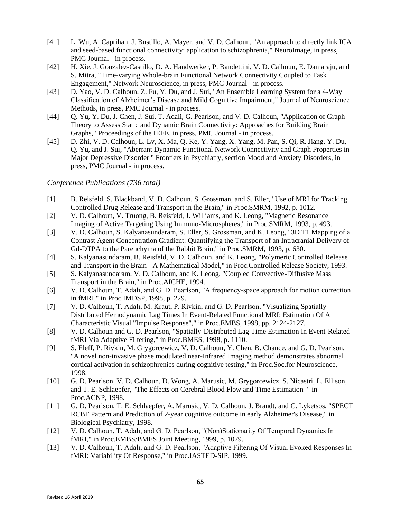- [41] L. Wu, A. Caprihan, J. Bustillo, A. Mayer, and V. D. Calhoun, "An approach to directly link ICA and seed-based functional connectivity: application to schizophrenia," NeuroImage, in press, PMC Journal - in process.
- [42] H. Xie, J. Gonzalez-Castillo, D. A. Handwerker, P. Bandettini, V. D. Calhoun, E. Damaraju, and S. Mitra, "Time-varying Whole-brain Functional Network Connectivity Coupled to Task Engagement," Network Neuroscience, in press, PMC Journal - in process.
- [43] D. Yao, V. D. Calhoun, Z. Fu, Y. Du, and J. Sui, "An Ensemble Learning System for a 4-Way Classification of Alzheimer's Disease and Mild Cognitive Impairment," Journal of Neuroscience Methods, in press, PMC Journal - in process.
- [44] Q. Yu, Y. Du, J. Chen, J. Sui, T. Adali, G. Pearlson, and V. D. Calhoun, "Application of Graph Theory to Assess Static and Dynamic Brain Connectivity: Approaches for Building Brain Graphs," Proceedings of the IEEE, in press, PMC Journal - in process.
- [45] D. Zhi, V. D. Calhoun, L. Lv, X. Ma, Q. Ke, Y. Yang, X. Yang, M. Pan, S. Qi, R. Jiang, Y. Du, Q. Yu, and J. Sui, "Aberrant Dynamic Functional Network Connectivity and Graph Properties in Major Depressive Disorder " Frontiers in Psychiatry, section Mood and Anxiety Disorders, in press, PMC Journal - in process.

*Conference Publications (736 total)*

- [1] B. Reisfeld, S. Blackband, V. D. Calhoun, S. Grossman, and S. Eller, "Use of MRI for Tracking Controlled Drug Release and Transport in the Brain," in Proc.SMRM, 1992, p. 1012.
- [2] V. D. Calhoun, V. Truong, B. Reisfeld, J. Williams, and K. Leong, "Magnetic Resonance Imaging of Active Targeting Using Immuno-Microspheres," in Proc.SMRM, 1993, p. 493.
- [3] V. D. Calhoun, S. Kalyanasundaram, S. Eller, S. Grossman, and K. Leong, "3D T1 Mapping of a Contrast Agent Concentration Gradient: Quantifying the Transport of an Intracranial Delivery of Gd-DTPA to the Parenchyma of the Rabbit Brain," in Proc.SMRM, 1993, p. 630.
- [4] S. Kalyanasundaram, B. Reisfeld, V. D. Calhoun, and K. Leong, "Polymeric Controlled Release and Transport in the Brain - A Mathematical Model," in Proc.Controlled Release Society, 1993.
- [5] S. Kalyanasundaram, V. D. Calhoun, and K. Leong, "Coupled Convective-Diffusive Mass Transport in the Brain," in Proc.AICHE, 1994.
- [6] V. D. Calhoun, T. Adalı, and G. D. Pearlson, "A frequency-space approach for motion correction in fMRI," in Proc.IMDSP, 1998, p. 229.
- [7] V. D. Calhoun, T. Adalı, M. Kraut, P. Rivkin, and G. D. Pearlson, "Visualizing Spatially Distributed Hemodynamic Lag Times In Event-Related Functional MRI: Estimation Of A Characteristic Visual "Impulse Response"," in Proc.EMBS, 1998, pp. 2124-2127.
- [8] V. D. Calhoun and G. D. Pearlson, "Spatially-Distributed Lag Time Estimation In Event-Related fMRI Via Adaptive Filtering," in Proc.BMES, 1998, p. 1110.
- [9] S. Eleff, P. Rivkin, M. Grygorcewicz, V. D. Calhoun, Y. Chen, B. Chance, and G. D. Pearlson, "A novel non-invasive phase modulated near-Infrared Imaging method demonstrates abnormal cortical activation in schizophrenics during cognitive testing," in Proc.Soc.for Neuroscience, 1998.
- [10] G. D. Pearlson, V. D. Calhoun, D. Wong, A. Marusic, M. Grygorcewicz, S. Nicastri, L. Ellison, and T. E. Schlaepfer, "The Effects on Cerebral Blood Flow and Time Estimation " in Proc.ACNP, 1998.
- [11] G. D. Pearlson, T. E. Schlaepfer, A. Marusic, V. D. Calhoun, J. Brandt, and C. Lyketsos, "SPECT RCBF Pattern and Prediction of 2-year cognitive outcome in early Alzheimer's Disease," in Biological Psychiatry, 1998.
- [12] V. D. Calhoun, T. Adalı, and G. D. Pearlson, "(Non)Stationarity Of Temporal Dynamics In fMRI," in Proc.EMBS/BMES Joint Meeting, 1999, p. 1079.
- [13] V. D. Calhoun, T. Adalı, and G. D. Pearlson, "Adaptive Filtering Of Visual Evoked Responses In fMRI: Variability Of Response," in Proc.IASTED-SIP, 1999.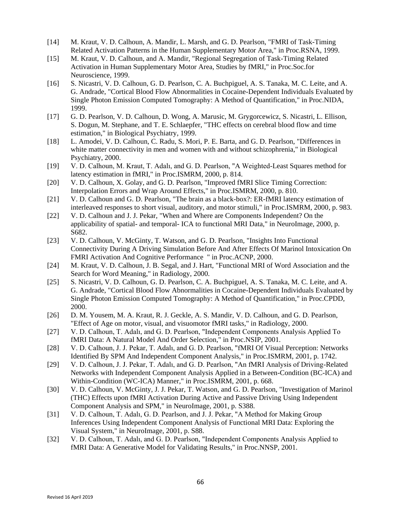- [14] M. Kraut, V. D. Calhoun, A. Mandir, L. Marsh, and G. D. Pearlson, "FMRI of Task-Timing Related Activation Patterns in the Human Supplementary Motor Area," in Proc.RSNA, 1999.
- [15] M. Kraut, V. D. Calhoun, and A. Mandir, "Regional Segregation of Task-Timing Related Activation in Human Supplementary Motor Area, Studies by fMRI," in Proc.Soc.for Neuroscience, 1999.
- [16] S. Nicastri, V. D. Calhoun, G. D. Pearlson, C. A. Buchpiguel, A. S. Tanaka, M. C. Leite, and A. G. Andrade, "Cortical Blood Flow Abnormalities in Cocaine-Dependent Individuals Evaluated by Single Photon Emission Computed Tomography: A Method of Quantification," in Proc.NIDA, 1999.
- [17] G. D. Pearlson, V. D. Calhoun, D. Wong, A. Marusic, M. Grygorcewicz, S. Nicastri, L. Ellison, S. Dogun, M. Stephane, and T. E. Schlaepfer, "THC effects on cerebral blood flow and time estimation," in Biological Psychiatry, 1999.
- [18] L. Amodei, V. D. Calhoun, C. Radu, S. Mori, P. E. Barta, and G. D. Pearlson, "Differences in white matter connectivity in men and women with and without schizophrenia," in Biological Psychiatry, 2000.
- [19] V. D. Calhoun, M. Kraut, T. Adalı, and G. D. Pearlson, "A Weighted-Least Squares method for latency estimation in fMRI," in Proc.ISMRM, 2000, p. 814.
- [20] V. D. Calhoun, X. Golay, and G. D. Pearlson, "Improved fMRI Slice Timing Correction: Interpolation Errors and Wrap Around Effects," in Proc.ISMRM, 2000, p. 810.
- [21] V. D. Calhoun and G. D. Pearlson, "The brain as a black-box?: ER-fMRI latency estimation of interleaved responses to short visual, auditory, and motor stimuli," in Proc.ISMRM, 2000, p. 983.
- [22] V. D. Calhoun and J. J. Pekar, "When and Where are Components Independent? On the applicability of spatial- and temporal- ICA to functional MRI Data," in NeuroImage, 2000, p. S682.
- [23] V. D. Calhoun, V. McGinty, T. Watson, and G. D. Pearlson, "Insights Into Functional Connectivity During A Driving Simulation Before And After Effects Of Marinol Intoxication On FMRI Activation And Cognitive Performance " in Proc.ACNP, 2000.
- [24] M. Kraut, V. D. Calhoun, J. B. Segal, and J. Hart, "Functional MRI of Word Association and the Search for Word Meaning," in Radiology, 2000.
- [25] S. Nicastri, V. D. Calhoun, G. D. Pearlson, C. A. Buchpiguel, A. S. Tanaka, M. C. Leite, and A. G. Andrade, "Cortical Blood Flow Abnormalities in Cocaine-Dependent Individuals Evaluated by Single Photon Emission Computed Tomography: A Method of Quantification," in Proc.CPDD, 2000.
- [26] D. M. Yousem, M. A. Kraut, R. J. Geckle, A. S. Mandir, V. D. Calhoun, and G. D. Pearlson, "Effect of Age on motor, visual, and visuomotor fMRI tasks," in Radiology, 2000.
- [27] V. D. Calhoun, T. Adalı, and G. D. Pearlson, "Independent Components Analysis Applied To fMRI Data: A Natural Model And Order Selection," in Proc.NSIP, 2001.
- [28] V. D. Calhoun, J. J. Pekar, T. Adalı, and G. D. Pearlson, "fMRI Of Visual Perception: Networks Identified By SPM And Independent Component Analysis," in Proc.ISMRM, 2001, p. 1742.
- [29] V. D. Calhoun, J. J. Pekar, T. Adalı, and G. D. Pearlson, "An fMRI Analysis of Driving-Related Networks with Independent Component Analysis Applied in a Between-Condition (BC-ICA) and Within-Condition (WC-ICA) Manner," in Proc.ISMRM, 2001, p. 668.
- [30] V. D. Calhoun, V. McGinty, J. J. Pekar, T. Watson, and G. D. Pearlson, "Investigation of Marinol (THC) Effects upon fMRI Activation During Active and Passive Driving Using Independent Component Analysis and SPM," in NeuroImage, 2001, p. S388.
- [31] V. D. Calhoun, T. Adalı, G. D. Pearlson, and J. J. Pekar, "A Method for Making Group Inferences Using Independent Component Analysis of Functional MRI Data: Exploring the Visual System," in NeuroImage, 2001, p. S88.
- [32] V. D. Calhoun, T. Adalı, and G. D. Pearlson, "Independent Components Analysis Applied to fMRI Data: A Generative Model for Validating Results," in Proc.NNSP, 2001.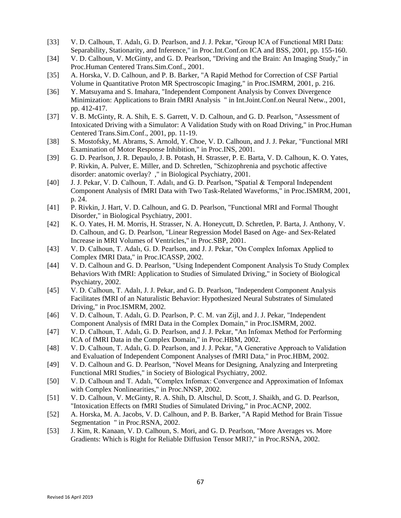- [33] V. D. Calhoun, T. Adalı, G. D. Pearlson, and J. J. Pekar, "Group ICA of Functional MRI Data: Separability, Stationarity, and Inference," in Proc.Int.Conf.on ICA and BSS, 2001, pp. 155-160.
- [34] V. D. Calhoun, V. McGinty, and G. D. Pearlson, "Driving and the Brain: An Imaging Study," in Proc.Human Centered Trans.Sim.Conf., 2001.
- [35] A. Horska, V. D. Calhoun, and P. B. Barker, "A Rapid Method for Correction of CSF Partial Volume in Quantitative Proton MR Spectroscopic Imaging," in Proc.ISMRM, 2001, p. 216.
- [36] Y. Matsuyama and S. Imahara, "Independent Component Analysis by Convex Divergence Minimization: Applications to Brain fMRI Analysis " in Int.Joint.Conf.on Neural Netw., 2001, pp. 412-417.
- [37] V. B. McGinty, R. A. Shih, E. S. Garrett, V. D. Calhoun, and G. D. Pearlson, "Assessment of Intoxicated Driving with a Simulator: A Validation Study with on Road Driving," in Proc.Human Centered Trans.Sim.Conf., 2001, pp. 11-19.
- [38] S. Mostofsky, M. Abrams, S. Arnold, Y. Choe, V. D. Calhoun, and J. J. Pekar, "Functional MRI Examination of Motor Response Inhibition," in Proc.INS, 2001.
- [39] G. D. Pearlson, J. R. Depaulo, J. B. Potash, H. Strasser, P. E. Barta, V. D. Calhoun, K. O. Yates, P. Rivkin, A. Pulver, E. Miller, and D. Schretlen, "Schizophrenia and psychotic affective disorder: anatomic overlay? ," in Biological Psychiatry, 2001.
- [40] J. J. Pekar, V. D. Calhoun, T. Adalı, and G. D. Pearlson, "Spatial & Temporal Independent Component Analysis of fMRI Data with Two Task-Related Waveforms," in Proc.ISMRM, 2001, p. 24.
- [41] P. Rivkin, J. Hart, V. D. Calhoun, and G. D. Pearlson, "Functional MRI and Formal Thought Disorder," in Biological Psychiatry, 2001.
- [42] K. O. Yates, H. M. Morris, H. Strasser, N. A. Honeycutt, D. Schretlen, P. Barta, J. Anthony, V. D. Calhoun, and G. D. Pearlson, "Linear Regression Model Based on Age- and Sex-Related Increase in MRI Volumes of Ventricles," in Proc.SBP, 2001.
- [43] V. D. Calhoun, T. Adalı, G. D. Pearlson, and J. J. Pekar, "On Complex Infomax Applied to Complex fMRI Data," in Proc.ICASSP, 2002.
- [44] V. D. Calhoun and G. D. Pearlson, "Using Independent Component Analysis To Study Complex Behaviors With fMRI: Application to Studies of Simulated Driving," in Society of Biological Psychiatry, 2002.
- [45] V. D. Calhoun, T. Adalı, J. J. Pekar, and G. D. Pearlson, "Independent Component Analysis Facilitates fMRI of an Naturalistic Behavior: Hypothesized Neural Substrates of Simulated Driving," in Proc.ISMRM, 2002.
- [46] V. D. Calhoun, T. Adalı, G. D. Pearlson, P. C. M. van Zijl, and J. J. Pekar, "Independent Component Analysis of fMRI Data in the Complex Domain," in Proc.ISMRM, 2002.
- [47] V. D. Calhoun, T. Adalı, G. D. Pearlson, and J. J. Pekar, "An Infomax Method for Performing ICA of fMRI Data in the Complex Domain," in Proc.HBM, 2002.
- [48] V. D. Calhoun, T. Adalı, G. D. Pearlson, and J. J. Pekar, "A Generative Approach to Validation and Evaluation of Independent Component Analyses of fMRI Data," in Proc.HBM, 2002.
- [49] V. D. Calhoun and G. D. Pearlson, "Novel Means for Designing, Analyzing and Interpreting Functional MRI Studies," in Society of Biological Psychiatry, 2002.
- [50] V. D. Calhoun and T. Adalı, "Complex Infomax: Convergence and Approximation of Infomax with Complex Nonlinearities," in Proc.NNSP, 2002.
- [51] V. D. Calhoun, V. McGinty, R. A. Shih, D. Altschul, D. Scott, J. Shaikh, and G. D. Pearlson, "Intoxication Effects on fMRI Studies of Simulated Driving," in Proc.ACNP, 2002.
- [52] A. Horska, M. A. Jacobs, V. D. Calhoun, and P. B. Barker, "A Rapid Method for Brain Tissue Segmentation " in Proc.RSNA, 2002.
- [53] J. Kim, R. Kanaan, V. D. Calhoun, S. Mori, and G. D. Pearlson, "More Averages vs. More Gradients: Which is Right for Reliable Diffusion Tensor MRI?," in Proc.RSNA, 2002.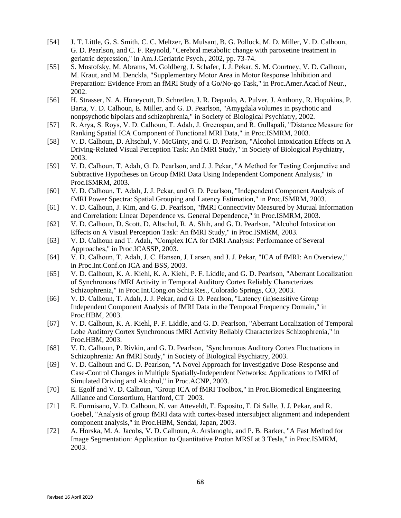- [54] J. T. Little, G. S. Smith, C. C. Meltzer, B. Mulsant, B. G. Pollock, M. D. Miller, V. D. Calhoun, G. D. Pearlson, and C. F. Reynold, "Cerebral metabolic change with paroxetine treatment in geriatric depression," in Am.J.Geriatric Psych., 2002, pp. 73-74.
- [55] S. Mostofsky, M. Abrams, M. Goldberg, J. Schafer, J. J. Pekar, S. M. Courtney, V. D. Calhoun, M. Kraut, and M. Denckla, "Supplementary Motor Area in Motor Response Inhibition and Preparation: Evidence From an fMRI Study of a Go/No-go Task," in Proc.Amer.Acad.of Neur., 2002.
- [56] H. Strasser, N. A. Honeycutt, D. Schretlen, J. R. Depaulo, A. Pulver, J. Anthony, R. Hopokins, P. Barta, V. D. Calhoun, E. Miller, and G. D. Pearlson, "Amygdala volumes in psychotic and nonpsychotic bipolars and schizophrenia," in Society of Biological Psychiatry, 2002.
- [57] R. Arya, S. Roys, V. D. Calhoun, T. Adalı, J. Greenspan, and R. Gullapali, "Distance Measure for Ranking Spatial ICA Component of Functional MRI Data," in Proc.ISMRM, 2003.
- [58] V. D. Calhoun, D. Altschul, V. McGinty, and G. D. Pearlson, "Alcohol Intoxication Effects on A Driving-Related Visual Perception Task: An fMRI Study," in Society of Biological Psychiatry, 2003.
- [59] V. D. Calhoun, T. Adalı, G. D. Pearlson, and J. J. Pekar, "A Method for Testing Conjunctive and Subtractive Hypotheses on Group fMRI Data Using Independent Component Analysis," in Proc.ISMRM, 2003.
- [60] V. D. Calhoun, T. Adalı, J. J. Pekar, and G. D. Pearlson, "Independent Component Analysis of fMRI Power Spectra: Spatial Grouping and Latency Estimation," in Proc.ISMRM, 2003.
- [61] V. D. Calhoun, J. Kim, and G. D. Pearlson, "fMRI Connectivity Measured by Mutual Information and Correlation: Linear Dependence vs. General Dependence," in Proc.ISMRM, 2003.
- [62] V. D. Calhoun, D. Scott, D. Altschul, R. A. Shih, and G. D. Pearlson, "Alcohol Intoxication Effects on A Visual Perception Task: An fMRI Study," in Proc.ISMRM, 2003.
- [63] V. D. Calhoun and T. Adalı, "Complex ICA for fMRI Analysis: Performance of Several Approaches," in Proc.ICASSP, 2003.
- [64] V. D. Calhoun, T. Adalı, J. C. Hansen, J. Larsen, and J. J. Pekar, "ICA of fMRI: An Overview," in Proc.Int.Conf.on ICA and BSS, 2003.
- [65] V. D. Calhoun, K. A. Kiehl, K. A. Kiehl, P. F. Liddle, and G. D. Pearlson, "Aberrant Localization of Synchronous fMRI Activity in Temporal Auditory Cortex Reliably Characterizes Schizophrenia," in Proc.Int.Cong.on Schiz.Res., Colorado Springs, CO, 2003.
- [66] V. D. Calhoun, T. Adalı, J. J. Pekar, and G. D. Pearlson, "Latency (in)sensitive Group Independent Component Analysis of fMRI Data in the Temporal Frequency Domain," in Proc.HBM, 2003.
- [67] V. D. Calhoun, K. A. Kiehl, P. F. Liddle, and G. D. Pearlson, "Aberrant Localization of Temporal Lobe Auditory Cortex Synchronous fMRI Activity Reliably Characterizes Schizophrenia," in Proc.HBM, 2003.
- [68] V. D. Calhoun, P. Rivkin, and G. D. Pearlson, "Synchronous Auditory Cortex Fluctuations in Schizophrenia: An fMRI Study," in Society of Biological Psychiatry, 2003.
- [69] V. D. Calhoun and G. D. Pearlson, "A Novel Approach for Investigative Dose-Response and Case-Control Changes in Multiple Spatially-Independent Networks: Applications to fMRI of Simulated Driving and Alcohol," in Proc.ACNP, 2003.
- [70] E. Egolf and V. D. Calhoun, "Group ICA of fMRI Toolbox," in Proc.Biomedical Engineering Alliance and Consortium, Hartford, CT 2003.
- [71] E. Formisano, V. D. Calhoun, N. van Atteveldt, F. Esposito, F. Di Salle, J. J. Pekar, and R. Goebel, "Analysis of group fMRI data with cortex-based intersubject alignment and independent component analysis," in Proc.HBM, Sendai, Japan, 2003.
- [72] A. Horska, M. A. Jacobs, V. D. Calhoun, A. Arslanoglu, and P. B. Barker, "A Fast Method for Image Segmentation: Application to Quantitative Proton MRSI at 3 Tesla," in Proc.ISMRM, 2003.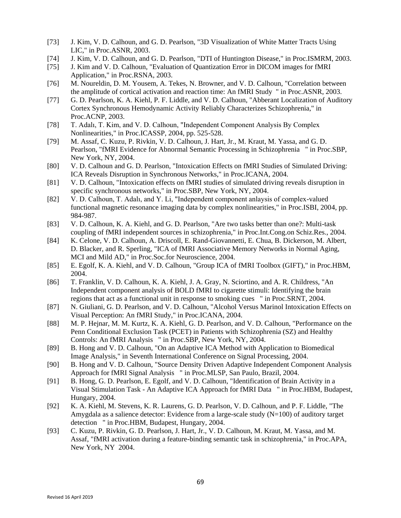- [73] J. Kim, V. D. Calhoun, and G. D. Pearlson, "3D Visualization of White Matter Tracts Using LIC," in Proc.ASNR, 2003.
- [74] J. Kim, V. D. Calhoun, and G. D. Pearlson, "DTI of Huntington Disease," in Proc.ISMRM, 2003.
- [75] J. Kim and V. D. Calhoun, "Evaluation of Quantization Error in DICOM images for fMRI Application," in Proc.RSNA, 2003.
- [76] M. Noureldin, D. M. Yousem, A. Tekes, N. Browner, and V. D. Calhoun, "Correlation between the amplitude of cortical activation and reaction time: An fMRI Study " in Proc.ASNR, 2003.
- [77] G. D. Pearlson, K. A. Kiehl, P. F. Liddle, and V. D. Calhoun, "Abberant Localization of Auditory Cortex Synchronous Hemodynamic Activity Reliably Characterizes Schizophrenia," in Proc.ACNP, 2003.
- [78] T. Adalı, T. Kim, and V. D. Calhoun, "Independent Component Analysis By Complex Nonlinearities," in Proc.ICASSP, 2004, pp. 525-528.
- [79] M. Assaf, C. Kuzu, P. Rivkin, V. D. Calhoun, J. Hart, Jr., M. Kraut, M. Yassa, and G. D. Pearlson, "fMRI Evidence for Abnormal Semantic Processing in Schizophrenia " in Proc.SBP, New York, NY, 2004.
- [80] V. D. Calhoun and G. D. Pearlson, "Intoxication Effects on fMRI Studies of Simulated Driving: ICA Reveals Disruption in Synchronous Networks," in Proc.ICANA, 2004.
- [81] V. D. Calhoun, "Intoxication effects on fMRI studies of simulated driving reveals disruption in specific synchronous networks," in Proc.SBP, New York, NY, 2004.
- [82] V. D. Calhoun, T. Adalı, and Y. Li, "Independent component anlaysis of complex-valued functional magnetic resonance imaging data by complex nonlinearities," in Proc.ISBI, 2004, pp. 984-987.
- [83] V. D. Calhoun, K. A. Kiehl, and G. D. Pearlson, "Are two tasks better than one?: Multi-task coupling of fMRI independent sources in schizophrenia," in Proc.Int.Cong.on Schiz.Res., 2004.
- [84] K. Celone, V. D. Calhoun, A. Driscoll, E. Rand-Giovannetti, E. Chua, B. Dickerson, M. Albert, D. Blacker, and R. Sperling, "ICA of fMRI Associative Memory Networks in Normal Aging, MCI and Mild AD," in Proc.Soc.for Neuroscience, 2004.
- [85] E. Egolf, K. A. Kiehl, and V. D. Calhoun, "Group ICA of fMRI Toolbox (GIFT)," in Proc.HBM, 2004.
- [86] T. Franklin, V. D. Calhoun, K. A. Kiehl, J. A. Gray, N. Sciortino, and A. R. Childress, "An Independent component analysis of BOLD fMRI to cigarette stimuli: Identifying the brain regions that act as a functional unit in response to smoking cues " in Proc.SRNT, 2004.
- [87] N. Giuliani, G. D. Pearlson, and V. D. Calhoun, "Alcohol Versus Marinol Intoxication Effects on Visual Perception: An fMRI Study," in Proc.ICANA, 2004.
- [88] M. P. Hejnar, M. M. Kurtz, K. A. Kiehl, G. D. Pearlson, and V. D. Calhoun, "Performance on the Penn Conditional Exclusion Task (PCET) in Patients with Schizophrenia (SZ) and Healthy Controls: An fMRI Analysis " in Proc.SBP, New York, NY, 2004.
- [89] B. Hong and V. D. Calhoun, "On an Adaptive ICA Method with Application to Biomedical Image Analysis," in Seventh International Conference on Signal Processing, 2004.
- [90] B. Hong and V. D. Calhoun, "Source Density Driven Adaptive Independent Component Analysis Approach for fMRI Signal Analysis " in Proc.MLSP, San Paulo, Brazil, 2004.
- [91] B. Hong, G. D. Pearlson, E. Egolf, and V. D. Calhoun, "Identification of Brain Activity in a Visual Stimulation Task - An Adaptive ICA Approach for fMRI Data " in Proc.HBM, Budapest, Hungary, 2004.
- [92] K. A. Kiehl, M. Stevens, K. R. Laurens, G. D. Pearlson, V. D. Calhoun, and P. F. Liddle, "The Amygdala as a salience detector: Evidence from a large-scale study  $(N=100)$  of auditory target detection " in Proc.HBM, Budapest, Hungary, 2004.
- [93] C. Kuzu, P. Rivkin, G. D. Pearlson, J. Hart, Jr., V. D. Calhoun, M. Kraut, M. Yassa, and M. Assaf, "fMRI activation during a feature-binding semantic task in schizophrenia," in Proc.APA, New York, NY 2004.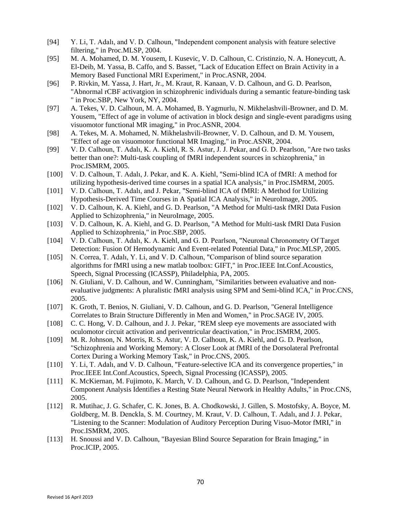- [94] Y. Li, T. Adalı, and V. D. Calhoun, "Independent component analysis with feature selective filtering," in Proc.MLSP, 2004.
- [95] M. A. Mohamed, D. M. Yousem, I. Kusevic, V. D. Calhoun, C. Cristinzio, N. A. Honeycutt, A. El-Deib, M. Yassa, B. Caffo, and S. Basset, "Lack of Education Effect on Brain Activity in a Memory Based Functional MRI Experiment," in Proc.ASNR, 2004.
- [96] P. Rivkin, M. Yassa, J. Hart, Jr., M. Kraut, R. Kanaan, V. D. Calhoun, and G. D. Pearlson, "Abnormal rCBF activatgion in schizophrenic individuals during a semantic feature-binding task " in Proc.SBP, New York, NY, 2004.
- [97] A. Tekes, V. D. Calhoun, M. A. Mohamed, B. Yagmurlu, N. Mikhelashvili-Browner, and D. M. Yousem, "Effect of age in volume of activation in block design and single-event paradigms using visuomotor functional MR imaging," in Proc.ASNR, 2004.
- [98] A. Tekes, M. A. Mohamed, N. Mikhelashvili-Browner, V. D. Calhoun, and D. M. Yousem, "Effect of age on visuomotor functional MR Imaging," in Proc.ASNR, 2004.
- [99] V. D. Calhoun, T. Adalı, K. A. Kiehl, R. S. Astur, J. J. Pekar, and G. D. Pearlson, "Are two tasks better than one?: Multi-task coupling of fMRI independent sources in schizophrenia," in Proc.ISMRM, 2005.
- [100] V. D. Calhoun, T. Adalı, J. Pekar, and K. A. Kiehl, "Semi-blind ICA of fMRI: A method for utilizing hypothesis-derived time courses in a spatial ICA analysis," in Proc.ISMRM, 2005.
- [101] V. D. Calhoun, T. Adalı, and J. Pekar, "Semi-blind ICA of fMRI: A Method for Utilizing Hypothesis-Derived Time Courses in A Spatial ICA Analysis," in NeuroImage, 2005.
- [102] V. D. Calhoun, K. A. Kiehl, and G. D. Pearlson, "A Method for Multi-task fMRI Data Fusion Applied to Schizophrenia," in NeuroImage, 2005.
- [103] V. D. Calhoun, K. A. Kiehl, and G. D. Pearlson, "A Method for Multi-task fMRI Data Fusion Applied to Schizophrenia," in Proc.SBP, 2005.
- [104] V. D. Calhoun, T. Adalı, K. A. Kiehl, and G. D. Pearlson, "Neuronal Chronometry Of Target Detection: Fusion Of Hemodynamic And Event-related Potential Data," in Proc.MLSP, 2005.
- [105] N. Correa, T. Adalı, Y. Li, and V. D. Calhoun, "Comparison of blind source separation algorithms for fMRI using a new matlab toolbox: GIFT," in Proc.IEEE Int.Conf.Acoustics, Speech, Signal Processing (ICASSP), Philadelphia, PA, 2005.
- [106] N. Giuliani, V. D. Calhoun, and W. Cunningham, "Similarities between evaluative and nonevaluative judgments: A pluralistic fMRI analysis using SPM and Semi-blind ICA," in Proc.CNS, 2005.
- [107] K. Groth, T. Benios, N. Giuliani, V. D. Calhoun, and G. D. Pearlson, "General Intelligence Correlates to Brain Structure Differently in Men and Women," in Proc.SAGE IV, 2005.
- [108] C. C. Hong, V. D. Calhoun, and J. J. Pekar, "REM sleep eye movements are associated with oculomotor circuit activation and periventricular deactivation," in Proc.ISMRM, 2005.
- [109] M. R. Johnson, N. Morris, R. S. Astur, V. D. Calhoun, K. A. Kiehl, and G. D. Pearlson, "Schizophrenia and Working Memory: A Closer Look at fMRI of the Dorsolateral Prefrontal Cortex During a Working Memory Task," in Proc.CNS, 2005.
- [110] Y. Li, T. Adalı, and V. D. Calhoun, "Feature-selective ICA and its convergence properties," in Proc.IEEE Int.Conf.Acoustics, Speech, Signal Processing (ICASSP), 2005.
- [111] K. McKiernan, M. Fujimoto, K. March, V. D. Calhoun, and G. D. Pearlson, "Independent" Component Analysis Identifies a Resting State Neural Network in Healthy Adults," in Proc.CNS, 2005.
- [112] R. Mutihac, J. G. Schafer, C. K. Jones, B. A. Chodkowski, J. Gillen, S. Mostofsky, A. Boyce, M. Goldberg, M. B. Denckla, S. M. Courtney, M. Kraut, V. D. Calhoun, T. Adalı, and J. J. Pekar, "Listening to the Scanner: Modulation of Auditory Perception During Visuo-Motor fMRI," in Proc.ISMRM, 2005.
- [113] H. Snoussi and V. D. Calhoun, "Bayesian Blind Source Separation for Brain Imaging," in Proc.ICIP, 2005.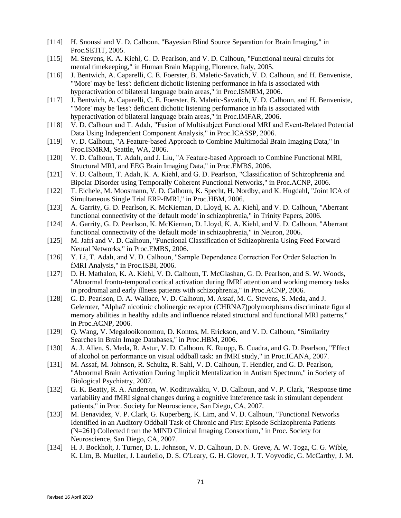- [114] H. Snoussi and V. D. Calhoun, "Bayesian Blind Source Separation for Brain Imaging," in Proc.SETIT, 2005.
- [115] M. Stevens, K. A. Kiehl, G. D. Pearlson, and V. D. Calhoun, "Functional neural circuits for mental timekeeping," in Human Brain Mapping, Florence, Italy, 2005.
- [116] J. Bentwich, A. Caparelli, C. E. Foerster, B. Maletic-Savatich, V. D. Calhoun, and H. Benveniste, "'More' may be 'less': deficient dichotic listening performance in hfa is associated with hyperactivation of bilateral language brain areas," in Proc.ISMRM, 2006.
- [117] J. Bentwich, A. Caparelli, C. E. Foerster, B. Maletic-Savatich, V. D. Calhoun, and H. Benveniste, "'More' may be 'less': deficient dichotic listening performance in hfa is associated with hyperactivation of bilateral language brain areas," in Proc.IMFAR, 2006.
- [118] V. D. Calhoun and T. Adalı, "Fusion of Multisubject Functional MRI and Event-Related Potential Data Using Independent Component Analysis," in Proc.ICASSP, 2006.
- [119] V. D. Calhoun, "A Feature-based Approach to Combine Multimodal Brain Imaging Data," in Proc.ISMRM, Seattle, WA, 2006.
- [120] V. D. Calhoun, T. Adalı, and J. Liu, "A Feature-based Approach to Combine Functional MRI, Structural MRI, and EEG Brain Imaging Data," in Proc.EMBS, 2006.
- [121] V. D. Calhoun, T. Adalı, K. A. Kiehl, and G. D. Pearlson, "Classification of Schizophrenia and Bipolar Disorder using Temporally Coherent Functional Networks," in Proc.ACNP, 2006.
- [122] T. Eichele, M. Moosmann, V. D. Calhoun, K. Specht, H. Nordby, and K. Hugdahl, "Joint ICA of Simultaneous Single Trial ERP-fMRI," in Proc.HBM, 2006.
- [123] A. Garrity, G. D. Pearlson, K. McKiernan, D. Lloyd, K. A. Kiehl, and V. D. Calhoun, "Aberrant functional connectivity of the 'default mode' in schizophrenia," in Trinity Papers, 2006.
- [124] A. Garrity, G. D. Pearlson, K. McKiernan, D. Lloyd, K. A. Kiehl, and V. D. Calhoun, "Aberrant functional connectivity of the 'default mode' in schizophrenia," in Neuron, 2006.
- [125] M. Jafri and V. D. Calhoun, "Functional Classification of Schizophrenia Using Feed Forward Neural Networks," in Proc.EMBS, 2006.
- [126] Y. Li, T. Adalı, and V. D. Calhoun, "Sample Dependence Correction For Order Selection In fMRI Analysis," in Proc.ISBI, 2006.
- [127] D. H. Mathalon, K. A. Kiehl, V. D. Calhoun, T. McGlashan, G. D. Pearlson, and S. W. Woods, "Abnormal fronto-temporal cortical activation during fMRI attention and working memory tasks in prodromal and early illness patients with schizophrenia," in Proc.ACNP, 2006.
- [128] G. D. Pearlson, D. A. Wallace, V. D. Calhoun, M. Assaf, M. C. Stevens, S. Meda, and J. Gelernter, "Alpha7 nicotinic cholinergic receptor (CHRNA7)polymorphisms discriminate figural memory abilities in healthy adults and influence related structural and functional MRI patterns," in Proc.ACNP, 2006.
- [129] Q. Wang, V. Megalooikonomou, D. Kontos, M. Erickson, and V. D. Calhoun, "Similarity Searches in Brain Image Databases," in Proc.HBM, 2006.
- [130] A. J. Allen, S. Meda, R. Astur, V. D. Calhoun, K. Ruopp, B. Cuadra, and G. D. Pearlson, "Effect of alcohol on performance on visual oddball task: an fMRI study," in Proc.ICANA, 2007.
- [131] M. Assaf, M. Johnson, R. Schultz, R. Sahl, V. D. Calhoun, T. Hendler, and G. D. Pearlson, "Abnormal Brain Activation During Implicit Mentalization in Autism Spectrum," in Society of Biological Psychiatry, 2007.
- [132] G. K. Beatty, R. A. Anderson, W. Kodituwakku, V. D. Calhoun, and V. P. Clark, "Response time variability and fMRI signal changes during a cognitive inteference task in stimulant dependent patients," in Proc. Society for Neuroscience, San Diego, CA, 2007.
- [133] M. Benavidez, V. P. Clark, G. Kuperberg, K. Lim, and V. D. Calhoun, "Functional Networks" Identified in an Auditory Oddball Task of Chronic and First Episode Schizophrenia Patients (N=261) Collected from the MIND Clinical Imaging Consortium," in Proc. Society for Neuroscience, San Diego, CA, 2007.
- [134] H. J. Bockholt, J. Turner, D. L. Johnson, V. D. Calhoun, D. N. Greve, A. W. Toga, C. G. Wible, K. Lim, B. Mueller, J. Lauriello, D. S. O'Leary, G. H. Glover, J. T. Voyvodic, G. McCarthy, J. M.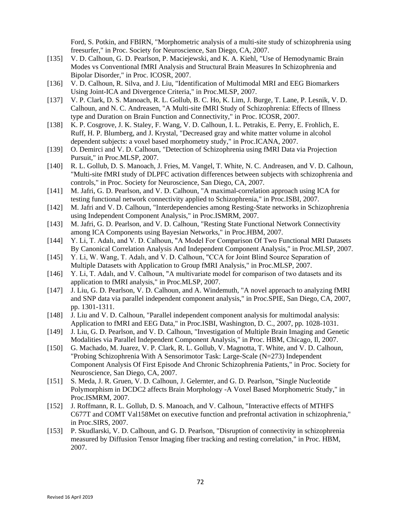Ford, S. Potkin, and FBIRN, "Morphometric analysis of a multi-site study of schizophrenia using freesurfer," in Proc. Society for Neuroscience, San Diego, CA, 2007.

- [135] V. D. Calhoun, G. D. Pearlson, P. Maciejewski, and K. A. Kiehl, "Use of Hemodynamic Brain Modes vs Conventional fMRI Analysis and Structural Brain Measures In Schizophrenia and Bipolar Disorder," in Proc. ICOSR, 2007.
- [136] V. D. Calhoun, R. Silva, and J. Liu, "Identification of Multimodal MRI and EEG Biomarkers Using Joint-ICA and Divergence Criteria," in Proc.MLSP, 2007.
- [137] V. P. Clark, D. S. Manoach, R. L. Gollub, B. C. Ho, K. Lim, J. Burge, T. Lane, P. Lesnik, V. D. Calhoun, and N. C. Andreasen, "A Multi-site fMRI Study of Schizophrenia: Effects of Illness type and Duration on Brain Function and Connectivity," in Proc. ICOSR, 2007.
- [138] K. P. Cosgrove, J. K. Staley, F. Wang, V. D. Calhoun, I. L. Petrakis, E. Perry, E. Frohlich, E. Ruff, H. P. Blumberg, and J. Krystal, "Decreased gray and white matter volume in alcohol dependent subjects: a voxel based morphometry study," in Proc.ICANA, 2007.
- [139] O. Demirci and V. D. Calhoun, "Detection of Schizophrenia using fMRI Data via Projection Pursuit," in Proc.MLSP, 2007.
- [140] R. L. Gollub, D. S. Manoach, J. Fries, M. Vangel, T. White, N. C. Andreasen, and V. D. Calhoun, "Multi-site fMRI study of DLPFC activation differences between subjects with schizophrenia and controls," in Proc. Society for Neuroscience, San Diego, CA, 2007.
- [141] M. Jafri, G. D. Pearlson, and V. D. Calhoun, "A maximal-correlation approach using ICA for testing functional network connectivity applied to Schizophrenia," in Proc.ISBI, 2007.
- [142] M. Jafri and V. D. Calhoun, "Interdependencies among Resting-State networks in Schizophrenia using Independent Component Analysis," in Proc.ISMRM, 2007.
- [143] M. Jafri, G. D. Pearlson, and V. D. Calhoun, "Resting State Functional Network Connectivity among ICA Components using Bayesian Networks," in Proc.HBM, 2007.
- [144] Y. Li, T. Adalı, and V. D. Calhoun, "A Model For Comparison Of Two Functional MRI Datasets By Canonical Correlation Analysis And Independent Component Analysis," in Proc.MLSP, 2007.
- [145] Y. Li, W. Wang, T. Adalı, and V. D. Calhoun, "CCA for Joint Blind Source Separation of Multiple Datasets with Application to Group fMRI Analysis," in Proc.MLSP, 2007.
- [146] Y. Li, T. Adalı, and V. Calhoun, "A multivariate model for comparison of two datasets and its application to fMRI analysis," in Proc.MLSP, 2007.
- [147] J. Liu, G. D. Pearlson, V. D. Calhoun, and A. Windemuth, "A novel approach to analyzing fMRI and SNP data via parallel independent component analysis," in Proc.SPIE, San Diego, CA, 2007, pp. 1301-1311.
- [148] J. Liu and V. D. Calhoun, "Parallel independent component analysis for multimodal analysis: Application to fMRI and EEG Data," in Proc.ISBI, Washington, D. C., 2007, pp. 1028-1031.
- [149] J. Liu, G. D. Pearlson, and V. D. Calhoun, "Investigation of Multiple Brain Imaging and Genetic Modalities via Parallel Independent Component Analysis," in Proc. HBM, Chicago, Il, 2007.
- [150] G. Machado, M. Juarez, V. P. Clark, R. L. Gollub, V. Magnotta, T. White, and V. D. Calhoun, "Probing Schizophrenia With A Sensorimotor Task: Large-Scale (N=273) Independent Component Analysis Of First Episode And Chronic Schizophrenia Patients," in Proc. Society for Neuroscience, San Diego, CA, 2007.
- [151] S. Meda, J. R. Gruen, V. D. Calhoun, J. Gelernter, and G. D. Pearlson, "Single Nucleotide Polymorphism in DCDC2 affects Brain Morphology -A Voxel Based Morphometric Study," in Proc.ISMRM, 2007.
- [152] J. Roffmann, R. L. Gollub, D. S. Manoach, and V. Calhoun, "Interactive effects of MTHFS C677T and COMT Val158Met on executive function and prefrontal activation in schizophrenia," in Proc.SIRS, 2007.
- [153] P. Skudlarski, V. D. Calhoun, and G. D. Pearlson, "Disruption of connectivity in schizophrenia measured by Diffusion Tensor Imaging fiber tracking and resting correlation," in Proc. HBM, 2007.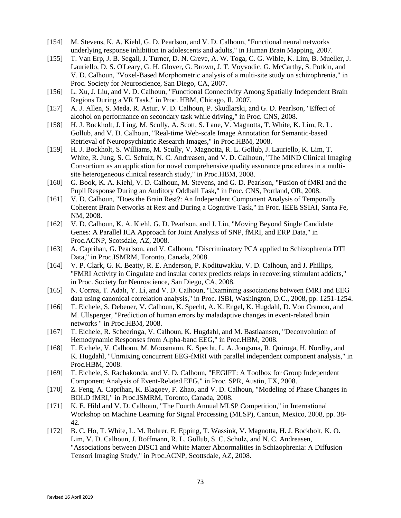- [154] M. Stevens, K. A. Kiehl, G. D. Pearlson, and V. D. Calhoun, "Functional neural networks underlying response inhibition in adolescents and adults," in Human Brain Mapping, 2007.
- [155] T. Van Erp, J. B. Segall, J. Turner, D. N. Greve, A. W. Toga, C. G. Wible, K. Lim, B. Mueller, J. Lauriello, D. S. O'Leary, G. H. Glover, G. Brown, J. T. Voyvodic, G. McCarthy, S. Potkin, and V. D. Calhoun, "Voxel-Based Morphometric analysis of a multi-site study on schizophrenia," in Proc. Society for Neuroscience, San Diego, CA, 2007.
- [156] L. Xu, J. Liu, and V. D. Calhoun, "Functional Connectivity Among Spatially Independent Brain Regions During a VR Task," in Proc. HBM, Chicago, Il, 2007.
- [157] A. J. Allen, S. Meda, R. Astur, V. D. Calhoun, P. Skudlarski, and G. D. Pearlson, "Effect of alcohol on performance on secondary task while driving," in Proc. CNS, 2008.
- [158] H. J. Bockholt, J. Ling, M. Scully, A. Scott, S. Lane, V. Magnotta, T. White, K. Lim, R. L. Gollub, and V. D. Calhoun, "Real-time Web-scale Image Annotation for Semantic-based Retrieval of Neuropsychiatric Research Images," in Proc.HBM, 2008.
- [159] H. J. Bockholt, S. Williams, M. Scully, V. Magnotta, R. L. Gollub, J. Lauriello, K. Lim, T. White, R. Jung, S. C. Schulz, N. C. Andreasen, and V. D. Calhoun, "The MIND Clinical Imaging Consortium as an application for novel comprehensive quality assurance procedures in a multisite heterogeneous clinical research study," in Proc.HBM, 2008.
- [160] G. Book, K. A. Kiehl, V. D. Calhoun, M. Stevens, and G. D. Pearlson, "Fusion of fMRI and the Pupil Response During an Auditory Oddball Task," in Proc. CNS, Portland, OR, 2008.
- [161] V. D. Calhoun, "Does the Brain Rest?: An Independent Component Analysis of Temporally Coherent Brain Networks at Rest and During a Cognitive Task," in Proc. IEEE SSIAI, Santa Fe, NM, 2008.
- [162] V. D. Calhoun, K. A. Kiehl, G. D. Pearlson, and J. Liu, "Moving Beyond Single Candidate Genes: A Parallel ICA Approach for Joint Analysis of SNP, fMRI, and ERP Data," in Proc.ACNP, Scotsdale, AZ, 2008.
- [163] A. Caprihan, G. Pearlson, and V. Calhoun, "Discriminatory PCA applied to Schizophrenia DTI Data," in Proc.ISMRM, Toronto, Canada, 2008.
- [164] V. P. Clark, G. K. Beatty, R. E. Anderson, P. Kodituwakku, V. D. Calhoun, and J. Phillips, "FMRI Activity in Cingulate and insular cortex predicts relaps in recovering stimulant addicts," in Proc. Society for Neuroscience, San Diego, CA, 2008.
- [165] N. Correa, T. Adalı, Y. Li, and V. D. Calhoun, "Examining associations between fMRI and EEG data using canonical correlation analysis," in Proc. ISBI, Washington, D.C., 2008, pp. 1251-1254.
- [166] T. Eichele, S. Debener, V. Calhoun, K. Specht, A. K. Engel, K. Hugdahl, D. Von Cramon, and M. Ullsperger, "Prediction of human errors by maladaptive changes in event-related brain networks " in Proc.HBM, 2008.
- [167] T. Eichele, R. Scheeringa, V. Calhoun, K. Hugdahl, and M. Bastiaansen, "Deconvolution of Hemodynamic Responses from Alpha-band EEG," in Proc.HBM, 2008.
- [168] T. Eichele, V. Calhoun, M. Moosmann, K. Specht, L. A. Jongsma, R. Quiroga, H. Nordby, and K. Hugdahl, "Unmixing concurrent EEG-fMRI with parallel independent component analysis," in Proc.HBM, 2008.
- [169] T. Eichele, S. Rachakonda, and V. D. Calhoun, "EEGIFT: A Toolbox for Group Independent Component Analysis of Event-Related EEG," in Proc. SPR, Austin, TX, 2008.
- [170] Z. Feng, A. Caprihan, K. Blagoev, F. Zhao, and V. D. Calhoun, "Modeling of Phase Changes in BOLD fMRI," in Proc.ISMRM, Toronto, Canada, 2008.
- [171] K. E. Hild and V. D. Calhoun, "The Fourth Annual MLSP Competition," in International Workshop on Machine Learning for Signal Processing (MLSP), Cancun, Mexico, 2008, pp. 38- 42.
- [172] B. C. Ho, T. White, L. M. Rohrer, E. Epping, T. Wassink, V. Magnotta, H. J. Bockholt, K. O. Lim, V. D. Calhoun, J. Roffmann, R. L. Gollub, S. C. Schulz, and N. C. Andreasen, "Associations between DISC1 and White Matter Abnormalities in Schizophrenia: A Diffusion Tensori Imaging Study," in Proc.ACNP, Scottsdale, AZ, 2008.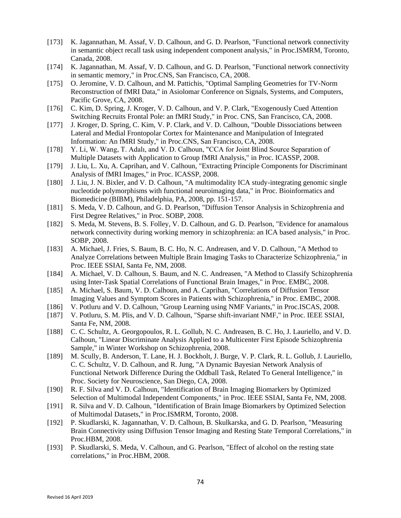- [173] K. Jagannathan, M. Assaf, V. D. Calhoun, and G. D. Pearlson, "Functional network connectivity in semantic object recall task using independent component analysis," in Proc.ISMRM, Toronto, Canada, 2008.
- [174] K. Jagannathan, M. Assaf, V. D. Calhoun, and G. D. Pearlson, "Functional network connectivity in semantic memory," in Proc.CNS, San Francisco, CA, 2008.
- [175] O. Jeromine, V. D. Calhoun, and M. Pattichis, "Optimal Sampling Geometries for TV-Norm Reconstruction of fMRI Data," in Asiolomar Conference on Signals, Systems, and Computers, Pacific Grove, CA, 2008.
- [176] C. Kim, D. Spring, J. Kroger, V. D. Calhoun, and V. P. Clark, "Exogenously Cued Attention" Switching Recruits Frontal Pole: an fMRI Study," in Proc. CNS, San Francisco, CA, 2008.
- [177] J. Kroger, D. Spring, C. Kim, V. P. Clark, and V. D. Calhoun, "Double Dissociations between Lateral and Medial Frontopolar Cortex for Maintenance and Manipulation of Integrated Information: An fMRI Study," in Proc.CNS, San Francisco, CA, 2008.
- [178] Y. Li, W. Wang, T. Adalı, and V. D. Calhoun, "CCA for Joint Blind Source Separation of Multiple Datasets with Application to Group fMRI Analysis," in Proc. ICASSP, 2008.
- [179] J. Liu, L. Xu, A. Caprihan, and V. Calhoun, "Extracting Principle Components for Discriminant Analysis of fMRI Images," in Proc. ICASSP, 2008.
- [180] J. Liu, J. N. Bixler, and V. D. Calhoun, "A multimodality ICA study-integrating genomic single nucleotide polymorphisms with functional neuroimaging data," in Proc. Bioinformatics and Biomedicine (BIBM), Philadelphia, PA, 2008, pp. 151-157.
- [181] S. Meda, V. D. Calhoun, and G. D. Pearlson, "Diffusion Tensor Analysis in Schizophrenia and First Degree Relatives," in Proc. SOBP, 2008.
- [182] S. Meda, M. Stevens, B. S. Folley, V. D. Calhoun, and G. D. Pearlson, "Evidence for anamalous" network connectivity during working memory in schizophrenia: an ICA based analysis," in Proc. SOBP, 2008.
- [183] A. Michael, J. Fries, S. Baum, B. C. Ho, N. C. Andreasen, and V. D. Calhoun, "A Method to Analyze Correlations between Multiple Brain Imaging Tasks to Characterize Schizophrenia," in Proc. IEEE SSIAI, Santa Fe, NM, 2008.
- [184] A. Michael, V. D. Calhoun, S. Baum, and N. C. Andreasen, "A Method to Classify Schizophrenia using Inter-Task Spatial Correlations of Functional Brain Images," in Proc. EMBC, 2008.
- [185] A. Michael, S. Baum, V. D. Calhoun, and A. Caprihan, "Correlations of Diffusion Tensor Imaging Values and Symptom Scores in Patients with Schizophrenia," in Proc. EMBC, 2008.
- [186] V. Potluru and V. D. Calhoun, "Group Learning using NMF Variants," in Proc. ISCAS, 2008.
- [187] V. Potluru, S. M. Plis, and V. D. Calhoun, "Sparse shift-invariant NMF," in Proc. IEEE SSIAI, Santa Fe, NM, 2008.
- [188] C. C. Schultz, A. Georgopoulos, R. L. Gollub, N. C. Andreasen, B. C. Ho, J. Lauriello, and V. D. Calhoun, "Linear Discriminate Analysis Applied to a Multicenter First Episode Schizophrenia Sample," in Winter Workshop on Schizophrenia, 2008.
- [189] M. Scully, B. Anderson, T. Lane, H. J. Bockholt, J. Burge, V. P. Clark, R. L. Gollub, J. Lauriello, C. C. Schultz, V. D. Calhoun, and R. Jung, "A Dynamic Bayesian Network Analysis of Functional Network Difference During the Oddball Task, Related To General Intelligence," in Proc. Society for Neuroscience, San Diego, CA, 2008.
- [190] R. F. Silva and V. D. Calhoun, "Identification of Brain Imaging Biomarkers by Optimized Selection of Multimodal Independent Components," in Proc. IEEE SSIAI, Santa Fe, NM, 2008.
- [191] R. Silva and V. D. Calhoun, "Identification of Brain Image Biomarkers by Optimized Selection of Multimodal Datasets," in Proc.ISMRM, Toronto, 2008.
- [192] P. Skudlarski, K. Jagannathan, V. D. Calhoun, B. Skulkarska, and G. D. Pearlson, "Measuring Brain Connectivity using Diffusion Tensor Imaging and Resting State Temporal Correlations," in Proc.HBM, 2008.
- [193] P. Skudlarski, S. Meda, V. Calhoun, and G. Pearlson, "Effect of alcohol on the resting state correlations," in Proc.HBM, 2008.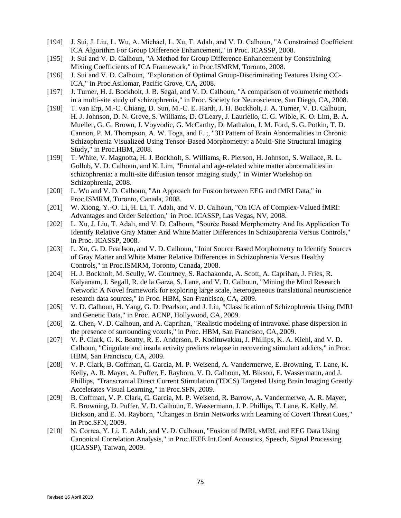- [194] J. Sui, J. Liu, L. Wu, A. Michael, L. Xu, T. Adalı, and V. D. Calhoun, "A Constrained Coefficient ICA Algorithm For Group Difference Enhancement," in Proc. ICASSP, 2008.
- [195] J. Sui and V. D. Calhoun, "A Method for Group Difference Enhancement by Constraining Mixing Coefficients of ICA Framework," in Proc.ISMRM, Toronto, 2008.
- [196] J. Sui and V. D. Calhoun, "Exploration of Optimal Group-Discriminating Features Using CC-ICA," in Proc.Asilomar, Pacific Grove, CA, 2008.
- [197] J. Turner, H. J. Bockholt, J. B. Segal, and V. D. Calhoun, "A comparison of volumetric methods in a multi-site study of schizophrenia," in Proc. Society for Neuroscience, San Diego, CA, 2008.
- [198] T. van Erp, M.-C. Chiang, D. Sun, M.-C. E. Hardt, J. H. Bockholt, J. A. Turner, V. D. Calhoun, H. J. Johnson, D. N. Greve, S. Williams, D. O'Leary, J. Lauriello, C. G. Wible, K. O. Lim, B. A. Mueller, G. G. Brown, J. Voyvodic, G. McCarthy, D. Mathalon, J. M. Ford, S. G. Potkin, T. D. Cannon, P. M. Thompson, A. W. Toga, and F. ;, "3D Pattern of Brain Abnormalities in Chronic Schizophrenia Visualized Using Tensor-Based Morphometry: a Multi-Site Structural Imaging Study," in Proc.HBM, 2008.
- [199] T. White, V. Magnotta, H. J. Bockholt, S. Williams, R. Pierson, H. Johnson, S. Wallace, R. L. Gollub, V. D. Calhoun, and K. Lim, "Frontal and age-related white matter abnormalities in schizophrenia: a multi-site diffusion tensor imaging study," in Winter Workshop on Schizophrenia, 2008.
- [200] L. Wu and V. D. Calhoun, "An Approach for Fusion between EEG and fMRI Data," in Proc.ISMRM, Toronto, Canada, 2008.
- [201] W. Xiong, Y.-O. Li, H. Li, T. Adalı, and V. D. Calhoun, "On ICA of Complex-Valued fMRI: Advantages and Order Selection," in Proc. ICASSP, Las Vegas, NV, 2008.
- [202] L. Xu, J. Liu, T. Adalı, and V. D. Calhoun, "Source Based Morphometry And Its Application To Identify Relative Gray Matter And White Matter Differences In Schizophrenia Versus Controls," in Proc. ICASSP, 2008.
- [203] L. Xu, G. D. Pearlson, and V. D. Calhoun, "Joint Source Based Morphometry to Identify Sources of Gray Matter and White Matter Relative Differences in Schizophrenia Versus Healthy Controls," in Proc.ISMRM, Toronto, Canada, 2008.
- [204] H. J. Bockholt, M. Scully, W. Courtney, S. Rachakonda, A. Scott, A. Caprihan, J. Fries, R. Kalyanam, J. Segall, R. de la Garza, S. Lane, and V. D. Calhoun, "Mining the Mind Research Network: A Novel framework for exploring large scale, heterogeneous translational neuroscience research data sources," in Proc. HBM, San Francisco, CA, 2009.
- [205] V. D. Calhoun, H. Yang, G. D. Pearlson, and J. Liu, "Classification of Schizophrenia Using fMRI and Genetic Data," in Proc. ACNP, Hollywood, CA, 2009.
- [206] Z. Chen, V. D. Calhoun, and A. Caprihan, "Realistic modeling of intravoxel phase dispersion in the presence of surrounding voxels," in Proc. HBM, San Francisco, CA, 2009.
- [207] V. P. Clark, G. K. Beatty, R. E. Anderson, P. Kodituwakku, J. Phillips, K. A. Kiehl, and V. D. Calhoun, "Cingulate and insula activity predicts relapse in recovering stimulant addicts," in Proc. HBM, San Francisco, CA, 2009.
- [208] V. P. Clark, B. Coffman, C. Garcia, M. P. Weisend, A. Vandermerwe, E. Browning, T. Lane, K. Kelly, A. R. Mayer, A. Puffer, E. Rayborn, V. D. Calhoun, M. Bikson, E. Wassermann, and J. Phillips, "Transcranial Direct Current Stimulation (TDCS) Targeted Using Brain Imaging Greatly Accelerates Visual Learning," in Proc.SFN, 2009.
- [209] B. Coffman, V. P. Clark, C. Garcia, M. P. Weisend, R. Barrow, A. Vandermerwe, A. R. Mayer, E. Browning, D. Puffer, V. D. Calhoun, E. Wassermann, J. P. Phillips, T. Lane, K. Kelly, M. Bickson, and E. M. Rayborn, "Changes in Brain Networks with Learning of Covert Threat Cues," in Proc.SFN, 2009.
- [210] N. Correa, Y. Li, T. Adalı, and V. D. Calhoun, "Fusion of fMRI, sMRI, and EEG Data Using Canonical Correlation Analysis," in Proc.IEEE Int.Conf.Acoustics, Speech, Signal Processing (ICASSP), Taiwan, 2009.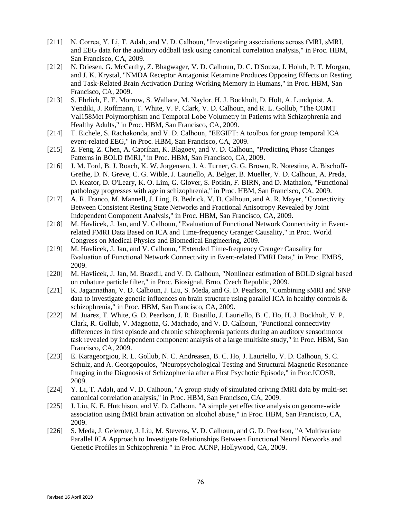- [211] N. Correa, Y. Li, T. Adalı, and V. D. Calhoun, "Investigating associations across fMRI, sMRI, and EEG data for the auditory oddball task using canonical correlation analysis," in Proc. HBM, San Francisco, CA, 2009.
- [212] N. Driesen, G. McCarthy, Z. Bhagwager, V. D. Calhoun, D. C. D'Souza, J. Holub, P. T. Morgan, and J. K. Krystal, "NMDA Receptor Antagonist Ketamine Produces Opposing Effects on Resting and Task-Related Brain Activation During Working Memory in Humans," in Proc. HBM, San Francisco, CA, 2009.
- [213] S. Ehrlich, E. E. Morrow, S. Wallace, M. Naylor, H. J. Bockholt, D. Holt, A. Lundquist, A. Yendiki, J. Roffmann, T. White, V. P. Clark, V. D. Calhoun, and R. L. Gollub, "The COMT Val158Met Polymorphism and Temporal Lobe Volumetry in Patients with Schizophrenia and Healthy Adults," in Proc. HBM, San Francisco, CA, 2009.
- [214] T. Eichele, S. Rachakonda, and V. D. Calhoun, "EEGIFT: A toolbox for group temporal ICA event-related EEG," in Proc. HBM, San Francisco, CA, 2009.
- [215] Z. Feng, Z. Chen, A. Caprihan, K. Blagoev, and V. D. Calhoun, "Predicting Phase Changes" Patterns in BOLD fMRI," in Proc. HBM, San Francisco, CA, 2009.
- [216] J. M. Ford, B. J. Roach, K. W. Jorgensen, J. A. Turner, G. G. Brown, R. Notestine, A. Bischoff-Grethe, D. N. Greve, C. G. Wible, J. Lauriello, A. Belger, B. Mueller, V. D. Calhoun, A. Preda, D. Keator, D. O'Leary, K. O. Lim, G. Glover, S. Potkin, F. BIRN, and D. Mathalon, "Functional pathology progresses with age in schizophrenia," in Proc. HBM, San Francisco, CA, 2009.
- [217] A. R. Franco, M. Mannell, J. Ling, B. Bedrick, V. D. Calhoun, and A. R. Mayer, "Connectivity" Between Consistent Resting State Networks and Fractional Anisotropy Revealed by Joint Independent Component Analysis," in Proc. HBM, San Francisco, CA, 2009.
- [218] M. Havlicek, J. Jan, and V. Calhoun, "Evaluation of Functional Network Connectivity in Eventrelated FMRI Data Based on ICA and Time-frequency Granger Causality," in Proc. World Congress on Medical Physics and Biomedical Engineering, 2009.
- [219] M. Havlicek, J. Jan, and V. Calhoun, "Extended Time-frequency Granger Causality for Evaluation of Functional Network Connectivity in Event-related FMRI Data," in Proc. EMBS, 2009.
- [220] M. Havlicek, J. Jan, M. Brazdil, and V. D. Calhoun, "Nonlinear estimation of BOLD signal based on cubature particle filter," in Proc. Biosignal, Brno, Czech Republic, 2009.
- [221] K. Jagannathan, V. D. Calhoun, J. Liu, S. Meda, and G. D. Pearlson, "Combining sMRI and SNP data to investigate genetic influences on brain structure using parallel ICA in healthy controls & schizophrenia," in Proc. HBM, San Francisco, CA, 2009.
- [222] M. Juarez, T. White, G. D. Pearlson, J. R. Bustillo, J. Lauriello, B. C. Ho, H. J. Bockholt, V. P. Clark, R. Gollub, V. Magnotta, G. Machado, and V. D. Calhoun, "Functional connectivity differences in first episode and chronic schizophrenia patients during an auditory sensorimotor task revealed by independent component analysis of a large multisite study," in Proc. HBM, San Francisco, CA, 2009.
- [223] E. Karageorgiou, R. L. Gollub, N. C. Andreasen, B. C. Ho, J. Lauriello, V. D. Calhoun, S. C. Schulz, and A. Georgopoulos, "Neuropsychological Testing and Structural Magnetic Resonance Imaging in the Diagnosis of Schizophrenia after a First Psychotic Episode," in Proc.ICOSR, 2009.
- [224] Y. Li, T. Adalı, and V. D. Calhoun, "A group study of simulated driving fMRI data by multi-set canonical correlation analysis," in Proc. HBM, San Francisco, CA, 2009.
- [225] J. Liu, K. E. Hutchison, and V. D. Calhoun, "A simple yet effective analysis on genome-wide association using fMRI brain activation on alcohol abuse," in Proc. HBM, San Francisco, CA, 2009.
- [226] S. Meda, J. Gelernter, J. Liu, M. Stevens, V. D. Calhoun, and G. D. Pearlson, "A Multivariate Parallel ICA Approach to Investigate Relationships Between Functional Neural Networks and Genetic Profiles in Schizophrenia " in Proc. ACNP, Hollywood, CA, 2009.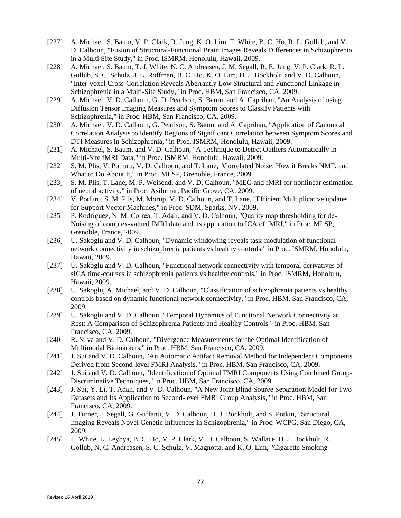- [227] A. Michael, S. Baum, V. P. Clark, R. Jung, K. O. Lim, T. White, B. C. Ho, R. L. Gollub, and V. D. Calhoun, "Fusion of Structural-Functional Brain Images Reveals Differences in Schizophrenia in a Multi Site Study," in Proc. ISMRM, Honolulu, Hawaii, 2009.
- [228] A. Michael, S. Baum, T. J. White, N. C. Andreasen, J. M. Segall, R. E. Jung, V. P. Clark, R. L. Gollub, S. C. Schulz, J. L. Roffman, B. C. Ho, K. O. Lim, H. J. Bockholt, and V. D. Calhoun, "Inter-voxel Cross-Correlation Reveals Aberrantly Low Structural and Functional Linkage in Schizophrenia in a Multi-Site Study," in Proc. HBM, San Francisco, CA, 2009.
- [229] A. Michael, V. D. Calhoun, G. D. Pearlson, S. Baum, and A. Caprihan, "An Analysis of using Diffusion Tensor Imaging Measures and Symptom Scores to Classify Patients with Schizophrenia," in Proc. HBM, San Francisco, CA, 2009.
- [230] A. Michael, V. D. Calhoun, G. Pearlson, S. Baum, and A. Caprihan, "Application of Canonical Correlation Analysis to Identify Regions of Significant Correlation between Symptom Scores and DTI Measures in Schizophrenia," in Proc. ISMRM, Honolulu, Hawaii, 2009.
- [231] A. Michael, S. Baum, and V. D. Calhoun, "A Technique to Detect Outliers Automatically in Multi-Site fMRI Data," in Proc. ISMRM, Honolulu, Hawaii, 2009.
- [232] S. M. Plis, V. Potluru, V. D. Calhoun, and T. Lane, "Correlated Noise: How it Breaks NMF, and What to Do About It," in Proc. MLSP, Grenoble, France, 2009.
- [233] S. M. Plis, T. Lane, M. P. Weisend, and V. D. Calhoun, "MEG and fMRI for nonlinear estimation of neural activity," in Proc. Asilomar, Pacific Grove, CA, 2009.
- [234] V. Potluru, S. M. Plis, M. Morup, V. D. Calhoun, and T. Lane, "Efficient Multiplicative updates for Support Vector Machines," in Proc. SDM, Sparks, NV, 2009.
- [235] P. Rodriguez, N. M. Correa, T. Adalı, and V. D. Calhoun, "Quality map thresholding for de-Noising of complex-valued fMRI data and its application to ICA of fMRI," in Proc. MLSP, Grenoble, France, 2009.
- [236] U. Sakoglu and V. D. Calhoun, "Dynamic windowing reveals task-modulation of functional network connectivity in schizophrenia patients vs healthy controls," in Proc. ISMRM, Honolulu, Hawaii, 2009.
- [237] U. Sakoglu and V. D. Calhoun, "Functional network connectivity with temporal derivatives of sICA time-courses in schizophrenia patients vs healthy controls," in Proc. ISMRM, Honolulu, Hawaii, 2009.
- [238] U. Sakoglu, A. Michael, and V. D. Calhoun, "Classification of schizophrenia patients vs healthy controls based on dynamic functional network connectivity," in Proc. HBM, San Francisco, CA, 2009.
- [239] U. Sakoglu and V. D. Calhoun, "Temporal Dynamics of Functional Network Connectivity at Rest: A Comparison of Schizophrenia Patients and Healthy Controls " in Proc. HBM, San Francisco, CA, 2009.
- [240] R. Silva and V. D. Calhoun, "Divergence Measurements for the Optimal Identification of Multimodal Biomarkers," in Proc. HBM, San Francisco, CA, 2009.
- [241] J. Sui and V. D. Calhoun, "An Automatic Artifact Removal Method for Independent Components Derived from Second-level FMRI Analysis," in Proc. HBM, San Francisco, CA, 2009.
- [242] J. Sui and V. D. Calhoun, "Identification of Optimal FMRI Components Using Combined Group-Discriminative Techniques," in Proc. HBM, San Francisco, CA, 2009.
- [243] J. Sui, Y. Li, T. Adalı, and V. D. Calhoun, "A New Joint Blind Source Separation Model for Two Datasets and Its Application to Second-level FMRI Group Analysis," in Proc. HBM, San Francisco, CA, 2009.
- [244] J. Turner, J. Segall, G. Guffanti, V. D. Calhoun, H. J. Bockholt, and S. Potkin, "Structural Imaging Reveals Novel Genetic Influences in Schizophrenia," in Proc. WCPG, San Diego, CA, 2009.
- [245] T. White, L. Leybya, B. C. Ho, V. P. Clark, V. D. Calhoun, S. Wallace, H. J. Bockholt, R. Gollub, N. C. Andreasen, S. C. Schulz, V. Magnotta, and K. O. Lim, "Cigarette Smoking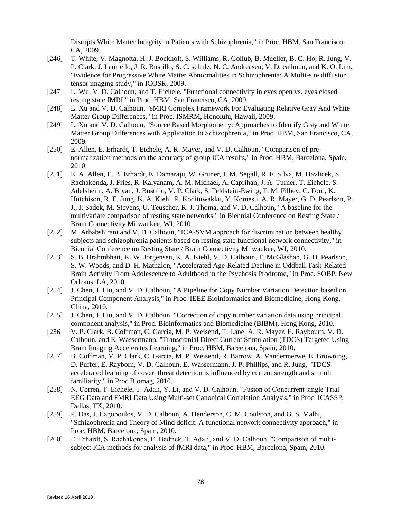Disrupts White Matter Integrity in Patients with Schizophrenia," in Proc. HBM, San Francisco, CA, 2009.

- [246] T. White, V. Magnotta, H. J. Bockholt, S. Williams, R. Gollub, B. Mueller, B. C. Ho, R. Jung, V. P. Clark, J. Lauriello, J. R. Bustillo, S. C. schulz, N. C. Andreasen, V. D. calhoun, and K. O. Lim, "Evidence for Progressive White Matter Abnormalities in Schizophrenia: A Multi-site diffusion tensor imaging study," in ICOSR, 2009.
- [247] L. Wu, V. D. Calhoun, and T. Eichele, "Functional connectivity in eyes open vs. eyes closed resting state fMRI," in Proc. HBM, San Francisco, CA, 2009.
- [248] L. Xu and V. D. Calhoun, "sMRI Complex Framework For Evaluating Relative Gray And White Matter Group Differences," in Proc. ISMRM, Honolulu, Hawaii, 2009.
- [249] L. Xu and V. D. Calhoun, "Source Based Morphometry: Approaches to Identify Gray and White Matter Group Differences with Application to Schizophrenia," in Proc. HBM, San Francisco, CA, 2009.
- [250] E. Allen, E. Erhardt, T. Eichele, A. R. Mayer, and V. D. Calhoun, "Comparison of prenormalization methods on the accuracy of group ICA results," in Proc. HBM, Barcelona, Spain, 2010.
- [251] E. A. Allen, E. B. Erhardt, E. Damaraju, W. Gruner, J. M. Segall, R. F. Silva, M. Havlicek, S. Rachakonda, J. Fries, R. Kalyanam, A. M. Michael, A. Caprihan, J. A. Turner, T. Eichele, S. Adelsheim, A. Bryan, J. Bustillo, V. P. Clark, S. Feldstein-Ewing, F. M. Filbey, C. Ford, K. Hutchison, R. E. Jung, K. A. Kiehl, P. Kodituwakku, Y. Komesu, A. R. Mayer, G. D. Pearlson, P. J., J. Sadek, M. Stevens, U. Teuscher, R. J. Thoma, and V. D. Calhoun, "A baseline for the multivariate comparison of resting state networks," in Biennial Conference on Resting State / Brain Connectivity Milwaukee, WI, 2010.
- [252] M. Arbabshirani and V. D. Calhoun, "ICA-SVM approach for discrimination between healthy subjects and schizophrenia patients based on resting state functional network connectivity," in Biennial Conference on Resting State / Brain Connectivity Milwaukee, WI, 2010.
- [253] S. B. Brahmbhatt, K. W. Jorgensen, K. A. Kiehl, V. D. Calhoun, T. McGlashan, G. D. Pearlson, S. W. Woods, and D. H. Mathalon, "Accelerated Age-Related Decline in Oddball Task-Related Brain Activity From Adolescence to Adulthood in the Psychosis Prodrome," in Proc. SOBP, New Orleans, LA, 2010.
- [254] J. Chen, J. Liu, and V. D. Calhoun, "A Pipeline for Copy Number Variation Detection based on Principal Component Analysis," in Proc. IEEE Bioinformatics and Biomedicine, Hong Kong, China, 2010.
- [255] J. Chen, J. Liu, and V. D. Calhoun, "Correction of copy number variation data using principal component analysis," in Proc. Bioinformatics and Biomedicine (BIBM), Hong Kong, 2010.
- [256] V. P. Clark, B. Coffman, C. Garcia, M. P. Weisend, T. Lane, A. R. Mayer, E. Raybourn, V. D. Calhoun, and E. Wassermann, "Transcranial Direct Current Stimulation (TDCS) Targeted Using Brain Imaging Accelerates Learning," in Proc. HBM, Barcelona, Spain, 2010.
- [257] B. Coffman, V. P. Clark, C. Garcia, M. P. Weisend, R. Barrow, A. Vandermerwe, E. Browning, D. Puffer, E. Rayborn, V. D. Calhoun, E. Wassermann, J. P. Phillips, and R. Jung, "TDCS accelerated learning of covert threat detection is influenced by current strength and stimuli familiarity," in Proc.Biomag, 2010.
- [258] N. Correa, T. Eichele, T. Adalı, Y. Li, and V. D. Calhoun, "Fusion of Concurrent single Trial EEG Data and FMRI Data Using Multi-set Canonical Correlation Analysis," in Proc. ICASSP, Dallas, TX, 2010.
- [259] P. Das, J. Lagopoulos, V. D. Calhoun, A. Henderson, C. M. Coulston, and G. S. Malhi, "Schizophrenia and Theory of Mind deficit: A functional network connectivity approach," in Proc. HBM, Barcelona, Spain, 2010.
- [260] E. Erhardt, S. Rachakonda, E. Bedrick, T. Adalı, and V. D. Calhoun, "Comparison of multisubject ICA methods for analysis of fMRI data," in Proc. HBM, Barcelona, Spain, 2010.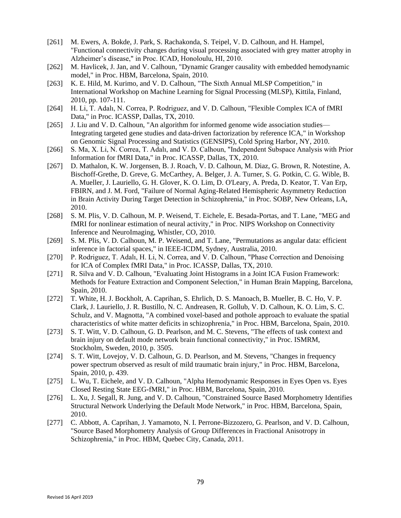- [261] M. Ewers, A. Bokde, J. Park, S. Rachakonda, S. Teipel, V. D. Calhoun, and H. Hampel, "Functional connectivity changes during visual processing associated with grey matter atrophy in Alzheimer's disease," in Proc. ICAD, Honoloulu, HI, 2010.
- [262] M. Havlicek, J. Jan, and V. Calhoun, "Dynamic Granger causality with embedded hemodynamic model," in Proc. HBM, Barcelona, Spain, 2010.
- [263] K. E. Hild, M. Kurimo, and V. D. Calhoun, "The Sixth Annual MLSP Competition," in International Workshop on Machine Learning for Signal Processing (MLSP), Kittila, Finland, 2010, pp. 107-111.
- [264] H. Li, T. Adalı, N. Correa, P. Rodriguez, and V. D. Calhoun, "Flexible Complex ICA of fMRI Data," in Proc. ICASSP, Dallas, TX, 2010.
- [265] J. Liu and V. D. Calhoun, "An algorithm for informed genome wide association studies— Integrating targeted gene studies and data-driven factorization by reference ICA," in Workshop on Genomic Signal Processing and Statistics (GENSIPS), Cold Spring Harbor, NY, 2010.
- [266] S. Ma, X. Li, N. Correa, T. Adalı, and V. D. Calhoun, "Independent Subspace Analysis with Prior Information for fMRI Data," in Proc. ICASSP, Dallas, TX, 2010.
- [267] D. Mathalon, K. W. Jorgensen, B. J. Roach, V. D. Calhoun, M. Diaz, G. Brown, R. Notestine, A. Bischoff-Grethe, D. Greve, G. McCarthey, A. Belger, J. A. Turner, S. G. Potkin, C. G. Wible, B. A. Mueller, J. Lauriello, G. H. Glover, K. O. Lim, D. O'Leary, A. Preda, D. Keator, T. Van Erp, FBIRN, and J. M. Ford, "Failure of Normal Aging-Related Hemispheric Asymmetry Reduction in Brain Activity During Target Detection in Schizophrenia," in Proc. SOBP, New Orleans, LA, 2010.
- [268] S. M. Plis, V. D. Calhoun, M. P. Weisend, T. Eichele, E. Besada-Portas, and T. Lane, "MEG and fMRI for nonlinear estimation of neural activity," in Proc. NIPS Workshop on Connectivity Inference and NeuroImaging, Whistler, CO, 2010.
- [269] S. M. Plis, V. D. Calhoun, M. P. Weisend, and T. Lane, "Permutations as angular data: efficient inference in factorial spaces," in IEEE-ICDM, Sydney, Australia, 2010.
- [270] P. Rodriguez, T. Adalı, H. Li, N. Correa, and V. D. Calhoun, "Phase Correction and Denoising for ICA of Complex fMRI Data," in Proc. ICASSP, Dallas, TX, 2010.
- [271] R. Silva and V. D. Calhoun, "Evaluating Joint Histograms in a Joint ICA Fusion Framework: Methods for Feature Extraction and Component Selection," in Human Brain Mapping, Barcelona, Spain, 2010.
- [272] T. White, H. J. Bockholt, A. Caprihan, S. Ehrlich, D. S. Manoach, B. Mueller, B. C. Ho, V. P. Clark, J. Lauriello, J. R. Bustillo, N. C. Andreasen, R. Gollub, V. D. Calhoun, K. O. Lim, S. C. Schulz, and V. Magnotta, "A combined voxel-based and pothole approach to evaluate the spatial characteristics of white matter deficits in schizophrenia," in Proc. HBM, Barcelona, Spain, 2010.
- [273] S. T. Witt, V. D. Calhoun, G. D. Pearlson, and M. C. Stevens, "The effects of task context and brain injury on default mode network brain functional connectivity," in Proc. ISMRM, Stockholm, Sweden, 2010, p. 3505.
- [274] S. T. Witt, Lovejoy, V. D. Calhoun, G. D. Pearlson, and M. Stevens, "Changes in frequency" power spectrum observed as result of mild traumatic brain injury," in Proc. HBM, Barcelona, Spain, 2010, p. 439.
- [275] L. Wu, T. Eichele, and V. D. Calhoun, "Alpha Hemodynamic Responses in Eyes Open vs. Eyes Closed Resting State EEG-fMRI," in Proc. HBM, Barcelona, Spain, 2010.
- [276] L. Xu, J. Segall, R. Jung, and V. D. Calhoun, "Constrained Source Based Morphometry Identifies Structural Network Underlying the Default Mode Network," in Proc. HBM, Barcelona, Spain, 2010.
- [277] C. Abbott, A. Caprihan, J. Yamamoto, N. I. Perrone-Bizzozero, G. Pearlson, and V. D. Calhoun, "Source Based Morphometry Analysis of Group Differences in Fractional Anisotropy in Schizophrenia," in Proc. HBM, Quebec City, Canada, 2011.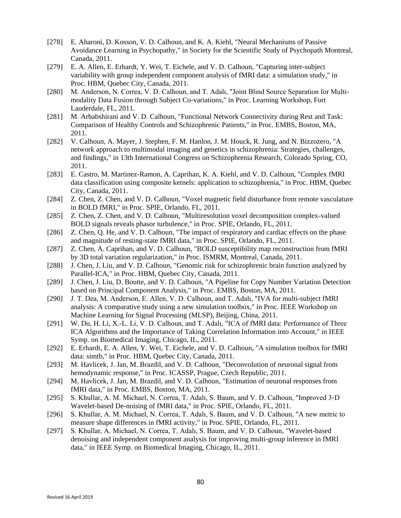- [278] E. Aharoni, D. Kosson, V. D. Calhoun, and K. A. Kiehl, "Neural Mechanisms of Passive Avoidance Learning in Psychopathy," in Society for the Scientific Study of Psychopath Montreal, Canada, 2011.
- [279] E. A. Allen, E. Erhardt, Y. Wei, T. Eichele, and V. D. Calhoun, "Capturing inter-subject variability with group independent component analysis of fMRI data: a simulation study," in Proc. HBM, Quebec City, Canada, 2011.
- [280] M. Anderson, N. Correa, V. D. Calhoun, and T. Adalı, "Joint Blind Source Separation for Multimodality Data Fusion through Subject Co-variations," in Proc. Learning Workshop, Fort Lauderdale, FL, 2011.
- [281] M. Arbabshirani and V. D. Calhoun, "Functional Network Connectivity during Rest and Task: Comparison of Healthy Controls and Schizophrenic Patients," in Proc. EMBS, Boston, MA, 2011.
- [282] V. Calhoun, A. Mayer, J. Stephen, F. M. Hanlon, J. M. Houck, R. Jung, and N. Bizzozero, "A network approach to multimodal imaging and genetics in schizophrenia: Strategies, challenges, and findings," in 13th International Congress on Schizophrenia Research, Colorado Spring, CO, 2011.
- [283] E. Castro, M. Martinez-Ramon, A. Caprihan, K. A. Kiehl, and V. D. Calhoun, "Complex fMRI data classification using composite kernels: application to schizophrenia," in Proc. HBM, Quebec City, Canada, 2011.
- [284] Z. Chen, Z. Chen, and V. D. Calhoun, "Voxel magnetic field disturbance from remote vasculature in BOLD fMRI," in Proc. SPIE, Orlando, FL, 2011.
- [285] Z. Chen, Z. Chen, and V. D. Calhoun, "Multiresolution voxel decomposition complex-valued BOLD signals reveals phasor turbulence," in Proc. SPIE, Orlando, FL, 2011.
- [286] Z. Chen, Q. He, and V. D. Calhoun, "The impact of respiratory and cardiac effects on the phase and magnitude of resting-state fMRI data," in Proc. SPIE, Orlando, FL, 2011.
- [287] Z. Chen, A. Caprihan, and V. D. Calhoun, "BOLD susceptibility map reconstruction from fMRI by 3D total variation regularization," in Proc. ISMRM, Montreal, Canada, 2011.
- [288] J. Chen, J. Liu, and V. D. Calhoun, "Genomic risk for schizophrenic brain function analyzed by Parallel-ICA," in Proc. HBM, Quebec City, Canada, 2011.
- [289] J. Chen, J. Liu, D. Boutte, and V. D. Calhoun, "A Pipeline for Copy Number Variation Detection based on Principal Component Analysis," in Proc. EMBS, Boston, MA, 2011.
- [290] J. T. Dea, M. Anderson, E. Allen, V. D. Calhoun, and T. Adalı, "IVA for multi-subject fMRI analysis: A comparative study using a new simulation toolbox," in Proc. IEEE Workshop on Machine Learning for Signal Processing (MLSP), Beijing, China, 2011.
- [291] W. Du, H. Li, X.-L. Li, V. D. Calhoun, and T. Adalı, "ICA of fMRI data: Performance of Three ICA Algorithms and the Importance of Taking Correlation Information into Account," in IEEE Symp. on Biomedical Imaging, Chicago, IL, 2011.
- [292] E. Erhardt, E. A. Allen, Y. Wei, T. Eichele, and V. D. Calhoun, "A simulation toolbox for fMRI data: simtb," in Proc. HBM, Quebec City, Canada, 2011.
- [293] M. Havlicek, J. Jan, M. Brazdil, and V. D. Calhoun, "Deconvolution of neuronal signal from hemodynamic response," in Proc. ICASSP, Prague, Czech Republic, 2011.
- [294] M. Havlicek, J. Jan, M. Brazdil, and V. D. Calhoun, "Estimation of neuronal responses from fMRI data," in Proc. EMBS, Boston, MA, 2011.
- [295] S. Khullar, A. M. Michael, N. Correa, T. Adalı, S. Baum, and V. D. Calhoun, "Improved 3-D Wavelet-based De-noising of fMRI data," in Proc. SPIE, Orlando, FL, 2011.
- [296] S. Khullar, A. M. Michael, N. Correa, T. Adalı, S. Baum, and V. D. Calhoun, "A new metric to measure shape differences in fMRI activity," in Proc. SPIE, Orlando, FL, 2011.
- [297] S. Khullar, A. Michael, N. Correa, T. Adalı, S. Baum, and V. D. Calhoun, "Wavelet-based denoising and independent component analysis for improving multi-group inference in fMRI data," in IEEE Symp. on Biomedical Imaging, Chicago, IL, 2011.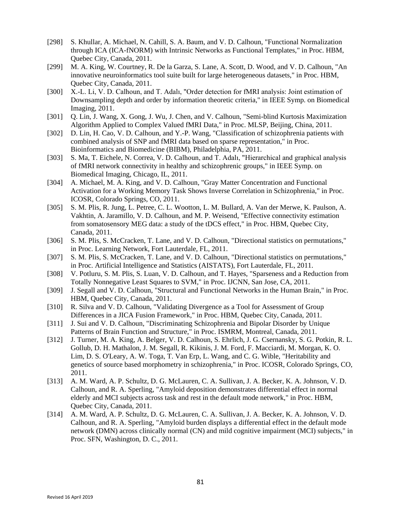- [298] S. Khullar, A. Michael, N. Cahill, S. A. Baum, and V. D. Calhoun, "Functional Normalization through ICA (ICA-fNORM) with Intrinsic Networks as Functional Templates," in Proc. HBM, Quebec City, Canada, 2011.
- [299] M. A. King, W. Courtney, R. De la Garza, S. Lane, A. Scott, D. Wood, and V. D. Calhoun, "An innovative neuroinformatics tool suite built for large heterogeneous datasets," in Proc. HBM, Quebec City, Canada, 2011.
- [300] X.-L. Li, V. D. Calhoun, and T. Adalı, "Order detection for fMRI analysis: Joint estimation of Downsampling depth and order by information theoretic criteria," in IEEE Symp. on Biomedical Imaging, 2011.
- [301] O. Lin, J. Wang, X. Gong, J. Wu, J. Chen, and V. Calhoun, "Semi-blind Kurtosis Maximization Algorithm Applied to Complex Valued fMRI Data," in Proc. MLSP, Beijing, China, 2011.
- [302] D. Lin, H. Cao, V. D. Calhoun, and Y.-P. Wang, "Classification of schizophrenia patients with combined analysis of SNP and fMRI data based on sparse representation," in Proc. Bioinformatics and Biomedicine (BIBM), Philadelphia, PA, 2011.
- [303] S. Ma, T. Eichele, N. Correa, V. D. Calhoun, and T. Adalı, "Hierarchical and graphical analysis of fMRI network connectivity in healthy and schizophrenic groups," in IEEE Symp. on Biomedical Imaging, Chicago, IL, 2011.
- [304] A. Michael, M. A. King, and V. D. Calhoun, "Gray Matter Concentration and Functional Activation for a Working Memory Task Shows Inverse Correlation in Schizophrenia," in Proc. ICOSR, Colorado Springs, CO, 2011.
- [305] S. M. Plis, R. Jung, L. Petree, C. L. Wootton, L. M. Bullard, A. Van der Merwe, K. Paulson, A. Vakhtin, A. Jaramillo, V. D. Calhoun, and M. P. Weisend, "Effective connectivity estimation from somatosensory MEG data: a study of the tDCS effect," in Proc. HBM, Quebec City, Canada, 2011.
- [306] S. M. Plis, S. McCracken, T. Lane, and V. D. Calhoun, "Directional statistics on permutations," in Proc. Learning Network, Fort Lauterdale, FL, 2011.
- [307] S. M. Plis, S. McCracken, T. Lane, and V. D. Calhoun, "Directional statistics on permutations," in Proc. Artificial Intelligence and Statistics (AISTATS), Fort Lauterdale, FL, 2011.
- [308] V. Potluru, S. M. Plis, S. Luan, V. D. Calhoun, and T. Hayes, "Sparseness and a Reduction from Totally Nonnegative Least Squares to SVM," in Proc. IJCNN, San Jose, CA, 2011.
- [309] J. Segall and V. D. Calhoun, "Structural and Functional Networks in the Human Brain," in Proc. HBM, Quebec City, Canada, 2011.
- [310] R. Silva and V. D. Calhoun, "Validating Divergence as a Tool for Assessment of Group Differences in a JICA Fusion Framework," in Proc. HBM, Quebec City, Canada, 2011.
- [311] J. Sui and V. D. Calhoun, "Discriminating Schizophrenia and Bipolar Disorder by Unique Patterns of Brain Function and Structure," in Proc. ISMRM, Montreal, Canada, 2011.
- [312] J. Turner, M. A. King, A. Belger, V. D. Calhoun, S. Ehrlich, J. G. Csernansky, S. G. Potkin, R. L. Gollub, D. H. Mathalon, J. M. Segall, R. Kikinis, J. M. Ford, F. Macciardi, M. Morgan, K. O. Lim, D. S. O'Leary, A. W. Toga, T. Van Erp, L. Wang, and C. G. Wible, "Heritability and genetics of source based morphometry in schizophrenia," in Proc. ICOSR, Colorado Springs, CO, 2011.
- [313] A. M. Ward, A. P. Schultz, D. G. McLauren, C. A. Sullivan, J. A. Becker, K. A. Johnson, V. D. Calhoun, and R. A. Sperling, "Amyloid deposition demonstrates differential effect in normal elderly and MCI subjects across task and rest in the default mode network," in Proc. HBM, Quebec City, Canada, 2011.
- [314] A. M. Ward, A. P. Schultz, D. G. McLauren, C. A. Sullivan, J. A. Becker, K. A. Johnson, V. D. Calhoun, and R. A. Sperling, "Amyloid burden displays a differential effect in the default mode network (DMN) across clinically normal (CN) and mild cognitive impairment (MCI) subjects," in Proc. SFN, Washington, D. C., 2011.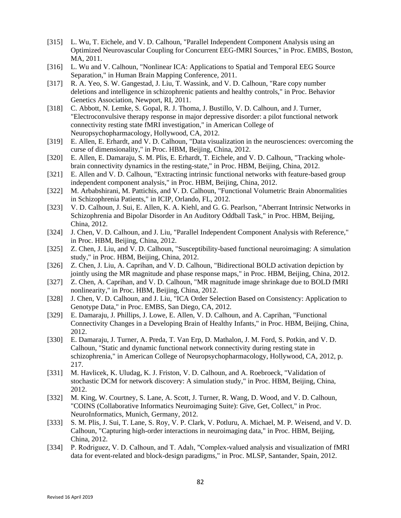- [315] L. Wu, T. Eichele, and V. D. Calhoun, "Parallel Independent Component Analysis using an Optimized Neurovascular Coupling for Concurrent EEG-fMRI Sources," in Proc. EMBS, Boston, MA, 2011.
- [316] L. Wu and V. Calhoun, "Nonlinear ICA: Applications to Spatial and Temporal EEG Source Separation," in Human Brain Mapping Conference, 2011.
- [317] R. A. Yeo, S. W. Gangestad, J. Liu, T. Wassink, and V. D. Calhoun, "Rare copy number deletions and intelligence in schizophrenic patients and healthy controls," in Proc. Behavior Genetics Association, Newport, RI, 2011.
- [318] C. Abbott, N. Lemke, S. Gopal, R. J. Thoma, J. Bustillo, V. D. Calhoun, and J. Turner, "Electroconvulsive therapy response in major depressive disorder: a pilot functional network connectivity resting state fMRI investigation," in American College of Neuropsychopharmacology, Hollywood, CA, 2012.
- [319] E. Allen, E. Erhardt, and V. D. Calhoun, "Data visualization in the neurosciences: overcoming the curse of dimensionality," in Proc. HBM, Beijing, China, 2012.
- [320] E. Allen, E. Damaraju, S. M. Plis, E. Erhardt, T. Eichele, and V. D. Calhoun, "Tracking wholebrain connectivity dynamics in the resting-state," in Proc. HBM, Beijing, China, 2012.
- [321] E. Allen and V. D. Calhoun, "Extracting intrinsic functional networks with feature-based group independent component analysis," in Proc. HBM, Beijing, China, 2012.
- [322] M. Arbabshirani, M. Pattichis, and V. D. Calhoun, "Functional Volumetric Brain Abnormalities in Schizophrenia Patients," in ICIP, Orlando, FL, 2012.
- [323] V. D. Calhoun, J. Sui, E. Allen, K. A. Kiehl, and G. G. Pearlson, "Aberrant Intrinsic Networks in Schizophrenia and Bipolar Disorder in An Auditory Oddball Task," in Proc. HBM, Beijing, China, 2012.
- [324] J. Chen, V. D. Calhoun, and J. Liu, "Parallel Independent Component Analysis with Reference," in Proc. HBM, Beijing, China, 2012.
- [325] Z. Chen, J. Liu, and V. D. Calhoun, "Susceptibility-based functional neuroimaging: A simulation study," in Proc. HBM, Beijing, China, 2012.
- [326] Z. Chen, J. Liu, A. Caprihan, and V. D. Calhoun, "Bidirectional BOLD activation depiction by jointly using the MR magnitude and phase response maps," in Proc. HBM, Beijing, China, 2012.
- [327] Z. Chen, A. Caprihan, and V. D. Calhoun, "MR magnitude image shrinkage due to BOLD fMRI nonlinearity," in Proc. HBM, Beijing, China, 2012.
- [328] J. Chen, V. D. Calhoun, and J. Liu, "ICA Order Selection Based on Consistency: Application to Genotype Data," in Proc. EMBS, San Diego, CA, 2012.
- [329] E. Damaraju, J. Phillips, J. Lowe, E. Allen, V. D. Calhoun, and A. Caprihan, "Functional Connectivity Changes in a Developing Brain of Healthy Infants," in Proc. HBM, Beijing, China, 2012.
- [330] E. Damaraju, J. Turner, A. Preda, T. Van Erp, D. Mathalon, J. M. Ford, S. Potkin, and V. D. Calhoun, "Static and dynamic functional network connectivity during resting state in schizophrenia," in American College of Neuropsychopharmacology, Hollywood, CA, 2012, p. 217.
- [331] M. Havlicek, K. Uludag, K. J. Friston, V. D. Calhoun, and A. Roebroeck, "Validation of stochastic DCM for network discovery: A simulation study," in Proc. HBM, Beijing, China, 2012.
- [332] M. King, W. Courtney, S. Lane, A. Scott, J. Turner, R. Wang, D. Wood, and V. D. Calhoun, "COINS (Collaborative Informatics Neuroimaging Suite): Give, Get, Collect," in Proc. NeuroInformatics, Munich, Germany, 2012.
- [333] S. M. Plis, J. Sui, T. Lane, S. Roy, V. P. Clark, V. Potluru, A. Michael, M. P. Weisend, and V. D. Calhoun, "Capturing high-order interactions in neuroimaging data," in Proc. HBM, Beijing, China, 2012.
- [334] P. Rodriguez, V. D. Calhoun, and T. Adalı, "Complex-valued analysis and visualization of fMRI data for event-related and block-design paradigms," in Proc. MLSP, Santander, Spain, 2012.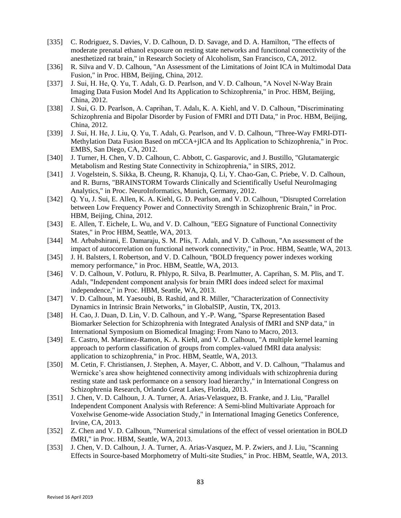- [335] C. Rodriguez, S. Davies, V. D. Calhoun, D. D. Savage, and D. A. Hamilton, "The effects of moderate prenatal ethanol exposure on resting state networks and functional connectivity of the anesthetized rat brain," in Research Society of Alcoholism, San Francisco, CA, 2012.
- [336] R. Silva and V. D. Calhoun, "An Assessment of the Limitations of Joint ICA in Multimodal Data Fusion," in Proc. HBM, Beijing, China, 2012.
- [337] J. Sui, H. He, Q. Yu, T. Adalı, G. D. Pearlson, and V. D. Calhoun, "A Novel N-Way Brain Imaging Data Fusion Model And Its Application to Schizophrenia," in Proc. HBM, Beijing, China, 2012.
- [338] J. Sui, G. D. Pearlson, A. Caprihan, T. Adalı, K. A. Kiehl, and V. D. Calhoun, "Discriminating Schizophrenia and Bipolar Disorder by Fusion of FMRI and DTI Data," in Proc. HBM, Beijing, China, 2012.
- [339] J. Sui, H. He, J. Liu, Q. Yu, T. Adalı, G. Pearlson, and V. D. Calhoun, "Three-Way FMRI-DTI-Methylation Data Fusion Based on mCCA+jICA and Its Application to Schizophrenia," in Proc. EMBS, San Diego, CA, 2012.
- [340] J. Turner, H. Chen, V. D. Calhoun, C. Abbott, C. Gasparovic, and J. Bustillo, "Glutamatergic Metabolism and Resting State Connectivity in Schizophrenia," in SIRS, 2012.
- [341] J. Vogelstein, S. Sikka, B. Cheung, R. Khanuja, Q. Li, Y. Chao-Gan, C. Priebe, V. D. Calhoun, and R. Burns, "BRAINSTORM Towards Clinically and Scientifically Useful NeuroImaging Analytics," in Proc. NeuroInformatics, Munich, Germany, 2012.
- [342] Q. Yu, J. Sui, E. Allen, K. A. Kiehl, G. D. Pearlson, and V. D. Calhoun, "Disrupted Correlation" between Low Frequency Power and Connectivity Strength in Schizophrenic Brain," in Proc. HBM, Beijing, China, 2012.
- [343] E. Allen, T. Eichele, L. Wu, and V. D. Calhoun, "EEG Signature of Functional Connectivity States," in Proc HBM, Seattle, WA, 2013.
- [344] M. Arbabshirani, E. Damaraju, S. M. Plis, T. Adalı, and V. D. Calhoun, "An assessment of the impact of autocorrelation on functional network connectivity," in Proc. HBM, Seattle, WA, 2013.
- [345] J. H. Balsters, I. Robertson, and V. D. Calhoun, "BOLD frequency power indexes working memory performance," in Proc. HBM, Seattle, WA, 2013.
- [346] V. D. Calhoun, V. Potluru, R. Phlypo, R. Silva, B. Pearlmutter, A. Caprihan, S. M. Plis, and T. Adalı, "Independent component analysis for brain fMRI does indeed select for maximal independence," in Proc. HBM, Seattle, WA, 2013.
- [347] V. D. Calhoun, M. Yaesoubi, B. Rashid, and R. Miller, "Characterization of Connectivity Dynamics in Intrinsic Brain Networks," in GlobalSIP, Austin, TX, 2013.
- [348] H. Cao, J. Duan, D. Lin, V. D. Calhoun, and Y.-P. Wang, "Sparse Representation Based Biomarker Selection for Schizophrenia with Integrated Analysis of fMRI and SNP data," in International Symposium on Biomedical Imaging: From Nano to Macro, 2013.
- [349] E. Castro, M. Martinez-Ramon, K. A. Kiehl, and V. D. Calhoun, "A multiple kernel learning approach to perform classification of groups from complex-valued fMRI data analysis: application to schizophrenia," in Proc. HBM, Seattle, WA, 2013.
- [350] M. Cetin, F. Christiansen, J. Stephen, A. Mayer, C. Abbott, and V. D. Calhoun, "Thalamus and Wernicke's area show heightened connectivity among individuals with schizophrenia during resting state and task performance on a sensory load hierarchy," in International Congress on Schizophrenia Research, Orlando Great Lakes, Florida, 2013.
- [351] J. Chen, V. D. Calhoun, J. A. Turner, A. Arias-Velasquez, B. Franke, and J. Liu, "Parallel Independent Component Analysis with Reference: A Semi-blind Multivariate Approach for Voxelwise Genome-wide Association Study," in International Imaging Genetics Conference, Irvine, CA, 2013.
- [352] Z. Chen and V. D. Calhoun, "Numerical simulations of the effect of vessel orientation in BOLD fMRI," in Proc. HBM, Seattle, WA, 2013.
- [353] J. Chen, V. D. Calhoun, J. A. Turner, A. Arias-Vasquez, M. P. Zwiers, and J. Liu, "Scanning Effects in Source-based Morphometry of Multi-site Studies," in Proc. HBM, Seattle, WA, 2013.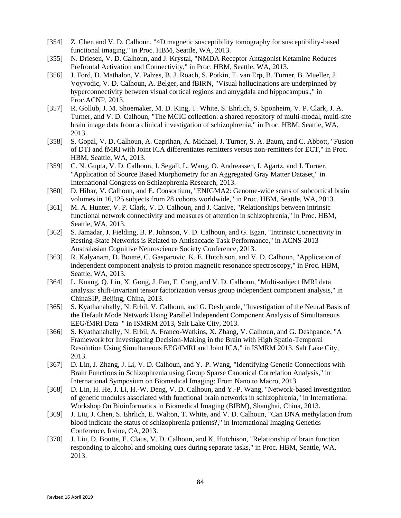- [354] Z. Chen and V. D. Calhoun, "4D magnetic susceptibility tomography for susceptibility-based functional imaging," in Proc. HBM, Seattle, WA, 2013.
- [355] N. Driesen, V. D. Calhoun, and J. Krystal, "NMDA Receptor Antagonist Ketamine Reduces Prefrontal Activation and Connectivity," in Proc. HBM, Seattle, WA, 2013.
- [356] J. Ford, D. Mathalon, V. Palzes, B. J. Roach, S. Potkin, T. van Erp, B. Turner, B. Mueller, J. Voyvodic, V. D. Calhoun, A. Belger, and fBIRN, "Visual hallucinations are underpinned by hyperconnectivity between visual cortical regions and amygdala and hippocampus.," in Proc.ACNP, 2013.
- [357] R. Gollub, J. M. Shoemaker, M. D. King, T. White, S. Ehrlich, S. Sponheim, V. P. Clark, J. A. Turner, and V. D. Calhoun, "The MCIC collection: a shared repository of multi-modal, multi-site brain image data from a clinical investigation of schizophrenia," in Proc. HBM, Seattle, WA, 2013.
- [358] S. Gopal, V. D. Calhoun, A. Caprihan, A. Michael, J. Turner, S. A. Baum, and C. Abbott, "Fusion of DTI and fMRI with Joint ICA differentiates remitters versus non-remitters for ECT," in Proc. HBM, Seattle, WA, 2013.
- [359] C. N. Gupta, V. D. Calhoun, J. Segall, L. Wang, O. Andreassen, I. Agartz, and J. Turner, "Application of Source Based Morphometry for an Aggregated Gray Matter Dataset," in International Congress on Schizophrenia Research, 2013.
- [360] D. Hibar, V. Calhoun, and E. Consortium, "ENIGMA2: Genome-wide scans of subcortical brain volumes in 16,125 subjects from 28 cohorts worldwide," in Proc. HBM, Seattle, WA, 2013.
- [361] M. A. Hunter, V. P. Clark, V. D. Calhoun, and J. Canive, "Relationships between intrinsic functional network connectivity and measures of attention in schizophrenia," in Proc. HBM, Seattle, WA, 2013.
- [362] S. Jamadar, J. Fielding, B. P. Johnson, V. D. Calhoun, and G. Egan, "Intrinsic Connectivity in Resting-State Networks is Related to Antisaccade Task Performance," in ACNS-2013 Australasian Cognitive Neuroscience Society Conference, 2013.
- [363] R. Kalyanam, D. Boutte, C. Gasparovic, K. E. Hutchison, and V. D. Calhoun, "Application of independent component analysis to proton magnetic resonance spectroscopy," in Proc. HBM, Seattle, WA, 2013.
- [364] L. Kuang, Q. Lin, X. Gong, J. Fan, F. Cong, and V. D. Calhoun, "Multi-subject fMRI data analysis: shift-invariant tensor factorization versus group independent component analysis," in ChinaSIP, Beijing, China, 2013.
- [365] S. Kyathanahally, N. Erbil, V. Calhoun, and G. Deshpande, "Investigation of the Neural Basis of the Default Mode Network Using Parallel Independent Component Analysis of Simultaneous EEG/fMRI Data " in ISMRM 2013, Salt Lake City, 2013.
- [366] S. Kyathanahally, N. Erbil, A. Franco-Watkins, X. Zhang, V. Calhoun, and G. Deshpande, "A Framework for Investigating Decision-Making in the Brain with High Spatio-Temporal Resolution Using Simultaneous EEG/fMRI and Joint ICA," in ISMRM 2013, Salt Lake City, 2013.
- [367] D. Lin, J. Zhang, J. Li, V. D. Calhoun, and Y.-P. Wang, "Identifying Genetic Connections with Brain Functions in Schizophrenia using Group Sparse Canonical Correlation Analysis," in International Symposium on Biomedical Imaging: From Nano to Macro, 2013.
- [368] D. Lin, H. He, J. Li, H.-W. Deng, V. D. Calhoun, and Y.-P. Wang, "Network-based investigation of genetic modules associated with functional brain networks in schizophrenia," in International Workshop On Bioinformatics in Biomedical Imaging (BIBM), Shanghai, China, 2013.
- [369] J. Liu, J. Chen, S. Ehrlich, E. Walton, T. White, and V. D. Calhoun, "Can DNA methylation from blood indicate the status of schizophrenia patients?," in International Imaging Genetics Conference, Irvine, CA, 2013.
- [370] J. Liu, D. Boutte, E. Claus, V. D. Calhoun, and K. Hutchison, "Relationship of brain function responding to alcohol and smoking cues during separate tasks," in Proc. HBM, Seattle, WA, 2013.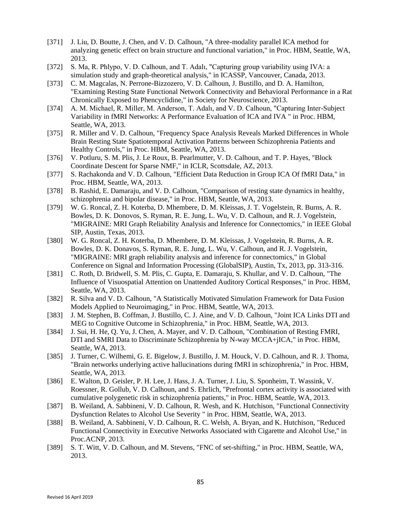- [371] J. Liu, D. Boutte, J. Chen, and V. D. Calhoun, "A three-modality parallel ICA method for analyzing genetic effect on brain structure and functional variation," in Proc. HBM, Seattle, WA, 2013.
- [372] S. Ma, R. Phlypo, V. D. Calhoun, and T. Adalı, "Capturing group variability using IVA: a simulation study and graph-theoretical analysis," in ICASSP, Vancouver, Canada, 2013.
- [373] C. M. Magcalas, N. Perrone-Bizzozero, V. D. Calhoun, J. Bustillo, and D. A. Hamilton, "Examining Resting State Functional Network Connectivity and Behavioral Performance in a Rat Chronically Exposed to Phencyclidine," in Society for Neuroscience, 2013.
- [374] A. M. Michael, R. Miller, M. Anderson, T. Adalı, and V. D. Calhoun, "Capturing Inter-Subject" Variability in fMRI Networks: A Performance Evaluation of ICA and IVA " in Proc. HBM, Seattle, WA, 2013.
- [375] R. Miller and V. D. Calhoun, "Frequency Space Analysis Reveals Marked Differences in Whole Brain Resting State Spatiotemporal Activation Patterns between Schizophrenia Patients and Healthy Controls," in Proc. HBM, Seattle, WA, 2013.
- [376] V. Potluru, S. M. Plis, J. Le Roux, B. Pearlmutter, V. D. Calhoun, and T. P. Hayes, "Block Coordinate Descent for Sparse NMF," in ICLR, Scottsdale, AZ, 2013.
- [377] S. Rachakonda and V. D. Calhoun, "Efficient Data Reduction in Group ICA Of fMRI Data," in Proc. HBM, Seattle, WA, 2013.
- [378] B. Rashid, E. Damaraju, and V. D. Calhoun, "Comparison of resting state dynamics in healthy, schizophrenia and bipolar disease," in Proc. HBM, Seattle, WA, 2013.
- [379] W. G. Roncal, Z. H. Koterba, D. Mhembere, D. M. Kleissas, J. T. Vogelstein, R. Burns, A. R. Bowles, D. K. Donovos, S. Ryman, R. E. Jung, L. Wu, V. D. Calhoun, and R. J. Vogelstein, "MIGRAINE: MRI Graph Reliability Analysis and Inference for Connectomics," in IEEE Global SIP, Austin, Texas, 2013.
- [380] W. G. Roncal, Z. H. Koterba, D. Mhembere, D. M. Kleissas, J. Vogelstein, R. Burns, A. R. Bowles, D. K. Donavos, S. Ryman, R. E. Jung, L. Wu, V. Calhoun, and R. J. Vogelstein, "MIGRAINE: MRI graph reliability analysis and inference for connectomics," in Global Conference on Signal and Information Processing (GlobalSIP), Austin, Tx, 2013, pp. 313-316.
- [381] C. Roth, D. Bridwell, S. M. Plis, C. Gupta, E. Damaraju, S. Khullar, and V. D. Calhoun, "The Influence of Visuospatial Attention on Unattended Auditory Cortical Responses," in Proc. HBM, Seattle, WA, 2013.
- [382] R. Silva and V. D. Calhoun, "A Statistically Motivated Simulation Framework for Data Fusion Models Applied to Neuroimaging," in Proc. HBM, Seattle, WA, 2013.
- [383] J. M. Stephen, B. Coffman, J. Bustillo, C. J. Aine, and V. D. Calhoun, "Joint ICA Links DTI and MEG to Cognitive Outcome in Schizophrenia," in Proc. HBM, Seattle, WA, 2013.
- [384] J. Sui, H. He, Q. Yu, J. Chen, A. Mayer, and V. D. Calhoun, "Combination of Resting FMRI, DTI and SMRI Data to Discriminate Schizophrenia by N-way MCCA+jICA," in Proc. HBM, Seattle, WA, 2013.
- [385] J. Turner, C. Wilhemi, G. E. Bigelow, J. Bustillo, J. M. Houck, V. D. Calhoun, and R. J. Thoma, "Brain networks underlying active hallucinations during fMRI in schizophrenia," in Proc. HBM, Seattle, WA, 2013.
- [386] E. Walton, D. Geisler, P. H. Lee, J. Hass, J. A. Turner, J. Liu, S. Sponheim, T. Wassink, V. Roessner, R. Gollub, V. D. Calhoun, and S. Ehrlich, "Prefrontal cortex activity is associated with cumulative polygenetic risk in schizophrenia patients," in Proc. HBM, Seattle, WA, 2013.
- [387] B. Weiland, A. Sabbineni, V. D. Calhoun, R. Wesh, and K. Hutchison, "Functional Connectivity" Dysfunction Relates to Alcohol Use Severity " in Proc. HBM, Seattle, WA, 2013.
- [388] B. Weiland, A. Sabbineni, V. D. Calhoun, R. C. Welsh, A. Bryan, and K. Hutchison, "Reduced Functional Connectivity in Executive Networks Associated with Cigarette and Alcohol Use," in Proc.ACNP, 2013.
- [389] S. T. Witt, V. D. Calhoun, and M. Stevens, "FNC of set-shifting," in Proc. HBM, Seattle, WA, 2013.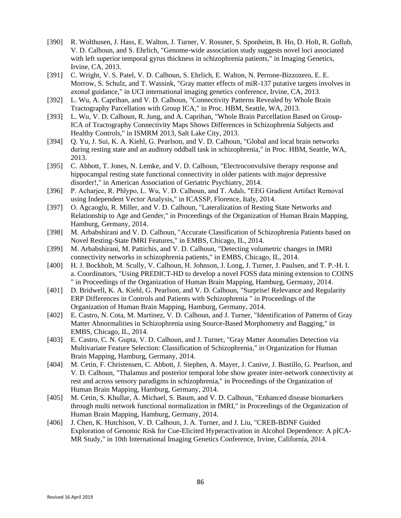- [390] R. Wolthusen, J. Hass, E. Walton, J. Turner, V. Rossner, S. Sponheim, B. Ho, D. Holt, R. Gollub, V. D. Calhoun, and S. Ehrlich, "Genome-wide association study suggests novel loci associated with left superior temporal gyrus thickness in schizophrenia patients," in Imaging Genetics, Irvine, CA, 2013.
- [391] C. Wright, V. S. Patel, V. D. Calhoun, S. Ehrlich, E. Walton, N. Perrone-Bizzozero, E. E. Morrow, S. Schulz, and T. Wassink, "Gray matter effects of miR-137 putative targets involves in axonal guidance," in UCI international imaging genetics conference, Irvine, CA, 2013.
- [392] L. Wu, A. Caprihan, and V. D. Calhoun, "Connectivity Patterns Revealed by Whole Brain Tractography Parcellation with Group ICA," in Proc. HBM, Seattle, WA, 2013.
- [393] L. Wu, V. D. Calhoun, R. Jung, and A. Caprihan, "Whole Brain Parcellation Based on Group-ICA of Tractography Connectivity Maps Shows Differences in Schizophrenia Subjects and Healthy Controls," in ISMRM 2013, Salt Lake City, 2013.
- [394] Q. Yu, J. Sui, K. A. Kiehl, G. Pearlson, and V. D. Calhoun, "Global and local brain networks during resting state and an auditory oddball task in schizophrenia," in Proc. HBM, Seattle, WA, 2013.
- [395] C. Abbott, T. Jones, N. Lemke, and V. D. Calhoun, "Electroconvulsive therapy response and hippocampal resting state functional connectivity in older patients with major depressive disorder!," in American Association of Geriatric Psychiatry, 2014.
- [396] P. Acharjee, R. Phlypo, L. Wu, V. D. Calhoun, and T. Adalı, "EEG Gradient Artifact Removal using Independent Vector Analysis," in ICASSP, Florence, Italy, 2014.
- [397] O. Agcaoglu, R. Miller, and V. D. Calhoun, "Lateralization of Resting State Networks and Relationship to Age and Gender," in Proceedings of the Organization of Human Brain Mapping, Hamburg, Germany, 2014.
- [398] M. Arbabshirani and V. D. Calhoun, "Accurate Classification of Schizophrenia Patients based on Novel Resting-State fMRI Features," in EMBS, Chicago, IL, 2014.
- [399] M. Arbabshirani, M. Pattichis, and V. D. Calhoun, "Detecting volumetric changes in fMRI connectivity networks in schizophrenia patients," in EMBS, Chicago, IL, 2014.
- [400] H. J. Bockholt, M. Scully, V. Calhoun, H. Johnson, J. Long, J. Turner, J. Paulsen, and T. P.-H. I. a. Coordinators, "Using PREDICT-HD to develop a novel FOSS data mining extension to COINS " in Proceedings of the Organization of Human Brain Mapping, Hamburg, Germany, 2014.
- [401] D. Bridwell, K. A. Kiehl, G. Pearlson, and V. D. Calhoun, "Surprise! Relevance and Regularity ERP Differences in Controls and Patients with Schizophrenia " in Proceedings of the Organization of Human Brain Mapping, Hamburg, Germany, 2014.
- [402] E. Castro, N. Cota, M. Martinez, V. D. Calhoun, and J. Turner, "Identification of Patterns of Gray Matter Abnormalities in Schizophrenia using Source-Based Morphometry and Bagging," in EMBS, Chicago, IL, 2014.
- [403] E. Castro, C. N. Gupta, V. D. Calhoun, and J. Turner, "Gray Matter Anomalies Detection via Multivariate Feature Selection: Classification of Schizophrenia," in Organization for Human Brain Mapping, Hamburg, Germany, 2014.
- [404] M. Cetin, F. Christensen, C. Abbott, J. Stephen, A. Mayer, J. Canive, J. Bustillo, G. Pearlson, and V. D. Calhoun, "Thalamus and posterior temporal lobe show greater inter-network connectivity at rest and across sensory paradigms in schizophrenia," in Proceedings of the Organization of Human Brain Mapping, Hamburg, Germany, 2014.
- [405] M. Cetin, S. Khullar, A. Michael, S. Baum, and V. D. Calhoun, "Enhanced disease biomarkers through multi network functional normalization in fMRI," in Proceedings of the Organization of Human Brain Mapping, Hamburg, Germany, 2014.
- [406] J. Chen, K. Hutchison, V. D. Calhoun, J. A. Turner, and J. Liu, "CREB-BDNF Guided Exploration of Genomic Risk for Cue-Elicited Hyperactivation in Alcohol Dependence: A pICA-MR Study," in 10th International Imaging Genetics Conference, Irvine, California, 2014.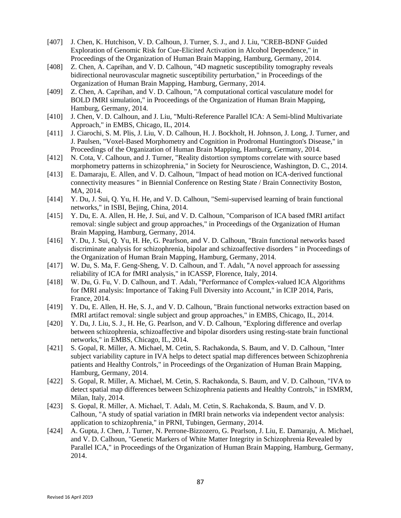- [407] J. Chen, K. Hutchison, V. D. Calhoun, J. Turner, S. J., and J. Liu, "CREB-BDNF Guided Exploration of Genomic Risk for Cue-Elicited Activation in Alcohol Dependence," in Proceedings of the Organization of Human Brain Mapping, Hamburg, Germany, 2014.
- [408] Z. Chen, A. Caprihan, and V. D. Calhoun, "4D magnetic susceptibility tomography reveals bidirectional neurovascular magnetic susceptibility perturbation," in Proceedings of the Organization of Human Brain Mapping, Hamburg, Germany, 2014.
- [409] Z. Chen, A. Caprihan, and V. D. Calhoun, "A computational cortical vasculature model for BOLD fMRI simulation," in Proceedings of the Organization of Human Brain Mapping, Hamburg, Germany, 2014.
- [410] J. Chen, V. D. Calhoun, and J. Liu, "Multi-Reference Parallel ICA: A Semi-blind Multivariate Approach," in EMBS, Chicago, IL, 2014.
- [411] J. Ciarochi, S. M. Plis, J. Liu, V. D. Calhoun, H. J. Bockholt, H. Johnson, J. Long, J. Turner, and J. Paulsen, "Voxel-Based Morphometry and Cognition in Prodromal Huntington's Disease," in Proceedings of the Organization of Human Brain Mapping, Hamburg, Germany, 2014.
- [412] N. Cota, V. Calhoun, and J. Turner, "Reality distortion symptoms correlate with source based morphometry patterns in schizophrenia," in Society for Neuroscience, Washington, D. C., 2014.
- [413] E. Damaraju, E. Allen, and V. D. Calhoun, "Impact of head motion on ICA-derived functional connectivity measures " in Biennial Conference on Resting State / Brain Connectivity Boston, MA, 2014.
- [414] Y. Du, J. Sui, Q. Yu, H. He, and V. D. Calhoun, "Semi-supervised learning of brain functional networks," in ISBI, Bejing, China, 2014.
- [415] Y. Du, E. A. Allen, H. He, J. Sui, and V. D. Calhoun, "Comparison of ICA based fMRI artifact removal: single subject and group approaches," in Proceedings of the Organization of Human Brain Mapping, Hamburg, Germany, 2014.
- [416] Y. Du, J. Sui, Q. Yu, H. He, G. Pearlson, and V. D. Calhoun, "Brain functional networks based discriminate analysis for schizophrenia, bipolar and schizoaffective disorders " in Proceedings of the Organization of Human Brain Mapping, Hamburg, Germany, 2014.
- [417] W. Du, S. Ma, F. Geng-Sheng, V. D. Calhoun, and T. Adalı, "A novel approach for assessing reliability of ICA for fMRI analysis," in ICASSP, Florence, Italy, 2014.
- [418] W. Du, G. Fu, V. D. Calhoun, and T. Adalı, "Performance of Complex-valued ICA Algorithms for fMRI analysis: Importance of Taking Full Diversity into Account," in ICIP 2014, Paris, France, 2014.
- [419] Y. Du, E. Allen, H. He, S. J., and V. D. Calhoun, "Brain functional networks extraction based on fMRI artifact removal: single subject and group approaches," in EMBS, Chicago, IL, 2014.
- [420] Y. Du, J. Liu, S. J., H. He, G. Pearlson, and V. D. Calhoun, "Exploring difference and overlap between schizophrenia, schizoaffective and bipolar disorders using resting-state brain functional networks," in EMBS, Chicago, IL, 2014.
- [421] S. Gopal, R. Miller, A. Michael, M. Cetin, S. Rachakonda, S. Baum, and V. D. Calhoun, "Inter subject variability capture in IVA helps to detect spatial map differences between Schizophrenia patients and Healthy Controls," in Proceedings of the Organization of Human Brain Mapping, Hamburg, Germany, 2014.
- [422] S. Gopal, R. Miller, A. Michael, M. Cetin, S. Rachakonda, S. Baum, and V. D. Calhoun, "IVA to detect spatial map differences between Schizophrenia patients and Healthy Controls," in ISMRM, Milan, Italy, 2014.
- [423] S. Gopal, R. Miller, A. Michael, T. Adalı, M. Cetin, S. Rachakonda, S. Baum, and V. D. Calhoun, "A study of spatial variation in fMRI brain networks via independent vector analysis: application to schizophrenia," in PRNI, Tubingen, Germany, 2014.
- [424] A. Gupta, J. Chen, J. Turner, N. Perrone-Bizzozero, G. Pearlson, J. Liu, E. Damaraju, A. Michael, and V. D. Calhoun, "Genetic Markers of White Matter Integrity in Schizophrenia Revealed by Parallel ICA," in Proceedings of the Organization of Human Brain Mapping, Hamburg, Germany, 2014.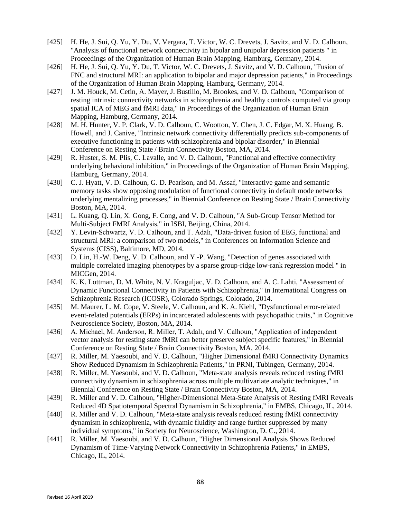- [425] H. He, J. Sui, Q. Yu, Y. Du, V. Vergara, T. Victor, W. C. Drevets, J. Savitz, and V. D. Calhoun, "Analysis of functional network connectivity in bipolar and unipolar depression patients " in Proceedings of the Organization of Human Brain Mapping, Hamburg, Germany, 2014.
- [426] H. He, J. Sui, Q. Yu, Y. Du, T. Victor, W. C. Drevets, J. Savitz, and V. D. Calhoun, "Fusion of FNC and structural MRI: an application to bipolar and major depression patients," in Proceedings of the Organization of Human Brain Mapping, Hamburg, Germany, 2014.
- [427] J. M. Houck, M. Cetin, A. Mayer, J. Bustillo, M. Brookes, and V. D. Calhoun, "Comparison of resting intrinsic connectivity networks in schizophrenia and healthy controls computed via group spatial ICA of MEG and fMRI data," in Proceedings of the Organization of Human Brain Mapping, Hamburg, Germany, 2014.
- [428] M. H. Hunter, V. P. Clark, V. D. Calhoun, C. Wootton, Y. Chen, J. C. Edgar, M. X. Huang, B. Howell, and J. Canive, "Intrinsic network connectivity differentially predicts sub-components of executive functioning in patients with schizophrenia and bipolar disorder," in Biennial Conference on Resting State / Brain Connectivity Boston, MA, 2014.
- [429] R. Huster, S. M. Plis, C. Lavalle, and V. D. Calhoun, "Functional and effective connectivity underlying behavioral inhibition," in Proceedings of the Organization of Human Brain Mapping, Hamburg, Germany, 2014.
- [430] C. J. Hyatt, V. D. Calhoun, G. D. Pearlson, and M. Assaf, "Interactive game and semantic memory tasks show opposing modulation of functional connectivity in default mode networks underlying mentalizing processes," in Biennial Conference on Resting State / Brain Connectivity Boston, MA, 2014.
- [431] L. Kuang, Q. Lin, X. Gong, F. Cong, and V. D. Calhoun, "A Sub-Group Tensor Method for Multi-Subject FMRI Analysis," in ISBI, Beijing, China, 2014.
- [432] Y. Levin-Schwartz, V. D. Calhoun, and T. Adalı, "Data-driven fusion of EEG, functional and structural MRI: a comparison of two models," in Conferences on Information Science and Systems (CISS), Baltimore, MD, 2014.
- [433] D. Lin, H.-W. Deng, V. D. Calhoun, and Y.-P. Wang, "Detection of genes associated with multiple correlated imaging phenotypes by a sparse group-ridge low-rank regression model " in MICGen, 2014.
- [434] K. K. Lottman, D. M. White, N. V. Kraguljac, V. D. Calhoun, and A. C. Lahti, "Assessment of Dynamic Functional Connectivity in Patients with Schizophrenia," in International Congress on Schizophrenia Research (ICOSR), Colorado Springs, Colorado, 2014.
- [435] M. Maurer, L. M. Cope, V. Steele, V. Calhoun, and K. A. Kiehl, "Dysfunctional error-related event-related potentials (ERPs) in incarcerated adolescents with psychopathic traits," in Cognitive Neuroscience Society, Boston, MA, 2014.
- [436] A. Michael, M. Anderson, R. Miller, T. Adalı, and V. Calhoun, "Application of independent vector analysis for resting state fMRI can better preserve subject specific features," in Biennial Conference on Resting State / Brain Connectivity Boston, MA, 2014.
- [437] R. Miller, M. Yaesoubi, and V. D. Calhoun, "Higher Dimensional fMRI Connectivity Dynamics Show Reduced Dynamism in Schizophrenia Patients," in PRNI, Tubingen, Germany, 2014.
- [438] R. Miller, M. Yaesoubi, and V. D. Calhoun, "Meta-state analysis reveals reduced resting fMRI connectivity dynamism in schizophrenia across multiple multivariate analytic techniques," in Biennial Conference on Resting State / Brain Connectivity Boston, MA, 2014.
- [439] R. Miller and V. D. Calhoun, "Higher-Dimensional Meta-State Analysis of Resting fMRI Reveals Reduced 4D Spatiotemporal Spectral Dynamism in Schizophrenia," in EMBS, Chicago, IL, 2014.
- [440] R. Miller and V. D. Calhoun, "Meta-state analysis reveals reduced resting fMRI connectivity dynamism in schizophrenia, with dynamic fluidity and range further suppressed by many individual symptoms," in Society for Neuroscience, Washington, D. C., 2014.
- [441] R. Miller, M. Yaesoubi, and V. D. Calhoun, "Higher Dimensional Analysis Shows Reduced Dynamism of Time-Varying Network Connectivity in Schizophrenia Patients," in EMBS, Chicago, IL, 2014.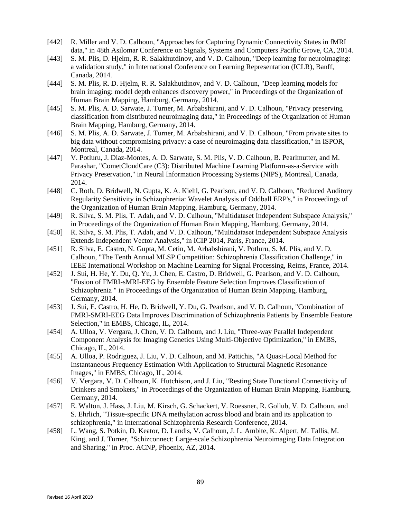- [442] R. Miller and V. D. Calhoun, "Approaches for Capturing Dynamic Connectivity States in fMRI data," in 48th Asilomar Conference on Signals, Systems and Computers Pacific Grove, CA, 2014.
- [443] S. M. Plis, D. Hjelm, R. R. Salakhutdinov, and V. D. Calhoun, "Deep learning for neuroimaging: a validation study," in International Conference on Learning Representation (ICLR), Banff, Canada, 2014.
- [444] S. M. Plis, R. D. Hjelm, R. R. Salakhutdinov, and V. D. Calhoun, "Deep learning models for brain imaging: model depth enhances discovery power," in Proceedings of the Organization of Human Brain Mapping, Hamburg, Germany, 2014.
- [445] S. M. Plis, A. D. Sarwate, J. Turner, M. Arbabshirani, and V. D. Calhoun, "Privacy preserving classification from distributed neuroimaging data," in Proceedings of the Organization of Human Brain Mapping, Hamburg, Germany, 2014.
- [446] S. M. Plis, A. D. Sarwate, J. Turner, M. Arbabshirani, and V. D. Calhoun, "From private sites to big data without compromising privacy: a case of neuroimaging data classification," in ISPOR, Montreal, Canada, 2014.
- [447] V. Potluru, J. Diaz-Montes, A. D. Sarwate, S. M. Plis, V. D. Calhoun, B. Pearlmutter, and M. Parashar, "CometCloudCare (C3): Distributed Machine Learning Platform-as-a-Service with Privacy Preservation," in Neural Information Processing Systems (NIPS), Montreal, Canada, 2014.
- [448] C. Roth, D. Bridwell, N. Gupta, K. A. Kiehl, G. Pearlson, and V. D. Calhoun, "Reduced Auditory Regularity Sensitivity in Schizophrenia: Wavelet Analysis of Oddball ERP's," in Proceedings of the Organization of Human Brain Mapping, Hamburg, Germany, 2014.
- [449] R. Silva, S. M. Plis, T. Adalı, and V. D. Calhoun, "Multidataset Independent Subspace Analysis," in Proceedings of the Organization of Human Brain Mapping, Hamburg, Germany, 2014.
- [450] R. Silva, S. M. Plis, T. Adalı, and V. D. Calhoun, "Multidataset Independent Subspace Analysis Extends Independent Vector Analysis," in ICIP 2014, Paris, France, 2014.
- [451] R. Silva, E. Castro, N. Gupta, M. Cetin, M. Arbabshirani, V. Potluru, S. M. Plis, and V. D. Calhoun, "The Tenth Annual MLSP Competition: Schizophrenia Classification Challenge," in IEEE International Workshop on Machine Learning for Signal Processing, Reims, France, 2014.
- [452] J. Sui, H. He, Y. Du, Q. Yu, J. Chen, E. Castro, D. Bridwell, G. Pearlson, and V. D. Calhoun, "Fusion of FMRI-sMRI-EEG by Ensemble Feature Selection Improves Classification of Schizophrenia " in Proceedings of the Organization of Human Brain Mapping, Hamburg, Germany, 2014.
- [453] J. Sui, E. Castro, H. He, D. Bridwell, Y. Du, G. Pearlson, and V. D. Calhoun, "Combination of FMRI-SMRI-EEG Data Improves Discrimination of Schizophrenia Patients by Ensemble Feature Selection," in EMBS, Chicago, IL, 2014.
- [454] A. Ulloa, V. Vergara, J. Chen, V. D. Calhoun, and J. Liu, "Three-way Parallel Independent Component Analysis for Imaging Genetics Using Multi-Objective Optimization," in EMBS, Chicago, IL, 2014.
- [455] A. Ulloa, P. Rodriguez, J. Liu, V. D. Calhoun, and M. Pattichis, "A Quasi-Local Method for Instantaneous Frequency Estimation With Application to Structural Magnetic Resonance Images," in EMBS, Chicago, IL, 2014.
- [456] V. Vergara, V. D. Calhoun, K. Hutchison, and J. Liu, "Resting State Functional Connectivity of Drinkers and Smokers," in Proceedings of the Organization of Human Brain Mapping, Hamburg, Germany, 2014.
- [457] E. Walton, J. Hass, J. Liu, M. Kirsch, G. Schackert, V. Roessner, R. Gollub, V. D. Calhoun, and S. Ehrlich, "Tissue-specific DNA methylation across blood and brain and its application to schizophrenia," in International Schizophrenia Research Conference, 2014.
- [458] L. Wang, S. Potkin, D. Keator, D. Landis, V. Calhoun, J. L. Ambite, K. Alpert, M. Tallis, M. King, and J. Turner, "Schizconnect: Large-scale Schizophrenia Neuroimaging Data Integration and Sharing," in Proc. ACNP, Phoenix, AZ, 2014.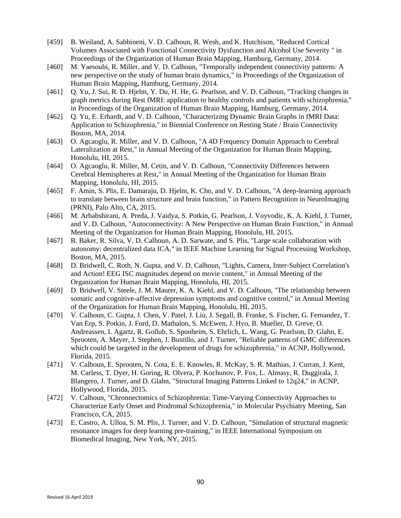- [459] B. Weiland, A. Sabbineni, V. D. Calhoun, R. Wesh, and K. Hutchison, "Reduced Cortical Volumes Associated with Functional Connectivity Dysfunction and Alcohol Use Severity " in Proceedings of the Organization of Human Brain Mapping, Hamburg, Germany, 2014.
- [460] M. Yaesoubi, R. Miller, and V. D. Calhoun, "Temporally independent connectivity patterns: A new perspective on the study of human brain dynamics," in Proceedings of the Organization of Human Brain Mapping, Hamburg, Germany, 2014.
- [461] Q. Yu, J. Sui, R. D. Hjelm, Y. Du, H. He, G. Pearlson, and V. D. Calhoun, "Tracking changes in graph metrics during Rest fMRI: application to healthy controls and patients with schizophrenia," in Proceedings of the Organization of Human Brain Mapping, Hamburg, Germany, 2014.
- [462] Q. Yu, E. Erhardt, and V. D. Calhoun, "Characterizing Dynamic Brain Graphs in fMRI Data: Application to Schizophrenia," in Biennial Conference on Resting State / Brain Connectivity Boston, MA, 2014.
- [463] O. Agcaoglu, R. Miller, and V. D. Calhoun, "A 4D Frequency Domain Approach to Cerebral Lateralization at Rest," in Annual Meeting of the Organization for Human Brain Mapping, Honolulu, HI, 2015.
- [464] O. Agcaoglu, R. Miller, M. Cetin, and V. D. Calhoun, "Connectivity Differences between Cerebral Hemispheres at Rest," in Annual Meeting of the Organization for Human Brain Mapping, Honolulu, HI, 2015.
- [465] F. Amin, S. Plis, E. Damaraju, D. Hjelm, K. Cho, and V. D. Calhoun, "A deep-learning approach to translate between brain structure and brain function," in Pattern Recognition in NeuroImaging (PRNI), Palo Alto, CA, 2015.
- [466] M. Arbabshirani, A. Preda, J. Vaidya, S. Potkin, G. Pearlson, J. Voyvodic, K. A. Kiehl, J. Turner, and V. D. Calhoun, "Autoconnectivity: A New Perspective on Human Brain Function," in Annual Meeting of the Organization for Human Brain Mapping, Honolulu, HI, 2015.
- [467] B. Baker, R. Silva, V. D. Calhoun, A. D. Sarwate, and S. Plis, "Large scale collaboration with autonomy: decentralized data ICA," in IEEE Machine Learning for Signal Processing Workshop, Boston, MA, 2015.
- [468] D. Bridwell, C. Roth, N. Gupta, and V. D. Calhoun, "Lights, Camera, Inter-Subject Correlation's and Action! EEG ISC magnitudes depend on movie content," in Annual Meeting of the Organization for Human Brain Mapping, Honolulu, HI, 2015.
- [469] D. Bridwell, V. Steele, J. M. Maurer, K. A. Kiehl, and V. D. Calhoun, "The relationship between somatic and cognitive-affective depression symptoms and cognitive control," in Annual Meeting of the Organization for Human Brain Mapping, Honolulu, HI, 2015.
- [470] V. Calhoun, C. Gupta, J. Chen, V. Patel, J. Liu, J. Segall, B. Franke, S. Fischer, G. Fernandez, T. Van Erp, S. Potkin, J. Ford, D. Mathalon, S. McEwen, J. Hyo, B. Mueller, D. Greve, O. Andreassen, I. Agartz, R. Gollub, S. Sponheim, S. Ehrlich, L. Wang, G. Pearlson, D. Glahn, E. Sprooten, A. Mayer, J. Stephen, J. Bustillo, and J. Turner, "Reliable patterns of GMC differences which could be targeted in the development of drugs for schizophrenia," in ACNP, Hollywood, Florida, 2015.
- [471] V. Calhoun, E. Sprooten, N. Cota, E. E. Knowles, R. McKay, S. R. Mathias, J. Curran, J. Kent, M. Carless, T. Dyer, H. Goring, R. Olvera, P. Kochunov, P. Fox, L. Almasy, R. Duggirala, J. Blangero, J. Turner, and D. Glahn, "Structural Imaging Patterns Linked to 12q24," in ACNP, Hollywood, Florida, 2015.
- [472] V. Calhoun, "Chronnectomics of Schizophrenia: Time-Varying Connectivity Approaches to Characterize Early Onset and Prodromal Schizophrenia," in Molecular Psychiatry Meeting, San Francisco, CA, 2015.
- [473] E. Castro, A. Ulloa, S. M. Plis, J. Turner, and V. D. Calhoun, "Simulation of structural magnetic resonance images for deep learning pre-training," in IEEE International Symposium on Biomedical Imaging, New York, NY, 2015.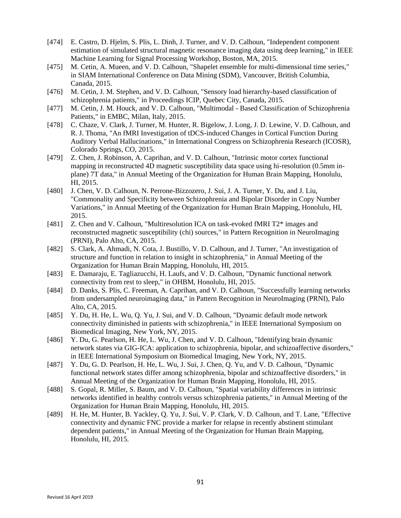- [474] E. Castro, D. Hjelm, S. Plis, L. Dinh, J. Turner, and V. D. Calhoun, "Independent component estimation of simulated structural magnetic resonance imaging data using deep learning," in IEEE Machine Learning for Signal Processing Workshop, Boston, MA, 2015.
- [475] M. Cetin, A. Mueen, and V. D. Calhoun, "Shapelet ensemble for multi-dimensional time series," in SIAM International Conference on Data Mining (SDM), Vancouver, British Columbia, Canada, 2015.
- [476] M. Cetin, J. M. Stephen, and V. D. Calhoun, "Sensory load hierarchy-based classification of schizophrenia patients," in Proceedings ICIP, Quebec City, Canada, 2015.
- [477] M. Cetin, J. M. Houck, and V. D. Calhoun, "Multimodal Based Classification of Schizophrenia Patients," in EMBC, Milan, Italy, 2015.
- [478] C. Chaze, V. Clark, J. Turner, M. Hunter, R. Bigelow, J. Long, J. D. Lewine, V. D. Calhoun, and R. J. Thoma, "An fMRI Investigation of tDCS-induced Changes in Cortical Function During Auditory Verbal Hallucinations," in International Congress on Schizophrenia Research (ICOSR), Colorado Springs, CO, 2015.
- [479] Z. Chen, J. Robinson, A. Caprihan, and V. D. Calhoun, "Intrinsic motor cortex functional mapping in reconstructed 4D magnetic susceptibility data space using hi-resolution (0.5mm inplane) 7T data," in Annual Meeting of the Organization for Human Brain Mapping, Honolulu, HI, 2015.
- [480] J. Chen, V. D. Calhoun, N. Perrone-Bizzozero, J. Sui, J. A. Turner, Y. Du, and J. Liu, "Commonality and Specificity between Schizophrenia and Bipolar Disorder in Copy Number Variations," in Annual Meeting of the Organization for Human Brain Mapping, Honolulu, HI, 2015.
- [481] Z. Chen and V. Calhoun, "Multiresolution ICA on task-evoked fMRI T2\* images and reconstructed magnetic susceptibility (chi) sources," in Pattern Recognition in NeuroImaging (PRNI), Palo Alto, CA, 2015.
- [482] S. Clark, A. Ahmadi, N. Cota, J. Bustillo, V. D. Calhoun, and J. Turner, "An investigation of structure and function in relation to insight in schizophrenia," in Annual Meeting of the Organization for Human Brain Mapping, Honolulu, HI, 2015.
- [483] E. Damaraju, E. Tagliazucchi, H. Laufs, and V. D. Calhoun, "Dynamic functional network connectivity from rest to sleep," in OHBM, Honolulu, HI, 2015.
- [484] D. Danks, S. Plis, C. Freeman, A. Caprihan, and V. D. Calhoun, "Successfully learning networks from undersampled neuroimaging data," in Pattern Recognition in NeuroImaging (PRNI), Palo Alto, CA, 2015.
- [485] Y. Du, H. He, L. Wu, Q. Yu, J. Sui, and V. D. Calhoun, "Dynamic default mode network connectivity diminished in patients with schizophrenia," in IEEE International Symposium on Biomedical Imaging, New York, NY, 2015.
- [486] Y. Du, G. Pearlson, H. He, L. Wu, J. Chen, and V. D. Calhoun, "Identifying brain dynamic network states via GIG-ICA: application to schizophrenia, bipolar, and schizoaffective disorders," in IEEE International Symposium on Biomedical Imaging, New York, NY, 2015.
- [487] Y. Du, G. D. Pearlson, H. He, L. Wu, J. Sui, J. Chen, Q. Yu, and V. D. Calhoun, "Dynamic functional network states differ among schizophrenia, bipolar and schizoaffective disorders," in Annual Meeting of the Organization for Human Brain Mapping, Honolulu, HI, 2015.
- [488] S. Gopal, R. Miller, S. Baum, and V. D. Calhoun, "Spatial variability differences in intrinsic networks identified in healthy controls versus schizophrenia patients," in Annual Meeting of the Organization for Human Brain Mapping, Honolulu, HI, 2015.
- [489] H. He, M. Hunter, B. Yackley, O. Yu, J. Sui, V. P. Clark, V. D. Calhoun, and T. Lane, "Effective connectivity and dynamic FNC provide a marker for relapse in recently abstinent stimulant dependent patients," in Annual Meeting of the Organization for Human Brain Mapping, Honolulu, HI, 2015.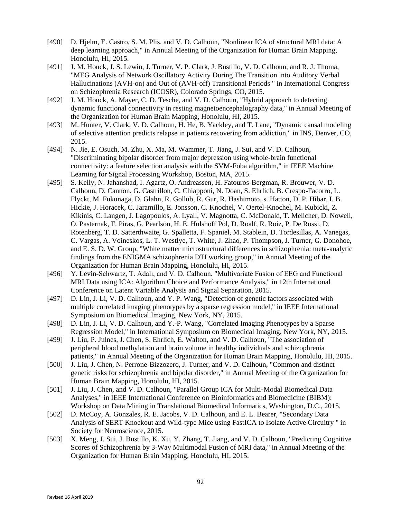- [490] D. Hjelm, E. Castro, S. M. Plis, and V. D. Calhoun, "Nonlinear ICA of structural MRI data: A deep learning approach," in Annual Meeting of the Organization for Human Brain Mapping, Honolulu, HI, 2015.
- [491] J. M. Houck, J. S. Lewin, J. Turner, V. P. Clark, J. Bustillo, V. D. Calhoun, and R. J. Thoma, "MEG Analysis of Network Oscillatory Activity During The Transition into Auditory Verbal Hallucinations (AVH-on) and Out of (AVH-off) Transitional Periods " in International Congress on Schizophrenia Research (ICOSR), Colorado Springs, CO, 2015.
- [492] J. M. Houck, A. Mayer, C. D. Tesche, and V. D. Calhoun, "Hybrid approach to detecting dynamic functional connectivity in resting magnetoencephalography data," in Annual Meeting of the Organization for Human Brain Mapping, Honolulu, HI, 2015.
- [493] M. Hunter, V. Clark, V. D. Calhoun, H. He, B. Yackley, and T. Lane, "Dynamic causal modeling of selective attention predicts relapse in patients recovering from addiction," in INS, Denver, CO, 2015.
- [494] N. Jie, E. Osuch, M. Zhu, X. Ma, M. Wammer, T. Jiang, J. Sui, and V. D. Calhoun, "Discriminating bipolar disorder from major depression using whole-brain functional connectivity: a feature selection analysis with the SVM-Foba algorithm," in IEEE Machine Learning for Signal Processing Workshop, Boston, MA, 2015.
- [495] S. Kelly, N. Jahanshad, I. Agartz, O. Andreassen, H. Fatouros-Bergman, R. Brouwer, V. D. Calhoun, D. Cannon, G. Castrillon, C. Chiapponi, N. Doan, S. Ehrlich, B. Crespo-Facorro, L. Flyckt, M. Fukunaga, D. Glahn, R. Gollub, R. Gur, R. Hashimoto, s. Hatton, D. P. Hibar, I. B. Hickie, J. Horacek, C. Jaramillo, E. Jonsson, C. Knochel, V. Oertel-Knochel, M. Kubicki, Z. Kikinis, C. Langen, J. Lagopoulos, A. Lyall, V. Magnotta, C. McDonald, T. Melicher, D. Nowell, O. Pasternak, F. Piras, G. Pearlson, H. E. Hulshoff Pol, D. Roalf, R. Roiz, P. De Rossi, D. Rotenberg, T. D. Satterthwaite, G. Spalletta, F. Spaniel, M. Stablein, D. Tordesillas, A. Vanegas, C. Vargas, A. Voineskos, L. T. Westlye, T. White, J. Zhao, P. Thompson, J. Turner, G. Donohoe, and E. S. D. W. Group, "White matter microstructural differences in schizophrenia: meta-analytic findings from the ENIGMA schizophrenia DTI working group," in Annual Meeting of the Organization for Human Brain Mapping, Honolulu, HI, 2015.
- [496] Y. Levin-Schwartz, T. Adalı, and V. D. Calhoun, "Multivariate Fusion of EEG and Functional MRI Data using ICA: Algorithm Choice and Performance Analysis," in 12th International Conference on Latent Variable Analysis and Signal Separation, 2015.
- [497] D. Lin, J. Li, V. D. Calhoun, and Y. P. Wang, "Detection of genetic factors associated with multiple correlated imaging phenotypes by a sparse regression model," in IEEE International Symposium on Biomedical Imaging, New York, NY, 2015.
- [498] D. Lin, J. Li, V. D. Calhoun, and Y.-P. Wang, "Correlated Imaging Phenotypes by a Sparse Regression Model," in International Symposium on Biomedical Imaging, New York, NY, 2015.
- [499] J. Liu, P. Julnes, J. Chen, S. Ehrlich, E. Walton, and V. D. Calhoun, "The association of peripheral blood methylation and brain volume in healthy individuals and schizophrenia patients," in Annual Meeting of the Organization for Human Brain Mapping, Honolulu, HI, 2015.
- [500] J. Liu, J. Chen, N. Perrone-Bizzozero, J. Turner, and V. D. Calhoun, "Common and distinct genetic risks for schizophrenia and bipolar disorder," in Annual Meeting of the Organization for Human Brain Mapping, Honolulu, HI, 2015.
- [501] J. Liu, J. Chen, and V. D. Calhoun, "Parallel Group ICA for Multi-Modal Biomedical Data Analyses," in IEEE International Conference on Bioinformatics and Biomedicine (BIBM): Workshop on Data Mining in Translational Biomedical Informatics, Washington, D.C., 2015.
- [502] D. McCoy, A. Gonzales, R. E. Jacobs, V. D. Calhoun, and E. L. Bearer, "Secondary Data Analysis of SERT Knockout and Wild-type Mice using FastICA to Isolate Active Circuitry " in Society for Neuroscience, 2015.
- [503] X. Meng, J. Sui, J. Bustillo, K. Xu, Y. Zhang, T. Jiang, and V. D. Calhoun, "Predicting Cognitive Scores of Schizophrenia by 3-Way Multimodal Fusion of MRI data," in Annual Meeting of the Organization for Human Brain Mapping, Honolulu, HI, 2015.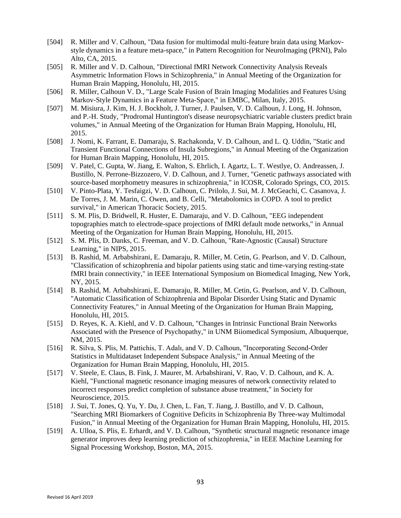- [504] R. Miller and V. Calhoun, "Data fusion for multimodal multi-feature brain data using Markovstyle dynamics in a feature meta-space," in Pattern Recognition for NeuroImaging (PRNI), Palo Alto, CA, 2015.
- [505] R. Miller and V. D. Calhoun, "Directional fMRI Network Connectivity Analysis Reveals Asymmetric Information Flows in Schizophrenia," in Annual Meeting of the Organization for Human Brain Mapping, Honolulu, HI, 2015.
- [506] R. Miller, Calhoun V. D., "Large Scale Fusion of Brain Imaging Modalities and Features Using Markov-Style Dynamics in a Feature Meta-Space," in EMBC, Milan, Italy, 2015.
- [507] M. Misiura, J. Kim, H. J. Bockholt, J. Turner, J. Paulsen, V. D. Calhoun, J. Long, H. Johnson, and P.-H. Study, "Prodromal Huntington's disease neuropsychiatric variable clusters predict brain volumes," in Annual Meeting of the Organization for Human Brain Mapping, Honolulu, HI, 2015.
- [508] J. Nomi, K. Farrant, E. Damaraju, S. Rachakonda, V. D. Calhoun, and L. Q. Uddin, "Static and Transient Functional Connections of Insula Subregions," in Annual Meeting of the Organization for Human Brain Mapping, Honolulu, HI, 2015.
- [509] V. Patel, C. Gupta, W. Jiang, E. Walton, S. Ehrlich, I. Agartz, L. T. Westlye, O. Andreassen, J. Bustillo, N. Perrone-Bizzozero, V. D. Calhoun, and J. Turner, "Genetic pathways associated with source-based morphometry measures in schizophrenia," in ICOSR, Colorado Springs, CO, 2015.
- [510] V. Pinto-Plata, Y. Tesfaigzi, V. D. Calhoun, C. Prilolo, J. Sui, M. J. McGeachi, C. Casanova, J. De Torres, J. M. Marin, C. Owen, and B. Celli, "Metabolomics in COPD. A tool to predict survival," in American Thoracic Society, 2015.
- [511] S. M. Plis, D. Bridwell, R. Huster, E. Damaraju, and V. D. Calhoun, "EEG independent topographies match to electrode-space projections of fMRI default mode networks," in Annual Meeting of the Organization for Human Brain Mapping, Honolulu, HI, 2015.
- [512] S. M. Plis, D. Danks, C. Freeman, and V. D. Calhoun, "Rate-Agnostic (Causal) Structure Learning," in NIPS, 2015.
- [513] B. Rashid, M. Arbabshirani, E. Damaraju, R. Miller, M. Cetin, G. Pearlson, and V. D. Calhoun, "Classification of schizophrenia and bipolar patients using static and time-varying resting-state fMRI brain connectivity," in IEEE International Symposium on Biomedical Imaging, New York, NY, 2015.
- [514] B. Rashid, M. Arbabshirani, E. Damaraju, R. Miller, M. Cetin, G. Pearlson, and V. D. Calhoun, "Automatic Classification of Schizophrenia and Bipolar Disorder Using Static and Dynamic Connectivity Features," in Annual Meeting of the Organization for Human Brain Mapping, Honolulu, HI, 2015.
- [515] D. Reyes, K. A. Kiehl, and V. D. Calhoun, "Changes in Intrinsic Functional Brain Networks Associated with the Presence of Psychopathy," in UNM Biiomedical Symposium, Albuquerque, NM, 2015.
- [516] R. Silva, S. Plis, M. Pattichis, T. Adalı, and V. D. Calhoun, "Incorporating Second-Order Statistics in Multidataset Independent Subspace Analysis," in Annual Meeting of the Organization for Human Brain Mapping, Honolulu, HI, 2015.
- [517] V. Steele, E. Claus, B. Fink, J. Maurer, M. Arbabshirani, V. Rao, V. D. Calhoun, and K. A. Kiehl, "Functional magnetic resonance imaging measures of network connectivity related to incorrect responses predict completion of substance abuse treatment," in Society for Neuroscience, 2015.
- [518] J. Sui, T. Jones, Q. Yu, Y. Du, J. Chen, L. Fan, T. Jiang, J. Bustillo, and V. D. Calhoun, "Searching MRI Biomarkers of Cognitive Deficits in Schizophrenia By Three-way Multimodal Fusion," in Annual Meeting of the Organization for Human Brain Mapping, Honolulu, HI, 2015.
- [519] A. Ulloa, S. Plis, E. Erhardt, and V. D. Calhoun, "Synthetic structural magnetic resonance image generator improves deep learning prediction of schizophrenia," in IEEE Machine Learning for Signal Processing Workshop, Boston, MA, 2015.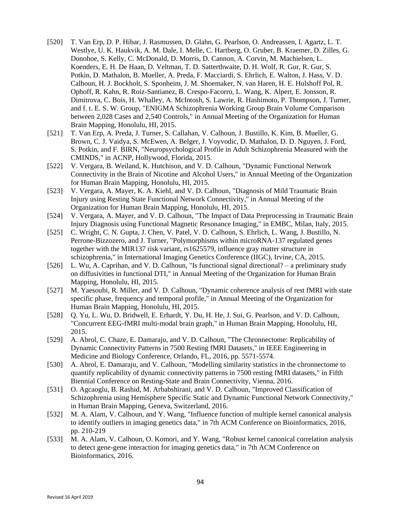- [520] T. Van Erp, D. P. Hibar, J. Rasmussen, D. Glahn, G. Pearlson, O. Andreassen, I. Agartz, L. T. Westlye, U. K. Haukvik, A. M. Dale, I. Melle, C. Hartberg, O. Gruber, B. Kraemer, D. Zilles, G. Donohoe, S. Kelly, C. McDonald, D. Morris, D. Cannon, A. Corvin, M. Machielsen, L. Koenders, E. H. De Haan, D. Veltman, T. D. Satterthwaite, D. H. Wolf, R. Gur, R. Gur, S. Potkin, D. Mathalon, B. Mueller, A. Preda, F. Macciardi, S. Ehrlich, E. Walton, J. Hass, V. D. Calhoun, H. J. Bockholt, S. Sponheim, J. M. Shoemaker, N. van Haren, H. E. Hulshoff Pol, R. Ophoff, R. Kahn, R. Roiz-Santianez, B. Crespo-Facorro, L. Wang, K. Alpert, E. Jonsson, R. Dimitrova, C. Bois, H. Whalley, A. McIntosh, S. Lawrie, R. Hashimoto, P. Thompson, J. Turner, and f. t. E. S. W. Group, "ENIGMA Schizophrenia Working Group Brain Volume Comparison between 2,028 Cases and 2,540 Controls," in Annual Meeting of the Organization for Human Brain Mapping, Honolulu, HI, 2015.
- [521] T. Van Erp, A. Preda, J. Turner, S. Callahan, V. Calhoun, J. Bustillo, K. Kim, B. Mueller, G. Brown, C. J. Vaidya, S. McEwen, A. Belger, J. Voyvodic, D. Mathalon, D. D. Nguyen, J. Ford, S. Potkin, and F. BIRN, "Neuropsychological Profile in Adult Schizophrenia Measured with the CMINDS," in ACNP, Hollywood, Florida, 2015.
- [522] V. Vergara, B. Weiland, K. Hutchison, and V. D. Calhoun, "Dynamic Functional Network Connectivity in the Brain of Nicotine and Alcohol Users," in Annual Meeting of the Organization for Human Brain Mapping, Honolulu, HI, 2015.
- [523] V. Vergara, A. Mayer, K. A. Kiehl, and V. D. Calhoun, "Diagnosis of Mild Traumatic Brain Injury using Resting State Functional Network Connectivity," in Annual Meeting of the Organization for Human Brain Mapping, Honolulu, HI, 2015.
- [524] V. Vergara, A. Mayer, and V. D. Calhoun, "The Impact of Data Preprocessing in Traumatic Brain Injury Diagnosis using Functional Magnetic Resonance Imaging," in EMBC, Milan, Italy, 2015.
- [525] C. Wright, C. N. Gupta, J. Chen, V. Patel, V. D. Calhoun, S. Ehrlich, L. Wang, J. Bustillo, N. Perrone-Bizzozero, and J. Turner, "Polymorphisms within microRNA-137 regulated genes together with the MIR137 risk variant, rs1625579, influence gray matter structure in schizophrenia," in International Imaging Genetics Conference (IIGC), Irvine, CA, 2015.
- [526] L. Wu, A. Caprihan, and V. D. Calhoun, "Is functional signal directional? a preliminary study on diffusivities in functional DTI," in Annual Meeting of the Organization for Human Brain Mapping, Honolulu, HI, 2015.
- [527] M. Yaesoubi, R. Miller, and V. D. Calhoun, "Dynamic coherence analysis of rest fMRI with state specific phase, frequency and temporal profile," in Annual Meeting of the Organization for Human Brain Mapping, Honolulu, HI, 2015.
- [528] Q. Yu, L. Wu, D. Bridwell, E. Erhardt, Y. Du, H. He, J. Sui, G. Pearlson, and V. D. Calhoun, "Concurrent EEG-fMRI multi-modal brain graph," in Human Brain Mapping, Honolulu, HI, 2015.
- [529] A. Abrol, C. Chaze, E. Damaraju, and V. D. Calhoun, "The Chronnectome: Replicability of Dynamic Connectivity Patterns in 7500 Resting fMRI Datasets," in IEEE Engineering in Medicine and Biology Conference, Orlando, FL, 2016, pp. 5571-5574.
- [530] A. Abrol, E. Damaraju, and V. Calhoun, "Modelling similarity statistics in the chronnectome to quantify replicability of dynamic connectivity patterns in 7500 resting fMRI datasets," in Fifth Biennial Conference on Resting-State and Brain Connectivity, Vienna, 2016.
- [531] O. Agcaoglu, B. Rashid, M. Arbabshirani, and V. D. Calhoun, "Improved Classification of Schizophrenia using Hemisphere Specific Static and Dynamic Functional Network Connectivity," in Human Brain Mapping, Geneva, Switzerland, 2016.
- [532] M. A. Alam, V. Calhoun, and Y. Wang, "Influence function of multiple kernel canonical analysis to identify outliers in imaging genetics data," in 7th ACM Conference on Bioinformatics, 2016, pp. 210-219
- [533] M. A. Alam, V. Calhoun, O. Komori, and Y. Wang, "Robust kernel canonical correlation analysis to detect gene-gene interaction for imaging genetics data," in 7th ACM Conference on Bioinformatics, 2016.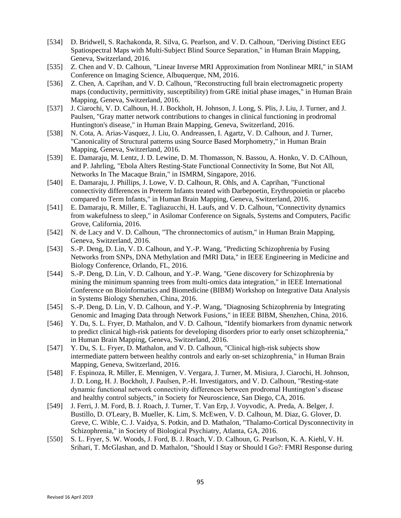- [534] D. Bridwell, S. Rachakonda, R. Silva, G. Pearlson, and V. D. Calhoun, "Deriving Distinct EEG Spatiospectral Maps with Multi-Subject Blind Source Separation," in Human Brain Mapping, Geneva, Switzerland, 2016.
- [535] Z. Chen and V. D. Calhoun, "Linear Inverse MRI Approximation from Nonlinear MRI," in SIAM Conference on Imaging Science, Albuquerque, NM, 2016.
- [536] Z. Chen, A. Caprihan, and V. D. Calhoun, "Reconstructing full brain electromagnetic property maps (conductivity, permittivity, susceptibility) from GRE initial phase images," in Human Brain Mapping, Geneva, Switzerland, 2016.
- [537] J. Ciarochi, V. D. Calhoun, H. J. Bockholt, H. Johnson, J. Long, S. Plis, J. Liu, J. Turner, and J. Paulsen, "Gray matter network contributions to changes in clinical functioning in prodromal Huntington's disease," in Human Brain Mapping, Geneva, Switzerland, 2016.
- [538] N. Cota, A. Arias-Vasquez, J. Liu, O. Andreassen, I. Agartz, V. D. Calhoun, and J. Turner, "Canonicality of Structural patterns using Source Based Morphometry," in Human Brain Mapping, Geneva, Switzerland, 2016.
- [539] E. Damaraju, M. Lentz, J. D. Lewine, D. M. Thomasson, N. Bassou, A. Honko, V. D. CAlhoun, and P. Jahrling, "Ebola Alters Resting-State Functional Connectivity In Some, But Not All, Networks In The Macaque Brain," in ISMRM, Singapore, 2016.
- [540] E. Damaraju, J. Phillips, J. Lowe, V. D. Calhoun, R. Ohls, and A. Caprihan, "Functional connectivity differences in Preterm Infants treated with Darbepoetin, Erythropoietin or placebo compared to Term Infants," in Human Brain Mapping, Geneva, Switzerland, 2016.
- [541] E. Damaraju, R. Miller, E. Tagliazucchi, H. Laufs, and V. D. Calhoun, "Connectivity dynamics from wakefulness to sleep," in Asilomar Conference on Signals, Systems and Computers, Pacific Grove, California, 2016.
- [542] N. de Lacy and V. D. Calhoun, "The chronnectomics of autism," in Human Brain Mapping, Geneva, Switzerland, 2016.
- [543] S.-P. Deng, D. Lin, V. D. Calhoun, and Y.-P. Wang, "Predicting Schizophrenia by Fusing Networks from SNPs, DNA Methylation and fMRI Data," in IEEE Engineering in Medicine and Biology Conference, Orlando, FL, 2016.
- [544] S.-P. Deng, D. Lin, V. D. Calhoun, and Y.-P. Wang, "Gene discovery for Schizophrenia by mining the minimum spanning trees from multi-omics data integration," in IEEE International Conference on Bioinformatics and Biomedicine (BIBM) Workshop on Integrative Data Analysis in Systems Biology Shenzhen, China, 2016.
- [545] S.-P. Deng, D. Lin, V. D. Calhoun, and Y.-P. Wang, "Diagnosing Schizophrenia by Integrating Genomic and Imaging Data through Network Fusions," in IEEE BIBM, Shenzhen, China, 2016.
- [546] Y. Du, S. L. Fryer, D. Mathalon, and V. D. Calhoun, "Identify biomarkers from dynamic network to predict clinical high-risk patients for developing disorders prior to early onset schizophrenia," in Human Brain Mapping, Geneva, Switzerland, 2016.
- [547] Y. Du, S. L. Fryer, D. Mathalon, and V. D. Calhoun, "Clinical high-risk subjects show intermediate pattern between healthy controls and early on-set schizophrenia," in Human Brain Mapping, Geneva, Switzerland, 2016.
- [548] F. Espinoza, R. Miller, E. Mennigen, V. Vergara, J. Turner, M. Misiura, J. Ciarochi, H. Johnson, J. D. Long, H. J. Bockholt, J. Paulsen, P.-H. Investigators, and V. D. Calhoun, "Resting-state dynamic functional network connectivity differences between prodromal Huntington's disease and healthy control subjects," in Society for Neuroscience, San Diego, CA, 2016.
- [549] J. Ferri, J. M. Ford, B. J. Roach, J. Turner, T. Van Erp, J. Voyvodic, A. Preda, A. Belger, J. Bustillo, D. O'Leary, B. Mueller, K. Lim, S. McEwen, V. D. Calhoun, M. Diaz, G. Glover, D. Greve, C. Wible, C. J. Vaidya, S. Potkin, and D. Mathalon, "Thalamo-Cortical Dysconnectivity in Schizophrenia," in Society of Biological Psychiatry, Atlanta, GA, 2016.
- [550] S. L. Fryer, S. W. Woods, J. Ford, B. J. Roach, V. D. Calhoun, G. Pearlson, K. A. Kiehl, V. H. Srihari, T. McGlashan, and D. Mathalon, "Should I Stay or Should I Go?: FMRI Response during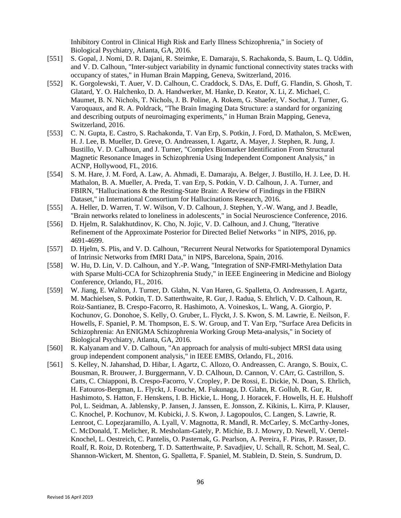Inhibitory Control in Clinical High Risk and Early Illness Schizophrenia," in Society of Biological Psychiatry, Atlanta, GA, 2016.

- [551] S. Gopal, J. Nomi, D. R. Dajani, R. Steimke, E. Damaraju, S. Rachakonda, S. Baum, L. Q. Uddin, and V. D. Calhoun, "Inter-subject variability in dynamic functional connectivity states tracks with occupancy of states," in Human Brain Mapping, Geneva, Switzerland, 2016.
- [552] K. Gorgolewski, T. Auer, V. D. Calhoun, C. Craddock, S. DAs, E. Duff, G. Flandin, S. Ghosh, T. Glatard, Y. O. Halchenko, D. A. Handwerker, M. Hanke, D. Keator, X. Li, Z. Michael, C. Maumet, B. N. Nichols, T. Nichols, J. B. Poline, A. Rokem, G. Shaefer, V. Sochat, J. Turner, G. Varoquaux, and R. A. Poldrack, "The Brain Imaging Data Structure: a standard for organizing and describing outputs of neuroimaging experiments," in Human Brain Mapping, Geneva, Switzerland, 2016.
- [553] C. N. Gupta, E. Castro, S. Rachakonda, T. Van Erp, S. Potkin, J. Ford, D. Mathalon, S. McEwen, H. J. Lee, B. Mueller, D. Greve, O. Andreassen, I. Agartz, A. Mayer, J. Stephen, R. Jung, J. Bustillo, V. D. Calhoun, and J. Turner, "Complex Biomarker Identification From Structural Magnetic Resonance Images in Schizophrenia Using Independent Component Analysis," in ACNP, Hollywood, FL, 2016.
- [554] S. M. Hare, J. M. Ford, A. Law, A. Ahmadi, E. Damaraju, A. Belger, J. Bustillo, H. J. Lee, D. H. Mathalon, B. A. Mueller, A. Preda, T. van Erp, S. Potkin, V. D. Calhoun, J. A. Turner, and FBIRN, "Hallucinations & the Resting-State Brain: A Review of Findings in the FBIRN Dataset," in International Consortium for Hallucinations Research, 2016.
- [555] A. Heller, D. Warren, T. W. Wilson, V. D. Calhoun, J. Stephen, Y.-W. Wang, and J. Beadle, "Brain networks related to loneliness in adolescents," in Social Neuroscience Conference, 2016.
- [556] D. Hjelm, R. Salakhutdinov, K. Cho, N. Jojic, V. D. Calhoun, and J. Chung, "Iterative" Refinement of the Approximate Posterior for Directed Belief Networks " in NIPS, 2016, pp. 4691-4699.
- [557] D. Hjelm, S. Plis, and V. D. Calhoun, "Recurrent Neural Networks for Spatiotemporal Dynamics of Intrinsic Networks from fMRI Data," in NIPS, Barcelona, Spain, 2016.
- [558] W. Hu, D. Lin, V. D. Calhoun, and Y.-P. Wang, "Integration of SNP-FMRI-Methylation Data with Sparse Multi-CCA for Schizophrenia Study," in IEEE Engineering in Medicine and Biology Conference, Orlando, FL, 2016.
- [559] W. Jiang, E. Walton, J. Turner, D. Glahn, N. Van Haren, G. Spalletta, O. Andreassen, I. Agartz, M. Machielsen, S. Potkin, T. D. Satterthwaite, R. Gur, J. Radua, S. Ehrlich, V. D. Calhoun, R. Roiz-Santianez, B. Crespo-Facorro, R. Hashimoto, A. Voineskos, L. Wang, A. Giorgio, P. Kochunov, G. Donohoe, S. Kelly, O. Gruber, L. Flyckt, J. S. Kwon, S. M. Lawrie, E. Neilson, F. Howells, F. Spaniel, P. M. Thompson, E. S. W. Group, and T. Van Erp, "Surface Area Deficits in Schizophrenia: An ENIGMA Schizophrenia Working Group Meta-analysis," in Society of Biological Psychiatry, Atlanta, GA, 2016.
- [560] R. Kalyanam and V. D. Calhoun, "An approach for analysis of multi-subject MRSI data using group independent component analysis," in IEEE EMBS, Orlando, FL, 2016.
- [561] S. Kelley, N. Jahanshad, D. Hibar, I. Agartz, C. Allozo, O. Andreassen, C. Arango, S. Bouix, C. Bousman, R. Brouwer, J. Burggermann, V. D. CAlhoun, D. Cannon, V. CArr, G. Castrillon, S. Catts, C. Chiapponi, B. Crespo-Facorro, V. Cropley, P. De Rossi, E. Dickie, N. Doan, S. Ehrlich, H. Fatouros-Bergman, L. Flyckt, J. Fouche, M. Fukunaga, D. Glahn, R. Gollub, R. Gur, R. Hashimoto, S. Hatton, F. Henskens, I. B. Hickie, L. Hong, J. Horacek, F. Howells, H. E. Hulshoff Pol, L. Seidman, A. Jablensky, P. Jansen, J. Janssen, E. Jonsson, Z. Kikinis, L. Kirra, P. Klauser, C. Knochel, P. Kochunov, M. Kubicki, J. S. Kwon, J. Lagopoulos, C. Langen, S. Lawrie, R. Lenroot, C. Lopezjaramillo, A. Lyall, V. Magnotta, R. Mandl, R. McCarley, S. McCarthy-Jones, C. McDonald, T. Melicher, R. Mesholam-Gately, P. Michie, B. J. Mowry, D. Newell, V. Oertel-Knochel, L. Oestreich, C. Pantelis, O. Pasternak, G. Pearlson, A. Pereira, F. Piras, P. Rasser, D. Roalf, R. Roiz, D. Rotenberg, T. D. Satterthwaite, P. Savadjiev, U. Schall, R. Schott, M. Seal, C. Shannon-Wickert, M. Shenton, G. Spalletta, F. Spaniel, M. Stablein, D. Stein, S. Sundrum, D.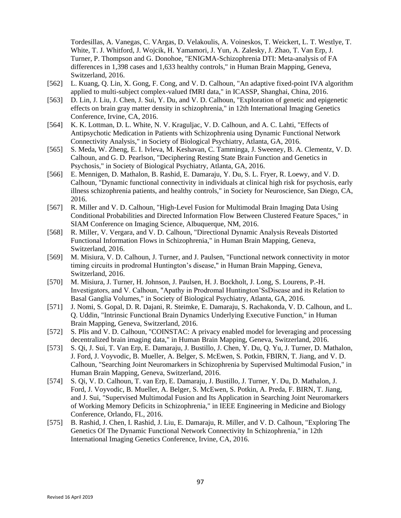Tordesillas, A. Vanegas, C. VArgas, D. Velakoulis, A. Voineskos, T. Weickert, L. T. Westlye, T. White, T. J. Whitford, J. Wojcik, H. Yamamori, J. Yun, A. Zalesky, J. Zhao, T. Van Erp, J. Turner, P. Thompson and G. Donohoe, "ENIGMA-Schizophrenia DTI: Meta-analysis of FA differences in 1,398 cases and 1,633 healthy controls," in Human Brain Mapping, Geneva, Switzerland, 2016.

- [562] L. Kuang, Q. Lin, X. Gong, F. Cong, and V. D. Calhoun, "An adaptive fixed-point IVA algorithm applied to multi-subject complex-valued fMRI data," in ICASSP, Shanghai, China, 2016.
- [563] D. Lin, J. Liu, J. Chen, J. Sui, Y. Du, and V. D. Calhoun, "Exploration of genetic and epigenetic effects on brain gray matter density in schizophrenia," in 12th International Imaging Genetics Conference, Irvine, CA, 2016.
- [564] K. K. Lottman, D. L. White, N. V. Kraguljac, V. D. Calhoun, and A. C. Lahti, "Effects of Antipsychotic Medication in Patients with Schizophrenia using Dynamic Functional Network Connectivity Analysis," in Society of Biological Psychiatry, Atlanta, GA, 2016.
- [565] S. Meda, W. Zheng, E. I. Ivleva, M. Keshavan, C. Tamminga, J. Sweeney, B. A. Clementz, V. D. Calhoun, and G. D. Pearlson, "Deciphering Resting State Brain Function and Genetics in Psychosis," in Society of Biological Psychiatry, Atlanta, GA, 2016.
- [566] E. Mennigen, D. Mathalon, B. Rashid, E. Damaraju, Y. Du, S. L. Fryer, R. Loewy, and V. D. Calhoun, "Dynamic functional connectivity in individuals at clinical high risk for psychosis, early illness schizophrenia patients, and healthy controls," in Society for Neuroscience, San Diego, CA, 2016.
- [567] R. Miller and V. D. Calhoun, "High-Level Fusion for Multimodal Brain Imaging Data Using Conditional Probabilities and Directed Information Flow Between Clustered Feature Spaces," in SIAM Conference on Imaging Science, Albuquerque, NM, 2016.
- [568] R. Miller, V. Vergara, and V. D. Calhoun, "Directional Dynamic Analysis Reveals Distorted Functional Information Flows in Schizophrenia," in Human Brain Mapping, Geneva, Switzerland, 2016.
- [569] M. Misiura, V. D. Calhoun, J. Turner, and J. Paulsen, "Functional network connectivity in motor timing circuits in prodromal Huntington's disease," in Human Brain Mapping, Geneva, Switzerland, 2016.
- [570] M. Misiura, J. Turner, H. Johnson, J. Paulsen, H. J. Bockholt, J. Long, S. Lourens, P.-H. Investigators, and V. Calhoun, "Apathy in Prodromal Huntington'SsDisease and its Relation to Basal Ganglia Volumes," in Society of Biological Psychiatry, Atlanta, GA, 2016.
- [571] J. Nomi, S. Gopal, D. R. Dajani, R. Steimke, E. Damaraju, S. Rachakonda, V. D. Calhoun, and L. Q. Uddin, "Intrinsic Functional Brain Dynamics Underlying Executive Function," in Human Brain Mapping, Geneva, Switzerland, 2016.
- [572] S. Plis and V. D. Calhoun, "COINSTAC: A privacy enabled model for leveraging and processing decentralized brain imaging data," in Human Brain Mapping, Geneva, Switzerland, 2016.
- [573] S. Qi, J. Sui, T. Van Erp, E. Damaraju, J. Bustillo, J. Chen, Y. Du, Q. Yu, J. Turner, D. Mathalon, J. Ford, J. Voyvodic, B. Mueller, A. Belger, S. McEwen, S. Potkin, FBIRN, T. Jiang, and V. D. Calhoun, "Searching Joint Neuromarkers in Schizophrenia by Supervised Multimodal Fusion," in Human Brain Mapping, Geneva, Switzerland, 2016.
- [574] S. Qi, V. D. Calhoun, T. van Erp, E. Damaraju, J. Bustillo, J. Turner, Y. Du, D. Mathalon, J. Ford, J. Voyvodic, B. Mueller, A. Belger, S. McEwen, S. Potkin, A. Preda, F. BIRN, T. Jiang, and J. Sui, "Supervised Multimodal Fusion and Its Application in Searching Joint Neuromarkers of Working Memory Deficits in Schizophrenia," in IEEE Engineering in Medicine and Biology Conference, Orlando, FL, 2016.
- [575] B. Rashid, J. Chen, I. Rashid, J. Liu, E. Damaraju, R. Miller, and V. D. Calhoun, "Exploring The Genetics Of The Dynamic Functional Network Connectivity In Schizophrenia," in 12th International Imaging Genetics Conference, Irvine, CA, 2016.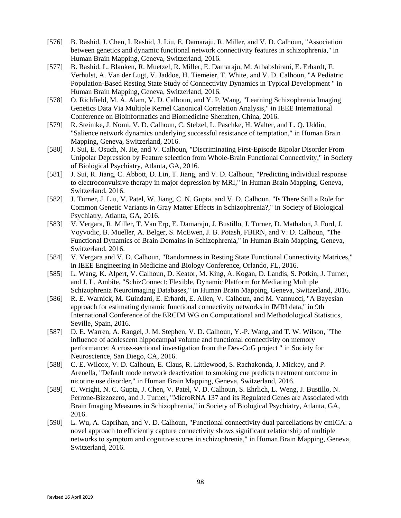- [576] B. Rashid, J. Chen, I. Rashid, J. Liu, E. Damaraju, R. Miller, and V. D. Calhoun, "Association" between genetics and dynamic functional network connectivity features in schizophrenia," in Human Brain Mapping, Geneva, Switzerland, 2016.
- [577] B. Rashid, L. Blanken, R. Muetzel, R. Miller, E. Damaraju, M. Arbabshirani, E. Erhardt, F. Verhulst, A. Van der Lugt, V. Jaddoe, H. Tiemeier, T. White, and V. D. Calhoun, "A Pediatric Population-Based Resting State Study of Connectivity Dynamics in Typical Development " in Human Brain Mapping, Geneva, Switzerland, 2016.
- [578] O. Richfield, M. A. Alam, V. D. Calhoun, and Y. P. Wang, "Learning Schizophrenia Imaging Genetics Data Via Multiple Kernel Canonical Correlation Analysis," in IEEE International Conference on Bioinformatics and Biomedicine Shenzhen, China, 2016.
- [579] R. Steimke, J. Nomi, V. D. Calhoun, C. Stelzel, L. Paschke, H. Walter, and L. Q. Uddin, "Salience network dynamics underlying successful resistance of temptation," in Human Brain Mapping, Geneva, Switzerland, 2016.
- [580] J. Sui, E. Osuch, N. Jie, and V. Calhoun, "Discriminating First-Episode Bipolar Disorder From Unipolar Depression by Feature selection from Whole-Brain Functional Connectivity," in Society of Biological Psychiatry, Atlanta, GA, 2016.
- [581] J. Sui, R. Jiang, C. Abbott, D. Lin, T. Jiang, and V. D. Calhoun, "Predicting individual response to electroconvulsive therapy in major depression by MRI," in Human Brain Mapping, Geneva, Switzerland, 2016.
- [582] J. Turner, J. Liu, V. Patel, W. Jiang, C. N. Gupta, and V. D. Calhoun, "Is There Still a Role for Common Genetic Variants in Gray Matter Effects in Schizophrenia?," in Society of Biological Psychiatry, Atlanta, GA, 2016.
- [583] V. Vergara, R. Miller, T. Van Erp, E. Damaraju, J. Bustillo, J. Turner, D. Mathalon, J. Ford, J. Voyvodic, B. Mueller, A. Belger, S. McEwen, J. B. Potash, FBIRN, and V. D. Calhoun, "The Functional Dynamics of Brain Domains in Schizophrenia," in Human Brain Mapping, Geneva, Switzerland, 2016.
- [584] V. Vergara and V. D. Calhoun, "Randomness in Resting State Functional Connectivity Matrices," in IEEE Engineering in Medicine and Biology Conference, Orlando, FL, 2016.
- [585] L. Wang, K. Alpert, V. Calhoun, D. Keator, M. King, A. Kogan, D. Landis, S. Potkin, J. Turner, and J. L. Ambite, "SchizConnect: Flexible, Dynamic Platform for Mediating Multiple Schizophrenia Neuroimaging Databases," in Human Brain Mapping, Geneva, Switzerland, 2016.
- [586] R. E. Warnick, M. Guindani, E. Erhardt, E. Allen, V. Calhoun, and M. Vannucci, "A Bayesian approach for estimating dynamic functional connectivity networks in fMRI data," in 9th International Conference of the ERCIM WG on Computational and Methodological Statistics, Seville, Spain, 2016.
- [587] D. E. Warren, A. Rangel, J. M. Stephen, V. D. Calhoun, Y.-P. Wang, and T. W. Wilson, "The influence of adolescent hippocampal volume and functional connectivity on memory performance: A cross-sectional investigation from the Dev-CoG project " in Society for Neuroscience, San Diego, CA, 2016.
- [588] C. E. Wilcox, V. D. Calhoun, E. Claus, R. Littlewood, S. Rachakonda, J. Mickey, and P. Arenella, "Default mode network deactivation to smoking cue predicts treatment outcome in nicotine use disorder," in Human Brain Mapping, Geneva, Switzerland, 2016.
- [589] C. Wright, N. C. Gupta, J. Chen, V. Patel, V. D. Calhoun, S. Ehrlich, L. Weng, J. Bustillo, N. Perrone-Bizzozero, and J. Turner, "MicroRNA 137 and its Regulated Genes are Associated with Brain Imaging Measures in Schizophrenia," in Society of Biological Psychiatry, Atlanta, GA, 2016.
- [590] L. Wu, A. Caprihan, and V. D. Calhoun, "Functional connectivity dual parcellations by cmICA: a novel approach to efficiently capture connectivity shows significant relationship of multiple networks to symptom and cognitive scores in schizophrenia," in Human Brain Mapping, Geneva, Switzerland, 2016.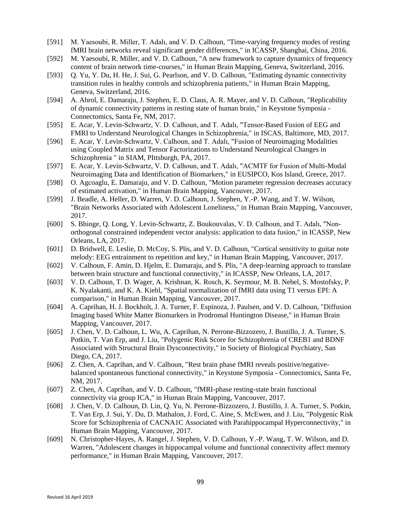- [591] M. Yaesoubi, R. Miller, T. Adalı, and V. D. Calhoun, "Time-varying frequency modes of resting fMRI brain networks reveal significant gender differences," in ICASSP, Shanghai, China, 2016.
- [592] M. Yaesoubi, R. Miller, and V. D. Calhoun, "A new framework to capture dynamics of frequency content of brain network time-courses," in Human Brain Mapping, Geneva, Switzerland, 2016.
- [593] Q. Yu, Y. Du, H. He, J. Sui, G. Pearlson, and V. D. Calhoun, "Estimating dynamic connectivity transition rules in healthy controls and schizophrenia patients," in Human Brain Mapping, Geneva, Switzerland, 2016.
- [594] A. Abrol, E. Damaraju, J. Stephen, E. D. Claus, A. R. Mayer, and V. D. Calhoun, "Replicability" of dynamic connectivity patterns in resting state of human brain," in Keystone Symposia - Connectomics, Santa Fe, NM, 2017.
- [595] E. Acar, Y. Levin-Schwartz, V. D. Calhoun, and T. Adalı, "Tensor-Based Fusion of EEG and FMRI to Understand Neurological Changes in Schizophrenia," in ISCAS, Baltimore, MD, 2017.
- [596] E. Acar, Y. Levin-Schwartz, V. Calhoun, and T. Adalı, "Fusion of Neuroimaging Modalities using Coupled Matrix and Tensor Factorizations to Understand Neurological Changes in Schizophrenia " in SIAM, PIttsburgh, PA, 2017.
- [597] E. Acar, Y. Levin-Schwartz, V. D. Calhoun, and T. Adalı, "ACMTF for Fusion of Multi-Modal Neuroimaging Data and Identification of Biomarkers," in EUSIPCO, Kos Island, Greece, 2017.
- [598] O. Agcoaglu, E. Damaraju, and V. D. Calhoun, "Motion parameter regression decreases accuracy of estimated activation," in Human Brain Mapping, Vancouver, 2017.
- [599] J. Beadle, A. Heller, D. Warren, V. D. Calhoun, J. Stephen, Y.-P. Wang, and T. W. Wilson, "Brain Networks Associated with Adolescent Loneliness," in Human Brain Mapping, Vancouver, 2017.
- [600] S. Bhinge, Q. Long, Y. Levin-Schwartz, Z. Boukouvalas, V. D. Calhoun, and T. Adalı, "Nonorthogonal constrained independent vector analysis: application to data fusion," in ICASSP, New Orleans, LA, 2017.
- [601] D. Bridwell, E. Leslie, D. McCoy, S. Plis, and V. D. Calhoun, "Cortical sensitivity to guitar note melody: EEG entrainment to repetition and key," in Human Brain Mapping, Vancouver, 2017.
- [602] V. Calhoun, F. Amin, D. Hjelm, E. Damaraju, and S. Plis, "A deep-learning approach to translate between brain structure and functional connectivity," in ICASSP, New Orleans, LA, 2017.
- [603] V. D. Calhoun, T. D. Wager, A. Krishnan, K. Rosch, K. Seymour, M. B. Nebel, S. Mostofsky, P. K. Nyalakanti, and K. A. Kiehl, "Spatial normalization of fMRI data using T1 versus EPI: A comparison," in Human Brain Mapping, Vancouver, 2017.
- [604] A. Caprihan, H. J. Bockholt, J. A. Turner, F. Espinoza, J. Paulsen, and V. D. Calhoun, "Diffusion Imaging based White Matter Biomarkers in Prodromal Huntington Disease," in Human Brain Mapping, Vancouver, 2017.
- [605] J. Chen, V. D. Calhoun, L. Wu, A. Caprihan, N. Perrone-Bizzozero, J. Bustillo, J. A. Turner, S. Potkin, T. Van Erp, and J. Liu, "Polygenic Risk Score for Schizophrenia of CREB1 and BDNF Associated with Structural Brain Dysconnectivity," in Society of Biological Psychiatry, San Diego, CA, 2017.
- [606] Z. Chen, A. Caprihan, and V. Calhoun, "Rest brain phase fMRI reveals positive/negativebalanced spontaneous functional connectivity," in Keystone Symposia - Connectomics, Santa Fe, NM, 2017.
- [607] Z. Chen, A. Caprihan, and V. D. Calhoun, "fMRI-phase resting-state brain functional connectivity via group ICA," in Human Brain Mapping, Vancouver, 2017.
- [608] J. Chen, V. D. Calhoun, D. Lin, Q. Yu, N. Perrone-Bizzozero, J. Bustillo, J. A. Turner, S. Potkin, T. Van Erp, J. Sui, Y. Du, D. Mathalon, J. Ford, C. Aine, S. McEwen, and J. Liu, "Polygenic Risk Score for Schizophrenia of CACNA1C Associated with Parahippocampal Hyperconnectivity," in Human Brain Mapping, Vancouver, 2017.
- [609] N. Christopher-Hayes, A. Rangel, J. Stephen, V. D. Calhoun, Y.-P. Wang, T. W. Wilson, and D. Warren, "Adolescent changes in hippocampal volume and functional connectivity affect memory performance," in Human Brain Mapping, Vancouver, 2017.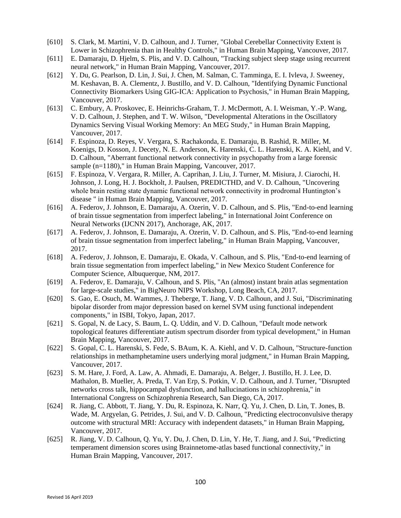- [610] S. Clark, M. Martini, V. D. Calhoun, and J. Turner, "Global Cerebellar Connectivity Extent is Lower in Schizophrenia than in Healthy Controls," in Human Brain Mapping, Vancouver, 2017.
- [611] E. Damaraju, D. Hjelm, S. Plis, and V. D. Calhoun, "Tracking subject sleep stage using recurrent neural network," in Human Brain Mapping, Vancouver, 2017.
- [612] Y. Du, G. Pearlson, D. Lin, J. Sui, J. Chen, M. Salman, C. Tamminga, E. I. Ivleva, J. Sweeney, M. Keshavan, B. A. Clementz, J. Bustillo, and V. D. Calhoun, "Identifying Dynamic Functional Connectivity Biomarkers Using GIG-ICA: Application to Psychosis," in Human Brain Mapping, Vancouver, 2017.
- [613] C. Embury, A. Proskovec, E. Heinrichs-Graham, T. J. McDermott, A. I. Weisman, Y.-P. Wang, V. D. Calhoun, J. Stephen, and T. W. Wilson, "Developmental Alterations in the Oscillatory Dynamics Serving Visual Working Memory: An MEG Study," in Human Brain Mapping, Vancouver, 2017.
- [614] F. Espinoza, D. Reyes, V. Vergara, S. Rachakonda, E. Damaraju, B. Rashid, R. Miller, M. Koenigs, D. Kosson, J. Decety, N. E. Anderson, K. Harenski, C. L. Harenski, K. A. Kiehl, and V. D. Calhoun, "Aberrant functional network connectivity in psychopathy from a large forensic sample (n=1180)," in Human Brain Mapping, Vancouver, 2017.
- [615] F. Espinoza, V. Vergara, R. Miller, A. Caprihan, J. Liu, J. Turner, M. Misiura, J. Ciarochi, H. Johnson, J. Long, H. J. Bockholt, J. Paulsen, PREDICTHD, and V. D. Calhoun, "Uncovering whole brain resting state dynamic functional network connectivity in prodromal Huntington's disease " in Human Brain Mapping, Vancouver, 2017.
- [616] A. Federov, J. Johnson, E. Damaraju, A. Ozerin, V. D. Calhoun, and S. Plis, "End-to-end learning of brain tissue segmentation from imperfect labeling," in International Joint Conference on Neural Networks (IJCNN 2017), Anchorage, AK, 2017.
- [617] A. Federov, J. Johnson, E. Damaraju, A. Ozerin, V. D. Calhoun, and S. Plis, "End-to-end learning of brain tissue segmentation from imperfect labeling," in Human Brain Mapping, Vancouver, 2017.
- [618] A. Federov, J. Johnson, E. Damaraju, E. Okada, V. Calhoun, and S. Plis, "End-to-end learning of brain tissue segmentation from imperfect labeling," in New Mexico Student Conference for Computer Science, Albuquerque, NM, 2017.
- [619] A. Federov, E. Damaraju, V. Calhoun, and S. Plis, "An (almost) instant brain atlas segmentation for large-scale studies," in BigNeuro NIPS Workshop, Long Beach, CA, 2017.
- [620] S. Gao, E. Osuch, M. Wammes, J. Theberge, T. Jiang, V. D. Calhoun, and J. Sui, "Discriminating bipolar disorder from major depression based on kernel SVM using functional independent components," in ISBI, Tokyo, Japan, 2017.
- [621] S. Gopal, N. de Lacy, S. Baum, L. Q. Uddin, and V. D. Calhoun, "Default mode network topological features differentiate autism spectrum disorder from typical development," in Human Brain Mapping, Vancouver, 2017.
- [622] S. Gopal, C. L. Harenski, S. Fede, S. BAum, K. A. Kiehl, and V. D. Calhoun, "Structure-function relationships in methamphetamine users underlying moral judgment," in Human Brain Mapping, Vancouver, 2017.
- [623] S. M. Hare, J. Ford, A. Law, A. Ahmadi, E. Damaraju, A. Belger, J. Bustillo, H. J. Lee, D. Mathalon, B. Mueller, A. Preda, T. Van Erp, S. Potkin, V. D. Calhoun, and J. Turner, "Disrupted networks cross talk, hippocampal dysfunction, and hallucinations in schizophrenia," in International Congress on Schizophrenia Research, San Diego, CA, 2017.
- [624] R. Jiang, C. Abbott, T. Jiang, Y. Du, R. Espinoza, K. Narr, Q. Yu, J. Chen, D. Lin, T. Jones, B. Wade, M. Argyelan, G. Petrides, J. Sui, and V. D. Calhoun, "Predicting electroconvulsive therapy outcome with structural MRI: Accuracy with independent datasets," in Human Brain Mapping, Vancouver, 2017.
- [625] R. Jiang, V. D. Calhoun, Q. Yu, Y. Du, J. Chen, D. Lin, Y. He, T. Jiang, and J. Sui, "Predicting temperament dimension scores using Brainnetome-atlas based functional connectivity," in Human Brain Mapping, Vancouver, 2017.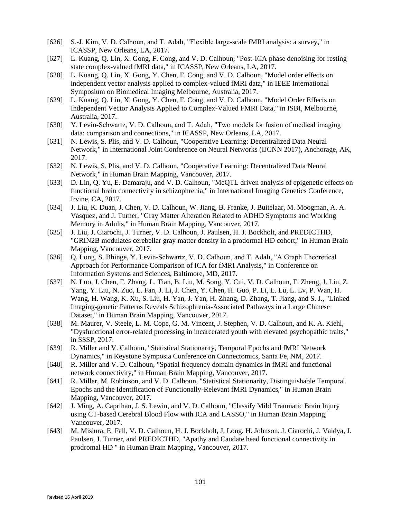- [626] S.-J. Kim, V. D. Calhoun, and T. Adalı, "Flexible large-scale fMRI analysis: a survey," in ICASSP, New Orleans, LA, 2017.
- [627] L. Kuang, Q. Lin, X. Gong, F. Cong, and V. D. Calhoun, "Post-ICA phase denoising for resting state complex-valued fMRI data," in ICASSP, New Orleans, LA, 2017.
- [628] L. Kuang, Q. Lin, X. Gong, Y. Chen, F. Cong, and V. D. Calhoun, "Model order effects on independent vector analysis applied to complex-valued fMRI data," in IEEE International Symposium on Biomedical Imaging Melbourne, Australia, 2017.
- [629] L. Kuang, Q. Lin, X. Gong, Y. Chen, F. Cong, and V. D. Calhoun, "Model Order Effects on Independent Vector Analysis Applied to Complex-Valued FMRI Data," in ISBI, Melbourne, Australia, 2017.
- [630] Y. Levin-Schwartz, V. D. Calhoun, and T. Adalı, "Two models for fusion of medical imaging data: comparison and connections," in ICASSP, New Orleans, LA, 2017.
- [631] N. Lewis, S. Plis, and V. D. Calhoun, "Cooperative Learning: Decentralized Data Neural Network," in International Joint Conference on Neural Networks (IJCNN 2017), Anchorage, AK, 2017.
- [632] N. Lewis, S. Plis, and V. D. Calhoun, "Cooperative Learning: Decentralized Data Neural Network," in Human Brain Mapping, Vancouver, 2017.
- [633] D. Lin, Q. Yu, E. Damaraju, and V. D. Calhoun, "MeQTL driven analysis of epigenetic effects on functional brain connectivity in schizophrenia," in International Imaging Genetics Conference, Irvine, CA, 2017.
- [634] J. Liu, K. Duan, J. Chen, V. D. Calhoun, W. Jiang, B. Franke, J. Buitelaar, M. Moogman, A. A. Vasquez, and J. Turner, "Gray Matter Alteration Related to ADHD Symptoms and Working Memory in Adults," in Human Brain Mapping, Vancouver, 2017.
- [635] J. Liu, J. Ciarochi, J. Turner, V. D. Calhoun, J. Paulsen, H. J. Bockholt, and PREDICTHD, "GRIN2B modulates cerebellar gray matter density in a prodormal HD cohort," in Human Brain Mapping, Vancouver, 2017.
- [636] Q. Long, S. Bhinge, Y. Levin-Schwartz, V. D. Calhoun, and T. Adalı, "A Graph Theoretical Approach for Performance Comparison of ICA for fMRI Analysis," in Conference on Information Systems and Sciences, Baltimore, MD, 2017.
- [637] N. Luo, J. Chen, F. Zhang, L. Tian, B. Liu, M. Song, Y. Cui, V. D. Calhoun, F. Zheng, J. Liu, Z. Yang, Y. Liu, N. Zuo, L. Fan, J. Li, J. Chen, Y. Chen, H. Guo, P. Li, L. Lu, L. Lv, P. Wan, H. Wang, H. Wang, K. Xu, S. Liu, H. Yan, J. Yan, H. Zhang, D. Zhang, T. Jiang, and S. J., "Linked Imaging-genetic Patterns Reveals Schizophrenia-Associated Pathways in a Large Chinese Dataset," in Human Brain Mapping, Vancouver, 2017.
- [638] M. Maurer, V. Steele, L. M. Cope, G. M. Vincent, J. Stephen, V. D. Calhoun, and K. A. Kiehl, "Dysfunctional error-related processing in incarcerated youth with elevated psychopathic traits," in SSSP, 2017.
- [639] R. Miller and V. Calhoun, "Statistical Stationarity, Temporal Epochs and fMRI Network Dynamics," in Keystone Symposia Conference on Connectomics, Santa Fe, NM, 2017.
- [640] R. Miller and V. D. Calhoun, "Spatial frequency domain dynamics in fMRI and functional network connectivity," in Human Brain Mapping, Vancouver, 2017.
- [641] R. Miller, M. Robinson, and V. D. Calhoun, "Statistical Stationarity, Distinguishable Temporal Epochs and the Identification of Functionally-Relevant fMRI Dynamics," in Human Brain Mapping, Vancouver, 2017.
- [642] J. Ming, A. Caprihan, J. S. Lewin, and V. D. Calhoun, "Classify Mild Traumatic Brain Injury using CT-based Cerebral Blood Flow with ICA and LASSO," in Human Brain Mapping, Vancouver, 2017.
- [643] M. Misiura, E. Fall, V. D. Calhoun, H. J. Bockholt, J. Long, H. Johnson, J. Ciarochi, J. Vaidya, J. Paulsen, J. Turner, and PREDICTHD, "Apathy and Caudate head functional connectivity in prodromal HD " in Human Brain Mapping, Vancouver, 2017.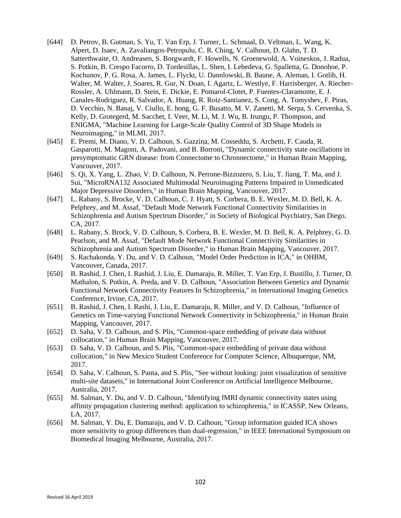- [644] D. Petrov, B. Gutman, S. Yu, T. Van Erp, J. Turner, L. Schmaal, D. Veltman, L. Wang, K. Alpert, D. Isaev, A. Zavaliangos-Petropulu, C. R. Ching, V. Calhoun, D. Glahn, T. D. Satterthwaite, O. Andreasen, S. Borgwardt, F. Howells, N. Groenewold, A. Voineskos, J. Radua, S. Potkin, B. Crespo Facorro, D. Tordesillas, L. Shen, I. Lebedeva, G. Spalletta, G. Donohoe, P. Kochunov, P. G. Rosa, A. James, L. Flyckt, U. Dannlowski, B. Baune, A. Aleman, I. Gotlib, H. Walter, M. Walter, J. Soares, R. Gur, N. Doan, I. Agartz, L. Westlye, F. Harrisberger, A. Riecher-Rossler, A. Uhlmann, D. Stein, E. Dickie, E. Pomarol-Clotet, P. Fuentes-Claramonte, E. J. Canales-Rodriguez, R. Salvador, A. Huang, R. Roiz-Santianez, S. Cong, A. Tomyshev, F. Piras, D. Vecchio, N. Banaj, V. Ciullo, E. hong, G. F. Busatto, M. V. Zanetti, M. Serpa, S. Cervenka, S. Kelly, D. Grotegerd, M. Sacchet, I. Veer, M. Li, M. J. Wu, B. Irungu, P. Thompson, and ENIGMA, "Machine Learning for Large-Scale Quality Control of 3D Shape Models in Neuroimaging," in MLMI, 2017.
- [645] E. Premi, M. Diano, V. D. Calhoun, S. Gazzina, M. Cosseddu, S. Archetti, F. Cauda, R. Gasparotti, M. Magoni, A. Padovani, and B. Borroni, "Dynamic connectivity state oscillations in presymptomatic GRN disease: from Connectome to Chronnectome," in Human Brain Mapping, Vancouver, 2017.
- [646] S. Qi, X. Yang, L. Zhao, V. D. Calhoun, N. Perrone-Bizzozero, S. Liu, T. Jiang, T. Ma, and J. Sui, "MicroRNA132 Associated Multimodal Neuroimaging Patterns Impaired in Unmedicated Major Depressive Disorders," in Human Brain Mapping, Vancouver, 2017.
- [647] L. Rabany, S. Brocke, V. D. Calhoun, C. J. Hyatt, S. Corbera, B. E. Wexler, M. D. Bell, K. A. Pelphrey, and M. Assaf, "Default Mode Network Functional Connectivity Similarities in Schizophrenia and Autism Spectrum Disorder," in Society of Biological Psychiatry, San Diego, CA, 2017.
- [648] L. Rabany, S. Brock, V. D. Calhoun, S. Corbera, B. E. Wexler, M. D. Bell, K. A. Pelphrey, G. D. Pearlson, and M. Assaf, "Default Mode Network Functional Connectivity Similarities in Schizophrenia and Autism Spectrum Disorder," in Human Brain Mapping, Vancouver, 2017.
- [649] S. Rachakonda, Y. Du, and V. D. Calhoun, "Model Order Prediction in ICA," in OHBM, Vancouver, Canada, 2017.
- [650] B. Rashid, J. Chen, I. Rashid, J. Liu, E. Damaraju, R. Miller, T. Van Erp, J. Bustillo, J. Turner, D. Mathalon, S. Potkin, A. Preda, and V. D. Calhoun, "Association Between Genetics and Dynamic Functional Network Connectivity Features In Schizophrenia," in International Imaging Genetics Conference, Irvine, CA, 2017.
- [651] B. Rashid, J. Chen, I. Rashi, J. Liu, E. Damaraju, R. Miller, and V. D. Calhoun, "Influence of Genetics on Time-varying Functional Network Connectivity in Schizophrenia," in Human Brain Mapping, Vancouver, 2017.
- [652] D. Saha, V. D. Calhoun, and S. Plis, "Common-space embedding of private data without collocation," in Human Brain Mapping, Vancouver, 2017.
- [653] D. Saha, V. D. Calhoun, and S. Plis, "Common-space embedding of private data without collocation," in New Mexico Student Conference for Computer Science, Albuquerque, NM, 2017.
- [654] D. Saha, V. Calhoun, S. Panta, and S. Plis, "See without looking: joint visualization of sensitive multi-site datasets," in International Joint Conference on Artificial Intelligence Melbourne, Australia, 2017.
- [655] M. Salman, Y. Du, and V. D. Calhoun, "Identifying fMRI dynamic connectivity states using affinity propagation clustering method: application to schizophrenia," in ICASSP, New Orleans, LA, 2017.
- [656] M. Salman, Y. Du, E. Damaraju, and V. D. Calhoun, "Group information guided ICA shows more sensitivity to group differences than dual-regression," in IEEE International Symposium on Biomedical Imaging Melbourne, Australia, 2017.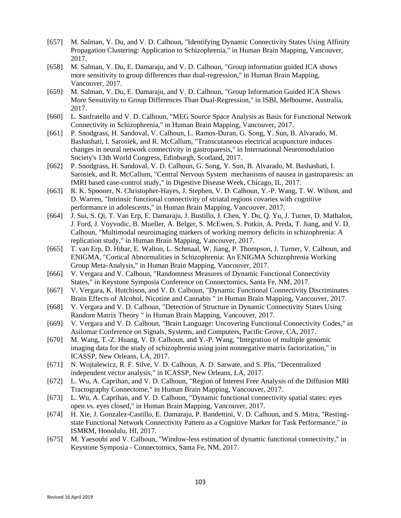- [657] M. Salman, Y. Du, and V. D. Calhoun, "Identifying Dynamic Connectivity States Using Affinity Propagation Clustering: Application to Schizophrenia," in Human Brain Mapping, Vancouver, 2017.
- [658] M. Salman, Y. Du, E. Damaraju, and V. D. Calhoun, "Group information guided ICA shows more sensitivity to group differences than dual-regression," in Human Brain Mapping, Vancouver, 2017.
- [659] M. Salman, Y. Du, E. Damaraju, and V. D. Calhoun, "Group Information Guided ICA Shows More Sensitivity to Group Differences Than Dual-Regression," in ISBI, Melbourne, Australia, 2017.
- [660] L. Sanfratello and V. D. Calhoun, "MEG Source Space Analysis as Basis for Functional Network Connectivity in Schizophrenia," in Human Brain Mapping, Vancouver, 2017.
- [661] P. Snodgrass, H. Sandoval, V. Calhoun, L. Ramos-Duran, G. Song, Y. Sun, B. Alvarado, M. Bashashati, I. Sarosiek, and R. McCallum, "Transcutaneous electrical acupuncture induces changes in neural network connectivity in gastroparesis," in International Neuromodulation Society's 13th World Congress, Edinburgh, Scotland, 2017.
- [662] P. Snodgrass, H. Sandoval, V. D. Calhoun, G. Song, Y. Sun, B. Alvarado, M. Bashashati, I. Sarosiek, and R. McCallum, "Central Nervous System mechanisms of nausea in gastroparesis: an fMRI based case-control study," in Digestive Disease Week, Chicago, IL, 2017.
- [663] R. K. Spooner, N. Christopher-Hayes, J. Stephen, V. D. Calhoun, Y.-P. Wang, T. W. Wilson, and D. Warren, "Intrinsic functional connectivity of striatal regions covaries with cognitive performance in adolescents," in Human Brain Mapping, Vancouver, 2017.
- [664] J. Sui, S. Qi, T. Van Erp, E. Damaraju, J. Bustillo, J. Chen, Y. Du, Q. Yu, J. Turner, D. Mathalon, J. Ford, J. Voyvodic, B. Mueller, A. Belger, S. McEwen, S. Potkin, A. Preda, T. Jiang, and V. D. Calhoun, "Multimodal neuroimaging markers of working memory deficits in schizophrenia: A replication study," in Human Brain Mapping, Vancouver, 2017.
- [665] T. van Erp, D. Hibar, E. Walton, L. Schmaal, W. Jiang, P. Thompson, J. Turner, V. Calhoun, and ENIGMA, "Cortical Abnormalities in Schizophrenia: An ENIGMA Schizophrenia Working Group Meta-Analysis," in Human Brain Mapping, Vancouver, 2017.
- [666] V. Vergara and V. Calhoun, "Randomness Measures of Dynamic Functional Connectivity States," in Keystone Symposia Conference on Connectomics, Santa Fe, NM, 2017.
- [667] V. Vergara, K. Hutchison, and V. D. Calhoun, "Dynamic Functional Connectivity Discriminates Brain Effects of Alcohol, Nicotine and Cannabis " in Human Brain Mapping, Vancouver, 2017.
- [668] V. Vergara and V. D. Calhoun, "Detection of Structure in Dynamic Connectivity States Using Random Matrix Theory " in Human Brain Mapping, Vancouver, 2017.
- [669] V. Vergara and V. D. Calhoun, "Brain Language: Uncovering Functional Connectivity Codes," in Asilomar Conference on Signals, Systems, and Computers, Pacific Grove, CA, 2017.
- [670] M. Wang, T.-Z. Huang, V. D. Calhoun, and Y.-P. Wang, "Integration of multiple genomic imaging data for the study of schizophrenia using joint nonnegative matrix factorization," in ICASSP, New Orleans, LA, 2017.
- [671] N. Wojtalewicz, R. F. Silve, V. D. Calhoun, A. D. Sarwate, and S. Plis, "Decentralized" independent vector analysis," in ICASSP, New Orleans, LA, 2017.
- [672] L. Wu, A. Caprihan, and V. D. Calhoun, "Region of Interest Free Analysis of the Diffusion MRI Tractography Connectome," in Human Brain Mapping, Vancouver, 2017.
- [673] L. Wu, A. Caprihan, and V. D. Calhoun, "Dynamic functional connectivity spatial states: eyes open vs. eyes closed," in Human Brain Mapping, Vancouver, 2017.
- [674] H. Xie, J. Gonzalez-Castillo, E. Damaraju, P. Bandettini, V. D. Calhoun, and S. Mitra, "Restingstate Functional Network Connectivity Pattern as a Cognitive Marker for Task Performance," in ISMRM, Honolulu, HI, 2017.
- [675] M. Yaesoubi and V. Calhoun, "Window-less estimation of dynamic functional connectivity," in Keystone Symposia - Connectomics, Santa Fe, NM, 2017.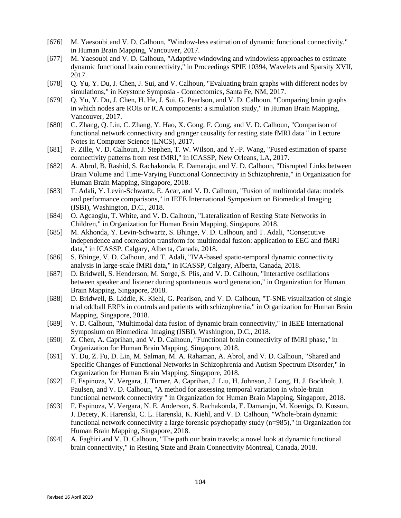- [676] M. Yaesoubi and V. D. Calhoun, "Window-less estimation of dynamic functional connectivity," in Human Brain Mapping, Vancouver, 2017.
- [677] M. Yaesoubi and V. D. Calhoun, "Adaptive windowing and windowless approaches to estimate dynamic functional brain connectivity," in Proceedings SPIE 10394, Wavelets and Sparsity XVII, 2017.
- [678] Q. Yu, Y. Du, J. Chen, J. Sui, and V. Calhoun, "Evaluating brain graphs with different nodes by simulations," in Keystone Symposia - Connectomics, Santa Fe, NM, 2017.
- [679] Q. Yu, Y. Du, J. Chen, H. He, J. Sui, G. Pearlson, and V. D. Calhoun, "Comparing brain graphs in which nodes are ROIs or ICA components: a simulation study," in Human Brain Mapping, Vancouver, 2017.
- [680] C. Zhang, Q. Lin, C. Zhang, Y. Hao, X. Gong, F. Cong, and V. D. Calhoun, "Comparison of functional network connectivity and granger causality for resting state fMRI data " in Lecture Notes in Computer Science (LNCS), 2017.
- [681] P. Zille, V. D. Calhoun, J. Stephen, T. W. Wilson, and Y.-P. Wang, "Fused estimation of sparse connectivity patterns from rest fMRI," in ICASSP, New Orleans, LA, 2017.
- [682] A. Abrol, B. Rashid, S. Rachakonda, E. Damaraju, and V. D. Calhoun, "Disrupted Links between Brain Volume and Time-Varying Functional Connectivity in Schizophrenia," in Organization for Human Brain Mapping, Singapore, 2018.
- [683] T. Adali, Y. Levin-Schwartz, E. Acar, and V. D. Calhoun, "Fusion of multimodal data: models and performance comparisons," in IEEE International Symposium on Biomedical Imaging (ISBI), Washington, D.C., 2018.
- [684] O. Agcaoglu, T. White, and V. D. Calhoun, "Lateralization of Resting State Networks in Children," in Organization for Human Brain Mapping, Singapore, 2018.
- [685] M. Akhonda, Y. Levin-Schwartz, S. Bhinge, V. D. Calhoun, and T. Adali, "Consecutive independence and correlation transform for multimodal fusion: application to EEG and fMRI data," in ICASSP, Calgary, Alberta, Canada, 2018.
- [686] S. Bhinge, V. D. Calhoun, and T. Adali, "IVA-based spatio-temporal dynamic connectivity analysis in large-scale fMRI data," in ICASSP, Calgary, Alberta, Canada, 2018.
- [687] D. Bridwell, S. Henderson, M. Sorge, S. Plis, and V. D. Calhoun, "Interactive oscillations between speaker and listener during spontaneous word generation," in Organization for Human Brain Mapping, Singapore, 2018.
- [688] D. Bridwell, B. Liddle, K. Kiehl, G. Pearlson, and V. D. Calhoun, "T-SNE visualization of single trial oddball ERP's in controls and patients with schizophrenia," in Organization for Human Brain Mapping, Singapore, 2018.
- [689] V. D. Calhoun, "Multimodal data fusion of dynamic brain connectivity," in IEEE International Symposium on Biomedical Imaging (ISBI), Washington, D.C., 2018.
- [690] Z. Chen, A. Caprihan, and V. D. Calhoun, "Functional brain connectivity of fMRI phase," in Organization for Human Brain Mapping, Singapore, 2018.
- [691] Y. Du, Z. Fu, D. Lin, M. Salman, M. A. Rahaman, A. Abrol, and V. D. Calhoun, "Shared and Specific Changes of Functional Networks in Schizophrenia and Autism Spectrum Disorder," in Organization for Human Brain Mapping, Singapore, 2018.
- [692] F. Espinoza, V. Vergara, J. Turner, A. Caprihan, J. Liu, H. Johnson, J. Long, H. J. Bockholt, J. Paulsen, and V. D. Calhoun, "A method for assessing temporal variation in whole-brain functional network connectivity " in Organization for Human Brain Mapping, Singapore, 2018.
- [693] F. Espinoza, V. Vergara, N. E. Anderson, S. Rachakonda, E. Damaraju, M. Koenigs, D. Kosson, J. Decety, K. Harenski, C. L. Harenski, K. Kiehl, and V. D. Calhoun, "Whole-brain dynamic functional network connectivity a large forensic psychopathy study (n=985)," in Organization for Human Brain Mapping, Singapore, 2018.

104

[694] A. Faghiri and V. D. Calhoun, "The path our brain travels; a novel look at dynamic functional brain connectivity," in Resting State and Brain Connectivity Montreal, Canada, 2018.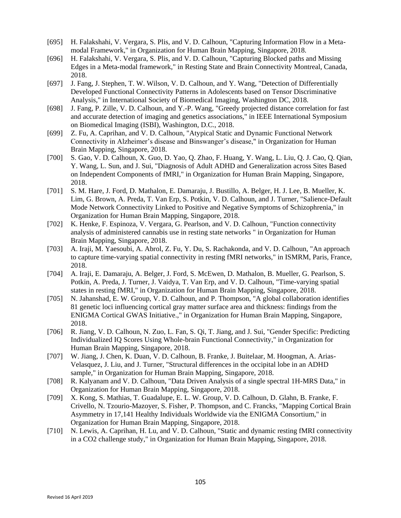- [695] H. Falakshahi, V. Vergara, S. Plis, and V. D. Calhoun, "Capturing Information Flow in a Metamodal Framework," in Organization for Human Brain Mapping, Singapore, 2018.
- [696] H. Falakshahi, V. Vergara, S. Plis, and V. D. Calhoun, "Capturing Blocked paths and Missing Edges in a Meta-modal framework," in Resting State and Brain Connectivity Montreal, Canada, 2018.
- [697] J. Fang, J. Stephen, T. W. Wilson, V. D. Calhoun, and Y. Wang, "Detection of Differentially Developed Functional Connectivity Patterns in Adolescents based on Tensor Discriminative Analysis," in International Society of Biomedical Imaging, Washington DC, 2018.
- [698] J. Fang, P. Zille, V. D. Calhoun, and Y.-P. Wang, "Greedy projected distance correlation for fast and accurate detection of imaging and genetics associations," in IEEE International Symposium on Biomedical Imaging (ISBI), Washington, D.C., 2018.
- [699] Z. Fu, A. Caprihan, and V. D. Calhoun, "Atypical Static and Dynamic Functional Network Connectivity in Alzheimer's disease and Binswanger's disease," in Organization for Human Brain Mapping, Singapore, 2018.
- [700] S. Gao, V. D. Calhoun, X. Guo, D. Yao, Q. Zhao, F. Huang, Y. Wang, L. Liu, Q. J. Cao, Q. Qian, Y. Wang, L. Sun, and J. Sui, "Diagnosis of Adult ADHD and Generalization across Sites Based on Independent Components of fMRI," in Organization for Human Brain Mapping, Singapore, 2018.
- [701] S. M. Hare, J. Ford, D. Mathalon, E. Damaraju, J. Bustillo, A. Belger, H. J. Lee, B. Mueller, K. Lim, G. Brown, A. Preda, T. Van Erp, S. Potkin, V. D. Calhoun, and J. Turner, "Salience-Default Mode Network Connectivity Linked to Positive and Negative Symptoms of Schizophrenia," in Organization for Human Brain Mapping, Singapore, 2018.
- [702] K. Henke, F. Espinoza, V. Vergara, G. Pearlson, and V. D. Calhoun, "Function connectivity analysis of administered cannabis use in resting state networks " in Organization for Human Brain Mapping, Singapore, 2018.
- [703] A. Iraji, M. Yaesoubi, A. Abrol, Z. Fu, Y. Du, S. Rachakonda, and V. D. Calhoun, "An approach to capture time-varying spatial connectivity in resting fMRI networks," in ISMRM, Paris, France, 2018.
- [704] A. Iraji, E. Damaraju, A. Belger, J. Ford, S. McEwen, D. Mathalon, B. Mueller, G. Pearlson, S. Potkin, A. Preda, J. Turner, J. Vaidya, T. Van Erp, and V. D. Calhoun, "Time-varying spatial states in resting fMRI," in Organization for Human Brain Mapping, Singapore, 2018.
- [705] N. Jahanshad, E. W. Group, V. D. Calhoun, and P. Thompson, "A global collaboration identifies 81 genetic loci influencing cortical gray matter surface area and thickness: findings from the ENIGMA Cortical GWAS Initiative.," in Organization for Human Brain Mapping, Singapore, 2018.
- [706] R. Jiang, V. D. Calhoun, N. Zuo, L. Fan, S. Qi, T. Jiang, and J. Sui, "Gender Specific: Predicting Individualized IQ Scores Using Whole-brain Functional Connectivity," in Organization for Human Brain Mapping, Singapore, 2018.
- [707] W. Jiang, J. Chen, K. Duan, V. D. Calhoun, B. Franke, J. Buitelaar, M. Hoogman, A. Arias-Velasquez, J. Liu, and J. Turner, "Structural differences in the occipital lobe in an ADHD sample," in Organization for Human Brain Mapping, Singapore, 2018.
- [708] R. Kalyanam and V. D. Calhoun, "Data Driven Analysis of a single spectral 1H-MRS Data," in Organization for Human Brain Mapping, Singapore, 2018.
- [709] X. Kong, S. Mathias, T. Guadalupe, E. L. W. Group, V. D. Calhoun, D. Glahn, B. Franke, F. Crivello, N. Tzourio-Mazoyer, S. Fisher, P. Thompson, and C. Francks, "Mapping Cortical Brain Asymmetry in 17,141 Healthy Individuals Worldwide via the ENIGMA Consortium," in Organization for Human Brain Mapping, Singapore, 2018.
- [710] N. Lewis, A. Caprihan, H. Lu, and V. D. Calhoun, "Static and dynamic resting fMRI connectivity in a CO2 challenge study," in Organization for Human Brain Mapping, Singapore, 2018.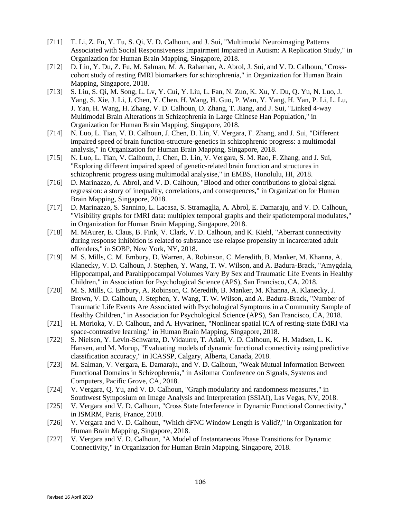- [711] T. Li, Z. Fu, Y. Tu, S. Qi, V. D. Calhoun, and J. Sui, "Multimodal Neuroimaging Patterns Associated with Social Responsiveness Impairment Impaired in Autism: A Replication Study," in Organization for Human Brain Mapping, Singapore, 2018.
- [712] D. Lin, Y. Du, Z. Fu, M. Salman, M. A. Rahaman, A. Abrol, J. Sui, and V. D. Calhoun, "Crosscohort study of resting fMRI biomarkers for schizophrenia," in Organization for Human Brain Mapping, Singapore, 2018.
- [713] S. Liu, S. Qi, M. Song, L. Lv, Y. Cui, Y. Liu, L. Fan, N. Zuo, K. Xu, Y. Du, Q. Yu, N. Luo, J. Yang, S. Xie, J. Li, J. Chen, Y. Chen, H. Wang, H. Guo, P. Wan, Y. Yang, H. Yan, P. Li, L. Lu, J. Yan, H. Wang, H. Zhang, V. D. Calhoun, D. Zhang, T. Jiang, and J. Sui, "Linked 4-way Multimodal Brain Alterations in Schizophrenia in Large Chinese Han Population," in Organization for Human Brain Mapping, Singapore, 2018.
- [714] N. Luo, L. Tian, V. D. Calhoun, J. Chen, D. Lin, V. Vergara, F. Zhang, and J. Sui, "Different impaired speed of brain function-structure-genetics in schizophrenic progress: a multimodal analysis," in Organization for Human Brain Mapping, Singapore, 2018.
- [715] N. Luo, L. Tian, V. Calhoun, J. Chen, D. Lin, V. Vergara, S. M. Rao, F. Zhang, and J. Sui, "Exploring different impaired speed of genetic-related brain function and structures in schizophrenic progress using multimodal analysise," in EMBS, Honolulu, HI, 2018.
- [716] D. Marinazzo, A. Abrol, and V. D. Calhoun, "Blood and other contributions to global signal regression: a story of inequality, correlations, and consequences," in Organization for Human Brain Mapping, Singapore, 2018.
- [717] D. Marinazzo, S. Sannino, L. Lacasa, S. Stramaglia, A. Abrol, E. Damaraju, and V. D. Calhoun, "Visibility graphs for fMRI data: multiplex temporal graphs and their spatiotemporal modulates," in Organization for Human Brain Mapping, Singapore, 2018.
- [718] M. MAurer, E. Claus, B. Fink, V. Clark, V. D. Calhoun, and K. Kiehl, "Aberrant connectivity during response inhibition is related to substance use relapse propensity in incarcerated adult offenders," in SOBP, New York, NY, 2018.
- [719] M. S. Mills, C. M. Embury, D. Warren, A. Robinson, C. Meredith, B. Manker, M. Khanna, A. Klanecky, V. D. Calhoun, J. Stephen, Y. Wang, T. W. Wilson, and A. Badura-Brack, "Amygdala, Hippocampal, and Parahippocampal Volumes Vary By Sex and Traumatic Life Events in Healthy Children," in Association for Psychological Science (APS), San Francisco, CA, 2018.
- [720] M. S. Mills, C. Embury, A. Robinson, C. Meredith, B. Manker, M. Khanna, A. Klanecky, J. Brown, V. D. Calhoun, J. Stephen, Y. Wang, T. W. Wilson, and A. Badura-Brack, "Number of Traumatic Life Events Are Associated with Psychological Symptoms in a Community Sample of Healthy Children," in Association for Psychological Science (APS), San Francisco, CA, 2018.
- [721] H. Morioka, V. D. Calhoun, and A. Hyvarinen, "Nonlinear spatial ICA of resting-state fMRI via space-contrastive learning," in Human Brain Mapping, Singapore, 2018.
- [722] S. Nielsen, Y. Levin-Schwartz, D. Vidaurre, T. Adali, V. D. Calhoun, K. H. Madsen, L. K. Hansen, and M. Morup, "Evaluating models of dynamic functional connectivity using predictive classification accuracy," in ICASSP, Calgary, Alberta, Canada, 2018.
- [723] M. Salman, V. Vergara, E. Damaraju, and V. D. Calhoun, "Weak Mutual Information Between Functional Domains in Schizophrenia," in Asilomar Conference on Signals, Systems and Computers, Pacific Grove, CA, 2018.
- [724] V. Vergara, Q. Yu, and V. D. Calhoun, "Graph modularity and randomness measures," in Southwest Symposium on Image Analysis and Interpretation (SSIAI), Las Vegas, NV, 2018.
- [725] V. Vergara and V. D. Calhoun, "Cross State Interference in Dynamic Functional Connectivity," in ISMRM, Paris, France, 2018.
- [726] V. Vergara and V. D. Calhoun, "Which dFNC Window Length is Valid?," in Organization for Human Brain Mapping, Singapore, 2018.
- [727] V. Vergara and V. D. Calhoun, "A Model of Instantaneous Phase Transitions for Dynamic Connectivity," in Organization for Human Brain Mapping, Singapore, 2018.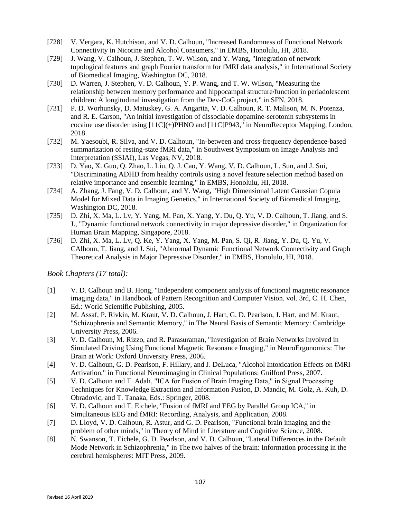- [728] V. Vergara, K. Hutchison, and V. D. Calhoun, "Increased Randomness of Functional Network Connectivity in Nicotine and Alcohol Consumers," in EMBS, Honolulu, HI, 2018.
- [729] J. Wang, V. Calhoun, J. Stephen, T. W. Wilson, and Y. Wang, "Integration of network topological features and graph Fourier transform for fMRI data analysis," in International Society of Biomedical Imaging, Washington DC, 2018.
- [730] D. Warren, J. Stephen, V. D. Calhoun, Y. P. Wang, and T. W. Wilson, "Measuring the relationship between memory performance and hippocampal structure/function in periadolescent children: A longitudinal investigation from the Dev-CoG project," in SFN, 2018.
- [731] P. D. Worhunsky, D. Matuskey, G. A. Angarita, V. D. Calhoun, R. T. Malison, M. N. Potenza, and R. E. Carson, "An initial investigation of dissociable dopamine-serotonin subsystems in cocaine use disorder using [11C](+)PHNO and [11C]P943," in NeuroReceptor Mapping, London, 2018.
- [732] M. Yaesoubi, R. Silva, and V. D. Calhoun, "In-between and cross-frequency dependence-based summarization of resting-state fMRI data," in Southwest Symposium on Image Analysis and Interpretation (SSIAI), Las Vegas, NV, 2018.
- [733] D. Yao, X. Guo, Q. Zhao, L. Liu, Q. J. Cao, Y. Wang, V. D. Calhoun, L. Sun, and J. Sui, "Discriminating ADHD from healthy controls using a novel feature selection method based on relative importance and ensemble learning," in EMBS, Honolulu, HI, 2018.
- [734] A. Zhang, J. Fang, V. D. Calhoun, and Y. Wang, "High Dimensional Latent Gaussian Copula Model for Mixed Data in Imaging Genetics," in International Society of Biomedical Imaging, Washington DC, 2018.
- [735] D. Zhi, X. Ma, L. Lv, Y. Yang, M. Pan, X. Yang, Y. Du, Q. Yu, V. D. Calhoun, T. Jiang, and S. J., "Dynamic functional network connectivity in major depressive disorder," in Organization for Human Brain Mapping, Singapore, 2018.
- [736] D. Zhi, X. Ma, L. Lv, Q. Ke, Y. Yang, X. Yang, M. Pan, S. Qi, R. Jiang, Y. Du, Q. Yu, V. CAlhoun, T. Jiang, and J. Sui, "Abnormal Dynamic Functional Network Connectivity and Graph Theoretical Analysis in Major Depressive Disorder," in EMBS, Honolulu, HI, 2018.

*Book Chapters (17 total):*

- [1] V. D. Calhoun and B. Hong, "Independent component analysis of functional magnetic resonance imaging data," in Handbook of Pattern Recognition and Computer Vision. vol. 3rd, C. H. Chen, Ed.: World Scientific Publishing, 2005.
- [2] M. Assaf, P. Rivkin, M. Kraut, V. D. Calhoun, J. Hart, G. D. Pearlson, J. Hart, and M. Kraut, "Schizophrenia and Semantic Memory," in The Neural Basis of Semantic Memory: Cambridge University Press, 2006.
- [3] V. D. Calhoun, M. Rizzo, and R. Parasuraman, "Investigation of Brain Networks Involved in Simulated Driving Using Functional Magnetic Resonance Imaging," in NeuroErgonomics: The Brain at Work: Oxford University Press, 2006.
- [4] V. D. Calhoun, G. D. Pearlson, F. Hillary, and J. DeLuca, "Alcohol Intoxication Effects on fMRI Activation," in Functional Neuroimaging in Clinical Populations: Guilford Press, 2007.
- [5] V. D. Calhoun and T. Adalı, "ICA for Fusion of Brain Imaging Data," in Signal Processing Techniques for Knowledge Extraction and Information Fusion, D. Mandic, M. Golz, A. Kuh, D. Obradovic, and T. Tanaka, Eds.: Springer, 2008.
- [6] V. D. Calhoun and T. Eichele, "Fusion of fMRI and EEG by Parallel Group ICA," in Simultaneous EEG and fMRI: Recording, Analysis, and Application, 2008.
- [7] D. Lloyd, V. D. Calhoun, R. Astur, and G. D. Pearlson, "Functional brain imaging and the problem of other minds," in Theory of Mind in Literature and Cognitive Science, 2008.
- [8] N. Swanson, T. Eichele, G. D. Pearlson, and V. D. Calhoun, "Lateral Differences in the Default Mode Network in Schizophrenia," in The two halves of the brain: Information processing in the cerebral hemispheres: MIT Press, 2009.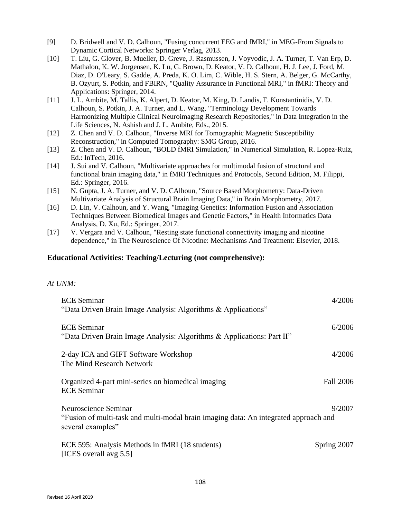- [9] D. Bridwell and V. D. Calhoun, "Fusing concurrent EEG and fMRI," in MEG-From Signals to Dynamic Cortical Networks: Springer Verlag, 2013.
- [10] T. Liu, G. Glover, B. Mueller, D. Greve, J. Rasmussen, J. Voyvodic, J. A. Turner, T. Van Erp, D. Mathalon, K. W. Jorgensen, K. Lu, G. Brown, D. Keator, V. D. Calhoun, H. J. Lee, J. Ford, M. Diaz, D. O'Leary, S. Gadde, A. Preda, K. O. Lim, C. Wible, H. S. Stern, A. Belger, G. McCarthy, B. Ozyurt, S. Potkin, and FBIRN, "Quality Assurance in Functional MRI," in fMRI: Theory and Applications: Springer, 2014.
- [11] J. L. Ambite, M. Tallis, K. Alpert, D. Keator, M. King, D. Landis, F. Konstantinidis, V. D. Calhoun, S. Potkin, J. A. Turner, and L. Wang, "Terminology Development Towards Harmonizing Multiple Clinical Neuroimaging Research Repositories," in Data Integration in the Life Sciences, N. Ashish and J. L. Ambite, Eds., 2015.
- [12] Z. Chen and V. D. Calhoun, "Inverse MRI for Tomographic Magnetic Susceptibility Reconstruction," in Computed Tomography: SMG Group, 2016.
- [13] Z. Chen and V. D. Calhoun, "BOLD fMRI Simulation," in Numerical Simulation, R. Lopez-Ruiz, Ed.: InTech, 2016.
- [14] J. Sui and V. Calhoun, "Multivariate approaches for multimodal fusion of structural and functional brain imaging data," in fMRI Techniques and Protocols, Second Edition, M. Filippi, Ed.: Springer, 2016.
- [15] N. Gupta, J. A. Turner, and V. D. CAlhoun, "Source Based Morphometry: Data-Driven Multivariate Analysis of Structural Brain Imaging Data," in Brain Morphometry, 2017.
- [16] D. Lin, V. Calhoun, and Y. Wang, "Imaging Genetics: Information Fusion and Association Techniques Between Biomedical Images and Genetic Factors," in Health Informatics Data Analysis, D. Xu, Ed.: Springer, 2017.
- [17] V. Vergara and V. Calhoun, "Resting state functional connectivity imaging and nicotine dependence," in The Neuroscience Of Nicotine: Mechanisms And Treatment: Elsevier, 2018.

## **Educational Activities: Teaching/Lecturing (not comprehensive):**

## *At UNM:*

| <b>ECE</b> Seminar<br>"Data Driven Brain Image Analysis: Algorithms & Applications"                                               | 4/2006           |
|-----------------------------------------------------------------------------------------------------------------------------------|------------------|
| <b>ECE</b> Seminar<br>"Data Driven Brain Image Analysis: Algorithms & Applications: Part II"                                      | 6/2006           |
| 2-day ICA and GIFT Software Workshop<br>The Mind Research Network                                                                 | 4/2006           |
| Organized 4-part mini-series on biomedical imaging<br><b>ECE</b> Seminar                                                          | <b>Fall 2006</b> |
| Neuroscience Seminar<br>"Fusion of multi-task and multi-modal brain imaging data: An integrated approach and<br>several examples" | 9/2007           |
| ECE 595: Analysis Methods in fMRI (18 students)<br>[ICES overall avg 5.5]                                                         | Spring 2007      |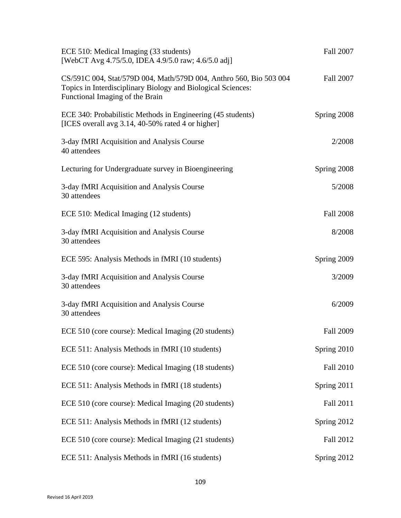| ECE 510: Medical Imaging (33 students)<br>[WebCT Avg 4.75/5.0, IDEA 4.9/5.0 raw; 4.6/5.0 adj]                                                                         | Fall 2007        |
|-----------------------------------------------------------------------------------------------------------------------------------------------------------------------|------------------|
| CS/591C 004, Stat/579D 004, Math/579D 004, Anthro 560, Bio 503 004<br>Topics in Interdisciplinary Biology and Biological Sciences:<br>Functional Imaging of the Brain | <b>Fall 2007</b> |
| ECE 340: Probabilistic Methods in Engineering (45 students)<br>[ICES overall avg 3.14, 40-50% rated 4 or higher]                                                      | Spring 2008      |
| 3-day fMRI Acquisition and Analysis Course<br>40 attendees                                                                                                            | 2/2008           |
| Lecturing for Undergraduate survey in Bioengineering                                                                                                                  | Spring 2008      |
| 3-day fMRI Acquisition and Analysis Course<br>30 attendees                                                                                                            | 5/2008           |
| ECE 510: Medical Imaging (12 students)                                                                                                                                | <b>Fall 2008</b> |
| 3-day fMRI Acquisition and Analysis Course<br>30 attendees                                                                                                            | 8/2008           |
| ECE 595: Analysis Methods in fMRI (10 students)                                                                                                                       | Spring 2009      |
| 3-day fMRI Acquisition and Analysis Course<br>30 attendees                                                                                                            | 3/2009           |
| 3-day fMRI Acquisition and Analysis Course<br>30 attendees                                                                                                            | 6/2009           |
| ECE 510 (core course): Medical Imaging (20 students)                                                                                                                  | <b>Fall 2009</b> |
| ECE 511: Analysis Methods in fMRI (10 students)                                                                                                                       | Spring 2010      |
| ECE 510 (core course): Medical Imaging (18 students)                                                                                                                  | <b>Fall 2010</b> |
| ECE 511: Analysis Methods in fMRI (18 students)                                                                                                                       | Spring 2011      |
| ECE 510 (core course): Medical Imaging (20 students)                                                                                                                  | Fall 2011        |
| ECE 511: Analysis Methods in fMRI (12 students)                                                                                                                       | Spring 2012      |
| ECE 510 (core course): Medical Imaging (21 students)                                                                                                                  | Fall 2012        |
| ECE 511: Analysis Methods in fMRI (16 students)                                                                                                                       | Spring 2012      |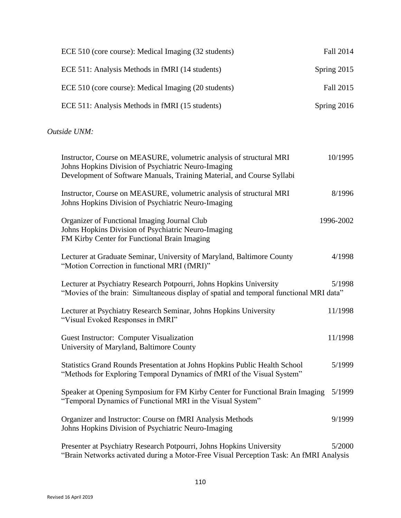| ECE 510 (core course): Medical Imaging (32 students) | Fall 2014   |
|------------------------------------------------------|-------------|
| ECE 511: Analysis Methods in fMRI (14 students)      | Spring 2015 |
| ECE 510 (core course): Medical Imaging (20 students) | Fall 2015   |
| ECE 511: Analysis Methods in fMRI (15 students)      | Spring 2016 |

*Outside UNM:*

| Instructor, Course on MEASURE, volumetric analysis of structural MRI<br>Johns Hopkins Division of Psychiatric Neuro-Imaging<br>Development of Software Manuals, Training Material, and Course Syllabi | 10/1995   |
|-------------------------------------------------------------------------------------------------------------------------------------------------------------------------------------------------------|-----------|
| Instructor, Course on MEASURE, volumetric analysis of structural MRI<br>Johns Hopkins Division of Psychiatric Neuro-Imaging                                                                           | 8/1996    |
| Organizer of Functional Imaging Journal Club<br>Johns Hopkins Division of Psychiatric Neuro-Imaging<br>FM Kirby Center for Functional Brain Imaging                                                   | 1996-2002 |
| Lecturer at Graduate Seminar, University of Maryland, Baltimore County<br>"Motion Correction in functional MRI (fMRI)"                                                                                | 4/1998    |
| Lecturer at Psychiatry Research Potpourri, Johns Hopkins University<br>"Movies of the brain: Simultaneous display of spatial and temporal functional MRI data"                                        | 5/1998    |
| Lecturer at Psychiatry Research Seminar, Johns Hopkins University<br>"Visual Evoked Responses in fMRI"                                                                                                | 11/1998   |
| Guest Instructor: Computer Visualization<br>University of Maryland, Baltimore County                                                                                                                  | 11/1998   |
| Statistics Grand Rounds Presentation at Johns Hopkins Public Health School<br>"Methods for Exploring Temporal Dynamics of fMRI of the Visual System"                                                  | 5/1999    |
| Speaker at Opening Symposium for FM Kirby Center for Functional Brain Imaging<br>"Temporal Dynamics of Functional MRI in the Visual System"                                                           | 5/1999    |
| Organizer and Instructor: Course on fMRI Analysis Methods<br>Johns Hopkins Division of Psychiatric Neuro-Imaging                                                                                      | 9/1999    |
| Presenter at Psychiatry Research Potpourri, Johns Hopkins University<br>"Brain Networks activated during a Motor-Free Visual Perception Task: An fMRI Analysis                                        | 5/2000    |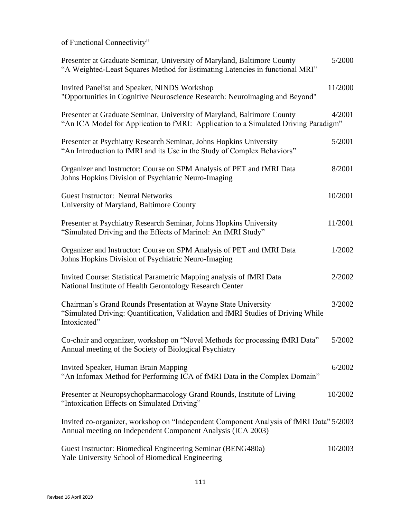of Functional Connectivity"

| Presenter at Graduate Seminar, University of Maryland, Baltimore County<br>"A Weighted-Least Squares Method for Estimating Latencies in functional MRI"            | 5/2000  |
|--------------------------------------------------------------------------------------------------------------------------------------------------------------------|---------|
| Invited Panelist and Speaker, NINDS Workshop<br>"Opportunities in Cognitive Neuroscience Research: Neuroimaging and Beyond"                                        | 11/2000 |
| Presenter at Graduate Seminar, University of Maryland, Baltimore County<br>"An ICA Model for Application to fMRI: Application to a Simulated Driving Paradigm"     | 4/2001  |
| Presenter at Psychiatry Research Seminar, Johns Hopkins University<br>"An Introduction to fMRI and its Use in the Study of Complex Behaviors"                      | 5/2001  |
| Organizer and Instructor: Course on SPM Analysis of PET and fMRI Data<br>Johns Hopkins Division of Psychiatric Neuro-Imaging                                       | 8/2001  |
| <b>Guest Instructor: Neural Networks</b><br>University of Maryland, Baltimore County                                                                               | 10/2001 |
| Presenter at Psychiatry Research Seminar, Johns Hopkins University<br>"Simulated Driving and the Effects of Marinol: An fMRI Study"                                | 11/2001 |
| Organizer and Instructor: Course on SPM Analysis of PET and fMRI Data<br>Johns Hopkins Division of Psychiatric Neuro-Imaging                                       | 1/2002  |
| Invited Course: Statistical Parametric Mapping analysis of fMRI Data<br>National Institute of Health Gerontology Research Center                                   | 2/2002  |
| Chairman's Grand Rounds Presentation at Wayne State University<br>"Simulated Driving: Quantification, Validation and fMRI Studies of Driving While<br>Intoxicated" | 3/2002  |
| Co-chair and organizer, workshop on "Novel Methods for processing fMRI Data"<br>Annual meeting of the Society of Biological Psychiatry                             | 5/2002  |
| Invited Speaker, Human Brain Mapping<br>"An Infomax Method for Performing ICA of fMRI Data in the Complex Domain"                                                  | 6/2002  |
| Presenter at Neuropsychopharmacology Grand Rounds, Institute of Living<br>"Intoxication Effects on Simulated Driving"                                              | 10/2002 |
| Invited co-organizer, workshop on "Independent Component Analysis of fMRI Data" 5/2003<br>Annual meeting on Independent Component Analysis (ICA 2003)              |         |
| Guest Instructor: Biomedical Engineering Seminar (BENG480a)<br>Yale University School of Biomedical Engineering                                                    | 10/2003 |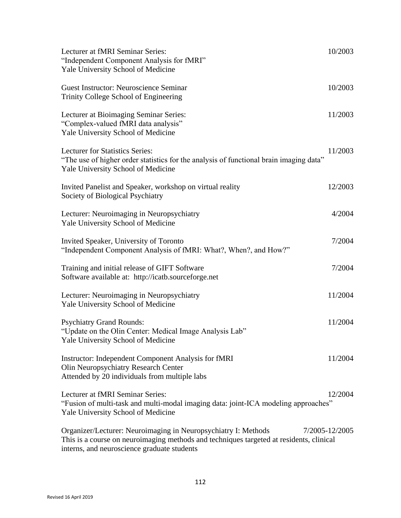| Lecturer at fMRI Seminar Series:<br>"Independent Component Analysis for fMRI"<br>Yale University School of Medicine                                                                                      | 10/2003        |
|----------------------------------------------------------------------------------------------------------------------------------------------------------------------------------------------------------|----------------|
| Guest Instructor: Neuroscience Seminar<br>Trinity College School of Engineering                                                                                                                          | 10/2003        |
| Lecturer at Bioimaging Seminar Series:<br>"Complex-valued fMRI data analysis"<br>Yale University School of Medicine                                                                                      | 11/2003        |
| Lecturer for Statistics Series:<br>"The use of higher order statistics for the analysis of functional brain imaging data"<br>Yale University School of Medicine                                          | 11/2003        |
| Invited Panelist and Speaker, workshop on virtual reality<br>Society of Biological Psychiatry                                                                                                            | 12/2003        |
| Lecturer: Neuroimaging in Neuropsychiatry<br>Yale University School of Medicine                                                                                                                          | 4/2004         |
| Invited Speaker, University of Toronto<br>"Independent Component Analysis of fMRI: What?, When?, and How?"                                                                                               | 7/2004         |
| Training and initial release of GIFT Software<br>Software available at: http://icatb.sourceforge.net                                                                                                     | 7/2004         |
| Lecturer: Neuroimaging in Neuropsychiatry<br>Yale University School of Medicine                                                                                                                          | 11/2004        |
| <b>Psychiatry Grand Rounds:</b><br>"Update on the Olin Center: Medical Image Analysis Lab"<br>Yale University School of Medicine                                                                         | 11/2004        |
| <b>Instructor: Independent Component Analysis for fMRI</b><br>Olin Neuropsychiatry Research Center<br>Attended by 20 individuals from multiple labs                                                      | 11/2004        |
| Lecturer at fMRI Seminar Series:<br>"Fusion of multi-task and multi-modal imaging data: joint-ICA modeling approaches"<br>Yale University School of Medicine                                             | 12/2004        |
| Organizer/Lecturer: Neuroimaging in Neuropsychiatry I: Methods<br>This is a course on neuroimaging methods and techniques targeted at residents, clinical<br>interns, and neuroscience graduate students | 7/2005-12/2005 |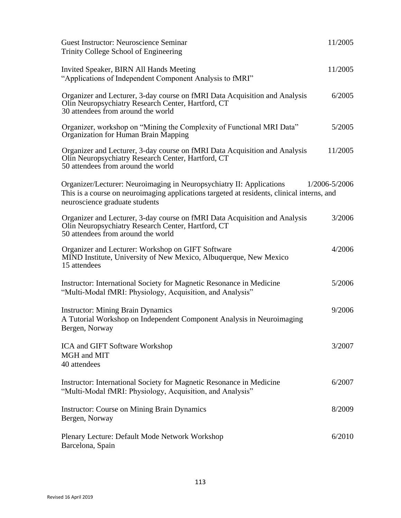| <b>Guest Instructor: Neuroscience Seminar</b><br>Trinity College School of Engineering                                                                                                               | 11/2005       |
|------------------------------------------------------------------------------------------------------------------------------------------------------------------------------------------------------|---------------|
| Invited Speaker, BIRN All Hands Meeting<br>"Applications of Independent Component Analysis to fMRI"                                                                                                  | 11/2005       |
| Organizer and Lecturer, 3-day course on fMRI Data Acquisition and Analysis<br>Olin Neuropsychiatry Research Center, Hartford, CT<br>30 attendees from around the world                               | 6/2005        |
| Organizer, workshop on "Mining the Complexity of Functional MRI Data"<br>Organization for Human Brain Mapping                                                                                        | 5/2005        |
| Organizer and Lecturer, 3-day course on fMRI Data Acquisition and Analysis<br>Olin Neuropsychiatry Research Center, Hartford, CT<br>50 attendees from around the world                               | 11/2005       |
| Organizer/Lecturer: Neuroimaging in Neuropsychiatry II: Applications<br>This is a course on neuroimaging applications targeted at residents, clinical interns, and<br>neuroscience graduate students | 1/2006-5/2006 |
| Organizer and Lecturer, 3-day course on fMRI Data Acquisition and Analysis<br>Olin Neuropsychiatry Research Center, Hartford, CT<br>50 attendees from around the world                               | 3/2006        |
| Organizer and Lecturer: Workshop on GIFT Software<br>MIND Institute, University of New Mexico, Albuquerque, New Mexico<br>15 attendees                                                               | 4/2006        |
| Instructor: International Society for Magnetic Resonance in Medicine<br>"Multi-Modal fMRI: Physiology, Acquisition, and Analysis"                                                                    | 5/2006        |
| <b>Instructor: Mining Brain Dynamics</b><br>A Tutorial Workshop on Independent Component Analysis in Neuroimaging<br>Bergen, Norway                                                                  | 9/2006        |
| ICA and GIFT Software Workshop<br>MGH and MIT<br>40 attendees                                                                                                                                        | 3/2007        |
| Instructor: International Society for Magnetic Resonance in Medicine<br>"Multi-Modal fMRI: Physiology, Acquisition, and Analysis"                                                                    | 6/2007        |
| <b>Instructor: Course on Mining Brain Dynamics</b><br>Bergen, Norway                                                                                                                                 | 8/2009        |
| Plenary Lecture: Default Mode Network Workshop<br>Barcelona, Spain                                                                                                                                   | 6/2010        |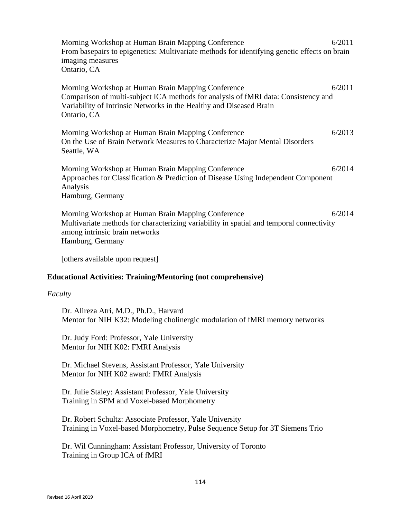Morning Workshop at Human Brain Mapping Conference 6/2011 From basepairs to epigenetics: Multivariate methods for identifying genetic effects on brain imaging measures Ontario, CA Morning Workshop at Human Brain Mapping Conference 6/2011 Comparison of multi-subject ICA methods for analysis of fMRI data: Consistency and Variability of Intrinsic Networks in the Healthy and Diseased Brain Ontario, CA Morning Workshop at Human Brain Mapping Conference 6/2013 On the Use of Brain Network Measures to Characterize Major Mental Disorders Seattle, WA Morning Workshop at Human Brain Mapping Conference 6/2014 Approaches for Classification & Prediction of Disease Using Independent Component Analysis Hamburg, Germany Morning Workshop at Human Brain Mapping Conference 6/2014 Multivariate methods for characterizing variability in spatial and temporal connectivity among intrinsic brain networks Hamburg, Germany [others available upon request]

# **Educational Activities: Training/Mentoring (not comprehensive)**

# *Faculty*

Dr. Alireza Atri, M.D., Ph.D., Harvard Mentor for NIH K32: Modeling cholinergic modulation of fMRI memory networks

Dr. Judy Ford: Professor, Yale University Mentor for NIH K02: FMRI Analysis

Dr. Michael Stevens, Assistant Professor, Yale University Mentor for NIH K02 award: FMRI Analysis

Dr. Julie Staley: Assistant Professor, Yale University Training in SPM and Voxel-based Morphometry

Dr. Robert Schultz: Associate Professor, Yale University Training in Voxel-based Morphometry, Pulse Sequence Setup for 3T Siemens Trio

Dr. Wil Cunningham: Assistant Professor, University of Toronto Training in Group ICA of fMRI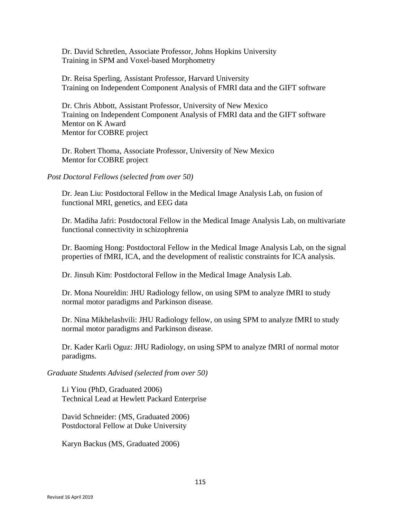Dr. David Schretlen, Associate Professor, Johns Hopkins University Training in SPM and Voxel-based Morphometry

Dr. Reisa Sperling, Assistant Professor, Harvard University Training on Independent Component Analysis of FMRI data and the GIFT software

Dr. Chris Abbott, Assistant Professor, University of New Mexico Training on Independent Component Analysis of FMRI data and the GIFT software Mentor on K Award Mentor for COBRE project

Dr. Robert Thoma, Associate Professor, University of New Mexico Mentor for COBRE project

*Post Doctoral Fellows (selected from over 50)*

Dr. Jean Liu: Postdoctoral Fellow in the Medical Image Analysis Lab, on fusion of functional MRI, genetics, and EEG data

Dr. Madiha Jafri: Postdoctoral Fellow in the Medical Image Analysis Lab, on multivariate functional connectivity in schizophrenia

Dr. Baoming Hong: Postdoctoral Fellow in the Medical Image Analysis Lab, on the signal properties of fMRI, ICA, and the development of realistic constraints for ICA analysis.

Dr. Jinsuh Kim: Postdoctoral Fellow in the Medical Image Analysis Lab.

Dr. Mona Noureldin: JHU Radiology fellow, on using SPM to analyze fMRI to study normal motor paradigms and Parkinson disease.

Dr. Nina Mikhelashvili: JHU Radiology fellow, on using SPM to analyze fMRI to study normal motor paradigms and Parkinson disease.

Dr. Kader Karli Oguz: JHU Radiology, on using SPM to analyze fMRI of normal motor paradigms.

*Graduate Students Advised (selected from over 50)*

Li Yiou (PhD, Graduated 2006) Technical Lead at Hewlett Packard Enterprise

David Schneider: (MS, Graduated 2006) Postdoctoral Fellow at Duke University

Karyn Backus (MS, Graduated 2006)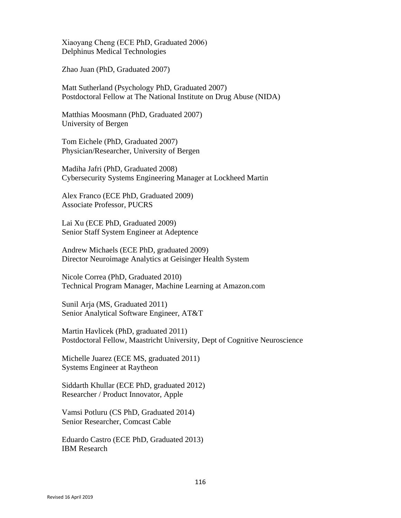Xiaoyang Cheng (ECE PhD, Graduated 2006) Delphinus Medical Technologies

Zhao Juan (PhD, Graduated 2007)

Matt Sutherland (Psychology PhD, Graduated 2007) Postdoctoral Fellow at The National Institute on Drug Abuse (NIDA)

Matthias Moosmann (PhD, Graduated 2007) University of Bergen

Tom Eichele (PhD, Graduated 2007) Physician/Researcher, University of Bergen

Madiha Jafri (PhD, Graduated 2008) Cybersecurity Systems Engineering Manager at Lockheed Martin

Alex Franco (ECE PhD, Graduated 2009) Associate Professor, PUCRS

Lai Xu (ECE PhD, Graduated 2009) Senior Staff System Engineer at Adeptence

Andrew Michaels (ECE PhD, graduated 2009) Director Neuroimage Analytics at Geisinger Health System

Nicole Correa (PhD, Graduated 2010) Technical Program Manager, Machine Learning at Amazon.com

Sunil Arja (MS, Graduated 2011) Senior Analytical Software Engineer, AT&T

Martin Havlicek (PhD, graduated 2011) Postdoctoral Fellow, Maastricht University, Dept of Cognitive Neuroscience

Michelle Juarez (ECE MS, graduated 2011) Systems Engineer at Raytheon

Siddarth Khullar (ECE PhD, graduated 2012) Researcher / Product Innovator, Apple

Vamsi Potluru (CS PhD, Graduated 2014) Senior Researcher, Comcast Cable

Eduardo Castro (ECE PhD, Graduated 2013) IBM Research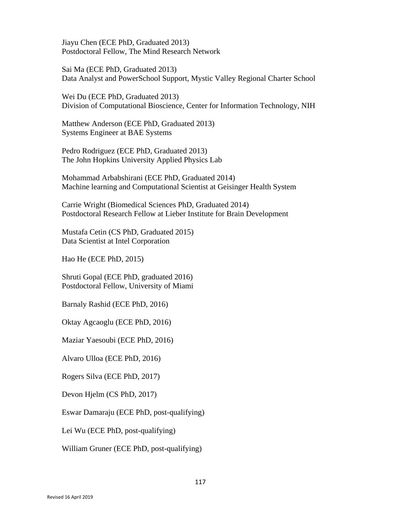Jiayu Chen (ECE PhD, Graduated 2013) Postdoctoral Fellow, The Mind Research Network

Sai Ma (ECE PhD, Graduated 2013) Data Analyst and PowerSchool Support, Mystic Valley Regional Charter School

Wei Du (ECE PhD, Graduated 2013) Division of Computational Bioscience, Center for Information Technology, NIH

Matthew Anderson (ECE PhD, Graduated 2013) Systems Engineer at BAE Systems

Pedro Rodriguez (ECE PhD, Graduated 2013) The John Hopkins University Applied Physics Lab

Mohammad Arbabshirani (ECE PhD, Graduated 2014) Machine learning and Computational Scientist at Geisinger Health System

Carrie Wright (Biomedical Sciences PhD, Graduated 2014) Postdoctoral Research Fellow at Lieber Institute for Brain Development

Mustafa Cetin (CS PhD, Graduated 2015) Data Scientist at Intel Corporation

Hao He (ECE PhD, 2015)

Shruti Gopal (ECE PhD, graduated 2016) Postdoctoral Fellow, University of Miami

Barnaly Rashid (ECE PhD, 2016)

Oktay Agcaoglu (ECE PhD, 2016)

Maziar Yaesoubi (ECE PhD, 2016)

Alvaro Ulloa (ECE PhD, 2016)

Rogers Silva (ECE PhD, 2017)

Devon Hjelm (CS PhD, 2017)

Eswar Damaraju (ECE PhD, post-qualifying)

Lei Wu (ECE PhD, post-qualifying)

William Gruner (ECE PhD, post-qualifying)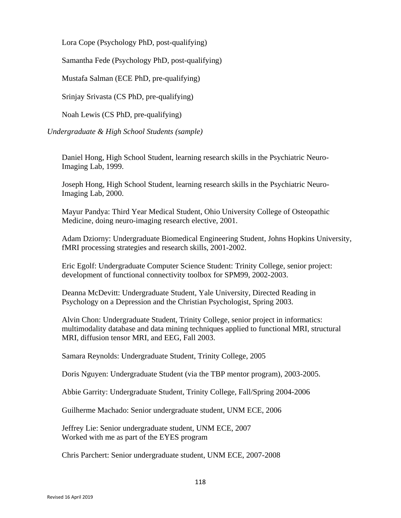Lora Cope (Psychology PhD, post-qualifying)

Samantha Fede (Psychology PhD, post-qualifying)

Mustafa Salman (ECE PhD, pre-qualifying)

Srinjay Srivasta (CS PhD, pre-qualifying)

Noah Lewis (CS PhD, pre-qualifying)

*Undergraduate & High School Students (sample)*

Daniel Hong, High School Student, learning research skills in the Psychiatric Neuro-Imaging Lab, 1999.

Joseph Hong, High School Student, learning research skills in the Psychiatric Neuro-Imaging Lab, 2000.

Mayur Pandya: Third Year Medical Student, Ohio University College of Osteopathic Medicine, doing neuro-imaging research elective, 2001.

Adam Dziorny: Undergraduate Biomedical Engineering Student, Johns Hopkins University, fMRI processing strategies and research skills, 2001-2002.

Eric Egolf: Undergraduate Computer Science Student: Trinity College, senior project: development of functional connectivity toolbox for SPM99, 2002-2003.

Deanna McDevitt: Undergraduate Student, Yale University, Directed Reading in Psychology on a Depression and the Christian Psychologist, Spring 2003.

Alvin Chon: Undergraduate Student, Trinity College, senior project in informatics: multimodality database and data mining techniques applied to functional MRI, structural MRI, diffusion tensor MRI, and EEG, Fall 2003.

Samara Reynolds: Undergraduate Student, Trinity College, 2005

Doris Nguyen: Undergraduate Student (via the TBP mentor program), 2003-2005.

Abbie Garrity: Undergraduate Student, Trinity College, Fall/Spring 2004-2006

Guilherme Machado: Senior undergraduate student, UNM ECE, 2006

Jeffrey Lie: Senior undergraduate student, UNM ECE, 2007 Worked with me as part of the EYES program

Chris Parchert: Senior undergraduate student, UNM ECE, 2007-2008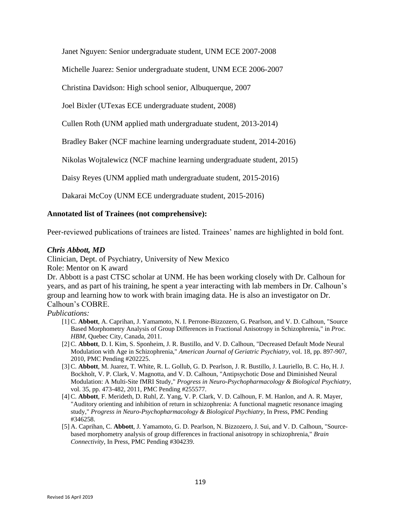Janet Nguyen: Senior undergraduate student, UNM ECE 2007-2008

Michelle Juarez: Senior undergraduate student, UNM ECE 2006-2007

Christina Davidson: High school senior, Albuquerque, 2007

Joel Bixler (UTexas ECE undergraduate student, 2008)

Cullen Roth (UNM applied math undergraduate student, 2013-2014)

Bradley Baker (NCF machine learning undergraduate student, 2014-2016)

Nikolas Wojtalewicz (NCF machine learning undergraduate student, 2015)

Daisy Reyes (UNM applied math undergraduate student, 2015-2016)

Dakarai McCoy (UNM ECE undergraduate student, 2015-2016)

# **Annotated list of Trainees (not comprehensive):**

Peer-reviewed publications of trainees are listed. Trainees' names are highlighted in bold font.

# *Chris Abbott, MD*

Clinician, Dept. of Psychiatry, University of New Mexico

Role: Mentor on K award

Dr. Abbott is a past CTSC scholar at UNM. He has been working closely with Dr. Calhoun for years, and as part of his training, he spent a year interacting with lab members in Dr. Calhoun's group and learning how to work with brain imaging data. He is also an investigator on Dr. Calhoun's COBRE.

- [1] C. **Abbott**, A. Caprihan, J. Yamamoto, N. I. Perrone-Bizzozero, G. Pearlson, and V. D. Calhoun, "Source Based Morphometry Analysis of Group Differences in Fractional Anisotropy in Schizophrenia," in *Proc. HBM*, Quebec City, Canada, 2011.
- [2] C. **Abbott**, D. I. Kim, S. Sponheim, J. R. Bustillo, and V. D. Calhoun, "Decreased Default Mode Neural Modulation with Age in Schizophrenia," *American Journal of Geriatric Psychiatry,* vol. 18, pp. 897-907, 2010, PMC Pending #202225.
- [3] C. **Abbott**, M. Juarez, T. White, R. L. Gollub, G. D. Pearlson, J. R. Bustillo, J. Lauriello, B. C. Ho, H. J. Bockholt, V. P. Clark, V. Magnotta, and V. D. Calhoun, "Antipsychotic Dose and Diminished Neural Modulation: A Multi-Site fMRI Study," *Progress in Neuro-Psychopharmacology & Biological Psychiatry,*  vol. 35, pp. 473-482, 2011, PMC Pending #255577.
- [4] C. **Abbott**, F. Merideth, D. Ruhl, Z. Yang, V. P. Clark, V. D. Calhoun, F. M. Hanlon, and A. R. Mayer, "Auditory orienting and inhibition of return in schizophrenia: A functional magnetic resonance imaging study," *Progress in Neuro-Psychopharmacology & Biological Psychiatry,* In Press, PMC Pending #346258.
- [5] A. Caprihan, C. **Abbott**, J. Yamamoto, G. D. Pearlson, N. Bizzozero, J. Sui, and V. D. Calhoun, "Sourcebased morphometry analysis of group differences in fractional anisotropy in schizophrenia," *Brain Connectivity,* In Press, PMC Pending #304239.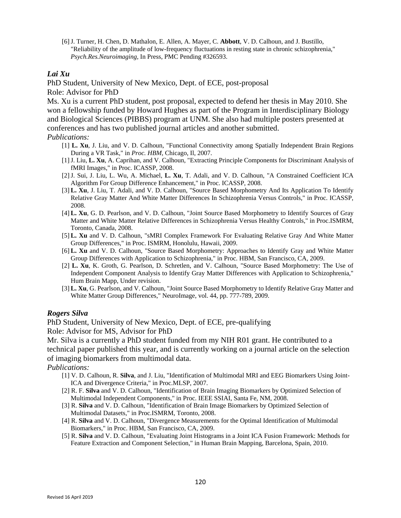[6]J. Turner, H. Chen, D. Mathalon, E. Allen, A. Mayer, C. **Abbott**, V. D. Calhoun, and J. Bustillo, "Reliability of the amplitude of low-frequency fluctuations in resting state in chronic schizophrenia," *Psych.Res.Neuroimaging,* In Press, PMC Pending #326593.

# *Lai Xu*

PhD Student, University of New Mexico, Dept. of ECE, post-proposal Role: Advisor for PhD

Ms. Xu is a current PhD student, post proposal, expected to defend her thesis in May 2010. She won a fellowship funded by Howard Hughes as part of the Program in Interdisciplinary Biology and Biological Sciences (PIBBS) program at UNM. She also had multiple posters presented at conferences and has two published journal articles and another submitted.

# *Publications:*

- [1] **L. Xu**, J. Liu, and V. D. Calhoun, "Functional Connectivity among Spatially Independent Brain Regions During a VR Task," in *Proc. HBM*, Chicago, Il, 2007.
- [1]J. Liu, **L. Xu**, A. Caprihan, and V. Calhoun, "Extracting Principle Components for Discriminant Analysis of fMRI Images," in Proc. ICASSP, 2008.
- [2]J. Sui, J. Liu, L. Wu, A. Michael, **L. Xu**, T. Adali, and V. D. Calhoun, "A Constrained Coefficient ICA Algorithm For Group Difference Enhancement," in Proc. ICASSP, 2008.
- [3] **L. Xu**, J. Liu, T. Adali, and V. D. Calhoun, "Source Based Morphometry And Its Application To Identify Relative Gray Matter And White Matter Differences In Schizophrenia Versus Controls," in Proc. ICASSP, 2008.
- [4] **L. Xu**, G. D. Pearlson, and V. D. Calhoun, "Joint Source Based Morphometry to Identify Sources of Gray Matter and White Matter Relative Differences in Schizophrenia Versus Healthy Controls," in Proc.ISMRM, Toronto, Canada, 2008.
- [5] **L. Xu** and V. D. Calhoun, "sMRI Complex Framework For Evaluating Relative Gray And White Matter Group Differences," in Proc. ISMRM, Honolulu, Hawaii, 2009.
- [6] **L. Xu** and V. D. Calhoun, "Source Based Morphometry: Approaches to Identify Gray and White Matter Group Differences with Application to Schizophrenia," in Proc. HBM, San Francisco, CA, 2009.
- [2] **L. Xu**, K. Groth, G. Pearlson, D. Schretlen, and V. Calhoun, "Source Based Morphometry: The Use of Independent Component Analysis to Identify Gray Matter Differences with Application to Schizophrenia," Hum Brain Mapp, Under revision.
- [3] **L. Xu**, G. Pearlson, and V. Calhoun, "Joint Source Based Morphometry to Identify Relative Gray Matter and White Matter Group Differences," NeuroImage, vol. 44, pp. 777-789, 2009.

# *Rogers Silva*

PhD Student, University of New Mexico, Dept. of ECE, pre-qualifying

Role: Advisor for MS, Advisor for PhD

Mr. Silva is a currently a PhD student funded from my NIH R01 grant. He contributed to a technical paper published this year, and is currently working on a journal article on the selection of imaging biomarkers from multimodal data.

- [1] V. D. Calhoun, R. **Silva**, and J. Liu, "Identification of Multimodal MRI and EEG Biomarkers Using Joint-ICA and Divergence Criteria," in Proc.MLSP, 2007.
- [2] R. F. **Silva** and V. D. Calhoun, "Identification of Brain Imaging Biomarkers by Optimized Selection of Multimodal Independent Components," in Proc. IEEE SSIAI, Santa Fe, NM, 2008.
- [3] R. **Silva** and V. D. Calhoun, "Identification of Brain Image Biomarkers by Optimized Selection of Multimodal Datasets," in Proc.ISMRM, Toronto, 2008.
- [4] R. **Silva** and V. D. Calhoun, "Divergence Measurements for the Optimal Identification of Multimodal Biomarkers," in Proc. HBM, San Francisco, CA, 2009.
- [5] R. **Silva** and V. D. Calhoun, "Evaluating Joint Histograms in a Joint ICA Fusion Framework: Methods for Feature Extraction and Component Selection," in Human Brain Mapping, Barcelona, Spain, 2010.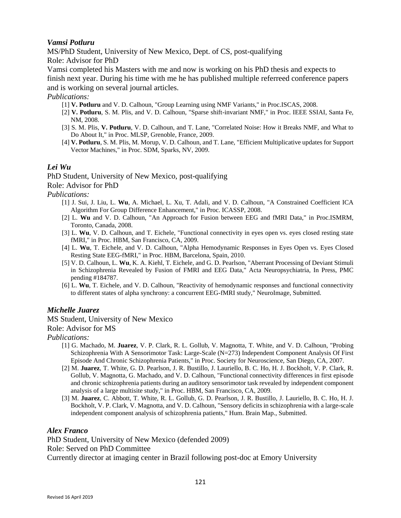# *Vamsi Potluru*

MS/PhD Student, University of New Mexico, Dept. of CS, post-qualifying Role: Advisor for PhD

Vamsi completed his Masters with me and now is working on his PhD thesis and expects to finish next year. During his time with me he has published multiple referreed conference papers

and is working on several journal articles.

*Publications:*

- [1] **V. Potluru** and V. D. Calhoun, "Group Learning using NMF Variants," in Proc.ISCAS, 2008.
- [2] **V. Potluru**, S. M. Plis, and V. D. Calhoun, "Sparse shift-invariant NMF," in Proc. IEEE SSIAI, Santa Fe, NM, 2008.
- [3] S. M. Plis, **V. Potluru**, V. D. Calhoun, and T. Lane, "Correlated Noise: How it Breaks NMF, and What to Do About It," in Proc. MLSP, Grenoble, France, 2009.
- [4] **V. Potluru**, S. M. Plis, M. Morup, V. D. Calhoun, and T. Lane, "Efficient Multiplicative updates for Support Vector Machines," in Proc. SDM, Sparks, NV, 2009.

# *Lei Wu*

PhD Student, University of New Mexico, post-qualifying

Role: Advisor for PhD

*Publications:*

- [1] J. Sui, J. Liu, L. **Wu**, A. Michael, L. Xu, T. Adali, and V. D. Calhoun, "A Constrained Coefficient ICA Algorithm For Group Difference Enhancement," in Proc. ICASSP, 2008.
- [2] L. **Wu** and V. D. Calhoun, "An Approach for Fusion between EEG and fMRI Data," in Proc.ISMRM, Toronto, Canada, 2008.
- [3] L. **Wu**, V. D. Calhoun, and T. Eichele, "Functional connectivity in eyes open vs. eyes closed resting state fMRI," in Proc. HBM, San Francisco, CA, 2009.
- [4] L. **Wu**, T. Eichele, and V. D. Calhoun, "Alpha Hemodynamic Responses in Eyes Open vs. Eyes Closed Resting State EEG-fMRI," in Proc. HBM, Barcelona, Spain, 2010.
- [5] V. D. Calhoun, L. **Wu**, K. A. Kiehl, T. Eichele, and G. D. Pearlson, "Aberrant Processing of Deviant Stimuli in Schizophrenia Revealed by Fusion of FMRI and EEG Data," Acta Neuropsychiatria, In Press, PMC pending #184787.
- [6] L. **Wu**, T. Eichele, and V. D. Calhoun, "Reactivity of hemodynamic responses and functional connectivity to different states of alpha synchrony: a concurrent EEG-fMRI study," NeuroImage, Submitted.

# *Michelle Juarez*

MS Student, University of New Mexico

Role: Advisor for MS

# *Publications:*

- [1] G. Machado, M. **Juarez**, V. P. Clark, R. L. Gollub, V. Magnotta, T. White, and V. D. Calhoun, "Probing Schizophrenia With A Sensorimotor Task: Large-Scale (N=273) Independent Component Analysis Of First Episode And Chronic Schizophrenia Patients," in Proc. Society for Neuroscience, San Diego, CA, 2007.
- [2] M. **Juarez**, T. White, G. D. Pearlson, J. R. Bustillo, J. Lauriello, B. C. Ho, H. J. Bockholt, V. P. Clark, R. Gollub, V. Magnotta, G. Machado, and V. D. Calhoun, "Functional connectivity differences in first episode and chronic schizophrenia patients during an auditory sensorimotor task revealed by independent component analysis of a large multisite study," in Proc. HBM, San Francisco, CA, 2009.
- [3] M. **Juarez**, C. Abbott, T. White, R. L. Gollub, G. D. Pearlson, J. R. Bustillo, J. Lauriello, B. C. Ho, H. J. Bockholt, V. P. Clark, V. Magnotta, and V. D. Calhoun, "Sensory deficits in schizophrenia with a large-scale independent component analysis of schizophrenia patients," Hum. Brain Map., Submitted.

# *Alex Franco*

PhD Student, University of New Mexico (defended 2009) Role: Served on PhD Committee Currently director at imaging center in Brazil following post-doc at Emory University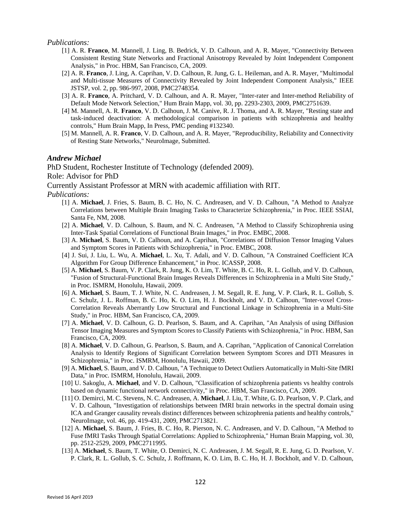#### *Publications:*

- [1] A. R. **Franco**, M. Mannell, J. Ling, B. Bedrick, V. D. Calhoun, and A. R. Mayer, "Connectivity Between Consistent Resting State Networks and Fractional Anisotropy Revealed by Joint Independent Component Analysis," in Proc. HBM, San Francisco, CA, 2009.
- [2] A. R. **Franco**, J. Ling, A. Caprihan, V. D. Calhoun, R. Jung, G. L. Heileman, and A. R. Mayer, "Multimodal and Multi-tissue Measures of Connectivity Revealed by Joint Independent Component Analysis," IEEE JSTSP, vol. 2, pp. 986-997, 2008, PMC2748354.
- [3] A. R. **Franco**, A. Pritchard, V. D. Calhoun, and A. R. Mayer, "Inter-rater and Inter-method Reliability of Default Mode Network Selection," Hum Brain Mapp, vol. 30, pp. 2293-2303, 2009, PMC2751639.
- [4] M. Mannell, A. R. **Franco**, V. D. Calhoun, J. M. Canive, R. J. Thoma, and A. R. Mayer, "Resting state and task-induced deactivation: A methodological comparison in patients with schizophrenia and healthy controls," Hum Brain Mapp, In Press, PMC pending #132340.
- [5] M. Mannell, A. R. **Franco**, V. D. Calhoun, and A. R. Mayer, "Reproducibility, Reliability and Connectivity of Resting State Networks," NeuroImage, Submitted.

# *Andrew Michael*

PhD Student, Rochester Institute of Technology (defended 2009).

Role: Advisor for PhD

Currently Assistant Professor at MRN with academic affiliation with RIT.

- [1] A. **Michael**, J. Fries, S. Baum, B. C. Ho, N. C. Andreasen, and V. D. Calhoun, "A Method to Analyze Correlations between Multiple Brain Imaging Tasks to Characterize Schizophrenia," in Proc. IEEE SSIAI, Santa Fe, NM, 2008.
- [2] A. **Michael**, V. D. Calhoun, S. Baum, and N. C. Andreasen, "A Method to Classify Schizophrenia using Inter-Task Spatial Correlations of Functional Brain Images," in Proc. EMBC, 2008.
- [3] A. **Michael**, S. Baum, V. D. Calhoun, and A. Caprihan, "Correlations of Diffusion Tensor Imaging Values and Symptom Scores in Patients with Schizophrenia," in Proc. EMBC, 2008.
- [4] J. Sui, J. Liu, L. Wu, A. **Michael**, L. Xu, T. Adali, and V. D. Calhoun, "A Constrained Coefficient ICA Algorithm For Group Difference Enhancement," in Proc. ICASSP, 2008.
- [5] A. **Michael**, S. Baum, V. P. Clark, R. Jung, K. O. Lim, T. White, B. C. Ho, R. L. Gollub, and V. D. Calhoun, "Fusion of Structural-Functional Brain Images Reveals Differences in Schizophrenia in a Multi Site Study," in Proc. ISMRM, Honolulu, Hawaii, 2009.
- [6] A. **Michael**, S. Baum, T. J. White, N. C. Andreasen, J. M. Segall, R. E. Jung, V. P. Clark, R. L. Gollub, S. C. Schulz, J. L. Roffman, B. C. Ho, K. O. Lim, H. J. Bockholt, and V. D. Calhoun, "Inter-voxel Cross-Correlation Reveals Aberrantly Low Structural and Functional Linkage in Schizophrenia in a Multi-Site Study," in Proc. HBM, San Francisco, CA, 2009.
- [7] A. **Michael**, V. D. Calhoun, G. D. Pearlson, S. Baum, and A. Caprihan, "An Analysis of using Diffusion Tensor Imaging Measures and Symptom Scores to Classify Patients with Schizophrenia," in Proc. HBM, San Francisco, CA, 2009.
- [8] A. **Michael**, V. D. Calhoun, G. Pearlson, S. Baum, and A. Caprihan, "Application of Canonical Correlation Analysis to Identify Regions of Significant Correlation between Symptom Scores and DTI Measures in Schizophrenia," in Proc. ISMRM, Honolulu, Hawaii, 2009.
- [9] A. **Michael**, S. Baum, and V. D. Calhoun, "A Technique to Detect Outliers Automatically in Multi-Site fMRI Data," in Proc. ISMRM, Honolulu, Hawaii, 2009.
- [10] U. Sakoglu, A. **Michael**, and V. D. Calhoun, "Classification of schizophrenia patients vs healthy controls based on dynamic functional network connectivity," in Proc. HBM, San Francisco, CA, 2009.
- [11] O. Demirci, M. C. Stevens, N. C. Andreasen, A. **Michael**, J. Liu, T. White, G. D. Pearlson, V. P. Clark, and V. D. Calhoun, "Investigation of relationships between fMRI brain networks in the spectral domain using ICA and Granger causality reveals distinct differences between schizophrenia patients and healthy controls," NeuroImage, vol. 46, pp. 419-431, 2009, PMC2713821.
- [12] A. **Michael**, S. Baum, J. Fries, B. C. Ho, R. Pierson, N. C. Andreasen, and V. D. Calhoun, "A Method to Fuse fMRI Tasks Through Spatial Correlations: Applied to Schizophrenia," Human Brain Mapping, vol. 30, pp. 2512-2529, 2009, PMC2711995.
- [13] A. **Michael**, S. Baum, T. White, O. Demirci, N. C. Andreasen, J. M. Segall, R. E. Jung, G. D. Pearlson, V. P. Clark, R. L. Gollub, S. C. Schulz, J. Roffmann, K. O. Lim, B. C. Ho, H. J. Bockholt, and V. D. Calhoun,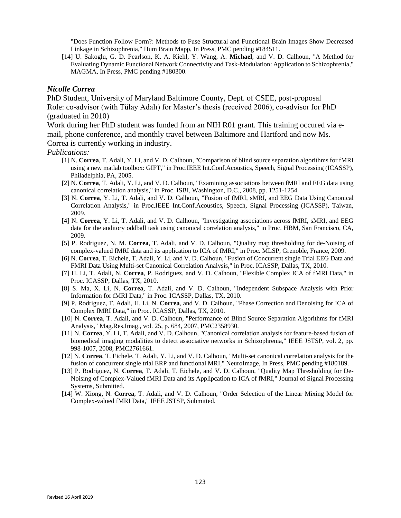"Does Function Follow Form?: Methods to Fuse Structural and Functional Brain Images Show Decreased Linkage in Schizophrenia," Hum Brain Mapp, In Press, PMC pending #184511.

[14] U. Sakoglu, G. D. Pearlson, K. A. Kiehl, Y. Wang, A. **Michael**, and V. D. Calhoun, "A Method for Evaluating Dynamic Functional Network Connectivity and Task-Modulation: Application to Schizophrenia," MAGMA, In Press, PMC pending #180300.

# *Nicolle Correa*

PhD Student, University of Maryland Baltimore County, Dept. of CSEE, post-proposal Role: co-advisor (with Tülay Adalı) for Master's thesis (received 2006), co-advisor for PhD (graduated in 2010)

Work during her PhD student was funded from an NIH R01 grant. This training occured via email, phone conference, and monthly travel between Baltimore and Hartford and now Ms. Correa is currently working in industry.

- [1] N. **Correa**, T. Adali, Y. Li, and V. D. Calhoun, "Comparison of blind source separation algorithms for fMRI using a new matlab toolbox: GIFT," in Proc.IEEE Int.Conf.Acoustics, Speech, Signal Processing (ICASSP), Philadelphia, PA, 2005.
- [2] N. **Correa**, T. Adali, Y. Li, and V. D. Calhoun, "Examining associations between fMRI and EEG data using canonical correlation analysis," in Proc. ISBI, Washington, D.C., 2008, pp. 1251-1254.
- [3] N. **Correa**, Y. Li, T. Adali, and V. D. Calhoun, "Fusion of fMRI, sMRI, and EEG Data Using Canonical Correlation Analysis," in Proc.IEEE Int.Conf.Acoustics, Speech, Signal Processing (ICASSP), Taiwan, 2009.
- [4] N. **Correa**, Y. Li, T. Adali, and V. D. Calhoun, "Investigating associations across fMRI, sMRI, and EEG data for the auditory oddball task using canonical correlation analysis," in Proc. HBM, San Francisco, CA, 2009.
- [5] P. Rodriguez, N. M. **Correa**, T. Adali, and V. D. Calhoun, "Quality map thresholding for de-Noising of complex-valued fMRI data and its application to ICA of fMRI," in Proc. MLSP, Grenoble, France, 2009.
- [6] N. **Correa**, T. Eichele, T. Adali, Y. Li, and V. D. Calhoun, "Fusion of Concurrent single Trial EEG Data and FMRI Data Using Multi-set Canonical Correlation Analysis," in Proc. ICASSP, Dallas, TX, 2010.
- [7] H. Li, T. Adali, N. **Correa**, P. Rodriguez, and V. D. Calhoun, "Flexible Complex ICA of fMRI Data," in Proc. ICASSP, Dallas, TX, 2010.
- [8] S. Ma, X. Li, N. **Correa**, T. Adali, and V. D. Calhoun, "Independent Subspace Analysis with Prior Information for fMRI Data," in Proc. ICASSP, Dallas, TX, 2010.
- [9] P. Rodriguez, T. Adali, H. Li, N. **Correa**, and V. D. Calhoun, "Phase Correction and Denoising for ICA of Complex fMRI Data," in Proc. ICASSP, Dallas, TX, 2010.
- [10] N. **Correa**, T. Adali, and V. D. Calhoun, "Performance of Blind Source Separation Algorithms for fMRI Analysis," Mag.Res.Imag., vol. 25, p. 684, 2007, PMC2358930.
- [11] N. **Correa**, Y. Li, T. Adali, and V. D. Calhoun, "Canonical correlation analysis for feature-based fusion of biomedical imaging modalities to detect associative networks in Schizophrenia," IEEE JSTSP, vol. 2, pp. 998-1007, 2008, PMC2761661.
- [12] N. **Correa**, T. Eichele, T. Adali, Y. Li, and V. D. Calhoun, "Multi-set canonical correlation analysis for the fusion of concurrent single trial ERP and functional MRI," NeuroImage, In Press, PMC pending #180189.
- [13] P. Rodriguez, N. **Correa**, T. Adali, T. Eichele, and V. D. Calhoun, "Quality Map Thresholding for De-Noising of Complex-Valued fMRI Data and its Applipcation to ICA of fMRI," Journal of Signal Processing Systems, Submitted.
- [14] W. Xiong, N. **Correa**, T. Adali, and V. D. Calhoun, "Order Selection of the Linear Mixing Model for Complex-valued fMRI Data," IEEE JSTSP, Submitted.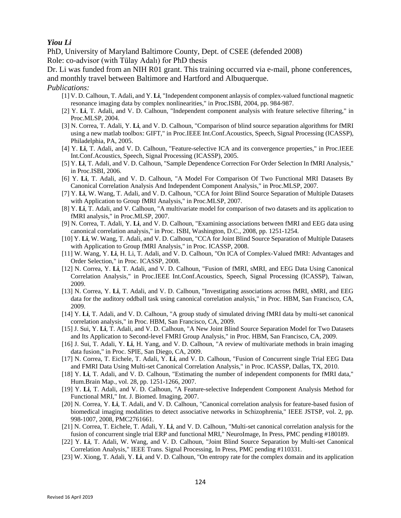# *Yiou Li*

PhD, University of Maryland Baltimore County, Dept. of CSEE (defended 2008) Role: co-advisor (with Tülay Adalı) for PhD thesis

Dr. Li was funded from an NIH R01 grant. This training occurred via e-mail, phone conferences, and monthly travel between Baltimore and Hartford and Albuquerque.

- [1] V. D. Calhoun, T. Adali, and Y. **Li**, "Independent component anlaysis of complex-valued functional magnetic resonance imaging data by complex nonlinearities," in Proc.ISBI, 2004, pp. 984-987.
- [2] Y. **Li**, T. Adali, and V. D. Calhoun, "Independent component analysis with feature selective filtering," in Proc.MLSP, 2004.
- [3] N. Correa, T. Adali, Y. **Li**, and V. D. Calhoun, "Comparison of blind source separation algorithms for fMRI using a new matlab toolbox: GIFT," in Proc.IEEE Int.Conf.Acoustics, Speech, Signal Processing (ICASSP), Philadelphia, PA, 2005.
- [4] Y. **Li**, T. Adali, and V. D. Calhoun, "Feature-selective ICA and its convergence properties," in Proc.IEEE Int.Conf.Acoustics, Speech, Signal Processing (ICASSP), 2005.
- [5] Y. **Li**, T. Adali, and V. D. Calhoun, "Sample Dependence Correction For Order Selection In fMRI Analysis," in Proc.ISBI, 2006.
- [6] Y. **Li**, T. Adali, and V. D. Calhoun, "A Model For Comparison Of Two Functional MRI Datasets By Canonical Correlation Analysis And Independent Component Analysis," in Proc.MLSP, 2007.
- [7] Y. **Li**, W. Wang, T. Adali, and V. D. Calhoun, "CCA for Joint Blind Source Separation of Multiple Datasets with Application to Group fMRI Analysis," in Proc.MLSP, 2007.
- [8] Y. **Li**, T. Adali, and V. Calhoun, "A multivariate model for comparison of two datasets and its application to fMRI analysis," in Proc.MLSP, 2007.
- [9] N. Correa, T. Adali, Y. **Li**, and V. D. Calhoun, "Examining associations between fMRI and EEG data using canonical correlation analysis," in Proc. ISBI, Washington, D.C., 2008, pp. 1251-1254.
- [10] Y. **Li**, W. Wang, T. Adali, and V. D. Calhoun, "CCA for Joint Blind Source Separation of Multiple Datasets with Application to Group fMRI Analysis," in Proc. ICASSP, 2008.
- [11] W. Wang, Y. **Li**, H. Li, T. Adali, and V. D. Calhoun, "On ICA of Complex-Valued fMRI: Advantages and Order Selection," in Proc. ICASSP, 2008.
- [12] N. Correa, Y. **Li**, T. Adali, and V. D. Calhoun, "Fusion of fMRI, sMRI, and EEG Data Using Canonical Correlation Analysis," in Proc.IEEE Int.Conf.Acoustics, Speech, Signal Processing (ICASSP), Taiwan, 2009.
- [13] N. Correa, Y. **Li**, T. Adali, and V. D. Calhoun, "Investigating associations across fMRI, sMRI, and EEG data for the auditory oddball task using canonical correlation analysis," in Proc. HBM, San Francisco, CA, 2009.
- [14] Y. **Li**, T. Adali, and V. D. Calhoun, "A group study of simulated driving fMRI data by multi-set canonical correlation analysis," in Proc. HBM, San Francisco, CA, 2009.
- [15] J. Sui, Y. **Li**, T. Adali, and V. D. Calhoun, "A New Joint Blind Source Separation Model for Two Datasets and Its Application to Second-level FMRI Group Analysis," in Proc. HBM, San Francisco, CA, 2009.
- [16] J. Sui, T. Adali, Y. **Li**, H. Yang, and V. D. Calhoun, "A review of multivariate methods in brain imaging data fusion," in Proc. SPIE, San Diego, CA, 2009.
- [17] N. Correa, T. Eichele, T. Adali, Y. **Li**, and V. D. Calhoun, "Fusion of Concurrent single Trial EEG Data and FMRI Data Using Multi-set Canonical Correlation Analysis," in Proc. ICASSP, Dallas, TX, 2010.
- [18] Y. **Li**, T. Adali, and V. D. Calhoun, "Estimating the number of independent components for fMRI data," Hum.Brain Map., vol. 28, pp. 1251-1266, 2007.
- [19] Y. **Li**, T. Adali, and V. D. Calhoun, "A Feature-selective Independent Component Analysis Method for Functional MRI," Int. J. Biomed. Imaging, 2007.
- [20] N. Correa, Y. **Li**, T. Adali, and V. D. Calhoun, "Canonical correlation analysis for feature-based fusion of biomedical imaging modalities to detect associative networks in Schizophrenia," IEEE JSTSP, vol. 2, pp. 998-1007, 2008, PMC2761661.
- [21] N. Correa, T. Eichele, T. Adali, Y. **Li**, and V. D. Calhoun, "Multi-set canonical correlation analysis for the fusion of concurrent single trial ERP and functional MRI," NeuroImage, In Press, PMC pending #180189.
- [22] Y. **Li**, T. Adali, W. Wang, and V. D. Calhoun, "Joint Blind Source Separation by Multi-set Canonical Correlation Analysis," IEEE Trans. Signal Processing, In Press, PMC pending #110331.
- [23] W. Xiong, T. Adali, Y. **Li**, and V. D. Calhoun, "On entropy rate for the complex domain and its application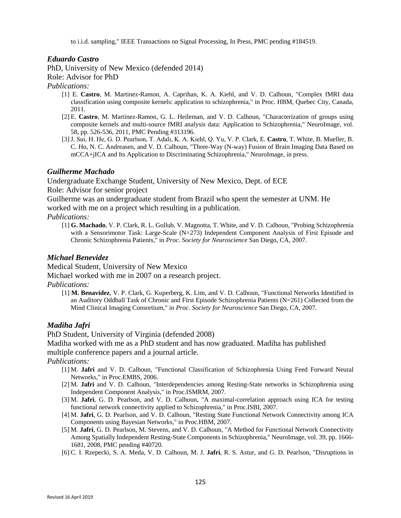to i.i.d. sampling," IEEE Transactions on Signal Processing, In Press, PMC pending #184519.

# *Eduardo Castro*

PhD, University of New Mexico (defended 2014)

Role: Advisor for PhD

# *Publications:*

- [1] E. **Castro**, M. Martinez-Ramon, A. Caprihan, K. A. Kiehl, and V. D. Calhoun, "Complex fMRI data classification using composite kernels: application to schizophrenia," in Proc. HBM, Quebec City, Canada, 2011.
- [2] E. **Castro**, M. Martinez-Ramon, G. L. Heileman, and V. D. Calhoun, "Characterization of groups using composite kernels and multi-source fMRI analysis data: Application to Schizophrenia," NeuroImage, vol. 58, pp. 526-536, 2011, PMC Pending #313196.
- [3]J. Sui, H. He, G. D. Pearlson, T. Adalı, K. A. Kiehl, Q. Yu, V. P. Clark, E. **Castro**, T. White, B. Mueller, B. C. Ho, N. C. Andreasen, and V. D. Calhoun, "Three-Way (N-way) Fusion of Brain Imaging Data Based on mCCA+jICA and Its Application to Discriminating Schizophrenia," NeuroImage, in press.

# *Guilherme Machado*

Undergraduate Exchange Student, University of New Mexico, Dept. of ECE Role: Advisor for senior project

Guilherme was an undergraduate student from Brazil who spent the semester at UNM. He worked with me on a project which resulting in a publication.

# *Publications:*

[1] **G. Machado**, V. P. Clark, R. L. Gollub, V. Magnotta, T. White, and V. D. Calhoun, "Probing Schizophrenia with a Sensorimotor Task: Large-Scale (N=273) Independent Component Analysis of First Episode and Chronic Schizophrenia Patients," in *Proc. Society for Neuroscience* San Diego, CA, 2007.

# *Michael Benevidez*

Medical Student, University of New Mexico

Michael worked with me in 2007 on a research project.

*Publications:*

[1] **M. Benavidez**, V. P. Clark, G. Kuperberg, K. Lim, and V. D. Calhoun, "Functional Networks Identified in an Auditory Oddball Task of Chronic and First Episode Schizophrenia Patients (N=261) Collected from the Mind Clinical Imaging Consortium," in *Proc. Society for Neuroscience* San Diego, CA, 2007.

# *Madiha Jafri*

PhD Student, University of Virginia (defended 2008)

Madiha worked with me as a PhD student and has now graduated. Madiha has published

multiple conference papers and a journal article.

- [1] M. **Jafri** and V. D. Calhoun, "Functional Classification of Schizophrenia Using Feed Forward Neural Networks," in Proc.EMBS, 2006.
- [2] M. **Jafri** and V. D. Calhoun, "Interdependencies among Resting-State networks in Schizophrenia using Independent Component Analysis," in Proc.ISMRM, 2007.
- [3] M. **Jafri**, G. D. Pearlson, and V. D. Calhoun, "A maximal-correlation approach using ICA for testing functional network connectivity applied to Schizophrenia," in Proc.ISBI, 2007.
- [4] M. **Jafri**, G. D. Pearlson, and V. D. Calhoun, "Resting State Functional Network Connectivity among ICA Components using Bayesian Networks," in Proc.HBM, 2007.
- [5] M. **Jafri**, G. D. Pearlson, M. Stevens, and V. D. Calhoun, "A Method for Functional Network Connectivity Among Spatially Independent Resting-State Components in Schizophrenia," NeuroImage, vol. 39, pp. 1666- 1681, 2008, PMC pending #40720.
- [6] C. I. Rzepecki, S. A. Meda, V. D. Calhoun, M. J. **Jafri**, R. S. Astur, and G. D. Pearlson, "Disruptions in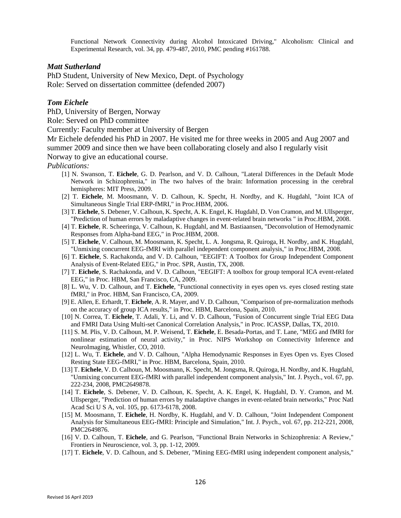Functional Network Connectivity during Alcohol Intoxicated Driving," Alcoholism: Clinical and Experimental Research, vol. 34, pp. 479-487, 2010, PMC pending #161788.

# *Matt Sutherland*

PhD Student, University of New Mexico, Dept. of Psychology Role: Served on dissertation committee (defended 2007)

# *Tom Eichele*

PhD, University of Bergen, Norway

Role: Served on PhD committee

Currently: Faculty member at University of Bergen

Mr Eichele defended his PhD in 2007. He visited me for three weeks in 2005 and Aug 2007 and summer 2009 and since then we have been collaborating closely and also I regularly visit

Norway to give an educational course.

- [1] N. Swanson, T. **Eichele**, G. D. Pearlson, and V. D. Calhoun, "Lateral Differences in the Default Mode Network in Schizophrenia," in The two halves of the brain: Information processing in the cerebral hemispheres: MIT Press, 2009.
- [2] T. **Eichele**, M. Moosmann, V. D. Calhoun, K. Specht, H. Nordby, and K. Hugdahl, "Joint ICA of Simultaneous Single Trial ERP-fMRI," in Proc.HBM, 2006.
- [3] T. **Eichele**, S. Debener, V. Calhoun, K. Specht, A. K. Engel, K. Hugdahl, D. Von Cramon, and M. Ullsperger, "Prediction of human errors by maladaptive changes in event-related brain networks " in Proc.HBM, 2008.
- [4] T. **Eichele**, R. Scheeringa, V. Calhoun, K. Hugdahl, and M. Bastiaansen, "Deconvolution of Hemodynamic Responses from Alpha-band EEG," in Proc.HBM, 2008.
- [5] T. **Eichele**, V. Calhoun, M. Moosmann, K. Specht, L. A. Jongsma, R. Quiroga, H. Nordby, and K. Hugdahl, "Unmixing concurrent EEG-fMRI with parallel independent component analysis," in Proc.HBM, 2008.
- [6] T. **Eichele**, S. Rachakonda, and V. D. Calhoun, "EEGIFT: A Toolbox for Group Independent Component Analysis of Event-Related EEG," in Proc. SPR, Austin, TX, 2008.
- [7] T. **Eichele**, S. Rachakonda, and V. D. Calhoun, "EEGIFT: A toolbox for group temporal ICA event-related EEG," in Proc. HBM, San Francisco, CA, 2009.
- [8] L. Wu, V. D. Calhoun, and T. **Eichele**, "Functional connectivity in eyes open vs. eyes closed resting state fMRI," in Proc. HBM, San Francisco, CA, 2009.
- [9] E. Allen, E. Erhardt, T. **Eichele**, A. R. Mayer, and V. D. Calhoun, "Comparison of pre-normalization methods on the accuracy of group ICA results," in Proc. HBM, Barcelona, Spain, 2010.
- [10] N. Correa, T. **Eichele**, T. Adali, Y. Li, and V. D. Calhoun, "Fusion of Concurrent single Trial EEG Data and FMRI Data Using Multi-set Canonical Correlation Analysis," in Proc. ICASSP, Dallas, TX, 2010.
- [11] S. M. Plis, V. D. Calhoun, M. P. Weisend, T. **Eichele**, E. Besada-Portas, and T. Lane, "MEG and fMRI for nonlinear estimation of neural activity," in Proc. NIPS Workshop on Connectivity Inference and NeuroImaging, Whistler, CO, 2010.
- [12] L. Wu, T. **Eichele**, and V. D. Calhoun, "Alpha Hemodynamic Responses in Eyes Open vs. Eyes Closed Resting State EEG-fMRI," in Proc. HBM, Barcelona, Spain, 2010.
- [13] T. **Eichele**, V. D. Calhoun, M. Moosmann, K. Specht, M. Jongsma, R. Quiroga, H. Nordby, and K. Hugdahl, "Unmixing concurrent EEG-fMRI with parallel independent component analysis," Int. J. Psych., vol. 67, pp. 222-234, 2008, PMC2649878.
- [14] T. **Eichele**, S. Debener, V. D. Calhoun, K. Specht, A. K. Engel, K. Hugdahl, D. Y. Cramon, and M. Ullsperger, "Prediction of human errors by maladaptive changes in event-related brain networks," Proc Natl Acad Sci U S A, vol. 105, pp. 6173-6178, 2008.
- [15] M. Moosmann, T. **Eichele**, H. Nordby, K. Hugdahl, and V. D. Calhoun, "Joint Independent Component Analysis for Simultaneous EEG-fMRI: Principle and Simulation," Int. J. Psych., vol. 67, pp. 212-221, 2008, PMC2649876.
- [16] V. D. Calhoun, T. **Eichele**, and G. Pearlson, "Functional Brain Networks in Schizophrenia: A Review," Frontiers in Neuroscience, vol. 3, pp. 1-12, 2009.
- [17] T. **Eichele**, V. D. Calhoun, and S. Debener, "Mining EEG-fMRI using independent component analysis,"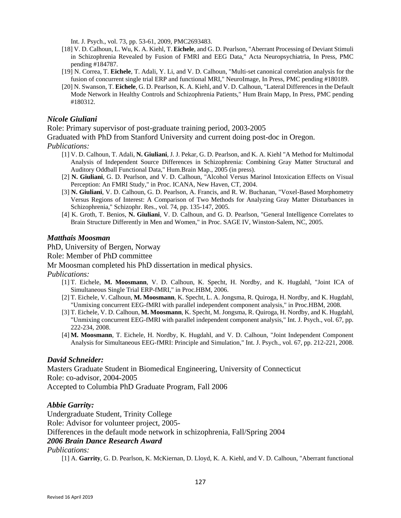Int. J. Psych., vol. 73, pp. 53-61, 2009, PMC2693483.

- [18] V. D. Calhoun, L. Wu, K. A. Kiehl, T. **Eichele**, and G. D. Pearlson, "Aberrant Processing of Deviant Stimuli in Schizophrenia Revealed by Fusion of FMRI and EEG Data," Acta Neuropsychiatria, In Press, PMC pending #184787.
- [19] N. Correa, T. **Eichele**, T. Adali, Y. Li, and V. D. Calhoun, "Multi-set canonical correlation analysis for the fusion of concurrent single trial ERP and functional MRI," NeuroImage, In Press, PMC pending #180189.
- [20] N. Swanson, T. **Eichele**, G. D. Pearlson, K. A. Kiehl, and V. D. Calhoun, "Lateral Differences in the Default Mode Network in Healthy Controls and Schizophrenia Patients," Hum Brain Mapp, In Press, PMC pending #180312.

# *Nicole Giuliani*

Role: Primary supervisor of post-graduate training period, 2003-2005

Graduated with PhD from Stanford University and current doing post-doc in Oregon.

## *Publications:*

- [1] V. D. Calhoun, T. Adali, **N. Giuliani**, J. J. Pekar, G. D. Pearlson, and K. A. Kiehl "A Method for Multimodal Analysis of Independent Source Differences in Schizophrenia: Combining Gray Matter Structural and Auditory Oddball Functional Data," Hum.Brain Map., 2005 (in press).
- [2] **N. Giuliani**, G. D. Pearlson, and V. D. Calhoun, "Alcohol Versus Marinol Intoxication Effects on Visual Perception: An FMRI Study," in Proc. ICANA, New Haven, CT, 2004.
- [3] **N. Giuliani**, V. D. Calhoun, G. D. Pearlson, A. Francis, and R. W. Buchanan, "Voxel-Based Morphometry Versus Regions of Interest: A Comparison of Two Methods for Analyzing Gray Matter Disturbances in Schizophrenia," Schizophr. Res., vol. 74, pp. 135-147, 2005.
- [4] K. Groth, T. Benios, **N. Giuliani**, V. D. Calhoun, and G. D. Pearlson, "General Intelligence Correlates to Brain Structure Differently in Men and Women," in Proc. SAGE IV, Winston-Salem, NC, 2005.

## *Matthais Moosman*

PhD, University of Bergen, Norway

Role: Member of PhD committee

Mr Moosman completed his PhD dissertation in medical physics.

*Publications:*

- [1] T. Eichele, **M. Moosmann**, V. D. Calhoun, K. Specht, H. Nordby, and K. Hugdahl, "Joint ICA of Simultaneous Single Trial ERP-fMRI," in Proc.HBM, 2006.
- [2] T. Eichele, V. Calhoun, **M. Moosmann**, K. Specht, L. A. Jongsma, R. Quiroga, H. Nordby, and K. Hugdahl, "Unmixing concurrent EEG-fMRI with parallel independent component analysis," in Proc.HBM, 2008.
- [3] T. Eichele, V. D. Calhoun, **M. Moosmann**, K. Specht, M. Jongsma, R. Quiroga, H. Nordby, and K. Hugdahl, "Unmixing concurrent EEG-fMRI with parallel independent component analysis," Int. J. Psych., vol. 67, pp. 222-234, 2008.
- [4] **M. Moosmann**, T. Eichele, H. Nordby, K. Hugdahl, and V. D. Calhoun, "Joint Independent Component Analysis for Simultaneous EEG-fMRI: Principle and Simulation," Int. J. Psych., vol. 67, pp. 212-221, 2008.

# *David Schneider:*

Masters Graduate Student in Biomedical Engineering, University of Connecticut Role: co-advisor, 2004-2005 Accepted to Columbia PhD Graduate Program, Fall 2006

# *Abbie Garrity:*

Undergraduate Student, Trinity College Role: Advisor for volunteer project, 2005- Differences in the default mode network in schizophrenia, Fall/Spring 2004

# *2006 Brain Dance Research Award*

*Publications:*

[1] A. **Garrity**, G. D. Pearlson, K. McKiernan, D. Lloyd, K. A. Kiehl, and V. D. Calhoun, "Aberrant functional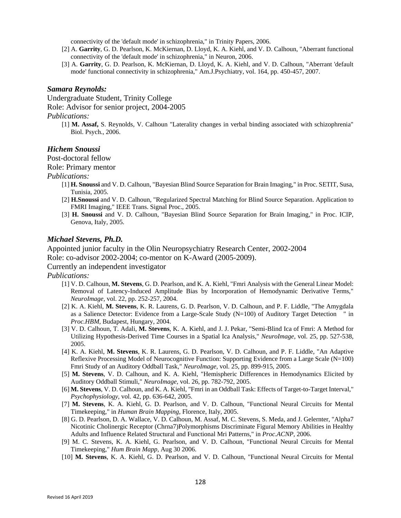connectivity of the 'default mode' in schizophrenia," in Trinity Papers, 2006.

- [2] A. **Garrity**, G. D. Pearlson, K. McKiernan, D. Lloyd, K. A. Kiehl, and V. D. Calhoun, "Aberrant functional connectivity of the 'default mode' in schizophrenia," in Neuron, 2006.
- [3] A. **Garrity**, G. D. Pearlson, K. McKiernan, D. Lloyd, K. A. Kiehl, and V. D. Calhoun, "Aberrant 'default mode' functional connectivity in schizophrenia," Am.J.Psychiatry, vol. 164, pp. 450-457, 2007.

#### *Samara Reynolds:*

Undergraduate Student, Trinity College Role: Advisor for senior project, 2004-2005

#### *Publications:*

[1] **M. Assaf,** S. Reynolds, V. Calhoun "Laterality changes in verbal binding associated with schizophrenia" Biol. Psych., 2006.

## *Hichem Snoussi*

Post-doctoral fellow

Role: Primary mentor

#### *Publications:*

- [1] **H. Snoussi** and V. D. Calhoun, "Bayesian Blind Source Separation for Brain Imaging," in Proc. SETIT, Susa, Tunisia, 2005.
- [2] **H.Snoussi** and V. D. Calhoun, "Regularized Spectral Matching for Blind Source Separation. Application to FMRI Imaging," IEEE Trans. Signal Proc., 2005.
- [3] **H. Snoussi** and V. D. Calhoun, "Bayesian Blind Source Separation for Brain Imaging," in Proc. ICIP, Genova, Italy, 2005.

#### *Michael Stevens, Ph.D.*

Appointed junior faculty in the Olin Neuropsychiatry Research Center, 2002-2004

Role: co-advisor 2002-2004; co-mentor on K-Award (2005-2009).

## Currently an independent investigator

- [1] V. D. Calhoun, **M. Stevens**, G. D. Pearlson, and K. A. Kiehl, "Fmri Analysis with the General Linear Model: Removal of Latency-Induced Amplitude Bias by Incorporation of Hemodynamic Derivative Terms," *NeuroImage,* vol. 22, pp. 252-257, 2004.
- [2] K. A. Kiehl, **M. Stevens**, K. R. Laurens, G. D. Pearlson, V. D. Calhoun, and P. F. Liddle, "The Amygdala as a Salience Detector: Evidence from a Large-Scale Study (N=100) of Auditory Target Detection " in *Proc.HBM*, Budapest, Hungary, 2004.
- [3] V. D. Calhoun, T. Adali, **M. Stevens**, K. A. Kiehl, and J. J. Pekar, "Semi-Blind Ica of Fmri: A Method for Utilizing Hypothesis-Derived Time Courses in a Spatial Ica Analysis," *NeuroImage,* vol. 25, pp. 527-538, 2005.
- [4] K. A. Kiehl, **M. Stevens**, K. R. Laurens, G. D. Pearlson, V. D. Calhoun, and P. F. Liddle, "An Adaptive Reflexive Processing Model of Neurocognitive Function: Supporting Evidence from a Large Scale (N=100) Fmri Study of an Auditory Oddball Task," *NeuroImage,* vol. 25, pp. 899-915, 2005.
- [5] **M. Stevens**, V. D. Calhoun, and K. A. Kiehl, "Hemispheric Differences in Hemodynamics Elicited by Auditory Oddball Stimuli," *NeuroImage,* vol. 26, pp. 782-792, 2005.
- [6] **M. Stevens**, V. D. Calhoun, and K. A. Kiehl, "Fmri in an Oddball Task: Effects of Target-to-Target Interval," *Psychophysiology,* vol. 42, pp. 636-642, 2005.
- [7] **M. Stevens**, K. A. Kiehl, G. D. Pearlson, and V. D. Calhoun, "Functional Neural Circuits for Mental Timekeeping," in *Human Brain Mapping*, Florence, Italy, 2005.
- [8] G. D. Pearlson, D. A. Wallace, V. D. Calhoun, M. Assaf, M. C. Stevens, S. Meda, and J. Gelernter, "Alpha7 Nicotinic Cholinergic Receptor (Chrna7)Polymorphisms Discriminate Figural Memory Abilities in Healthy Adults and Influence Related Structural and Functional Mri Patterns," in *Proc.ACNP*, 2006.
- [9] M. C. Stevens, K. A. Kiehl, G. Pearlson, and V. D. Calhoun, "Functional Neural Circuits for Mental Timekeeping," *Hum Brain Mapp,* Aug 30 2006.
- [10] **M. Stevens**, K. A. Kiehl, G. D. Pearlson, and V. D. Calhoun, "Functional Neural Circuits for Mental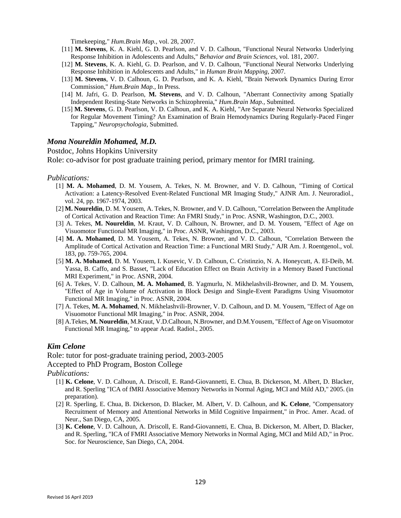Timekeeping," *Hum.Brain Map.,* vol. 28, 2007.

- [11] **M. Stevens**, K. A. Kiehl, G. D. Pearlson, and V. D. Calhoun, "Functional Neural Networks Underlying Response Inhibition in Adolescents and Adults," *Behavior and Brain Sciences,* vol. 181, 2007.
- [12] **M. Stevens**, K. A. Kiehl, G. D. Pearlson, and V. D. Calhoun, "Functional Neural Networks Underlying Response Inhibition in Adolescents and Adults," in *Human Brain Mapping*, 2007.
- [13] **M. Stevens**, V. D. Calhoun, G. D. Pearlson, and K. A. Kiehl, "Brain Network Dynamics During Error Commission," *Hum.Brain Map.,* In Press.
- [14] M. Jafri, G. D. Pearlson, **M. Stevens**, and V. D. Calhoun, "Aberrant Connectivity among Spatially Independent Resting-State Networks in Schizophrenia," *Hum.Brain Map.,* Submitted.
- [15] **M. Stevens**, G. D. Pearlson, V. D. Calhoun, and K. A. Kiehl, "Are Separate Neural Networks Specialized for Regular Movement Timing? An Examination of Brain Hemodynamics During Regularly-Paced Finger Tapping," *Neuropsychologia,* Submitted.

## *Mona Noureldin Mohamed, M.D.*

### Postdoc, Johns Hopkins University

Role: co-advisor for post graduate training period, primary mentor for fMRI training.

#### *Publications:*

- [1] **M. A. Mohamed**, D. M. Yousem, A. Tekes, N. M. Browner, and V. D. Calhoun, "Timing of Cortical Activation: a Latency-Resolved Event-Related Functional MR Imaging Study," AJNR Am. J. Neuroradiol., vol. 24, pp. 1967-1974, 2003.
- [2] **M. Noureldin**, D. M. Yousem, A. Tekes, N. Browner, and V. D. Calhoun, "Correlation Between the Amplitude of Cortical Activation and Reaction Time: An FMRI Study," in Proc. ASNR, Washington, D.C., 2003.
- [3] A. Tekes, **M. Noureldin**, M. Kraut, V. D. Calhoun, N. Browner, and D. M. Yousem, "Effect of Age on Visuomotor Functional MR Imaging," in Proc. ASNR, Washington, D.C., 2003.
- [4] **M. A. Mohamed**, D. M. Yousem, A. Tekes, N. Browner, and V. D. Calhoun, "Correlation Between the Amplitude of Cortical Activation and Reaction Time: a Functional MRI Study," AJR Am. J. Roentgenol., vol. 183, pp. 759-765, 2004.
- [5] **M. A. Mohamed**, D. M. Yousem, I. Kusevic, V. D. Calhoun, C. Cristinzio, N. A. Honeycutt, A. El-Deib, M. Yassa, B. Caffo, and S. Basset, "Lack of Education Effect on Brain Activity in a Memory Based Functional MRI Experiment," in Proc. ASNR, 2004.
- [6] A. Tekes, V. D. Calhoun, **M. A. Mohamed**, B. Yagmurlu, N. Mikhelashvili-Browner, and D. M. Yousem, "Effect of Age in Volume of Activation in Block Design and Single-Event Paradigms Using Visuomotor Functional MR Imaging," in Proc. ASNR, 2004.
- [7] A. Tekes, **M. A. Mohamed**, N. Mikhelashvili-Browner, V. D. Calhoun, and D. M. Yousem, "Effect of Age on Visuomotor Functional MR Imaging," in Proc. ASNR, 2004.
- [8] A.Tekes, **M. Noureldin**, M.Kraut, V.D.Calhoun, N.Browner, and D.M.Yousem, "Effect of Age on Visuomotor Functional MR Imaging," to appear Acad. Radiol., 2005.

### *Kim Celone*

Role: tutor for post-graduate training period, 2003-2005 Accepted to PhD Program, Boston College

- [1] **K. Celone**, V. D. Calhoun, A. Driscoll, E. Rand-Giovannetti, E. Chua, B. Dickerson, M. Albert, D. Blacker, and R. Sperling "ICA of fMRI Associative Memory Networks in Normal Aging, MCI and Mild AD," 2005. (in preparation).
- [2] R. Sperling, E. Chua, B. Dickerson, D. Blacker, M. Albert, V. D. Calhoun, and **K. Celone**, "Compensatory Recruitment of Memory and Attentional Networks in Mild Cognitive Impairment," in Proc. Amer. Acad. of Neur., San Diego, CA, 2005.
- [3] **K. Celone**, V. D. Calhoun, A. Driscoll, E. Rand-Giovannetti, E. Chua, B. Dickerson, M. Albert, D. Blacker, and R. Sperling, "ICA of FMRI Associative Memory Networks in Normal Aging, MCI and Mild AD," in Proc. Soc. for Neuroscience, San Diego, CA, 2004.